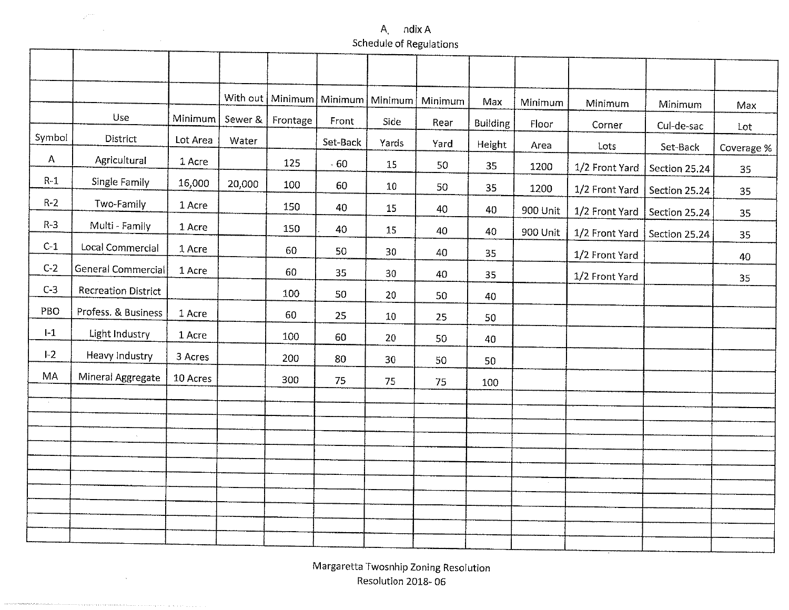#### A. ndix A»Schedule of Regulation

т

|              |                            |          |         |          | With out   Minimum   Minimum   Minimum |       | Minimum | Max             | Minimum  | Minimum        | Minimum       | Max          |
|--------------|----------------------------|----------|---------|----------|----------------------------------------|-------|---------|-----------------|----------|----------------|---------------|--------------|
|              | Use                        | Minimum  | Sewer & | Frontage | Front                                  | Side  | Rear    | <b>Building</b> | Floor    | Corner         | Cul-de-sac    | $_{\rm Lot}$ |
| Symbol       | District                   | Lot Area | Water   |          | Set-Back                               | Yards | Yard    | Height          | Area     | Lots           | Set-Back      | Coverage %   |
| $\mathsf{A}$ | Agricultural               | 1 Acre   |         | 125      | $-60$                                  | 15    | 50      | 35              | 1200     | 1/2 Front Yard | Section 25.24 | 35           |
| $R-1$        | Single Family              | 16,000   | 20,000  | 100      | 60                                     | 10    | 50      | 35              | 1200     | 1/2 Front Yard | Section 25.24 | 35           |
| $R-2$        | Two-Family                 | 1 Acre   |         | 150      | 40                                     | 15    | 40      | 40              | 900 Unit | 1/2 Front Yard | Section 25.24 | 35           |
| $R-3$        | Multi - Family             | 1 Acre   |         | 150      | 40                                     | 15    | 40      | 40              | 900 Unit | 1/2 Front Yard | Section 25.24 | 35           |
| $C-1$        | Local Commercial           | 1 Acre   |         | 60       | 50                                     | 30    | 40      | 35              |          | 1/2 Front Yard |               | 40           |
| $C-2$        | <b>General Commercial</b>  | 1 Acre   |         | 60       | 35                                     | 30    | 40      | 35              |          | 1/2 Front Yard |               | 35           |
| $C-3$        | <b>Recreation District</b> |          |         | 100      | 50                                     | 20    | 50      | 40              |          |                |               |              |
| PBO          | Profess. & Business        | 1 Acre   |         | 60       | 25                                     | 10    | 25      | 50              |          |                |               |              |
| $I-1$        | Light Industry             | 1 Acre   |         | 100      | 60                                     | 20    | 50      | 40              |          |                |               |              |
| $I-2$        | Heavy Industry             | 3 Acres  |         | 200      | 80                                     | 30    | 50      | 50              |          |                |               |              |
| MA           | Mineral Aggregate          | 10 Acres |         | 300      | 75                                     | 75    | 75      | 100             |          |                |               |              |
| $\sim$       |                            |          |         |          |                                        |       |         |                 |          |                |               |              |
|              |                            |          |         |          |                                        |       |         |                 |          |                |               |              |
|              |                            |          |         |          |                                        |       |         |                 |          |                |               |              |
|              |                            |          |         |          |                                        |       |         |                 |          |                |               |              |
|              |                            |          |         |          |                                        |       |         |                 |          |                |               |              |
|              |                            |          |         |          |                                        |       |         |                 |          |                |               |              |
|              |                            |          |         |          |                                        |       |         |                 |          |                |               |              |
|              |                            |          |         |          |                                        |       |         |                 |          |                |               |              |

Margaretta Twosnhip Zoning ResolutionResolution 2018- 06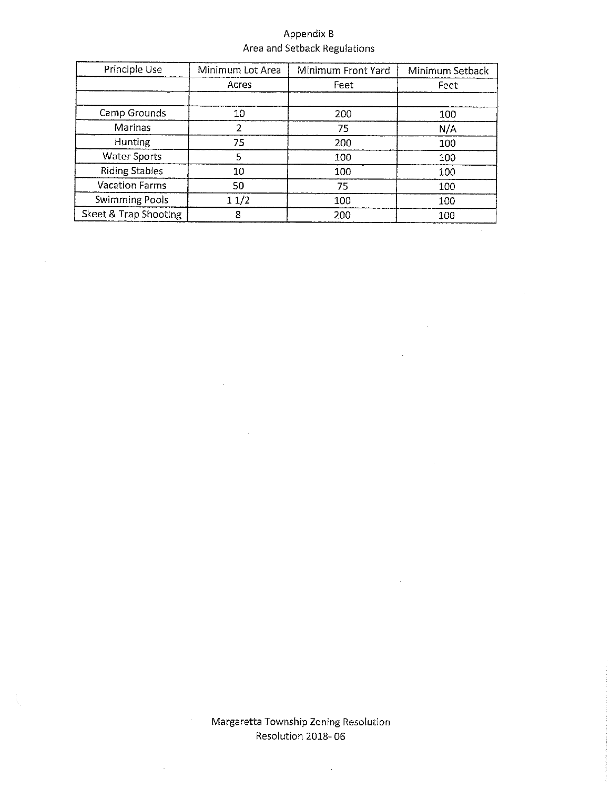## Appendix B Area and Setback Regulations

| Principle Use         | Minimum Lot Area | Minimum Front Yard | Minimum Setback |
|-----------------------|------------------|--------------------|-----------------|
|                       | Acres            | Feet               | Feet            |
|                       |                  |                    |                 |
| Camp Grounds          | 10               | 200                | 100             |
| Marinas               |                  | 75                 | N/A             |
| <b>Hunting</b>        | 75               | 200                | 100             |
| <b>Water Sports</b>   | 5                | 100                | 100             |
| <b>Riding Stables</b> | 10               | 100                | 100             |
| <b>Vacation Farms</b> | 50               | 75                 | 100             |
| <b>Swimming Pools</b> | 11/2             | 100                | 100             |
| Skeet & Trap Shooting | 8                | 200                | 100             |

 $\mathcal{L}$ 

 $\bar{z}$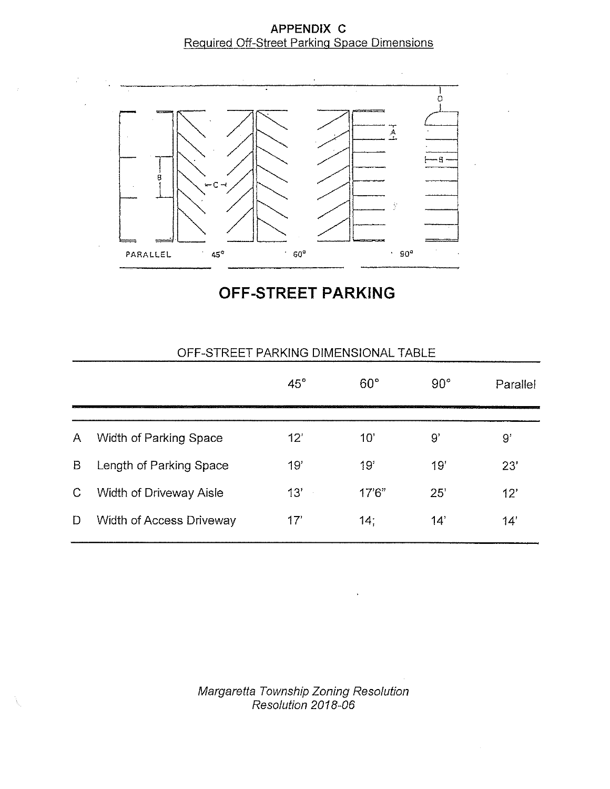# APPENDIX C Required Off-Street Parking Space Dimensions



OFF-STREET PARKING

|   |                                | $45^\circ$ | $60^\circ$ | $90^{\circ}$ | Parallel |
|---|--------------------------------|------------|------------|--------------|----------|
| A | Width of Parking Space         | 12'        | 10'        | 9,           | 9'       |
| B | Length of Parking Space        | 19'        | 19'        | 19'          | 23'      |
| C | <b>Width of Driveway Aisle</b> | 13'        | 17'6''     | 25'          | 12'      |
| D | Width of Access Driveway       | 17'        | 14:        | 14'          | 14'      |

# OFF-STREET PARKING DiMENSIONAL TABLE

Margaretta Township Zoning Resolutio Resolution 2018-06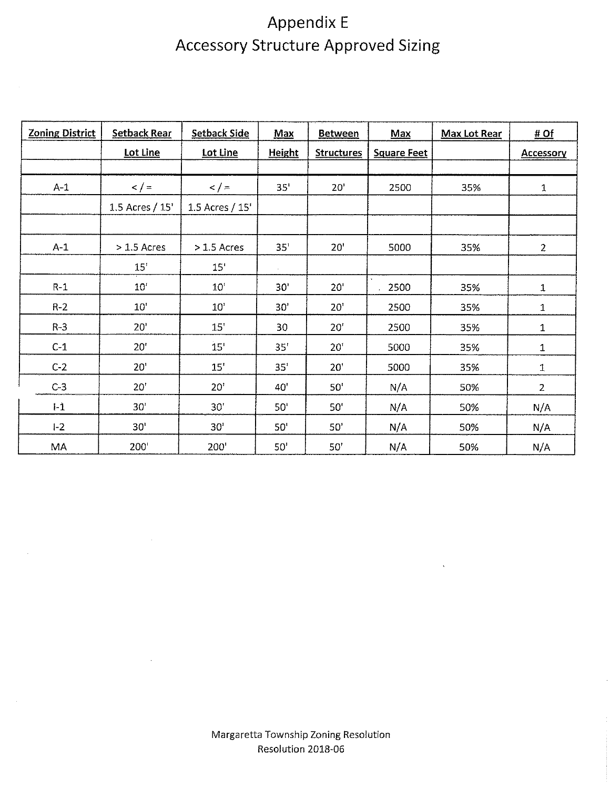# Appendix E Accessory Structure Approved Sizing

| <b>Zoning District</b> | <b>Setback Rear</b> | <b>Setback Side</b> | <b>Max</b>      | <b>Between</b>    | Max                | <b>Max Lot Rear</b> | #Of              |
|------------------------|---------------------|---------------------|-----------------|-------------------|--------------------|---------------------|------------------|
|                        | Lot Line            | Lot Line            | <b>Height</b>   | <b>Structures</b> | <b>Square Feet</b> |                     | <b>Accessory</b> |
|                        |                     |                     |                 |                   |                    |                     |                  |
| $A-1$                  | $\lt$ / =           | 2/5                 | 35 <sup>1</sup> | 20'               | 2500               | 35%                 | 1                |
|                        | 1.5 Acres / 15'     | 1.5 Acres / 15'     |                 |                   |                    |                     |                  |
|                        |                     |                     |                 |                   |                    |                     |                  |
| $A-1$                  | $> 1.5$ Acres       | $>1.5$ Acres        | 35'             | 20'               | 5000               | 35%                 | $\overline{2}$   |
|                        | $15"$               | 15'                 |                 |                   |                    |                     |                  |
| $R-1$                  | 10'                 | 10'                 | 30'             | 20'               | 2500               | 35%                 | 1                |
| $R - 2$                | 10 <sup>1</sup>     | 10'                 | 30'             | 20 <sup>1</sup>   | 2500               | 35%                 | 1                |
| $R - 3$                | 20 <sup>1</sup>     | 15'                 | 30              | 20'               | 2500               | 35%                 | $\mathbf 1$      |
| $C-1$                  | 20'                 | 15 <sup>7</sup>     | 35'             | 20 <sup>r</sup>   | 5000               | 35%                 | 1                |
| $C-2$                  | 20'                 | 15'                 | 35'             | 20'               | 5000               | 35%                 | $\mathbf 1$      |
| $C-3$                  | 20'                 | 20 <sup>1</sup>     | 40              | 50'               | N/A                | 50%                 | $\overline{2}$   |
| $1-1$                  | 30 <sup>1</sup>     | 30'                 | 50 <sup>1</sup> | 50'               | N/A                | 50%                 | N/A              |
| $1-2$                  | 30 <sup>t</sup>     | 30'                 | 50'             | 50'               | N/A                | 50%                 | N/A              |
| MA                     | 200'                | 200                 | 50'             | 50'               | N/A                | 50%                 | N/A              |

^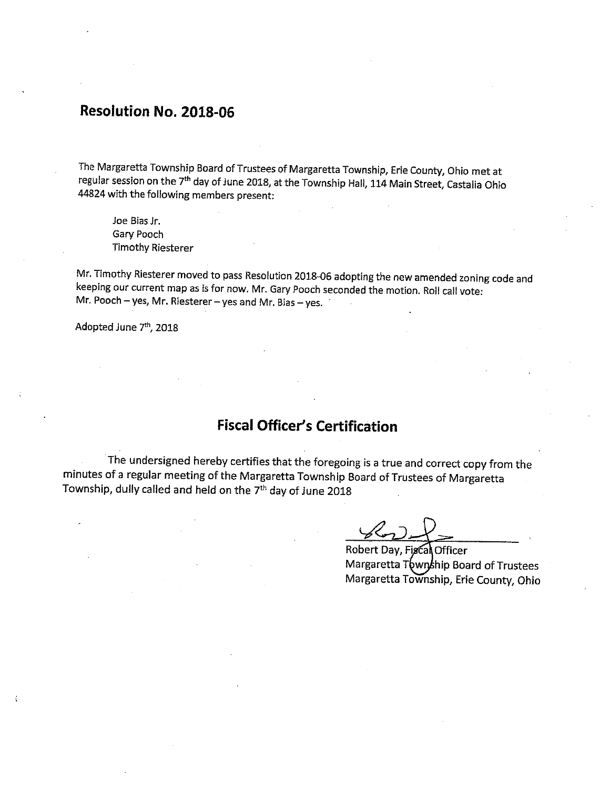# Resolution No. 2018-06

^

1

\*

The Margaretta Township Board of Trustees of Margaretta Township, Erie County/ Ohio met at regular session on the 7<sup>th</sup> day of June 2018, at the Township Hall, 114 Main Street, Castalia Ohio 44824 with the following members present:

Joe Bias Jr. Gary Pooch **Timothy Riesterer** 

Mr. Timothy Riesterer moved to pass Resolution 2018-06 adopting the new amended zoning code and keeping our current map as is for now. Mr. Gary Pooch seconded the motion. Roll call vote: Mr. Pooch - yes, Mr. Riesterer - yes and Mr. Bias - yes.

Adopted June 7<sup>th</sup>, 2018

# Fiscal Officer's Certification

The undersigned hereby certifies that the foregoing is a true and correct copy from the minutes of a regular meeting of the Margaretta Township Board of Trustees of Margaretta Township, dully called and heid on the 7<sup>th</sup> day of June 2018

 $222$ 

».

Robert Day, Fiscal Officer Margaretta Township Board of Trustees Margaretta Township, Erie County, Ohio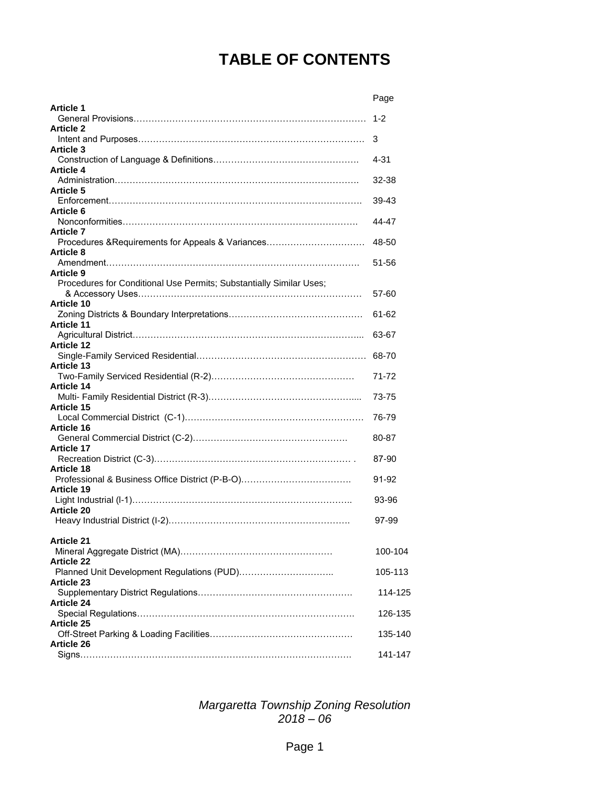# **TABLE OF CONTENTS**

|                                                                     | Page     |
|---------------------------------------------------------------------|----------|
| <b>Article 1</b>                                                    |          |
|                                                                     | $1 - 2$  |
| <b>Article 2</b>                                                    |          |
|                                                                     | 3        |
| <b>Article 3</b>                                                    |          |
| <b>Article 4</b>                                                    | $4 - 31$ |
|                                                                     | 32-38    |
| <b>Article 5</b>                                                    |          |
|                                                                     | 39-43    |
| Article 6                                                           |          |
|                                                                     | 44-47    |
| <b>Article 7</b>                                                    |          |
| Procedures & Requirements for Appeals & Variances                   | 48-50    |
| <b>Article 8</b>                                                    |          |
|                                                                     | 51-56    |
| <b>Article 9</b>                                                    |          |
| Procedures for Conditional Use Permits; Substantially Similar Uses; |          |
|                                                                     | 57-60    |
| <b>Article 10</b>                                                   |          |
|                                                                     | 61-62    |
| <b>Article 11</b>                                                   |          |
|                                                                     | 63-67    |
| <b>Article 12</b>                                                   |          |
| <b>Article 13</b>                                                   |          |
|                                                                     | 71-72    |
| <b>Article 14</b>                                                   |          |
|                                                                     | 73-75    |
| <b>Article 15</b>                                                   |          |
|                                                                     | 76-79    |
| Article 16                                                          |          |
|                                                                     | 80-87    |
| <b>Article 17</b>                                                   |          |
|                                                                     | 87-90    |
| <b>Article 18</b>                                                   |          |
|                                                                     | 91-92    |
| <b>Article 19</b>                                                   |          |
|                                                                     | 93-96    |
| <b>Article 20</b>                                                   |          |
|                                                                     | 97-99    |
| <b>Article 21</b>                                                   |          |
|                                                                     | 100-104  |
| <b>Article 22</b>                                                   |          |
|                                                                     | 105-113  |
| <b>Article 23</b>                                                   |          |
|                                                                     | 114-125  |
| <b>Article 24</b>                                                   |          |
|                                                                     | 126-135  |
| <b>Article 25</b>                                                   |          |
|                                                                     | 135-140  |
| <b>Article 26</b>                                                   |          |
|                                                                     | 141-147  |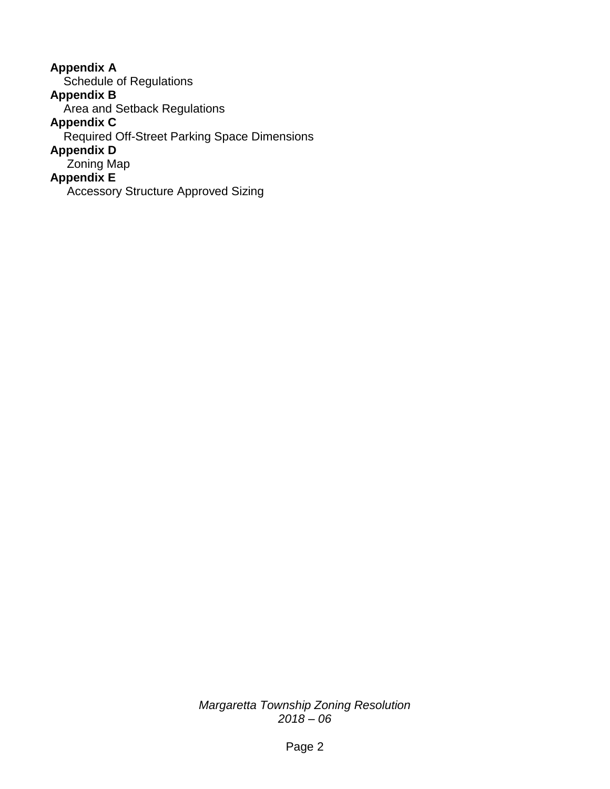**Appendix A** Schedule of Regulations **Appendix B** Area and Setback Regulations **Appendix C** Required Off-Street Parking Space Dimensions **Appendix D** Zoning Map **Appendix E** Accessory Structure Approved Sizing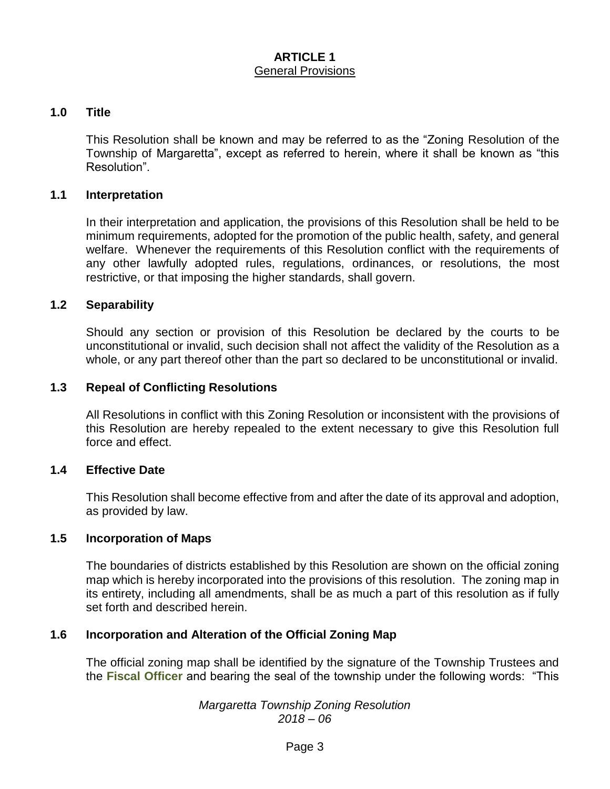#### **ARTICLE 1** General Provisions

#### **1.0 Title**

This Resolution shall be known and may be referred to as the "Zoning Resolution of the Township of Margaretta", except as referred to herein, where it shall be known as "this Resolution".

#### **1.1 Interpretation**

In their interpretation and application, the provisions of this Resolution shall be held to be minimum requirements, adopted for the promotion of the public health, safety, and general welfare. Whenever the requirements of this Resolution conflict with the requirements of any other lawfully adopted rules, regulations, ordinances, or resolutions, the most restrictive, or that imposing the higher standards, shall govern.

#### **1.2 Separability**

Should any section or provision of this Resolution be declared by the courts to be unconstitutional or invalid, such decision shall not affect the validity of the Resolution as a whole, or any part thereof other than the part so declared to be unconstitutional or invalid.

#### **1.3 Repeal of Conflicting Resolutions**

All Resolutions in conflict with this Zoning Resolution or inconsistent with the provisions of this Resolution are hereby repealed to the extent necessary to give this Resolution full force and effect.

#### **1.4 Effective Date**

This Resolution shall become effective from and after the date of its approval and adoption, as provided by law.

#### **1.5 Incorporation of Maps**

The boundaries of districts established by this Resolution are shown on the official zoning map which is hereby incorporated into the provisions of this resolution. The zoning map in its entirety, including all amendments, shall be as much a part of this resolution as if fully set forth and described herein.

#### **1.6 Incorporation and Alteration of the Official Zoning Map**

The official zoning map shall be identified by the signature of the Township Trustees and the **Fiscal Officer** and bearing the seal of the township under the following words: "This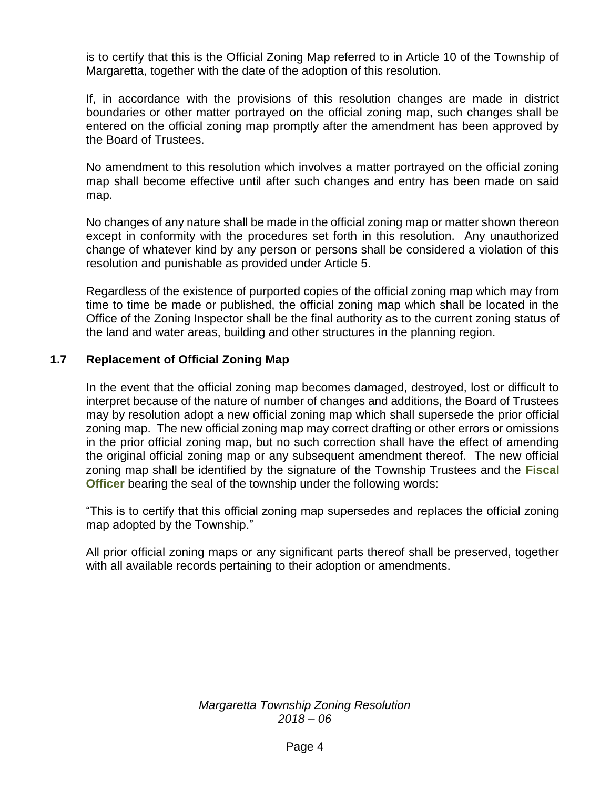is to certify that this is the Official Zoning Map referred to in Article 10 of the Township of Margaretta, together with the date of the adoption of this resolution.

If, in accordance with the provisions of this resolution changes are made in district boundaries or other matter portrayed on the official zoning map, such changes shall be entered on the official zoning map promptly after the amendment has been approved by the Board of Trustees.

No amendment to this resolution which involves a matter portrayed on the official zoning map shall become effective until after such changes and entry has been made on said map.

No changes of any nature shall be made in the official zoning map or matter shown thereon except in conformity with the procedures set forth in this resolution. Any unauthorized change of whatever kind by any person or persons shall be considered a violation of this resolution and punishable as provided under Article 5.

Regardless of the existence of purported copies of the official zoning map which may from time to time be made or published, the official zoning map which shall be located in the Office of the Zoning Inspector shall be the final authority as to the current zoning status of the land and water areas, building and other structures in the planning region.

## **1.7 Replacement of Official Zoning Map**

In the event that the official zoning map becomes damaged, destroyed, lost or difficult to interpret because of the nature of number of changes and additions, the Board of Trustees may by resolution adopt a new official zoning map which shall supersede the prior official zoning map. The new official zoning map may correct drafting or other errors or omissions in the prior official zoning map, but no such correction shall have the effect of amending the original official zoning map or any subsequent amendment thereof. The new official zoning map shall be identified by the signature of the Township Trustees and the **Fiscal Officer** bearing the seal of the township under the following words:

"This is to certify that this official zoning map supersedes and replaces the official zoning map adopted by the Township."

All prior official zoning maps or any significant parts thereof shall be preserved, together with all available records pertaining to their adoption or amendments.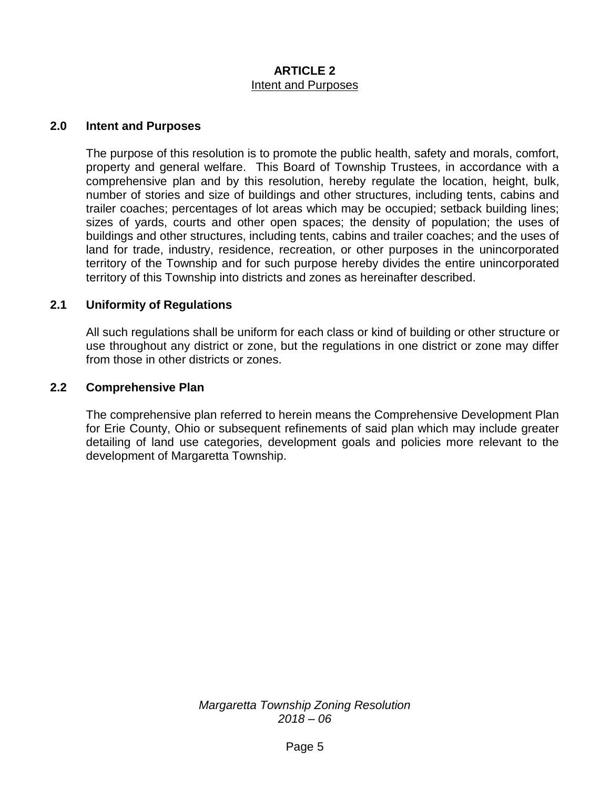## **ARTICLE 2** Intent and Purposes

#### **2.0 Intent and Purposes**

The purpose of this resolution is to promote the public health, safety and morals, comfort, property and general welfare. This Board of Township Trustees, in accordance with a comprehensive plan and by this resolution, hereby regulate the location, height, bulk, number of stories and size of buildings and other structures, including tents, cabins and trailer coaches; percentages of lot areas which may be occupied; setback building lines; sizes of yards, courts and other open spaces; the density of population; the uses of buildings and other structures, including tents, cabins and trailer coaches; and the uses of land for trade, industry, residence, recreation, or other purposes in the unincorporated territory of the Township and for such purpose hereby divides the entire unincorporated territory of this Township into districts and zones as hereinafter described.

#### **2.1 Uniformity of Regulations**

All such regulations shall be uniform for each class or kind of building or other structure or use throughout any district or zone, but the regulations in one district or zone may differ from those in other districts or zones.

#### **2.2 Comprehensive Plan**

The comprehensive plan referred to herein means the Comprehensive Development Plan for Erie County, Ohio or subsequent refinements of said plan which may include greater detailing of land use categories, development goals and policies more relevant to the development of Margaretta Township.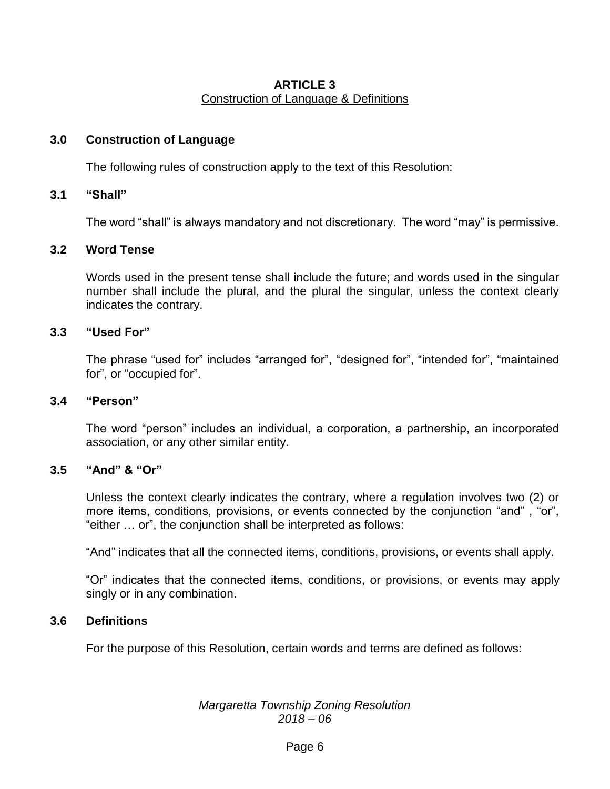## **ARTICLE 3** Construction of Language & Definitions

## **3.0 Construction of Language**

The following rules of construction apply to the text of this Resolution:

#### **3.1 "Shall"**

The word "shall" is always mandatory and not discretionary. The word "may" is permissive.

## **3.2 Word Tense**

Words used in the present tense shall include the future; and words used in the singular number shall include the plural, and the plural the singular, unless the context clearly indicates the contrary.

#### **3.3 "Used For"**

The phrase "used for" includes "arranged for", "designed for", "intended for", "maintained for", or "occupied for".

#### **3.4 "Person"**

The word "person" includes an individual, a corporation, a partnership, an incorporated association, or any other similar entity.

## **3.5 "And" & "Or"**

Unless the context clearly indicates the contrary, where a regulation involves two (2) or more items, conditions, provisions, or events connected by the conjunction "and" , "or", "either … or", the conjunction shall be interpreted as follows:

"And" indicates that all the connected items, conditions, provisions, or events shall apply.

"Or" indicates that the connected items, conditions, or provisions, or events may apply singly or in any combination.

#### **3.6 Definitions**

For the purpose of this Resolution, certain words and terms are defined as follows: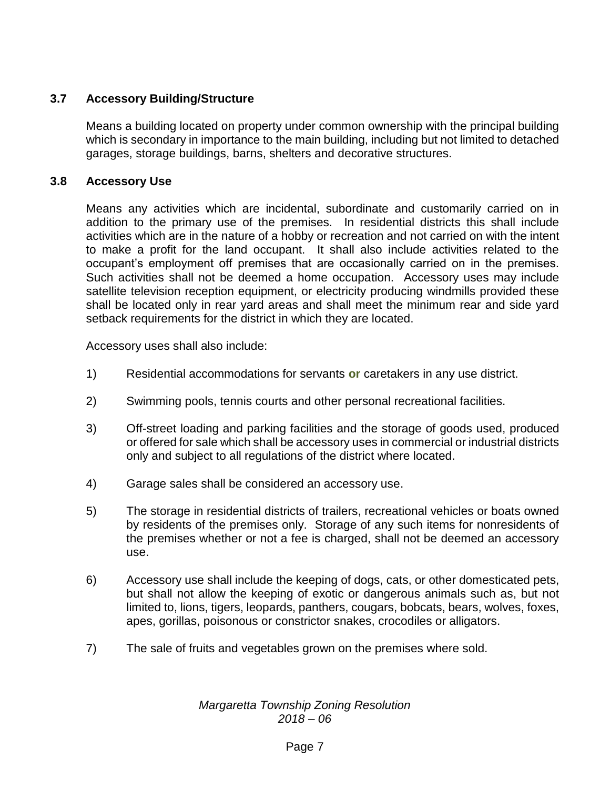# **3.7 Accessory Building/Structure**

Means a building located on property under common ownership with the principal building which is secondary in importance to the main building, including but not limited to detached garages, storage buildings, barns, shelters and decorative structures.

## **3.8 Accessory Use**

Means any activities which are incidental, subordinate and customarily carried on in addition to the primary use of the premises. In residential districts this shall include activities which are in the nature of a hobby or recreation and not carried on with the intent to make a profit for the land occupant. It shall also include activities related to the occupant's employment off premises that are occasionally carried on in the premises. Such activities shall not be deemed a home occupation. Accessory uses may include satellite television reception equipment, or electricity producing windmills provided these shall be located only in rear yard areas and shall meet the minimum rear and side yard setback requirements for the district in which they are located.

Accessory uses shall also include:

- 1) Residential accommodations for servants **or** caretakers in any use district.
- 2) Swimming pools, tennis courts and other personal recreational facilities.
- 3) Off-street loading and parking facilities and the storage of goods used, produced or offered for sale which shall be accessory uses in commercial or industrial districts only and subject to all regulations of the district where located.
- 4) Garage sales shall be considered an accessory use.
- 5) The storage in residential districts of trailers, recreational vehicles or boats owned by residents of the premises only. Storage of any such items for nonresidents of the premises whether or not a fee is charged, shall not be deemed an accessory use.
- 6) Accessory use shall include the keeping of dogs, cats, or other domesticated pets, but shall not allow the keeping of exotic or dangerous animals such as, but not limited to, lions, tigers, leopards, panthers, cougars, bobcats, bears, wolves, foxes, apes, gorillas, poisonous or constrictor snakes, crocodiles or alligators.
- 7) The sale of fruits and vegetables grown on the premises where sold.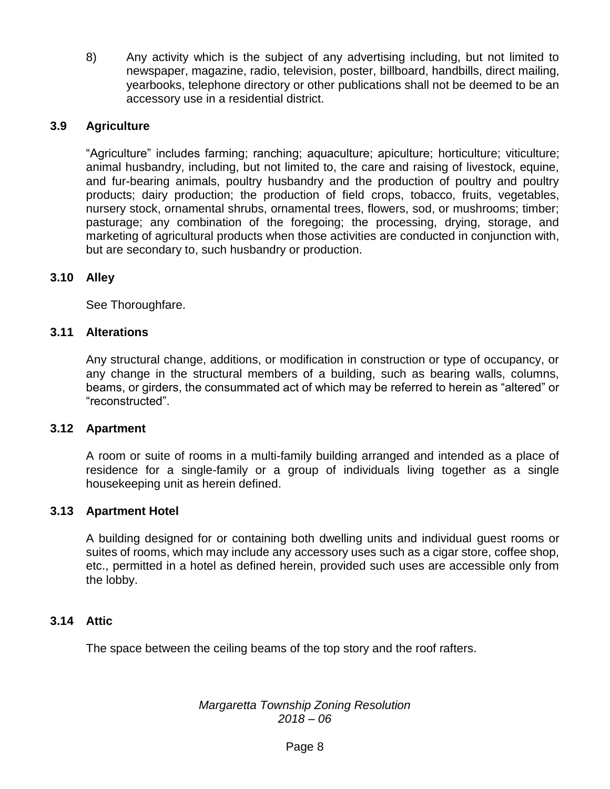8) Any activity which is the subject of any advertising including, but not limited to newspaper, magazine, radio, television, poster, billboard, handbills, direct mailing, yearbooks, telephone directory or other publications shall not be deemed to be an accessory use in a residential district.

# **3.9 Agriculture**

"Agriculture" includes farming; ranching; aquaculture; apiculture; horticulture; viticulture; animal husbandry, including, but not limited to, the care and raising of livestock, equine, and fur-bearing animals, poultry husbandry and the production of poultry and poultry products; dairy production; the production of field crops, tobacco, fruits, vegetables, nursery stock, ornamental shrubs, ornamental trees, flowers, sod, or mushrooms; timber; pasturage; any combination of the foregoing; the processing, drying, storage, and marketing of agricultural products when those activities are conducted in conjunction with, but are secondary to, such husbandry or production.

## **3.10 Alley**

See Thoroughfare.

## **3.11 Alterations**

Any structural change, additions, or modification in construction or type of occupancy, or any change in the structural members of a building, such as bearing walls, columns, beams, or girders, the consummated act of which may be referred to herein as "altered" or "reconstructed".

## **3.12 Apartment**

A room or suite of rooms in a multi-family building arranged and intended as a place of residence for a single-family or a group of individuals living together as a single housekeeping unit as herein defined.

## **3.13 Apartment Hotel**

A building designed for or containing both dwelling units and individual guest rooms or suites of rooms, which may include any accessory uses such as a cigar store, coffee shop, etc., permitted in a hotel as defined herein, provided such uses are accessible only from the lobby.

## **3.14 Attic**

The space between the ceiling beams of the top story and the roof rafters.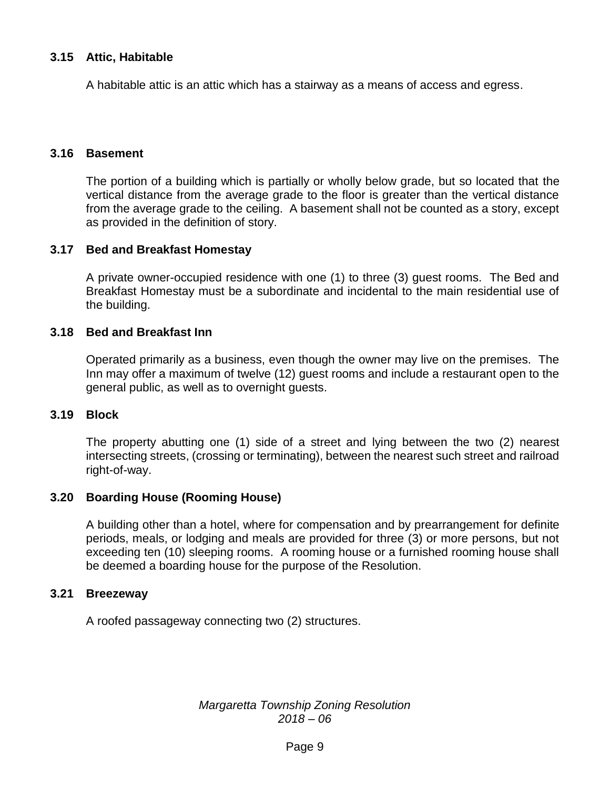## **3.15 Attic, Habitable**

A habitable attic is an attic which has a stairway as a means of access and egress.

#### **3.16 Basement**

The portion of a building which is partially or wholly below grade, but so located that the vertical distance from the average grade to the floor is greater than the vertical distance from the average grade to the ceiling. A basement shall not be counted as a story, except as provided in the definition of story.

#### **3.17 Bed and Breakfast Homestay**

A private owner-occupied residence with one (1) to three (3) guest rooms. The Bed and Breakfast Homestay must be a subordinate and incidental to the main residential use of the building.

#### **3.18 Bed and Breakfast Inn**

Operated primarily as a business, even though the owner may live on the premises. The Inn may offer a maximum of twelve (12) guest rooms and include a restaurant open to the general public, as well as to overnight guests.

#### **3.19 Block**

The property abutting one (1) side of a street and lying between the two (2) nearest intersecting streets, (crossing or terminating), between the nearest such street and railroad right-of-way.

## **3.20 Boarding House (Rooming House)**

A building other than a hotel, where for compensation and by prearrangement for definite periods, meals, or lodging and meals are provided for three (3) or more persons, but not exceeding ten (10) sleeping rooms. A rooming house or a furnished rooming house shall be deemed a boarding house for the purpose of the Resolution.

#### **3.21 Breezeway**

A roofed passageway connecting two (2) structures.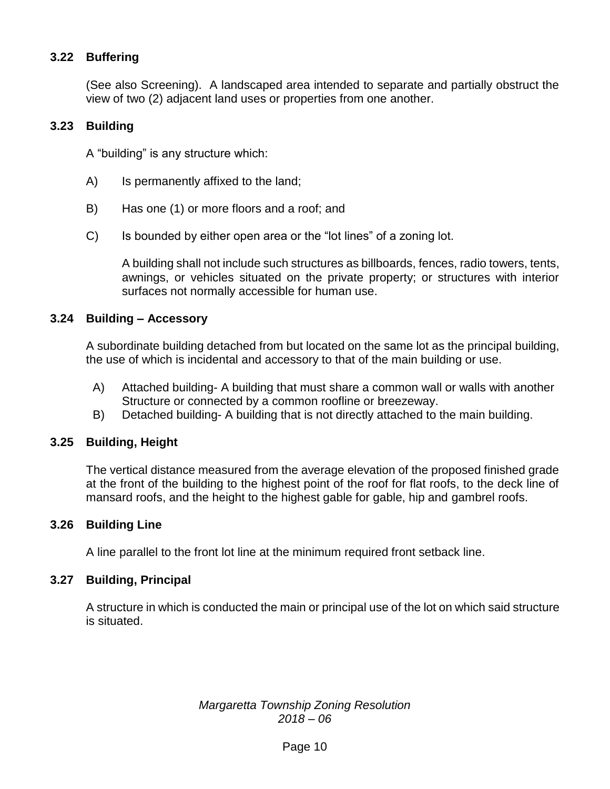# **3.22 Buffering**

(See also Screening). A landscaped area intended to separate and partially obstruct the view of two (2) adjacent land uses or properties from one another.

## **3.23 Building**

A "building" is any structure which:

- A) Is permanently affixed to the land;
- B) Has one (1) or more floors and a roof; and
- C) Is bounded by either open area or the "lot lines" of a zoning lot.

A building shall not include such structures as billboards, fences, radio towers, tents, awnings, or vehicles situated on the private property; or structures with interior surfaces not normally accessible for human use.

#### **3.24 Building – Accessory**

A subordinate building detached from but located on the same lot as the principal building, the use of which is incidental and accessory to that of the main building or use.

- A) Attached building- A building that must share a common wall or walls with another Structure or connected by a common roofline or breezeway.
- B) Detached building- A building that is not directly attached to the main building.

#### **3.25 Building, Height**

The vertical distance measured from the average elevation of the proposed finished grade at the front of the building to the highest point of the roof for flat roofs, to the deck line of mansard roofs, and the height to the highest gable for gable, hip and gambrel roofs.

#### **3.26 Building Line**

A line parallel to the front lot line at the minimum required front setback line.

#### **3.27 Building, Principal**

A structure in which is conducted the main or principal use of the lot on which said structure is situated.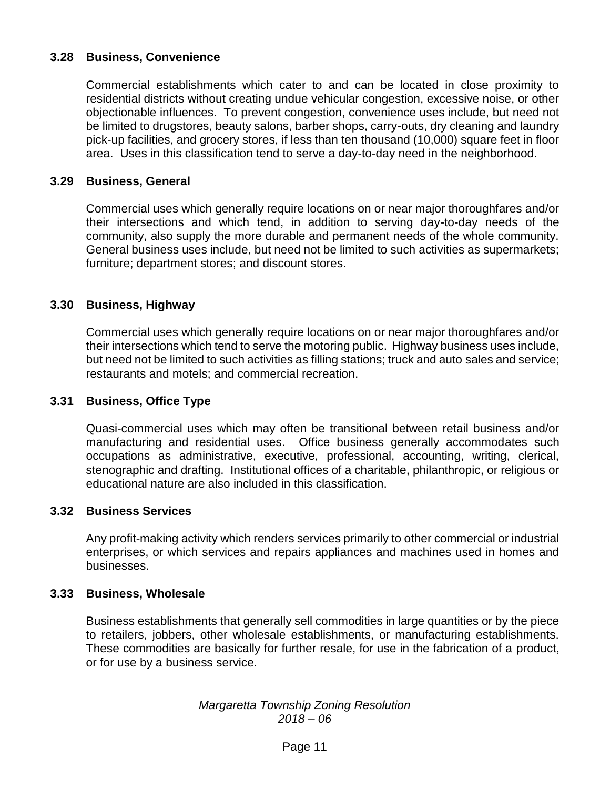# **3.28 Business, Convenience**

Commercial establishments which cater to and can be located in close proximity to residential districts without creating undue vehicular congestion, excessive noise, or other objectionable influences. To prevent congestion, convenience uses include, but need not be limited to drugstores, beauty salons, barber shops, carry-outs, dry cleaning and laundry pick-up facilities, and grocery stores, if less than ten thousand (10,000) square feet in floor area. Uses in this classification tend to serve a day-to-day need in the neighborhood.

## **3.29 Business, General**

Commercial uses which generally require locations on or near major thoroughfares and/or their intersections and which tend, in addition to serving day-to-day needs of the community, also supply the more durable and permanent needs of the whole community. General business uses include, but need not be limited to such activities as supermarkets; furniture; department stores; and discount stores.

## **3.30 Business, Highway**

Commercial uses which generally require locations on or near major thoroughfares and/or their intersections which tend to serve the motoring public. Highway business uses include, but need not be limited to such activities as filling stations; truck and auto sales and service; restaurants and motels; and commercial recreation.

## **3.31 Business, Office Type**

Quasi-commercial uses which may often be transitional between retail business and/or manufacturing and residential uses. Office business generally accommodates such occupations as administrative, executive, professional, accounting, writing, clerical, stenographic and drafting. Institutional offices of a charitable, philanthropic, or religious or educational nature are also included in this classification.

## **3.32 Business Services**

Any profit-making activity which renders services primarily to other commercial or industrial enterprises, or which services and repairs appliances and machines used in homes and businesses.

## **3.33 Business, Wholesale**

Business establishments that generally sell commodities in large quantities or by the piece to retailers, jobbers, other wholesale establishments, or manufacturing establishments. These commodities are basically for further resale, for use in the fabrication of a product, or for use by a business service.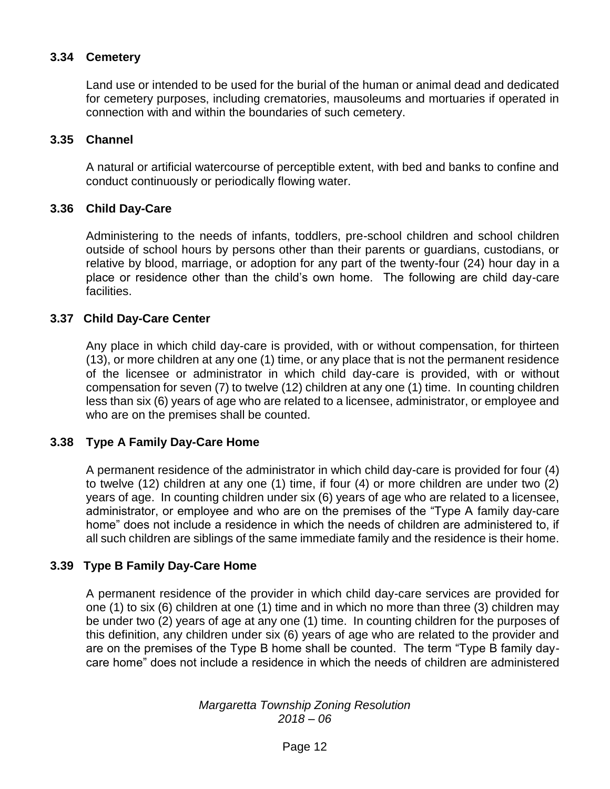# **3.34 Cemetery**

Land use or intended to be used for the burial of the human or animal dead and dedicated for cemetery purposes, including crematories, mausoleums and mortuaries if operated in connection with and within the boundaries of such cemetery.

#### **3.35 Channel**

A natural or artificial watercourse of perceptible extent, with bed and banks to confine and conduct continuously or periodically flowing water.

## **3.36 Child Day-Care**

Administering to the needs of infants, toddlers, pre-school children and school children outside of school hours by persons other than their parents or guardians, custodians, or relative by blood, marriage, or adoption for any part of the twenty-four (24) hour day in a place or residence other than the child's own home. The following are child day-care facilities.

#### **3.37 Child Day-Care Center**

Any place in which child day-care is provided, with or without compensation, for thirteen (13), or more children at any one (1) time, or any place that is not the permanent residence of the licensee or administrator in which child day-care is provided, with or without compensation for seven (7) to twelve (12) children at any one (1) time. In counting children less than six (6) years of age who are related to a licensee, administrator, or employee and who are on the premises shall be counted.

## **3.38 Type A Family Day-Care Home**

A permanent residence of the administrator in which child day-care is provided for four (4) to twelve (12) children at any one (1) time, if four (4) or more children are under two (2) years of age. In counting children under six (6) years of age who are related to a licensee, administrator, or employee and who are on the premises of the "Type A family day-care home" does not include a residence in which the needs of children are administered to, if all such children are siblings of the same immediate family and the residence is their home.

## **3.39 Type B Family Day-Care Home**

A permanent residence of the provider in which child day-care services are provided for one (1) to six (6) children at one (1) time and in which no more than three (3) children may be under two (2) years of age at any one (1) time. In counting children for the purposes of this definition, any children under six (6) years of age who are related to the provider and are on the premises of the Type B home shall be counted. The term "Type B family daycare home" does not include a residence in which the needs of children are administered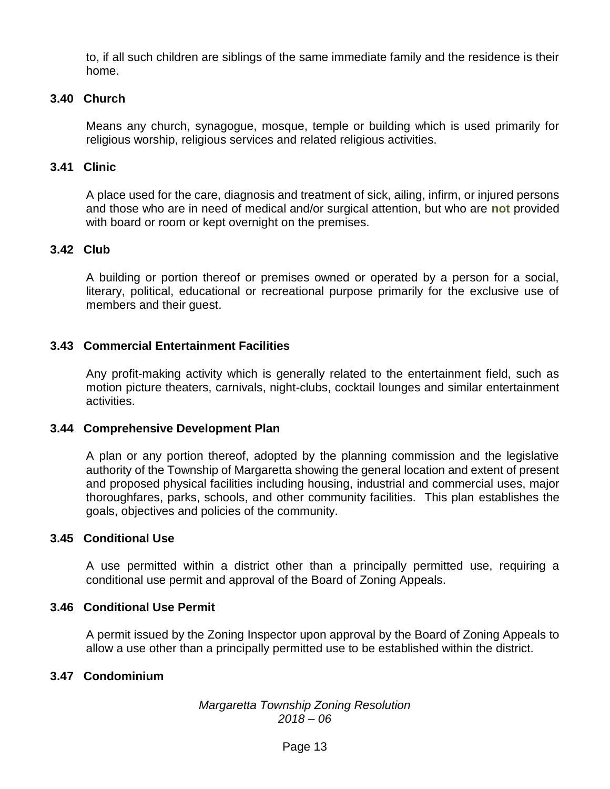to, if all such children are siblings of the same immediate family and the residence is their home.

## **3.40 Church**

Means any church, synagogue, mosque, temple or building which is used primarily for religious worship, religious services and related religious activities.

## **3.41 Clinic**

A place used for the care, diagnosis and treatment of sick, ailing, infirm, or injured persons and those who are in need of medical and/or surgical attention, but who are **not** provided with board or room or kept overnight on the premises.

## **3.42 Club**

A building or portion thereof or premises owned or operated by a person for a social, literary, political, educational or recreational purpose primarily for the exclusive use of members and their guest.

## **3.43 Commercial Entertainment Facilities**

Any profit-making activity which is generally related to the entertainment field, such as motion picture theaters, carnivals, night-clubs, cocktail lounges and similar entertainment activities.

## **3.44 Comprehensive Development Plan**

A plan or any portion thereof, adopted by the planning commission and the legislative authority of the Township of Margaretta showing the general location and extent of present and proposed physical facilities including housing, industrial and commercial uses, major thoroughfares, parks, schools, and other community facilities. This plan establishes the goals, objectives and policies of the community.

## **3.45 Conditional Use**

A use permitted within a district other than a principally permitted use, requiring a conditional use permit and approval of the Board of Zoning Appeals.

## **3.46 Conditional Use Permit**

A permit issued by the Zoning Inspector upon approval by the Board of Zoning Appeals to allow a use other than a principally permitted use to be established within the district.

## **3.47 Condominium**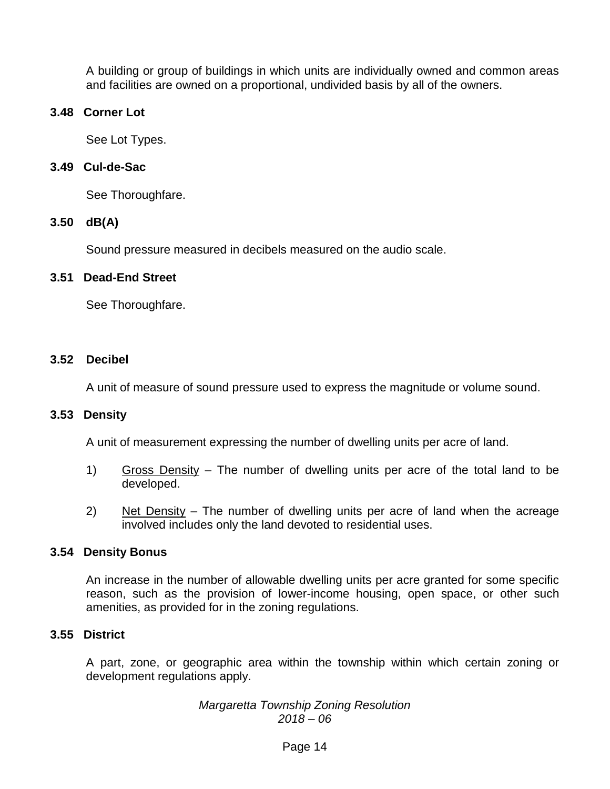A building or group of buildings in which units are individually owned and common areas and facilities are owned on a proportional, undivided basis by all of the owners.

## **3.48 Corner Lot**

See Lot Types.

## **3.49 Cul-de-Sac**

See Thoroughfare.

## **3.50 dB(A)**

Sound pressure measured in decibels measured on the audio scale.

## **3.51 Dead-End Street**

See Thoroughfare.

## **3.52 Decibel**

A unit of measure of sound pressure used to express the magnitude or volume sound.

## **3.53 Density**

A unit of measurement expressing the number of dwelling units per acre of land.

- 1) Gross Density The number of dwelling units per acre of the total land to be developed.
- 2) Net Density The number of dwelling units per acre of land when the acreage involved includes only the land devoted to residential uses.

# **3.54 Density Bonus**

An increase in the number of allowable dwelling units per acre granted for some specific reason, such as the provision of lower-income housing, open space, or other such amenities, as provided for in the zoning regulations.

# **3.55 District**

A part, zone, or geographic area within the township within which certain zoning or development regulations apply.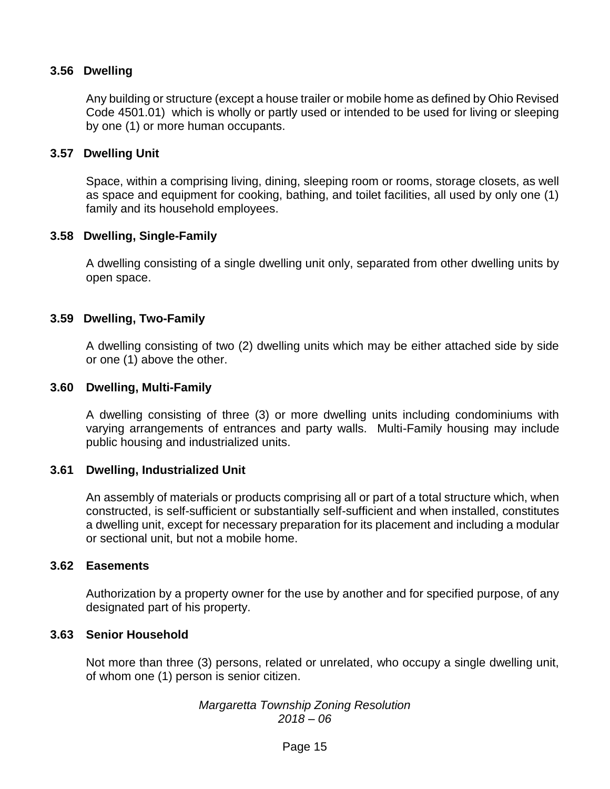## **3.56 Dwelling**

Any building or structure (except a house trailer or mobile home as defined by Ohio Revised Code 4501.01) which is wholly or partly used or intended to be used for living or sleeping by one (1) or more human occupants.

#### **3.57 Dwelling Unit**

Space, within a comprising living, dining, sleeping room or rooms, storage closets, as well as space and equipment for cooking, bathing, and toilet facilities, all used by only one (1) family and its household employees.

#### **3.58 Dwelling, Single-Family**

A dwelling consisting of a single dwelling unit only, separated from other dwelling units by open space.

#### **3.59 Dwelling, Two-Family**

A dwelling consisting of two (2) dwelling units which may be either attached side by side or one (1) above the other.

#### **3.60 Dwelling, Multi-Family**

A dwelling consisting of three (3) or more dwelling units including condominiums with varying arrangements of entrances and party walls. Multi-Family housing may include public housing and industrialized units.

#### **3.61 Dwelling, Industrialized Unit**

An assembly of materials or products comprising all or part of a total structure which, when constructed, is self-sufficient or substantially self-sufficient and when installed, constitutes a dwelling unit, except for necessary preparation for its placement and including a modular or sectional unit, but not a mobile home.

#### **3.62 Easements**

Authorization by a property owner for the use by another and for specified purpose, of any designated part of his property.

#### **3.63 Senior Household**

Not more than three (3) persons, related or unrelated, who occupy a single dwelling unit, of whom one (1) person is senior citizen.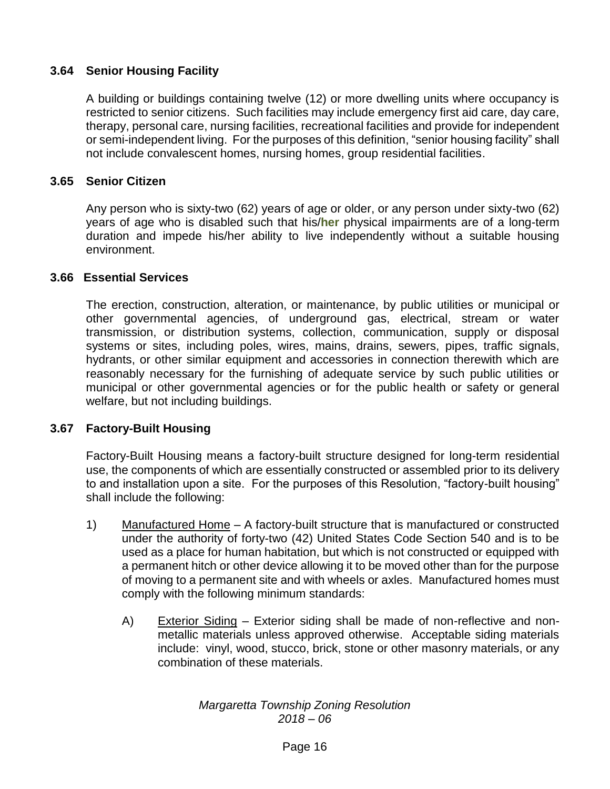## **3.64 Senior Housing Facility**

A building or buildings containing twelve (12) or more dwelling units where occupancy is restricted to senior citizens. Such facilities may include emergency first aid care, day care, therapy, personal care, nursing facilities, recreational facilities and provide for independent or semi-independent living. For the purposes of this definition, "senior housing facility" shall not include convalescent homes, nursing homes, group residential facilities.

## **3.65 Senior Citizen**

Any person who is sixty-two (62) years of age or older, or any person under sixty-two (62) years of age who is disabled such that his/**her** physical impairments are of a long-term duration and impede his/her ability to live independently without a suitable housing environment.

## **3.66 Essential Services**

The erection, construction, alteration, or maintenance, by public utilities or municipal or other governmental agencies, of underground gas, electrical, stream or water transmission, or distribution systems, collection, communication, supply or disposal systems or sites, including poles, wires, mains, drains, sewers, pipes, traffic signals, hydrants, or other similar equipment and accessories in connection therewith which are reasonably necessary for the furnishing of adequate service by such public utilities or municipal or other governmental agencies or for the public health or safety or general welfare, but not including buildings.

## **3.67 Factory-Built Housing**

Factory-Built Housing means a factory-built structure designed for long-term residential use, the components of which are essentially constructed or assembled prior to its delivery to and installation upon a site. For the purposes of this Resolution, "factory-built housing" shall include the following:

- 1) Manufactured Home A factory-built structure that is manufactured or constructed under the authority of forty-two (42) United States Code Section 540 and is to be used as a place for human habitation, but which is not constructed or equipped with a permanent hitch or other device allowing it to be moved other than for the purpose of moving to a permanent site and with wheels or axles. Manufactured homes must comply with the following minimum standards:
	- A) Exterior Siding Exterior siding shall be made of non-reflective and nonmetallic materials unless approved otherwise. Acceptable siding materials include: vinyl, wood, stucco, brick, stone or other masonry materials, or any combination of these materials.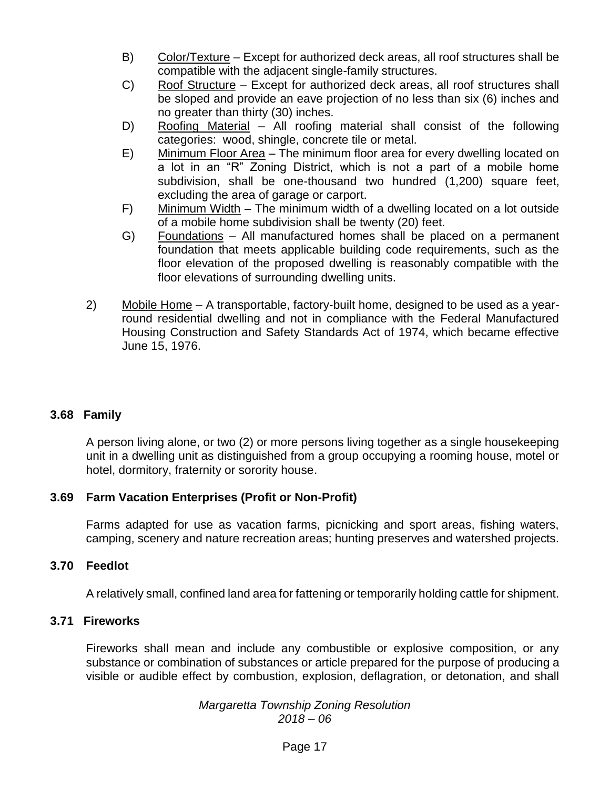- B) Color/Texture Except for authorized deck areas, all roof structures shall be compatible with the adjacent single-family structures.
- C) Roof Structure Except for authorized deck areas, all roof structures shall be sloped and provide an eave projection of no less than six (6) inches and no greater than thirty (30) inches.
- D) Roofing Material All roofing material shall consist of the following categories: wood, shingle, concrete tile or metal.
- E) Minimum Floor Area The minimum floor area for every dwelling located on a lot in an "R" Zoning District, which is not a part of a mobile home subdivision, shall be one-thousand two hundred (1,200) square feet, excluding the area of garage or carport.
- F) Minimum Width The minimum width of a dwelling located on a lot outside of a mobile home subdivision shall be twenty (20) feet.
- G) Foundations All manufactured homes shall be placed on a permanent foundation that meets applicable building code requirements, such as the floor elevation of the proposed dwelling is reasonably compatible with the floor elevations of surrounding dwelling units.
- 2) Mobile Home A transportable, factory-built home, designed to be used as a yearround residential dwelling and not in compliance with the Federal Manufactured Housing Construction and Safety Standards Act of 1974, which became effective June 15, 1976.

# **3.68 Family**

A person living alone, or two (2) or more persons living together as a single housekeeping unit in a dwelling unit as distinguished from a group occupying a rooming house, motel or hotel, dormitory, fraternity or sorority house.

## **3.69 Farm Vacation Enterprises (Profit or Non-Profit)**

Farms adapted for use as vacation farms, picnicking and sport areas, fishing waters, camping, scenery and nature recreation areas; hunting preserves and watershed projects.

## **3.70 Feedlot**

A relatively small, confined land area for fattening or temporarily holding cattle for shipment.

## **3.71 Fireworks**

Fireworks shall mean and include any combustible or explosive composition, or any substance or combination of substances or article prepared for the purpose of producing a visible or audible effect by combustion, explosion, deflagration, or detonation, and shall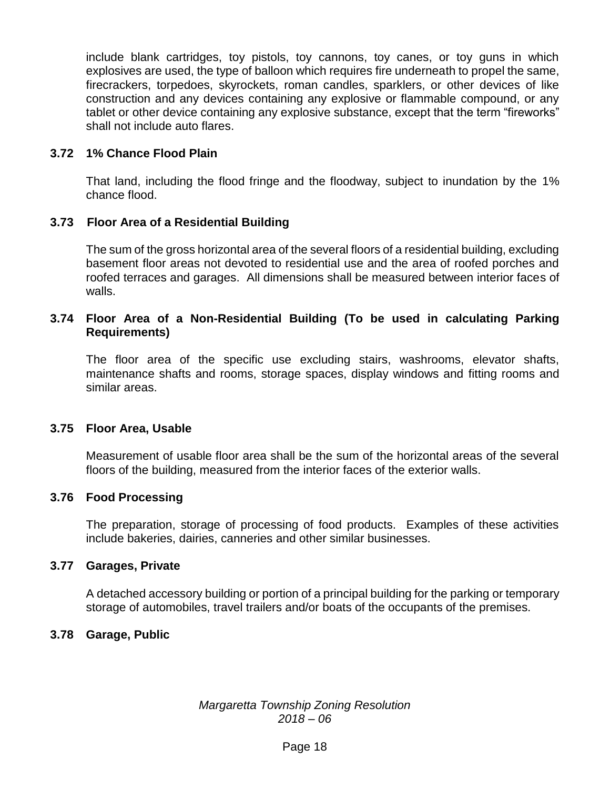include blank cartridges, toy pistols, toy cannons, toy canes, or toy guns in which explosives are used, the type of balloon which requires fire underneath to propel the same, firecrackers, torpedoes, skyrockets, roman candles, sparklers, or other devices of like construction and any devices containing any explosive or flammable compound, or any tablet or other device containing any explosive substance, except that the term "fireworks" shall not include auto flares.

## **3.72 1% Chance Flood Plain**

That land, including the flood fringe and the floodway, subject to inundation by the 1% chance flood.

## **3.73 Floor Area of a Residential Building**

The sum of the gross horizontal area of the several floors of a residential building, excluding basement floor areas not devoted to residential use and the area of roofed porches and roofed terraces and garages. All dimensions shall be measured between interior faces of walls.

## **3.74 Floor Area of a Non-Residential Building (To be used in calculating Parking Requirements)**

The floor area of the specific use excluding stairs, washrooms, elevator shafts, maintenance shafts and rooms, storage spaces, display windows and fitting rooms and similar areas.

## **3.75 Floor Area, Usable**

Measurement of usable floor area shall be the sum of the horizontal areas of the several floors of the building, measured from the interior faces of the exterior walls.

## **3.76 Food Processing**

The preparation, storage of processing of food products. Examples of these activities include bakeries, dairies, canneries and other similar businesses.

## **3.77 Garages, Private**

A detached accessory building or portion of a principal building for the parking or temporary storage of automobiles, travel trailers and/or boats of the occupants of the premises.

## **3.78 Garage, Public**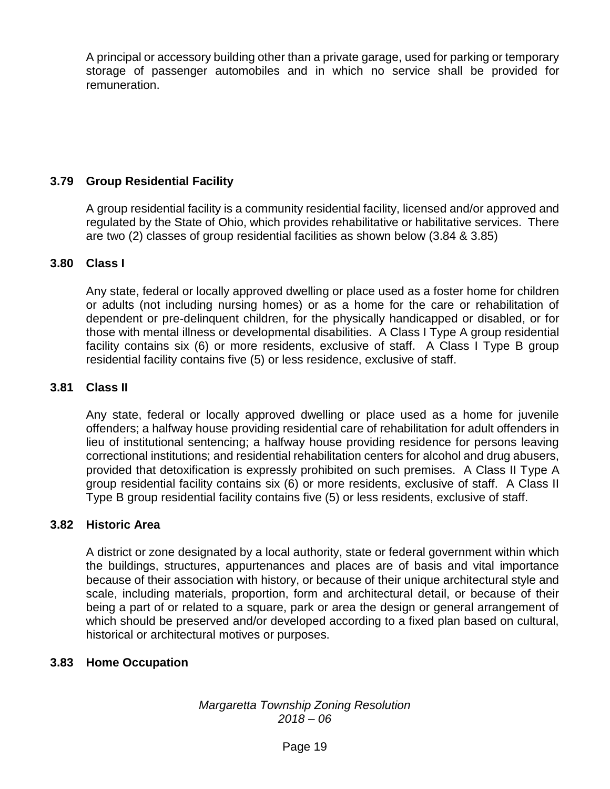A principal or accessory building other than a private garage, used for parking or temporary storage of passenger automobiles and in which no service shall be provided for remuneration.

# **3.79 Group Residential Facility**

A group residential facility is a community residential facility, licensed and/or approved and regulated by the State of Ohio, which provides rehabilitative or habilitative services. There are two (2) classes of group residential facilities as shown below (3.84 & 3.85)

## **3.80 Class I**

Any state, federal or locally approved dwelling or place used as a foster home for children or adults (not including nursing homes) or as a home for the care or rehabilitation of dependent or pre-delinquent children, for the physically handicapped or disabled, or for those with mental illness or developmental disabilities. A Class I Type A group residential facility contains six (6) or more residents, exclusive of staff. A Class I Type B group residential facility contains five (5) or less residence, exclusive of staff.

## **3.81 Class II**

Any state, federal or locally approved dwelling or place used as a home for juvenile offenders; a halfway house providing residential care of rehabilitation for adult offenders in lieu of institutional sentencing; a halfway house providing residence for persons leaving correctional institutions; and residential rehabilitation centers for alcohol and drug abusers, provided that detoxification is expressly prohibited on such premises. A Class II Type A group residential facility contains six (6) or more residents, exclusive of staff. A Class II Type B group residential facility contains five (5) or less residents, exclusive of staff.

# **3.82 Historic Area**

A district or zone designated by a local authority, state or federal government within which the buildings, structures, appurtenances and places are of basis and vital importance because of their association with history, or because of their unique architectural style and scale, including materials, proportion, form and architectural detail, or because of their being a part of or related to a square, park or area the design or general arrangement of which should be preserved and/or developed according to a fixed plan based on cultural, historical or architectural motives or purposes.

## **3.83 Home Occupation**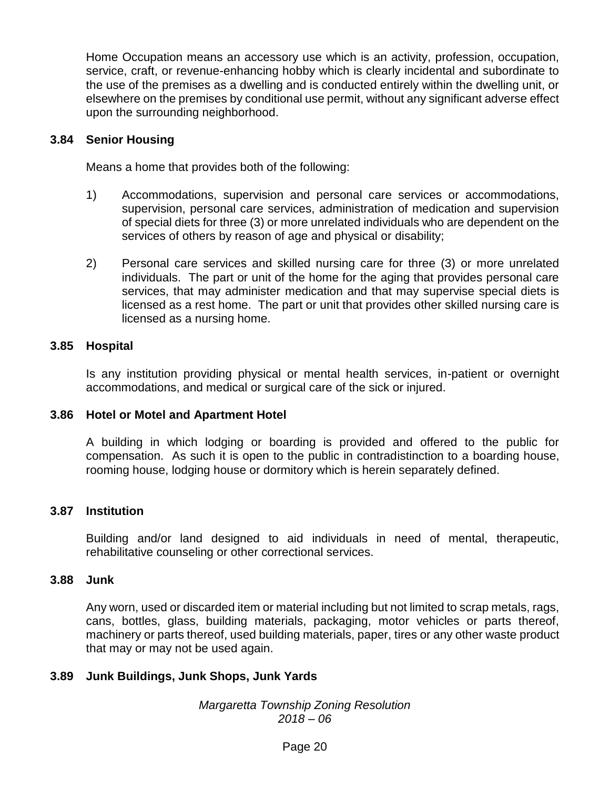Home Occupation means an accessory use which is an activity, profession, occupation, service, craft, or revenue-enhancing hobby which is clearly incidental and subordinate to the use of the premises as a dwelling and is conducted entirely within the dwelling unit, or elsewhere on the premises by conditional use permit, without any significant adverse effect upon the surrounding neighborhood.

#### **3.84 Senior Housing**

Means a home that provides both of the following:

- 1) Accommodations, supervision and personal care services or accommodations, supervision, personal care services, administration of medication and supervision of special diets for three (3) or more unrelated individuals who are dependent on the services of others by reason of age and physical or disability;
- 2) Personal care services and skilled nursing care for three (3) or more unrelated individuals. The part or unit of the home for the aging that provides personal care services, that may administer medication and that may supervise special diets is licensed as a rest home. The part or unit that provides other skilled nursing care is licensed as a nursing home.

#### **3.85 Hospital**

Is any institution providing physical or mental health services, in-patient or overnight accommodations, and medical or surgical care of the sick or injured.

#### **3.86 Hotel or Motel and Apartment Hotel**

A building in which lodging or boarding is provided and offered to the public for compensation. As such it is open to the public in contradistinction to a boarding house, rooming house, lodging house or dormitory which is herein separately defined.

#### **3.87 Institution**

Building and/or land designed to aid individuals in need of mental, therapeutic, rehabilitative counseling or other correctional services.

#### **3.88 Junk**

Any worn, used or discarded item or material including but not limited to scrap metals, rags, cans, bottles, glass, building materials, packaging, motor vehicles or parts thereof, machinery or parts thereof, used building materials, paper, tires or any other waste product that may or may not be used again.

## **3.89 Junk Buildings, Junk Shops, Junk Yards**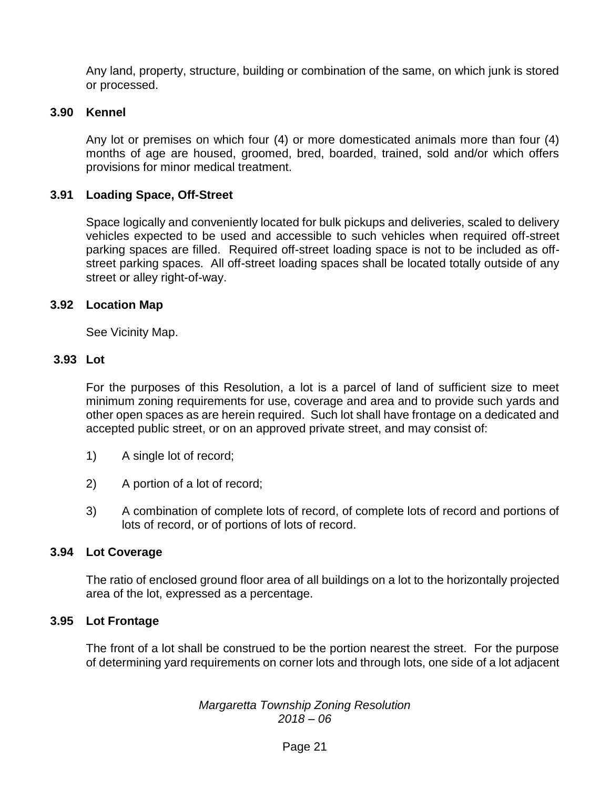Any land, property, structure, building or combination of the same, on which junk is stored or processed.

#### **3.90 Kennel**

Any lot or premises on which four (4) or more domesticated animals more than four (4) months of age are housed, groomed, bred, boarded, trained, sold and/or which offers provisions for minor medical treatment.

#### **3.91 Loading Space, Off-Street**

Space logically and conveniently located for bulk pickups and deliveries, scaled to delivery vehicles expected to be used and accessible to such vehicles when required off-street parking spaces are filled. Required off-street loading space is not to be included as offstreet parking spaces. All off-street loading spaces shall be located totally outside of any street or alley right-of-way.

#### **3.92 Location Map**

See Vicinity Map.

#### **3.93 Lot**

For the purposes of this Resolution, a lot is a parcel of land of sufficient size to meet minimum zoning requirements for use, coverage and area and to provide such yards and other open spaces as are herein required. Such lot shall have frontage on a dedicated and accepted public street, or on an approved private street, and may consist of:

- 1) A single lot of record;
- 2) A portion of a lot of record;
- 3) A combination of complete lots of record, of complete lots of record and portions of lots of record, or of portions of lots of record.

#### **3.94 Lot Coverage**

The ratio of enclosed ground floor area of all buildings on a lot to the horizontally projected area of the lot, expressed as a percentage.

#### **3.95 Lot Frontage**

The front of a lot shall be construed to be the portion nearest the street. For the purpose of determining yard requirements on corner lots and through lots, one side of a lot adjacent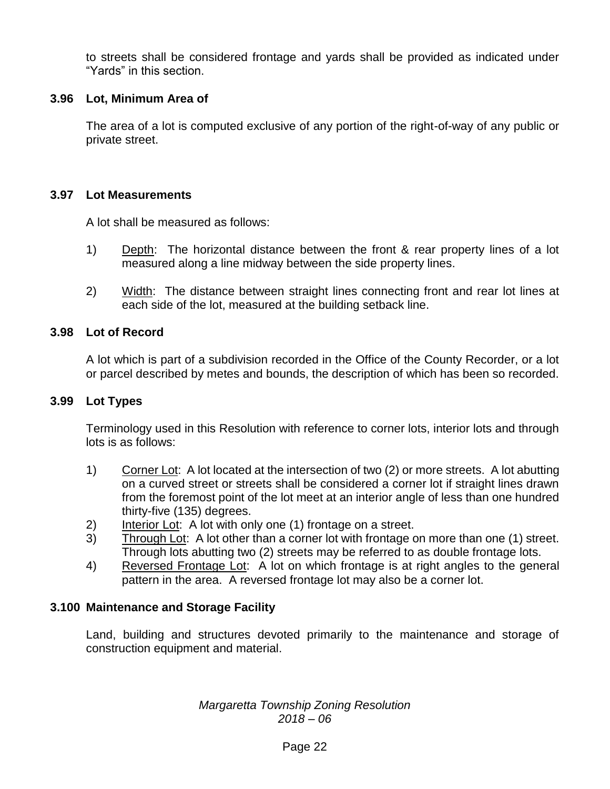to streets shall be considered frontage and yards shall be provided as indicated under "Yards" in this section.

## **3.96 Lot, Minimum Area of**

The area of a lot is computed exclusive of any portion of the right-of-way of any public or private street.

## **3.97 Lot Measurements**

A lot shall be measured as follows:

- 1) Depth: The horizontal distance between the front & rear property lines of a lot measured along a line midway between the side property lines.
- 2) Width: The distance between straight lines connecting front and rear lot lines at each side of the lot, measured at the building setback line.

## **3.98 Lot of Record**

A lot which is part of a subdivision recorded in the Office of the County Recorder, or a lot or parcel described by metes and bounds, the description of which has been so recorded.

## **3.99 Lot Types**

Terminology used in this Resolution with reference to corner lots, interior lots and through lots is as follows:

- 1) Corner Lot: A lot located at the intersection of two (2) or more streets. A lot abutting on a curved street or streets shall be considered a corner lot if straight lines drawn from the foremost point of the lot meet at an interior angle of less than one hundred thirty-five (135) degrees.
- 2) Interior Lot: A lot with only one (1) frontage on a street.
- 3) Through Lot: A lot other than a corner lot with frontage on more than one (1) street. Through lots abutting two (2) streets may be referred to as double frontage lots.
- 4) Reversed Frontage Lot: A lot on which frontage is at right angles to the general pattern in the area. A reversed frontage lot may also be a corner lot.

# **3.100 Maintenance and Storage Facility**

Land, building and structures devoted primarily to the maintenance and storage of construction equipment and material.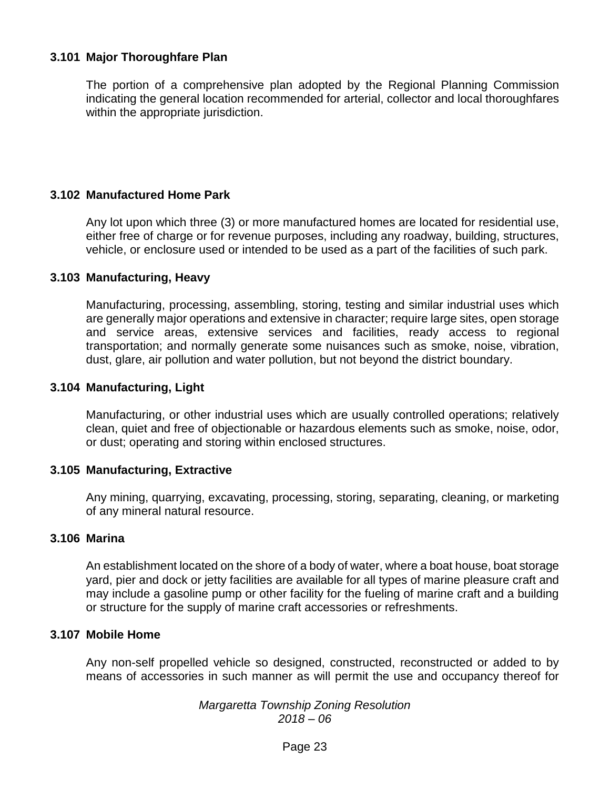## **3.101 Major Thoroughfare Plan**

The portion of a comprehensive plan adopted by the Regional Planning Commission indicating the general location recommended for arterial, collector and local thoroughfares within the appropriate jurisdiction.

## **3.102 Manufactured Home Park**

Any lot upon which three (3) or more manufactured homes are located for residential use, either free of charge or for revenue purposes, including any roadway, building, structures, vehicle, or enclosure used or intended to be used as a part of the facilities of such park.

#### **3.103 Manufacturing, Heavy**

Manufacturing, processing, assembling, storing, testing and similar industrial uses which are generally major operations and extensive in character; require large sites, open storage and service areas, extensive services and facilities, ready access to regional transportation; and normally generate some nuisances such as smoke, noise, vibration, dust, glare, air pollution and water pollution, but not beyond the district boundary.

#### **3.104 Manufacturing, Light**

Manufacturing, or other industrial uses which are usually controlled operations; relatively clean, quiet and free of objectionable or hazardous elements such as smoke, noise, odor, or dust; operating and storing within enclosed structures.

## **3.105 Manufacturing, Extractive**

Any mining, quarrying, excavating, processing, storing, separating, cleaning, or marketing of any mineral natural resource.

#### **3.106 Marina**

An establishment located on the shore of a body of water, where a boat house, boat storage yard, pier and dock or jetty facilities are available for all types of marine pleasure craft and may include a gasoline pump or other facility for the fueling of marine craft and a building or structure for the supply of marine craft accessories or refreshments.

#### **3.107 Mobile Home**

Any non-self propelled vehicle so designed, constructed, reconstructed or added to by means of accessories in such manner as will permit the use and occupancy thereof for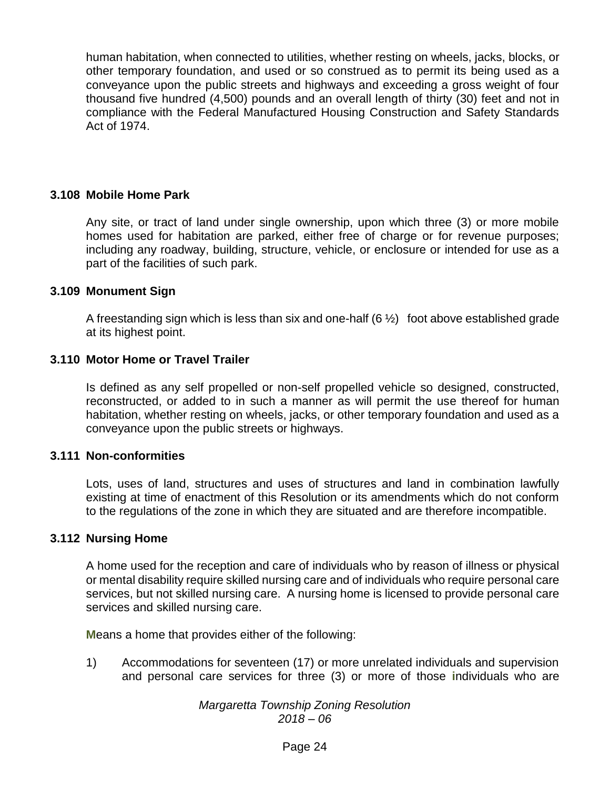human habitation, when connected to utilities, whether resting on wheels, jacks, blocks, or other temporary foundation, and used or so construed as to permit its being used as a conveyance upon the public streets and highways and exceeding a gross weight of four thousand five hundred (4,500) pounds and an overall length of thirty (30) feet and not in compliance with the Federal Manufactured Housing Construction and Safety Standards Act of 1974.

#### **3.108 Mobile Home Park**

Any site, or tract of land under single ownership, upon which three (3) or more mobile homes used for habitation are parked, either free of charge or for revenue purposes; including any roadway, building, structure, vehicle, or enclosure or intended for use as a part of the facilities of such park.

#### **3.109 Monument Sign**

A freestanding sign which is less than six and one-half  $(6 \frac{1}{2})$  foot above established grade at its highest point.

#### **3.110 Motor Home or Travel Trailer**

Is defined as any self propelled or non-self propelled vehicle so designed, constructed, reconstructed, or added to in such a manner as will permit the use thereof for human habitation, whether resting on wheels, jacks, or other temporary foundation and used as a conveyance upon the public streets or highways.

#### **3.111 Non-conformities**

Lots, uses of land, structures and uses of structures and land in combination lawfully existing at time of enactment of this Resolution or its amendments which do not conform to the regulations of the zone in which they are situated and are therefore incompatible.

#### **3.112 Nursing Home**

A home used for the reception and care of individuals who by reason of illness or physical or mental disability require skilled nursing care and of individuals who require personal care services, but not skilled nursing care. A nursing home is licensed to provide personal care services and skilled nursing care.

**M**eans a home that provides either of the following:

1) Accommodations for seventeen (17) or more unrelated individuals and supervision and personal care services for three (3) or more of those **i**ndividuals who are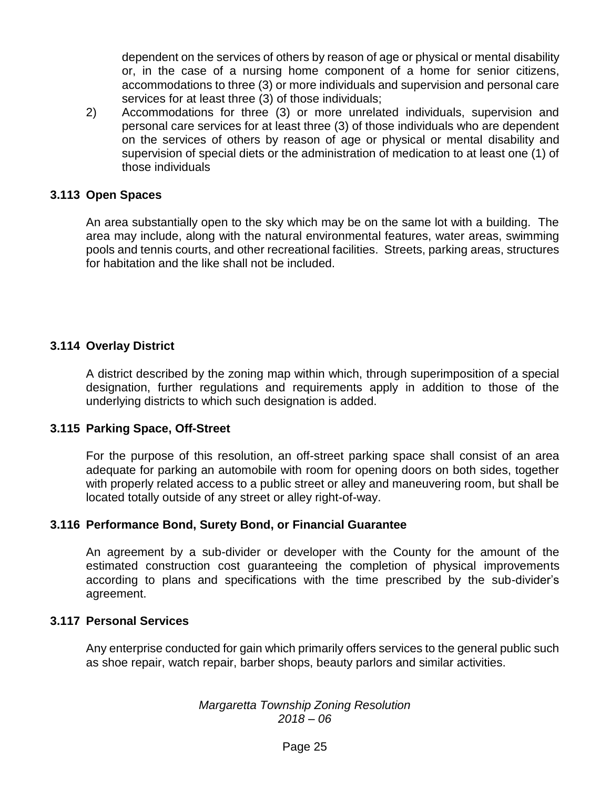dependent on the services of others by reason of age or physical or mental disability or, in the case of a nursing home component of a home for senior citizens, accommodations to three (3) or more individuals and supervision and personal care services for at least three (3) of those individuals;

2) Accommodations for three (3) or more unrelated individuals, supervision and personal care services for at least three (3) of those individuals who are dependent on the services of others by reason of age or physical or mental disability and supervision of special diets or the administration of medication to at least one (1) of those individuals

#### **3.113 Open Spaces**

An area substantially open to the sky which may be on the same lot with a building. The area may include, along with the natural environmental features, water areas, swimming pools and tennis courts, and other recreational facilities. Streets, parking areas, structures for habitation and the like shall not be included.

## **3.114 Overlay District**

A district described by the zoning map within which, through superimposition of a special designation, further regulations and requirements apply in addition to those of the underlying districts to which such designation is added.

#### **3.115 Parking Space, Off-Street**

For the purpose of this resolution, an off-street parking space shall consist of an area adequate for parking an automobile with room for opening doors on both sides, together with properly related access to a public street or alley and maneuvering room, but shall be located totally outside of any street or alley right-of-way.

## **3.116 Performance Bond, Surety Bond, or Financial Guarantee**

An agreement by a sub-divider or developer with the County for the amount of the estimated construction cost guaranteeing the completion of physical improvements according to plans and specifications with the time prescribed by the sub-divider's agreement.

#### **3.117 Personal Services**

Any enterprise conducted for gain which primarily offers services to the general public such as shoe repair, watch repair, barber shops, beauty parlors and similar activities.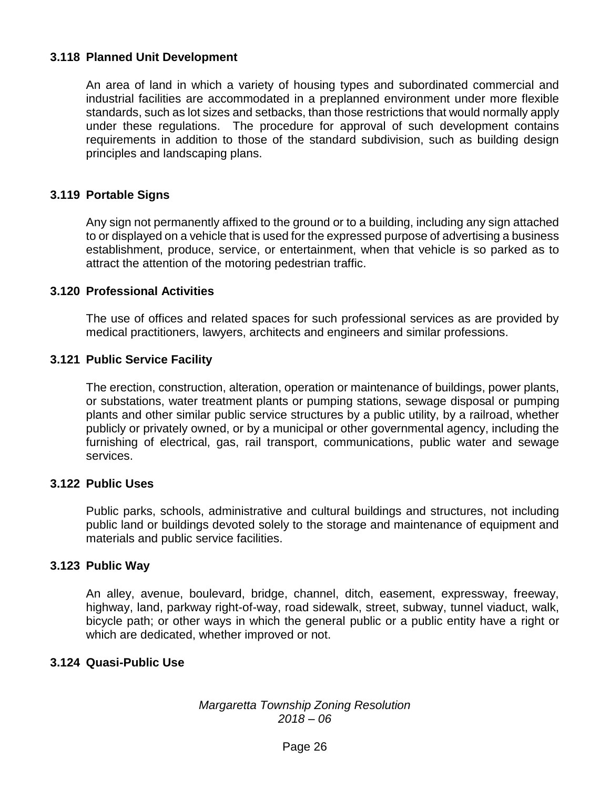## **3.118 Planned Unit Development**

An area of land in which a variety of housing types and subordinated commercial and industrial facilities are accommodated in a preplanned environment under more flexible standards, such as lot sizes and setbacks, than those restrictions that would normally apply under these regulations. The procedure for approval of such development contains requirements in addition to those of the standard subdivision, such as building design principles and landscaping plans.

## **3.119 Portable Signs**

Any sign not permanently affixed to the ground or to a building, including any sign attached to or displayed on a vehicle that is used for the expressed purpose of advertising a business establishment, produce, service, or entertainment, when that vehicle is so parked as to attract the attention of the motoring pedestrian traffic.

#### **3.120 Professional Activities**

The use of offices and related spaces for such professional services as are provided by medical practitioners, lawyers, architects and engineers and similar professions.

#### **3.121 Public Service Facility**

The erection, construction, alteration, operation or maintenance of buildings, power plants, or substations, water treatment plants or pumping stations, sewage disposal or pumping plants and other similar public service structures by a public utility, by a railroad, whether publicly or privately owned, or by a municipal or other governmental agency, including the furnishing of electrical, gas, rail transport, communications, public water and sewage services.

#### **3.122 Public Uses**

Public parks, schools, administrative and cultural buildings and structures, not including public land or buildings devoted solely to the storage and maintenance of equipment and materials and public service facilities.

## **3.123 Public Way**

An alley, avenue, boulevard, bridge, channel, ditch, easement, expressway, freeway, highway, land, parkway right-of-way, road sidewalk, street, subway, tunnel viaduct, walk, bicycle path; or other ways in which the general public or a public entity have a right or which are dedicated, whether improved or not.

## **3.124 Quasi-Public Use**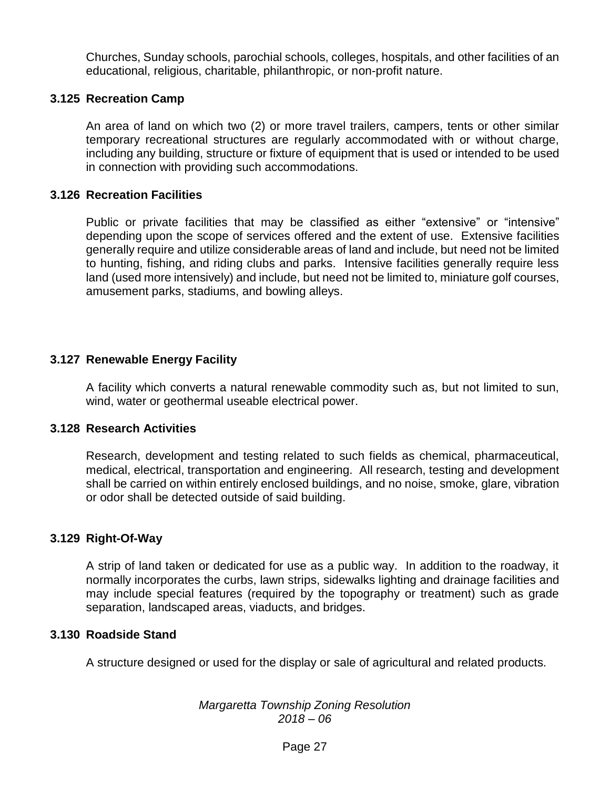Churches, Sunday schools, parochial schools, colleges, hospitals, and other facilities of an educational, religious, charitable, philanthropic, or non-profit nature.

## **3.125 Recreation Camp**

An area of land on which two (2) or more travel trailers, campers, tents or other similar temporary recreational structures are regularly accommodated with or without charge, including any building, structure or fixture of equipment that is used or intended to be used in connection with providing such accommodations.

#### **3.126 Recreation Facilities**

Public or private facilities that may be classified as either "extensive" or "intensive" depending upon the scope of services offered and the extent of use. Extensive facilities generally require and utilize considerable areas of land and include, but need not be limited to hunting, fishing, and riding clubs and parks. Intensive facilities generally require less land (used more intensively) and include, but need not be limited to, miniature golf courses, amusement parks, stadiums, and bowling alleys.

#### **3.127 Renewable Energy Facility**

A facility which converts a natural renewable commodity such as, but not limited to sun, wind, water or geothermal useable electrical power.

#### **3.128 Research Activities**

Research, development and testing related to such fields as chemical, pharmaceutical, medical, electrical, transportation and engineering. All research, testing and development shall be carried on within entirely enclosed buildings, and no noise, smoke, glare, vibration or odor shall be detected outside of said building.

#### **3.129 Right-Of-Way**

A strip of land taken or dedicated for use as a public way. In addition to the roadway, it normally incorporates the curbs, lawn strips, sidewalks lighting and drainage facilities and may include special features (required by the topography or treatment) such as grade separation, landscaped areas, viaducts, and bridges.

#### **3.130 Roadside Stand**

A structure designed or used for the display or sale of agricultural and related products.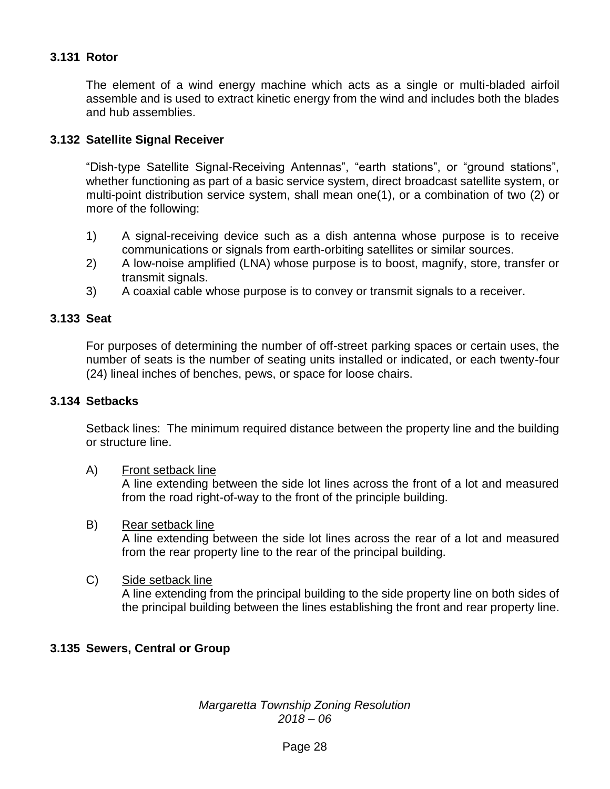# **3.131 Rotor**

The element of a wind energy machine which acts as a single or multi-bladed airfoil assemble and is used to extract kinetic energy from the wind and includes both the blades and hub assemblies.

#### **3.132 Satellite Signal Receiver**

"Dish-type Satellite Signal-Receiving Antennas", "earth stations", or "ground stations", whether functioning as part of a basic service system, direct broadcast satellite system, or multi-point distribution service system, shall mean one(1), or a combination of two (2) or more of the following:

- 1) A signal-receiving device such as a dish antenna whose purpose is to receive communications or signals from earth-orbiting satellites or similar sources.
- 2) A low-noise amplified (LNA) whose purpose is to boost, magnify, store, transfer or transmit signals.
- 3) A coaxial cable whose purpose is to convey or transmit signals to a receiver.

#### **3.133 Seat**

For purposes of determining the number of off-street parking spaces or certain uses, the number of seats is the number of seating units installed or indicated, or each twenty-four (24) lineal inches of benches, pews, or space for loose chairs.

#### **3.134 Setbacks**

Setback lines: The minimum required distance between the property line and the building or structure line.

A) Front setback line

A line extending between the side lot lines across the front of a lot and measured from the road right-of-way to the front of the principle building.

#### B) Rear setback line A line extending between the side lot lines across the rear of a lot and measured from the rear property line to the rear of the principal building.

## C) Side setback line

A line extending from the principal building to the side property line on both sides of the principal building between the lines establishing the front and rear property line.

## **3.135 Sewers, Central or Group**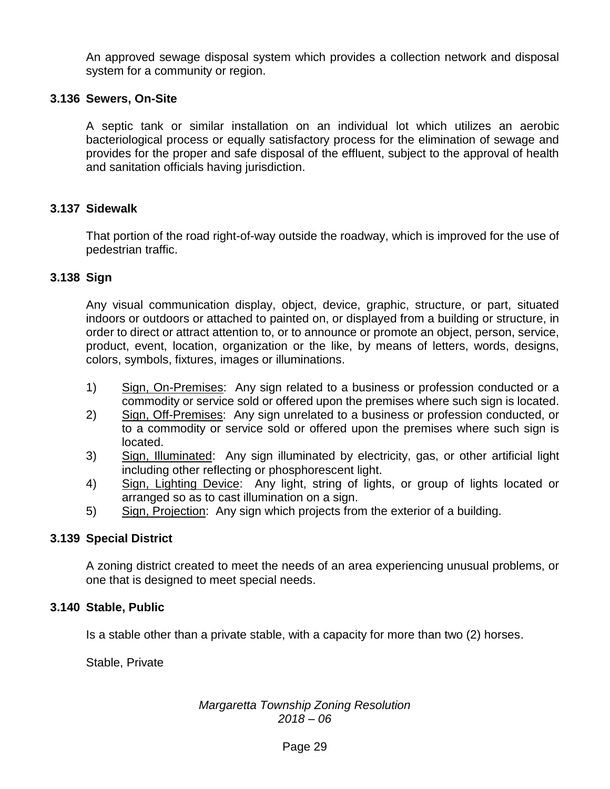An approved sewage disposal system which provides a collection network and disposal system for a community or region.

## **3.136 Sewers, On-Site**

A septic tank or similar installation on an individual lot which utilizes an aerobic bacteriological process or equally satisfactory process for the elimination of sewage and provides for the proper and safe disposal of the effluent, subject to the approval of health and sanitation officials having jurisdiction.

## **3.137 Sidewalk**

That portion of the road right-of-way outside the roadway, which is improved for the use of pedestrian traffic.

## **3.138 Sign**

Any visual communication display, object, device, graphic, structure, or part, situated indoors or outdoors or attached to painted on, or displayed from a building or structure, in order to direct or attract attention to, or to announce or promote an object, person, service, product, event, location, organization or the like, by means of letters, words, designs, colors, symbols, fixtures, images or illuminations.

- 1) Sign, On-Premises: Any sign related to a business or profession conducted or a commodity or service sold or offered upon the premises where such sign is located.
- 2) Sign, Off-Premises: Any sign unrelated to a business or profession conducted, or to a commodity or service sold or offered upon the premises where such sign is located.
- 3) Sign, Illuminated: Any sign illuminated by electricity, gas, or other artificial light including other reflecting or phosphorescent light.
- 4) Sign, Lighting Device: Any light, string of lights, or group of lights located or arranged so as to cast illumination on a sign.
- 5) Sign, Projection: Any sign which projects from the exterior of a building.

## **3.139 Special District**

A zoning district created to meet the needs of an area experiencing unusual problems, or one that is designed to meet special needs.

## **3.140 Stable, Public**

Is a stable other than a private stable, with a capacity for more than two (2) horses.

Stable, Private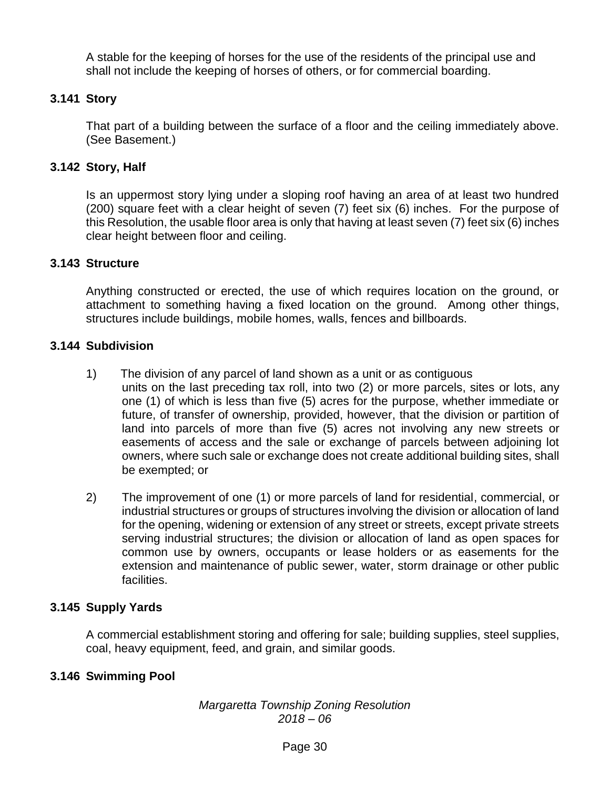A stable for the keeping of horses for the use of the residents of the principal use and shall not include the keeping of horses of others, or for commercial boarding.

# **3.141 Story**

That part of a building between the surface of a floor and the ceiling immediately above. (See Basement.)

# **3.142 Story, Half**

Is an uppermost story lying under a sloping roof having an area of at least two hundred (200) square feet with a clear height of seven (7) feet six (6) inches. For the purpose of this Resolution, the usable floor area is only that having at least seven (7) feet six (6) inches clear height between floor and ceiling.

## **3.143 Structure**

Anything constructed or erected, the use of which requires location on the ground, or attachment to something having a fixed location on the ground. Among other things, structures include buildings, mobile homes, walls, fences and billboards.

# **3.144 Subdivision**

- 1) The division of any parcel of land shown as a unit or as contiguous units on the last preceding tax roll, into two (2) or more parcels, sites or lots, any one (1) of which is less than five (5) acres for the purpose, whether immediate or future, of transfer of ownership, provided, however, that the division or partition of land into parcels of more than five (5) acres not involving any new streets or easements of access and the sale or exchange of parcels between adjoining lot owners, where such sale or exchange does not create additional building sites, shall be exempted; or
- 2) The improvement of one (1) or more parcels of land for residential, commercial, or industrial structures or groups of structures involving the division or allocation of land for the opening, widening or extension of any street or streets, except private streets serving industrial structures; the division or allocation of land as open spaces for common use by owners, occupants or lease holders or as easements for the extension and maintenance of public sewer, water, storm drainage or other public facilities.

# **3.145 Supply Yards**

A commercial establishment storing and offering for sale; building supplies, steel supplies, coal, heavy equipment, feed, and grain, and similar goods.

# **3.146 Swimming Pool**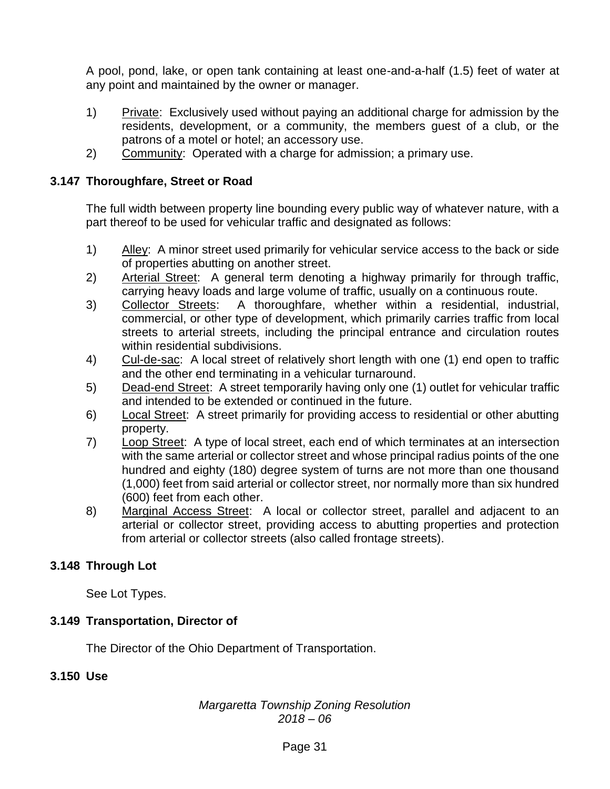A pool, pond, lake, or open tank containing at least one-and-a-half (1.5) feet of water at any point and maintained by the owner or manager.

- 1) Private: Exclusively used without paying an additional charge for admission by the residents, development, or a community, the members guest of a club, or the patrons of a motel or hotel; an accessory use.
- 2) Community: Operated with a charge for admission; a primary use.

## **3.147 Thoroughfare, Street or Road**

The full width between property line bounding every public way of whatever nature, with a part thereof to be used for vehicular traffic and designated as follows:

- 1) Alley: A minor street used primarily for vehicular service access to the back or side of properties abutting on another street.
- 2) Arterial Street: A general term denoting a highway primarily for through traffic, carrying heavy loads and large volume of traffic, usually on a continuous route.
- 3) Collector Streets: A thoroughfare, whether within a residential, industrial, commercial, or other type of development, which primarily carries traffic from local streets to arterial streets, including the principal entrance and circulation routes within residential subdivisions.
- 4) Cul-de-sac: A local street of relatively short length with one (1) end open to traffic and the other end terminating in a vehicular turnaround.
- 5) Dead-end Street: A street temporarily having only one (1) outlet for vehicular traffic and intended to be extended or continued in the future.
- 6) Local Street: A street primarily for providing access to residential or other abutting property.
- 7) Loop Street: A type of local street, each end of which terminates at an intersection with the same arterial or collector street and whose principal radius points of the one hundred and eighty (180) degree system of turns are not more than one thousand (1,000) feet from said arterial or collector street, nor normally more than six hundred (600) feet from each other.
- 8) Marginal Access Street: A local or collector street, parallel and adjacent to an arterial or collector street, providing access to abutting properties and protection from arterial or collector streets (also called frontage streets).

# **3.148 Through Lot**

See Lot Types.

## **3.149 Transportation, Director of**

The Director of the Ohio Department of Transportation.

## **3.150 Use**

## *Margaretta Township Zoning Resolution 2018 – 06*

## Page 31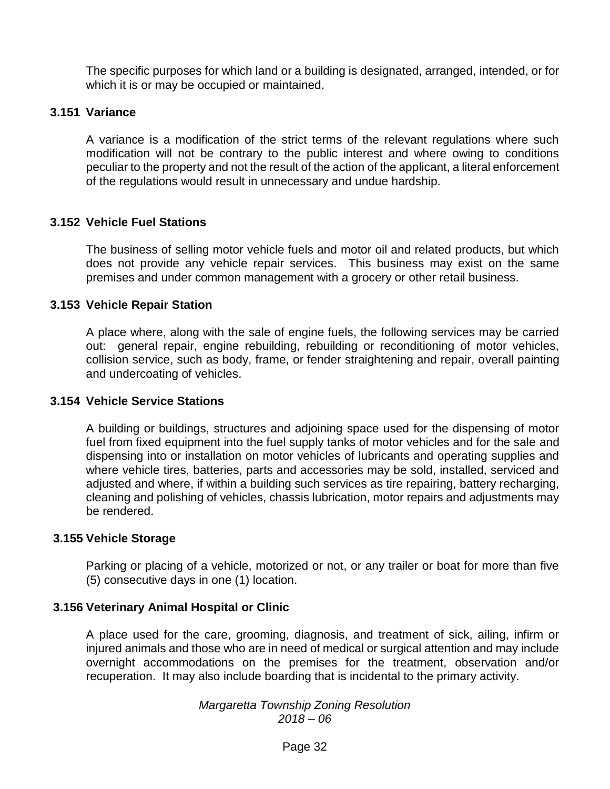The specific purposes for which land or a building is designated, arranged, intended, or for which it is or may be occupied or maintained.

## **3.151 Variance**

A variance is a modification of the strict terms of the relevant regulations where such modification will not be contrary to the public interest and where owing to conditions peculiar to the property and not the result of the action of the applicant, a literal enforcement of the regulations would result in unnecessary and undue hardship.

## **3.152 Vehicle Fuel Stations**

The business of selling motor vehicle fuels and motor oil and related products, but which does not provide any vehicle repair services. This business may exist on the same premises and under common management with a grocery or other retail business.

#### **3.153 Vehicle Repair Station**

A place where, along with the sale of engine fuels, the following services may be carried out: general repair, engine rebuilding, rebuilding or reconditioning of motor vehicles, collision service, such as body, frame, or fender straightening and repair, overall painting and undercoating of vehicles.

#### **3.154 Vehicle Service Stations**

A building or buildings, structures and adjoining space used for the dispensing of motor fuel from fixed equipment into the fuel supply tanks of motor vehicles and for the sale and dispensing into or installation on motor vehicles of lubricants and operating supplies and where vehicle tires, batteries, parts and accessories may be sold, installed, serviced and adjusted and where, if within a building such services as tire repairing, battery recharging, cleaning and polishing of vehicles, chassis lubrication, motor repairs and adjustments may be rendered.

#### **3.155 Vehicle Storage**

Parking or placing of a vehicle, motorized or not, or any trailer or boat for more than five (5) consecutive days in one (1) location.

#### **3.156 Veterinary Animal Hospital or Clinic**

A place used for the care, grooming, diagnosis, and treatment of sick, ailing, infirm or injured animals and those who are in need of medical or surgical attention and may include overnight accommodations on the premises for the treatment, observation and/or recuperation. It may also include boarding that is incidental to the primary activity.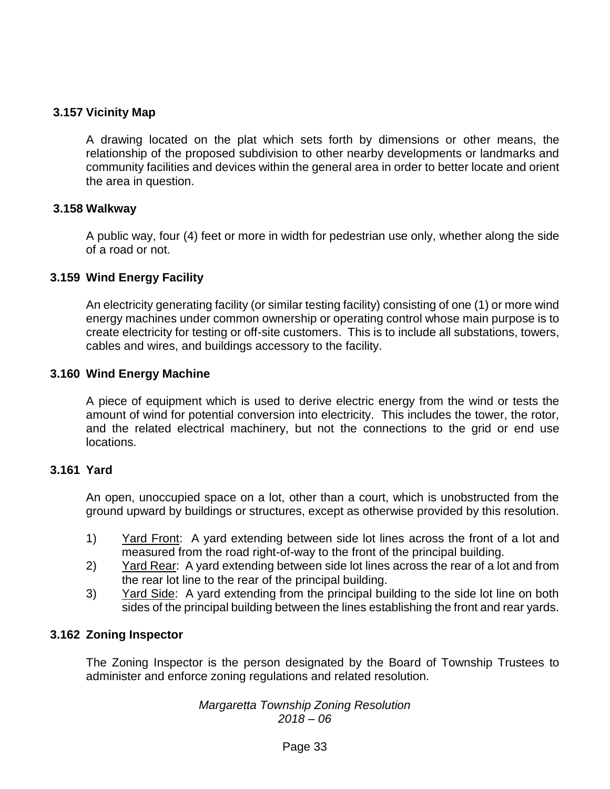## **3.157 Vicinity Map**

A drawing located on the plat which sets forth by dimensions or other means, the relationship of the proposed subdivision to other nearby developments or landmarks and community facilities and devices within the general area in order to better locate and orient the area in question.

#### **3.158 Walkway**

A public way, four (4) feet or more in width for pedestrian use only, whether along the side of a road or not.

#### **3.159 Wind Energy Facility**

An electricity generating facility (or similar testing facility) consisting of one (1) or more wind energy machines under common ownership or operating control whose main purpose is to create electricity for testing or off-site customers. This is to include all substations, towers, cables and wires, and buildings accessory to the facility.

#### **3.160 Wind Energy Machine**

A piece of equipment which is used to derive electric energy from the wind or tests the amount of wind for potential conversion into electricity. This includes the tower, the rotor, and the related electrical machinery, but not the connections to the grid or end use locations.

#### **3.161 Yard**

An open, unoccupied space on a lot, other than a court, which is unobstructed from the ground upward by buildings or structures, except as otherwise provided by this resolution.

- 1) Yard Front: A yard extending between side lot lines across the front of a lot and measured from the road right-of-way to the front of the principal building.
- 2) Yard Rear: A yard extending between side lot lines across the rear of a lot and from the rear lot line to the rear of the principal building.
- 3) Yard Side: A yard extending from the principal building to the side lot line on both sides of the principal building between the lines establishing the front and rear yards.

#### **3.162 Zoning Inspector**

The Zoning Inspector is the person designated by the Board of Township Trustees to administer and enforce zoning regulations and related resolution.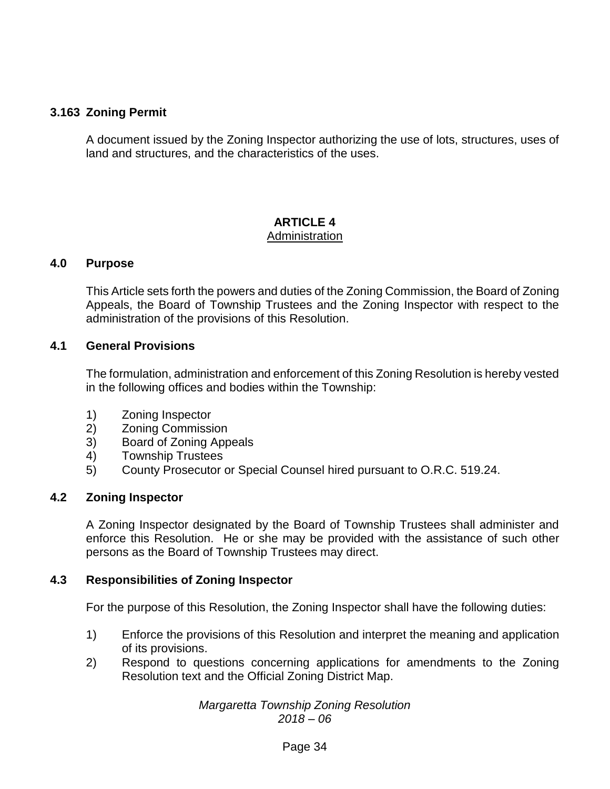# **3.163 Zoning Permit**

A document issued by the Zoning Inspector authorizing the use of lots, structures, uses of land and structures, and the characteristics of the uses.

#### **ARTICLE 4** Administration

#### **4.0 Purpose**

This Article sets forth the powers and duties of the Zoning Commission, the Board of Zoning Appeals, the Board of Township Trustees and the Zoning Inspector with respect to the administration of the provisions of this Resolution.

#### **4.1 General Provisions**

The formulation, administration and enforcement of this Zoning Resolution is hereby vested in the following offices and bodies within the Township:

- 1) Zoning Inspector
- 2) Zoning Commission
- 3) Board of Zoning Appeals
- 4) Township Trustees
- 5) County Prosecutor or Special Counsel hired pursuant to O.R.C. 519.24.

#### **4.2 Zoning Inspector**

A Zoning Inspector designated by the Board of Township Trustees shall administer and enforce this Resolution. He or she may be provided with the assistance of such other persons as the Board of Township Trustees may direct.

#### **4.3 Responsibilities of Zoning Inspector**

For the purpose of this Resolution, the Zoning Inspector shall have the following duties:

- 1) Enforce the provisions of this Resolution and interpret the meaning and application of its provisions.
- 2) Respond to questions concerning applications for amendments to the Zoning Resolution text and the Official Zoning District Map.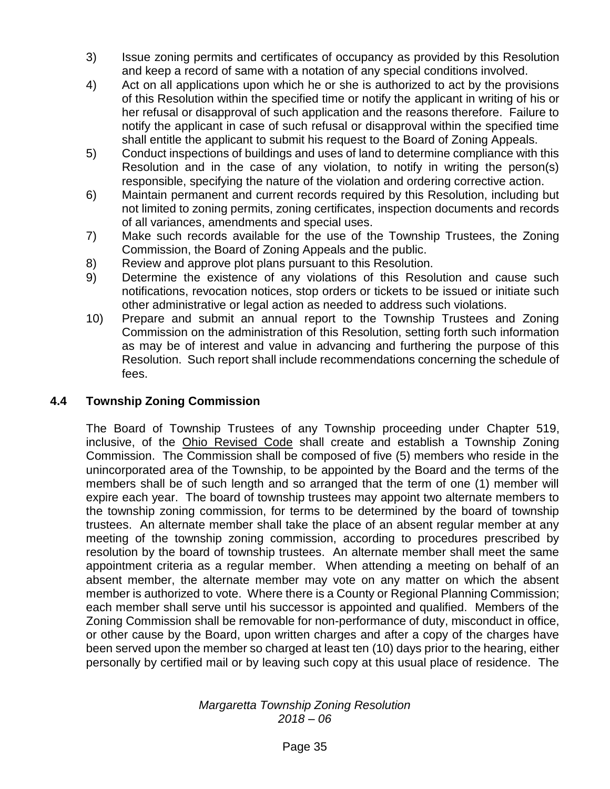- 3) Issue zoning permits and certificates of occupancy as provided by this Resolution and keep a record of same with a notation of any special conditions involved.
- 4) Act on all applications upon which he or she is authorized to act by the provisions of this Resolution within the specified time or notify the applicant in writing of his or her refusal or disapproval of such application and the reasons therefore. Failure to notify the applicant in case of such refusal or disapproval within the specified time shall entitle the applicant to submit his request to the Board of Zoning Appeals.
- 5) Conduct inspections of buildings and uses of land to determine compliance with this Resolution and in the case of any violation, to notify in writing the person(s) responsible, specifying the nature of the violation and ordering corrective action.
- 6) Maintain permanent and current records required by this Resolution, including but not limited to zoning permits, zoning certificates, inspection documents and records of all variances, amendments and special uses.
- 7) Make such records available for the use of the Township Trustees, the Zoning Commission, the Board of Zoning Appeals and the public.
- 8) Review and approve plot plans pursuant to this Resolution.
- 9) Determine the existence of any violations of this Resolution and cause such notifications, revocation notices, stop orders or tickets to be issued or initiate such other administrative or legal action as needed to address such violations.
- 10) Prepare and submit an annual report to the Township Trustees and Zoning Commission on the administration of this Resolution, setting forth such information as may be of interest and value in advancing and furthering the purpose of this Resolution. Such report shall include recommendations concerning the schedule of fees.

# **4.4 Township Zoning Commission**

The Board of Township Trustees of any Township proceeding under Chapter 519, inclusive, of the Ohio Revised Code shall create and establish a Township Zoning Commission. The Commission shall be composed of five (5) members who reside in the unincorporated area of the Township, to be appointed by the Board and the terms of the members shall be of such length and so arranged that the term of one (1) member will expire each year. The board of township trustees may appoint two alternate members to the township zoning commission, for terms to be determined by the board of township trustees. An alternate member shall take the place of an absent regular member at any meeting of the township zoning commission, according to procedures prescribed by resolution by the board of township trustees. An alternate member shall meet the same appointment criteria as a regular member. When attending a meeting on behalf of an absent member, the alternate member may vote on any matter on which the absent member is authorized to vote. Where there is a County or Regional Planning Commission; each member shall serve until his successor is appointed and qualified. Members of the Zoning Commission shall be removable for non-performance of duty, misconduct in office, or other cause by the Board, upon written charges and after a copy of the charges have been served upon the member so charged at least ten (10) days prior to the hearing, either personally by certified mail or by leaving such copy at this usual place of residence. The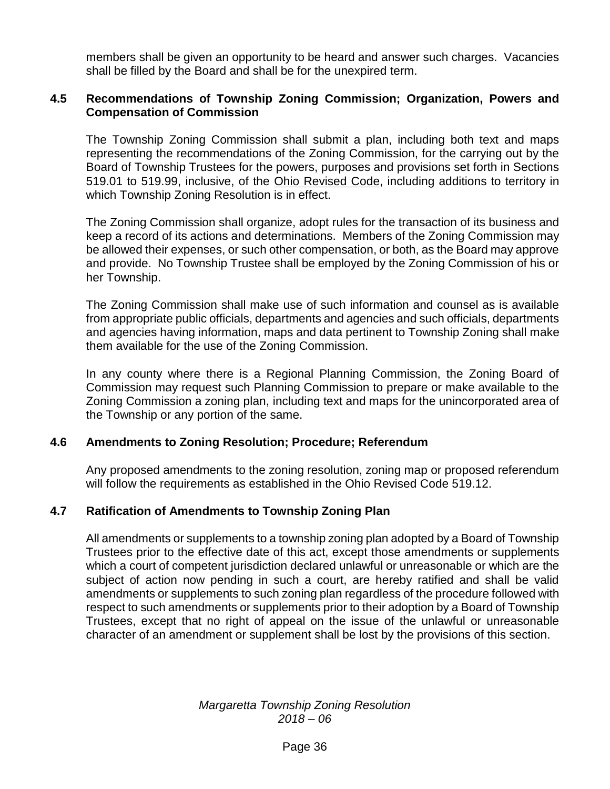members shall be given an opportunity to be heard and answer such charges. Vacancies shall be filled by the Board and shall be for the unexpired term.

## **4.5 Recommendations of Township Zoning Commission; Organization, Powers and Compensation of Commission**

The Township Zoning Commission shall submit a plan, including both text and maps representing the recommendations of the Zoning Commission, for the carrying out by the Board of Township Trustees for the powers, purposes and provisions set forth in Sections 519.01 to 519.99, inclusive, of the Ohio Revised Code, including additions to territory in which Township Zoning Resolution is in effect.

The Zoning Commission shall organize, adopt rules for the transaction of its business and keep a record of its actions and determinations. Members of the Zoning Commission may be allowed their expenses, or such other compensation, or both, as the Board may approve and provide. No Township Trustee shall be employed by the Zoning Commission of his or her Township.

The Zoning Commission shall make use of such information and counsel as is available from appropriate public officials, departments and agencies and such officials, departments and agencies having information, maps and data pertinent to Township Zoning shall make them available for the use of the Zoning Commission.

In any county where there is a Regional Planning Commission, the Zoning Board of Commission may request such Planning Commission to prepare or make available to the Zoning Commission a zoning plan, including text and maps for the unincorporated area of the Township or any portion of the same.

#### **4.6 Amendments to Zoning Resolution; Procedure; Referendum**

Any proposed amendments to the zoning resolution, zoning map or proposed referendum will follow the requirements as established in the Ohio Revised Code 519.12.

# **4.7 Ratification of Amendments to Township Zoning Plan**

All amendments or supplements to a township zoning plan adopted by a Board of Township Trustees prior to the effective date of this act, except those amendments or supplements which a court of competent jurisdiction declared unlawful or unreasonable or which are the subject of action now pending in such a court, are hereby ratified and shall be valid amendments or supplements to such zoning plan regardless of the procedure followed with respect to such amendments or supplements prior to their adoption by a Board of Township Trustees, except that no right of appeal on the issue of the unlawful or unreasonable character of an amendment or supplement shall be lost by the provisions of this section.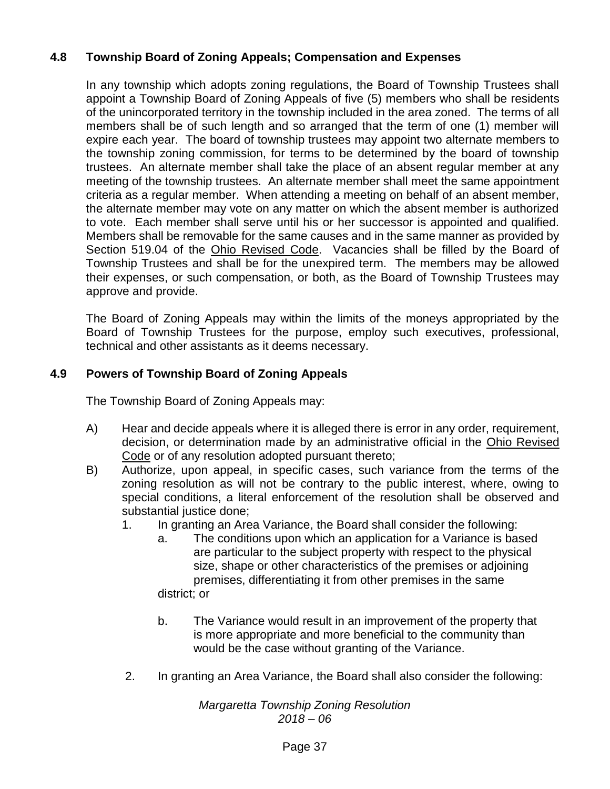# **4.8 Township Board of Zoning Appeals; Compensation and Expenses**

In any township which adopts zoning regulations, the Board of Township Trustees shall appoint a Township Board of Zoning Appeals of five (5) members who shall be residents of the unincorporated territory in the township included in the area zoned. The terms of all members shall be of such length and so arranged that the term of one (1) member will expire each year. The board of township trustees may appoint two alternate members to the township zoning commission, for terms to be determined by the board of township trustees. An alternate member shall take the place of an absent regular member at any meeting of the township trustees. An alternate member shall meet the same appointment criteria as a regular member. When attending a meeting on behalf of an absent member, the alternate member may vote on any matter on which the absent member is authorized to vote. Each member shall serve until his or her successor is appointed and qualified. Members shall be removable for the same causes and in the same manner as provided by Section 519.04 of the Ohio Revised Code. Vacancies shall be filled by the Board of Township Trustees and shall be for the unexpired term. The members may be allowed their expenses, or such compensation, or both, as the Board of Township Trustees may approve and provide.

The Board of Zoning Appeals may within the limits of the moneys appropriated by the Board of Township Trustees for the purpose, employ such executives, professional, technical and other assistants as it deems necessary.

# **4.9 Powers of Township Board of Zoning Appeals**

The Township Board of Zoning Appeals may:

- A) Hear and decide appeals where it is alleged there is error in any order, requirement, decision, or determination made by an administrative official in the Ohio Revised Code or of any resolution adopted pursuant thereto;
- B) Authorize, upon appeal, in specific cases, such variance from the terms of the zoning resolution as will not be contrary to the public interest, where, owing to special conditions, a literal enforcement of the resolution shall be observed and substantial justice done;
	- 1. In granting an Area Variance, the Board shall consider the following:
		- a. The conditions upon which an application for a Variance is based are particular to the subject property with respect to the physical size, shape or other characteristics of the premises or adjoining premises, differentiating it from other premises in the same district; or
		- b. The Variance would result in an improvement of the property that is more appropriate and more beneficial to the community than would be the case without granting of the Variance.
	- 2. In granting an Area Variance, the Board shall also consider the following: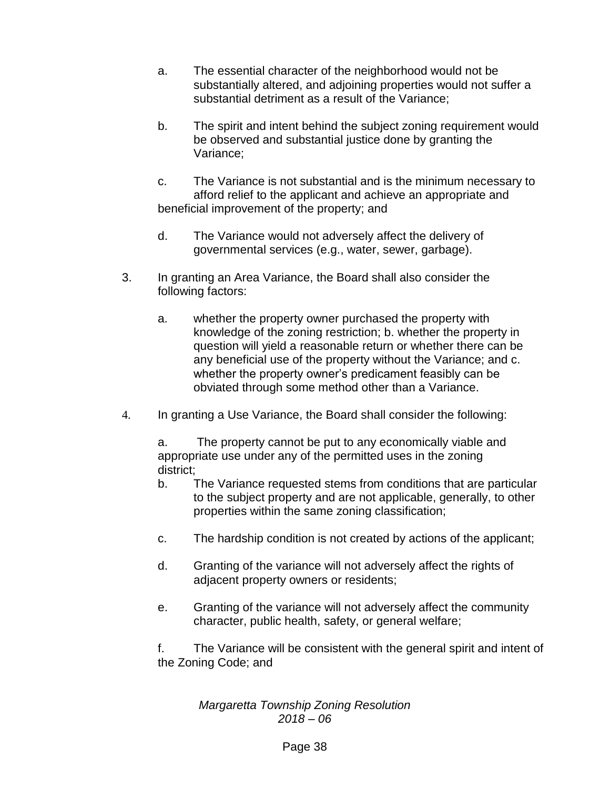- a. The essential character of the neighborhood would not be substantially altered, and adjoining properties would not suffer a substantial detriment as a result of the Variance;
- b. The spirit and intent behind the subject zoning requirement would be observed and substantial justice done by granting the Variance;
- c. The Variance is not substantial and is the minimum necessary to afford relief to the applicant and achieve an appropriate and beneficial improvement of the property; and
- d. The Variance would not adversely affect the delivery of governmental services (e.g., water, sewer, garbage).
- 3. In granting an Area Variance, the Board shall also consider the following factors:
	- a. whether the property owner purchased the property with knowledge of the zoning restriction; b. whether the property in question will yield a reasonable return or whether there can be any beneficial use of the property without the Variance; and c. whether the property owner's predicament feasibly can be obviated through some method other than a Variance.
- 4. In granting a Use Variance, the Board shall consider the following:

a. The property cannot be put to any economically viable and appropriate use under any of the permitted uses in the zoning district;

- b. The Variance requested stems from conditions that are particular to the subject property and are not applicable, generally, to other properties within the same zoning classification;
- c. The hardship condition is not created by actions of the applicant;
- d. Granting of the variance will not adversely affect the rights of adjacent property owners or residents;
- e. Granting of the variance will not adversely affect the community character, public health, safety, or general welfare;

f. The Variance will be consistent with the general spirit and intent of the Zoning Code; and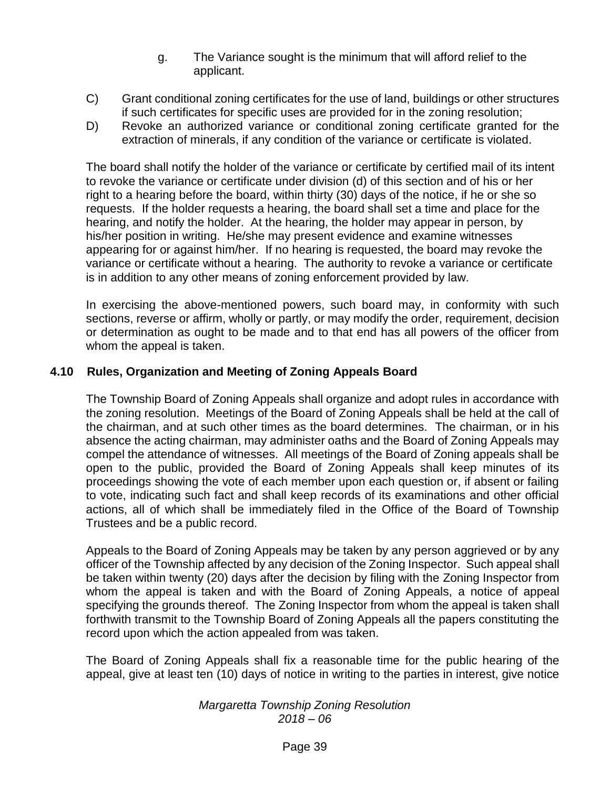- g. The Variance sought is the minimum that will afford relief to the applicant.
- C) Grant conditional zoning certificates for the use of land, buildings or other structures if such certificates for specific uses are provided for in the zoning resolution;
- D) Revoke an authorized variance or conditional zoning certificate granted for the extraction of minerals, if any condition of the variance or certificate is violated.

The board shall notify the holder of the variance or certificate by certified mail of its intent to revoke the variance or certificate under division (d) of this section and of his or her right to a hearing before the board, within thirty (30) days of the notice, if he or she so requests. If the holder requests a hearing, the board shall set a time and place for the hearing, and notify the holder. At the hearing, the holder may appear in person, by his/her position in writing. He/she may present evidence and examine witnesses appearing for or against him/her. If no hearing is requested, the board may revoke the variance or certificate without a hearing. The authority to revoke a variance or certificate is in addition to any other means of zoning enforcement provided by law.

In exercising the above-mentioned powers, such board may, in conformity with such sections, reverse or affirm, wholly or partly, or may modify the order, requirement, decision or determination as ought to be made and to that end has all powers of the officer from whom the appeal is taken.

# **4.10 Rules, Organization and Meeting of Zoning Appeals Board**

The Township Board of Zoning Appeals shall organize and adopt rules in accordance with the zoning resolution. Meetings of the Board of Zoning Appeals shall be held at the call of the chairman, and at such other times as the board determines. The chairman, or in his absence the acting chairman, may administer oaths and the Board of Zoning Appeals may compel the attendance of witnesses. All meetings of the Board of Zoning appeals shall be open to the public, provided the Board of Zoning Appeals shall keep minutes of its proceedings showing the vote of each member upon each question or, if absent or failing to vote, indicating such fact and shall keep records of its examinations and other official actions, all of which shall be immediately filed in the Office of the Board of Township Trustees and be a public record.

Appeals to the Board of Zoning Appeals may be taken by any person aggrieved or by any officer of the Township affected by any decision of the Zoning Inspector. Such appeal shall be taken within twenty (20) days after the decision by filing with the Zoning Inspector from whom the appeal is taken and with the Board of Zoning Appeals, a notice of appeal specifying the grounds thereof. The Zoning Inspector from whom the appeal is taken shall forthwith transmit to the Township Board of Zoning Appeals all the papers constituting the record upon which the action appealed from was taken.

The Board of Zoning Appeals shall fix a reasonable time for the public hearing of the appeal, give at least ten (10) days of notice in writing to the parties in interest, give notice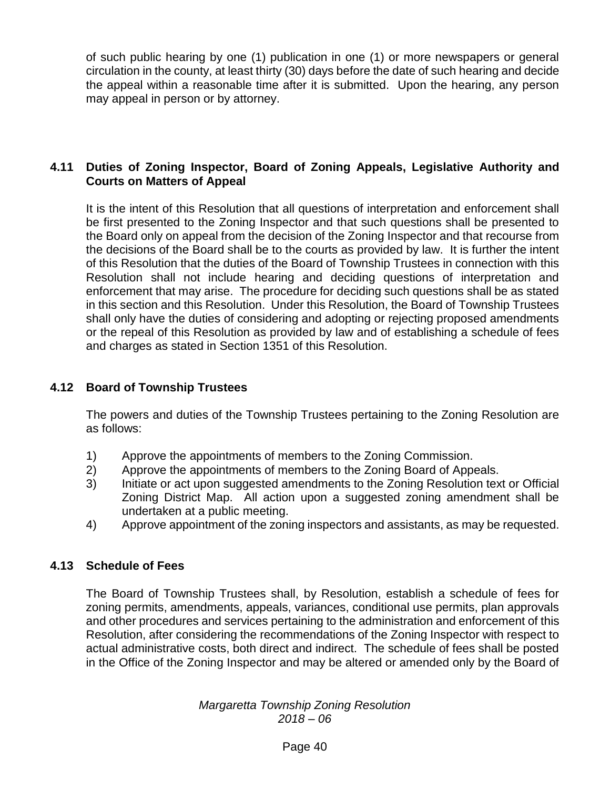of such public hearing by one (1) publication in one (1) or more newspapers or general circulation in the county, at least thirty (30) days before the date of such hearing and decide the appeal within a reasonable time after it is submitted. Upon the hearing, any person may appeal in person or by attorney.

## **4.11 Duties of Zoning Inspector, Board of Zoning Appeals, Legislative Authority and Courts on Matters of Appeal**

It is the intent of this Resolution that all questions of interpretation and enforcement shall be first presented to the Zoning Inspector and that such questions shall be presented to the Board only on appeal from the decision of the Zoning Inspector and that recourse from the decisions of the Board shall be to the courts as provided by law. It is further the intent of this Resolution that the duties of the Board of Township Trustees in connection with this Resolution shall not include hearing and deciding questions of interpretation and enforcement that may arise. The procedure for deciding such questions shall be as stated in this section and this Resolution. Under this Resolution, the Board of Township Trustees shall only have the duties of considering and adopting or rejecting proposed amendments or the repeal of this Resolution as provided by law and of establishing a schedule of fees and charges as stated in Section 1351 of this Resolution.

#### **4.12 Board of Township Trustees**

The powers and duties of the Township Trustees pertaining to the Zoning Resolution are as follows:

- 1) Approve the appointments of members to the Zoning Commission.
- 2) Approve the appointments of members to the Zoning Board of Appeals.
- 3) Initiate or act upon suggested amendments to the Zoning Resolution text or Official Zoning District Map. All action upon a suggested zoning amendment shall be undertaken at a public meeting.
- 4) Approve appointment of the zoning inspectors and assistants, as may be requested.

#### **4.13 Schedule of Fees**

The Board of Township Trustees shall, by Resolution, establish a schedule of fees for zoning permits, amendments, appeals, variances, conditional use permits, plan approvals and other procedures and services pertaining to the administration and enforcement of this Resolution, after considering the recommendations of the Zoning Inspector with respect to actual administrative costs, both direct and indirect. The schedule of fees shall be posted in the Office of the Zoning Inspector and may be altered or amended only by the Board of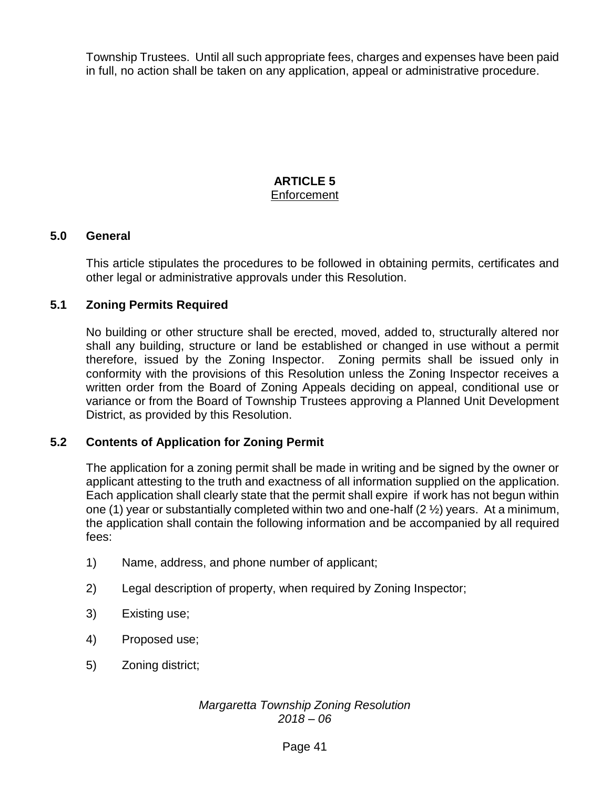Township Trustees. Until all such appropriate fees, charges and expenses have been paid in full, no action shall be taken on any application, appeal or administrative procedure.

## **ARTICLE 5 Enforcement**

#### **5.0 General**

This article stipulates the procedures to be followed in obtaining permits, certificates and other legal or administrative approvals under this Resolution.

#### **5.1 Zoning Permits Required**

No building or other structure shall be erected, moved, added to, structurally altered nor shall any building, structure or land be established or changed in use without a permit therefore, issued by the Zoning Inspector. Zoning permits shall be issued only in conformity with the provisions of this Resolution unless the Zoning Inspector receives a written order from the Board of Zoning Appeals deciding on appeal, conditional use or variance or from the Board of Township Trustees approving a Planned Unit Development District, as provided by this Resolution.

#### **5.2 Contents of Application for Zoning Permit**

The application for a zoning permit shall be made in writing and be signed by the owner or applicant attesting to the truth and exactness of all information supplied on the application. Each application shall clearly state that the permit shall expire if work has not begun within one (1) year or substantially completed within two and one-half (2 ½) years. At a minimum, the application shall contain the following information and be accompanied by all required fees:

- 1) Name, address, and phone number of applicant;
- 2) Legal description of property, when required by Zoning Inspector;
- 3) Existing use;
- 4) Proposed use;
- 5) Zoning district;

#### *Margaretta Township Zoning Resolution 2018 – 06*

#### Page 41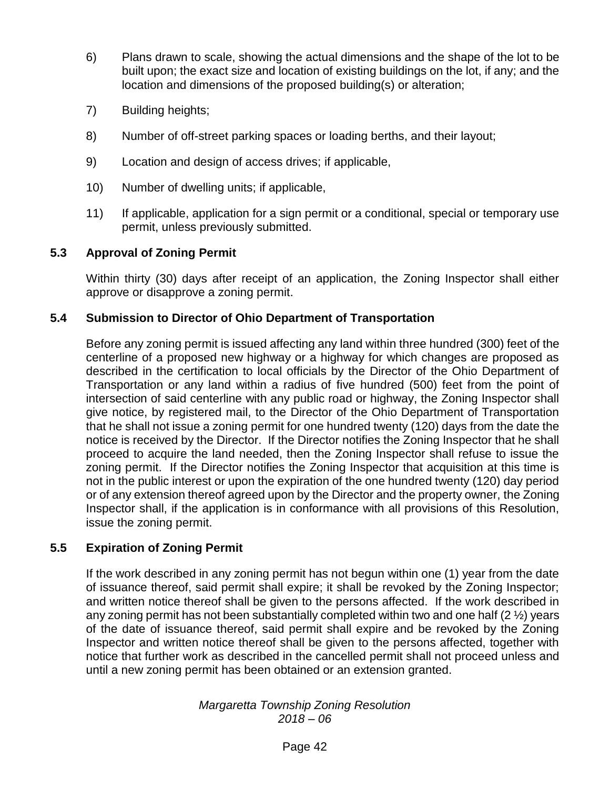- 6) Plans drawn to scale, showing the actual dimensions and the shape of the lot to be built upon; the exact size and location of existing buildings on the lot, if any; and the location and dimensions of the proposed building(s) or alteration;
- 7) Building heights;
- 8) Number of off-street parking spaces or loading berths, and their layout;
- 9) Location and design of access drives; if applicable,
- 10) Number of dwelling units; if applicable,
- 11) If applicable, application for a sign permit or a conditional, special or temporary use permit, unless previously submitted.

#### **5.3 Approval of Zoning Permit**

Within thirty (30) days after receipt of an application, the Zoning Inspector shall either approve or disapprove a zoning permit.

## **5.4 Submission to Director of Ohio Department of Transportation**

Before any zoning permit is issued affecting any land within three hundred (300) feet of the centerline of a proposed new highway or a highway for which changes are proposed as described in the certification to local officials by the Director of the Ohio Department of Transportation or any land within a radius of five hundred (500) feet from the point of intersection of said centerline with any public road or highway, the Zoning Inspector shall give notice, by registered mail, to the Director of the Ohio Department of Transportation that he shall not issue a zoning permit for one hundred twenty (120) days from the date the notice is received by the Director. If the Director notifies the Zoning Inspector that he shall proceed to acquire the land needed, then the Zoning Inspector shall refuse to issue the zoning permit. If the Director notifies the Zoning Inspector that acquisition at this time is not in the public interest or upon the expiration of the one hundred twenty (120) day period or of any extension thereof agreed upon by the Director and the property owner, the Zoning Inspector shall, if the application is in conformance with all provisions of this Resolution, issue the zoning permit.

#### **5.5 Expiration of Zoning Permit**

If the work described in any zoning permit has not begun within one (1) year from the date of issuance thereof, said permit shall expire; it shall be revoked by the Zoning Inspector; and written notice thereof shall be given to the persons affected. If the work described in any zoning permit has not been substantially completed within two and one half  $(2 \frac{1}{2})$  years of the date of issuance thereof, said permit shall expire and be revoked by the Zoning Inspector and written notice thereof shall be given to the persons affected, together with notice that further work as described in the cancelled permit shall not proceed unless and until a new zoning permit has been obtained or an extension granted.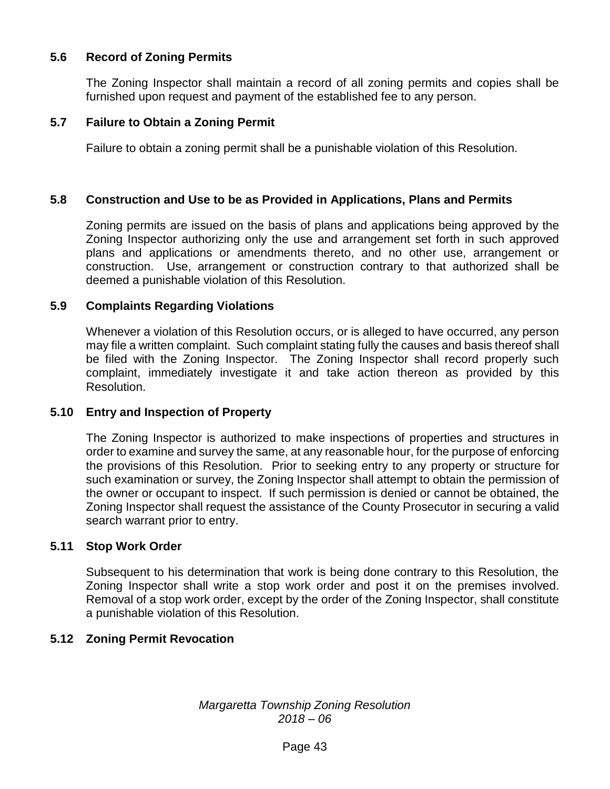## **5.6 Record of Zoning Permits**

The Zoning Inspector shall maintain a record of all zoning permits and copies shall be furnished upon request and payment of the established fee to any person.

#### **5.7 Failure to Obtain a Zoning Permit**

Failure to obtain a zoning permit shall be a punishable violation of this Resolution.

#### **5.8 Construction and Use to be as Provided in Applications, Plans and Permits**

Zoning permits are issued on the basis of plans and applications being approved by the Zoning Inspector authorizing only the use and arrangement set forth in such approved plans and applications or amendments thereto, and no other use, arrangement or construction. Use, arrangement or construction contrary to that authorized shall be deemed a punishable violation of this Resolution.

#### **5.9 Complaints Regarding Violations**

Whenever a violation of this Resolution occurs, or is alleged to have occurred, any person may file a written complaint. Such complaint stating fully the causes and basis thereof shall be filed with the Zoning Inspector. The Zoning Inspector shall record properly such complaint, immediately investigate it and take action thereon as provided by this Resolution.

#### **5.10 Entry and Inspection of Property**

The Zoning Inspector is authorized to make inspections of properties and structures in order to examine and survey the same, at any reasonable hour, for the purpose of enforcing the provisions of this Resolution. Prior to seeking entry to any property or structure for such examination or survey, the Zoning Inspector shall attempt to obtain the permission of the owner or occupant to inspect. If such permission is denied or cannot be obtained, the Zoning Inspector shall request the assistance of the County Prosecutor in securing a valid search warrant prior to entry.

#### **5.11 Stop Work Order**

Subsequent to his determination that work is being done contrary to this Resolution, the Zoning Inspector shall write a stop work order and post it on the premises involved. Removal of a stop work order, except by the order of the Zoning Inspector, shall constitute a punishable violation of this Resolution.

#### **5.12 Zoning Permit Revocation**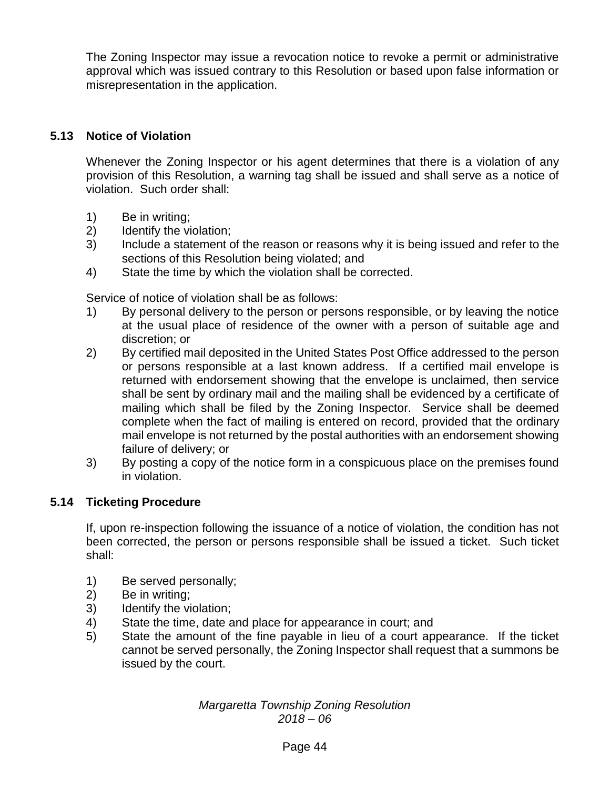The Zoning Inspector may issue a revocation notice to revoke a permit or administrative approval which was issued contrary to this Resolution or based upon false information or misrepresentation in the application.

# **5.13 Notice of Violation**

Whenever the Zoning Inspector or his agent determines that there is a violation of any provision of this Resolution, a warning tag shall be issued and shall serve as a notice of violation. Such order shall:

- 1) Be in writing;
- 2) Identify the violation;
- 3) Include a statement of the reason or reasons why it is being issued and refer to the sections of this Resolution being violated; and
- 4) State the time by which the violation shall be corrected.

Service of notice of violation shall be as follows:

- 1) By personal delivery to the person or persons responsible, or by leaving the notice at the usual place of residence of the owner with a person of suitable age and discretion; or
- 2) By certified mail deposited in the United States Post Office addressed to the person or persons responsible at a last known address. If a certified mail envelope is returned with endorsement showing that the envelope is unclaimed, then service shall be sent by ordinary mail and the mailing shall be evidenced by a certificate of mailing which shall be filed by the Zoning Inspector. Service shall be deemed complete when the fact of mailing is entered on record, provided that the ordinary mail envelope is not returned by the postal authorities with an endorsement showing failure of delivery; or
- 3) By posting a copy of the notice form in a conspicuous place on the premises found in violation.

# **5.14 Ticketing Procedure**

If, upon re-inspection following the issuance of a notice of violation, the condition has not been corrected, the person or persons responsible shall be issued a ticket. Such ticket shall:

- 1) Be served personally;
- 2) Be in writing;
- 3) Identify the violation;
- 4) State the time, date and place for appearance in court; and
- 5) State the amount of the fine payable in lieu of a court appearance. If the ticket cannot be served personally, the Zoning Inspector shall request that a summons be issued by the court.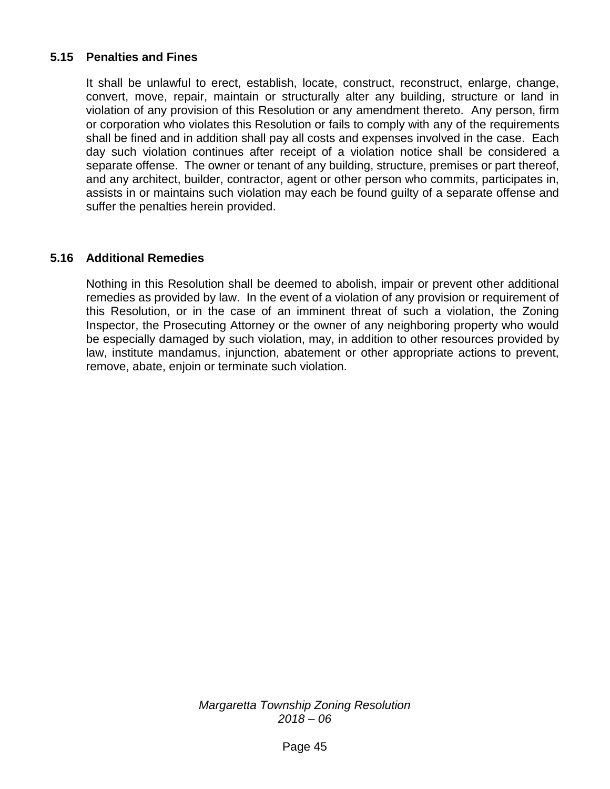## **5.15 Penalties and Fines**

It shall be unlawful to erect, establish, locate, construct, reconstruct, enlarge, change, convert, move, repair, maintain or structurally alter any building, structure or land in violation of any provision of this Resolution or any amendment thereto. Any person, firm or corporation who violates this Resolution or fails to comply with any of the requirements shall be fined and in addition shall pay all costs and expenses involved in the case. Each day such violation continues after receipt of a violation notice shall be considered a separate offense. The owner or tenant of any building, structure, premises or part thereof, and any architect, builder, contractor, agent or other person who commits, participates in, assists in or maintains such violation may each be found guilty of a separate offense and suffer the penalties herein provided.

#### **5.16 Additional Remedies**

Nothing in this Resolution shall be deemed to abolish, impair or prevent other additional remedies as provided by law. In the event of a violation of any provision or requirement of this Resolution, or in the case of an imminent threat of such a violation, the Zoning Inspector, the Prosecuting Attorney or the owner of any neighboring property who would be especially damaged by such violation, may, in addition to other resources provided by law, institute mandamus, injunction, abatement or other appropriate actions to prevent, remove, abate, enjoin or terminate such violation.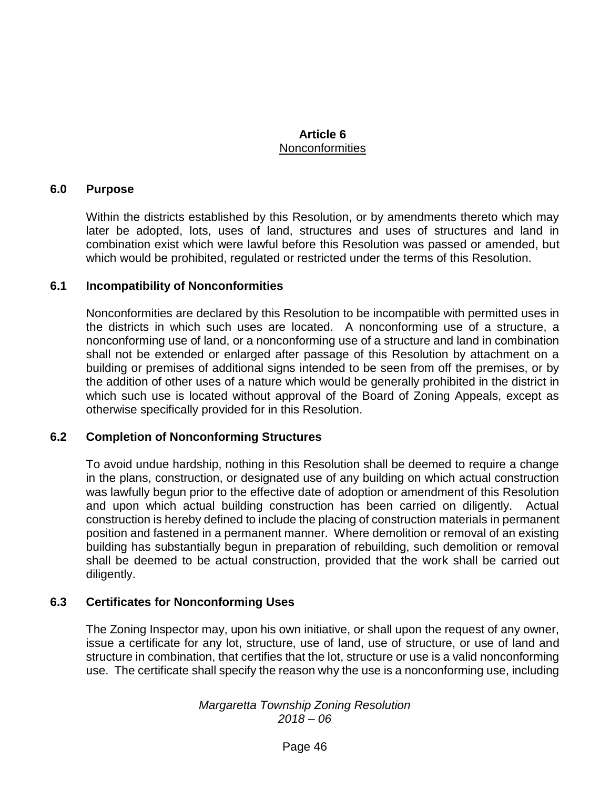## **Article 6 Nonconformities**

#### **6.0 Purpose**

Within the districts established by this Resolution, or by amendments thereto which may later be adopted, lots, uses of land, structures and uses of structures and land in combination exist which were lawful before this Resolution was passed or amended, but which would be prohibited, regulated or restricted under the terms of this Resolution.

#### **6.1 Incompatibility of Nonconformities**

Nonconformities are declared by this Resolution to be incompatible with permitted uses in the districts in which such uses are located. A nonconforming use of a structure, a nonconforming use of land, or a nonconforming use of a structure and land in combination shall not be extended or enlarged after passage of this Resolution by attachment on a building or premises of additional signs intended to be seen from off the premises, or by the addition of other uses of a nature which would be generally prohibited in the district in which such use is located without approval of the Board of Zoning Appeals, except as otherwise specifically provided for in this Resolution.

#### **6.2 Completion of Nonconforming Structures**

To avoid undue hardship, nothing in this Resolution shall be deemed to require a change in the plans, construction, or designated use of any building on which actual construction was lawfully begun prior to the effective date of adoption or amendment of this Resolution and upon which actual building construction has been carried on diligently. Actual construction is hereby defined to include the placing of construction materials in permanent position and fastened in a permanent manner. Where demolition or removal of an existing building has substantially begun in preparation of rebuilding, such demolition or removal shall be deemed to be actual construction, provided that the work shall be carried out diligently.

#### **6.3 Certificates for Nonconforming Uses**

The Zoning Inspector may, upon his own initiative, or shall upon the request of any owner, issue a certificate for any lot, structure, use of land, use of structure, or use of land and structure in combination, that certifies that the lot, structure or use is a valid nonconforming use. The certificate shall specify the reason why the use is a nonconforming use, including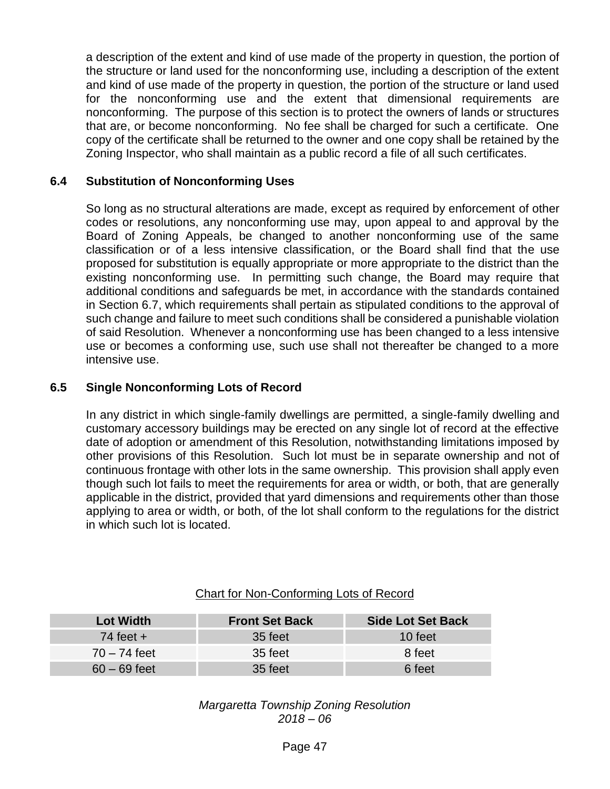a description of the extent and kind of use made of the property in question, the portion of the structure or land used for the nonconforming use, including a description of the extent and kind of use made of the property in question, the portion of the structure or land used for the nonconforming use and the extent that dimensional requirements are nonconforming. The purpose of this section is to protect the owners of lands or structures that are, or become nonconforming. No fee shall be charged for such a certificate. One copy of the certificate shall be returned to the owner and one copy shall be retained by the Zoning Inspector, who shall maintain as a public record a file of all such certificates.

## **6.4 Substitution of Nonconforming Uses**

So long as no structural alterations are made, except as required by enforcement of other codes or resolutions, any nonconforming use may, upon appeal to and approval by the Board of Zoning Appeals, be changed to another nonconforming use of the same classification or of a less intensive classification, or the Board shall find that the use proposed for substitution is equally appropriate or more appropriate to the district than the existing nonconforming use. In permitting such change, the Board may require that additional conditions and safeguards be met, in accordance with the standards contained in Section 6.7, which requirements shall pertain as stipulated conditions to the approval of such change and failure to meet such conditions shall be considered a punishable violation of said Resolution. Whenever a nonconforming use has been changed to a less intensive use or becomes a conforming use, such use shall not thereafter be changed to a more intensive use.

#### **6.5 Single Nonconforming Lots of Record**

In any district in which single-family dwellings are permitted, a single-family dwelling and customary accessory buildings may be erected on any single lot of record at the effective date of adoption or amendment of this Resolution, notwithstanding limitations imposed by other provisions of this Resolution. Such lot must be in separate ownership and not of continuous frontage with other lots in the same ownership. This provision shall apply even though such lot fails to meet the requirements for area or width, or both, that are generally applicable in the district, provided that yard dimensions and requirements other than those applying to area or width, or both, of the lot shall conform to the regulations for the district in which such lot is located.

#### Chart for Non-Conforming Lots of Record

| <b>Lot Width</b> | <b>Front Set Back</b> | <b>Side Lot Set Back</b> |  |
|------------------|-----------------------|--------------------------|--|
| 74 feet $+$      | 35 feet               | 10 feet                  |  |
| $70 - 74$ feet   | 35 feet               | 8 feet                   |  |
| $60 - 69$ feet   | 35 feet               | 6 feet                   |  |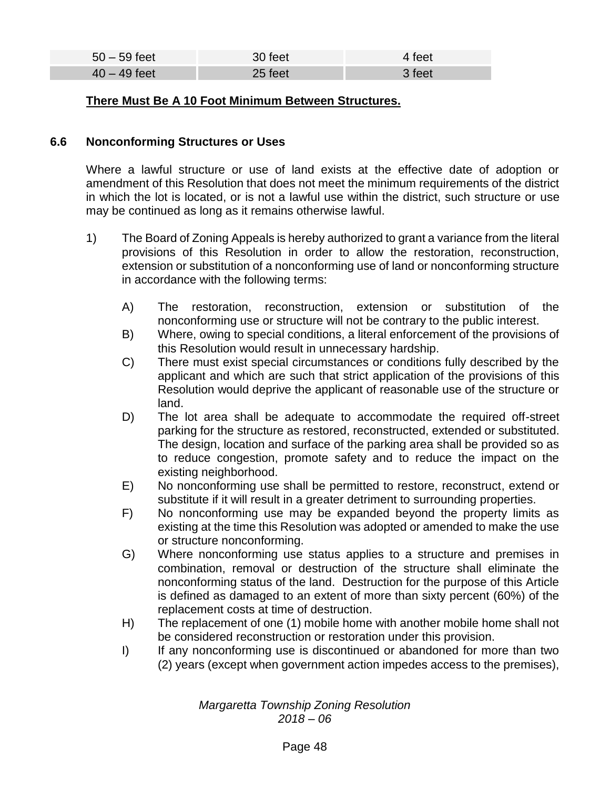| $50 - 59$ feet | 30 feet | 4 feet |
|----------------|---------|--------|
| $40 - 49$ feet | 25 feet | 3 feet |

#### **There Must Be A 10 Foot Minimum Between Structures.**

## **6.6 Nonconforming Structures or Uses**

Where a lawful structure or use of land exists at the effective date of adoption or amendment of this Resolution that does not meet the minimum requirements of the district in which the lot is located, or is not a lawful use within the district, such structure or use may be continued as long as it remains otherwise lawful.

- 1) The Board of Zoning Appeals is hereby authorized to grant a variance from the literal provisions of this Resolution in order to allow the restoration, reconstruction, extension or substitution of a nonconforming use of land or nonconforming structure in accordance with the following terms:
	- A) The restoration, reconstruction, extension or substitution of the nonconforming use or structure will not be contrary to the public interest.
	- B) Where, owing to special conditions, a literal enforcement of the provisions of this Resolution would result in unnecessary hardship.
	- C) There must exist special circumstances or conditions fully described by the applicant and which are such that strict application of the provisions of this Resolution would deprive the applicant of reasonable use of the structure or land.
	- D) The lot area shall be adequate to accommodate the required off-street parking for the structure as restored, reconstructed, extended or substituted. The design, location and surface of the parking area shall be provided so as to reduce congestion, promote safety and to reduce the impact on the existing neighborhood.
	- E) No nonconforming use shall be permitted to restore, reconstruct, extend or substitute if it will result in a greater detriment to surrounding properties.
	- F) No nonconforming use may be expanded beyond the property limits as existing at the time this Resolution was adopted or amended to make the use or structure nonconforming.
	- G) Where nonconforming use status applies to a structure and premises in combination, removal or destruction of the structure shall eliminate the nonconforming status of the land. Destruction for the purpose of this Article is defined as damaged to an extent of more than sixty percent (60%) of the replacement costs at time of destruction.
	- H) The replacement of one (1) mobile home with another mobile home shall not be considered reconstruction or restoration under this provision.
	- I) If any nonconforming use is discontinued or abandoned for more than two (2) years (except when government action impedes access to the premises),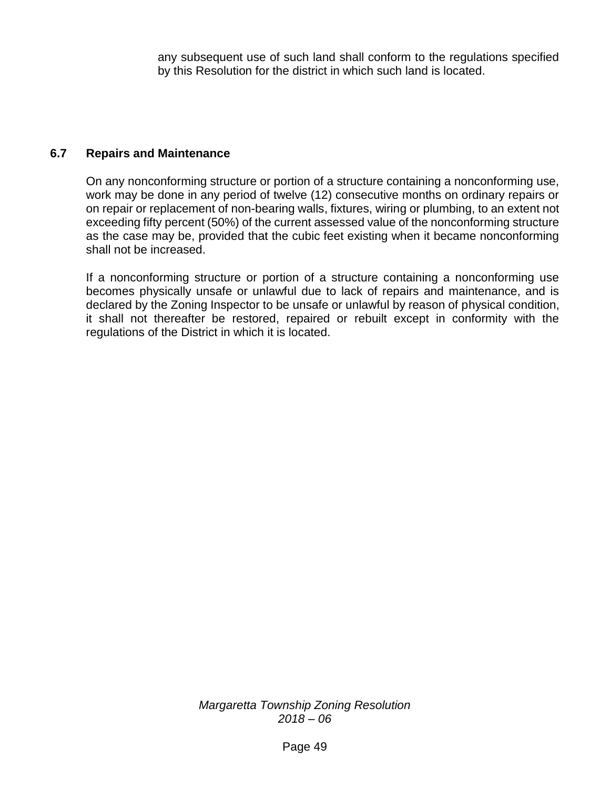any subsequent use of such land shall conform to the regulations specified by this Resolution for the district in which such land is located.

#### **6.7 Repairs and Maintenance**

On any nonconforming structure or portion of a structure containing a nonconforming use, work may be done in any period of twelve (12) consecutive months on ordinary repairs or on repair or replacement of non-bearing walls, fixtures, wiring or plumbing, to an extent not exceeding fifty percent (50%) of the current assessed value of the nonconforming structure as the case may be, provided that the cubic feet existing when it became nonconforming shall not be increased.

If a nonconforming structure or portion of a structure containing a nonconforming use becomes physically unsafe or unlawful due to lack of repairs and maintenance, and is declared by the Zoning Inspector to be unsafe or unlawful by reason of physical condition, it shall not thereafter be restored, repaired or rebuilt except in conformity with the regulations of the District in which it is located.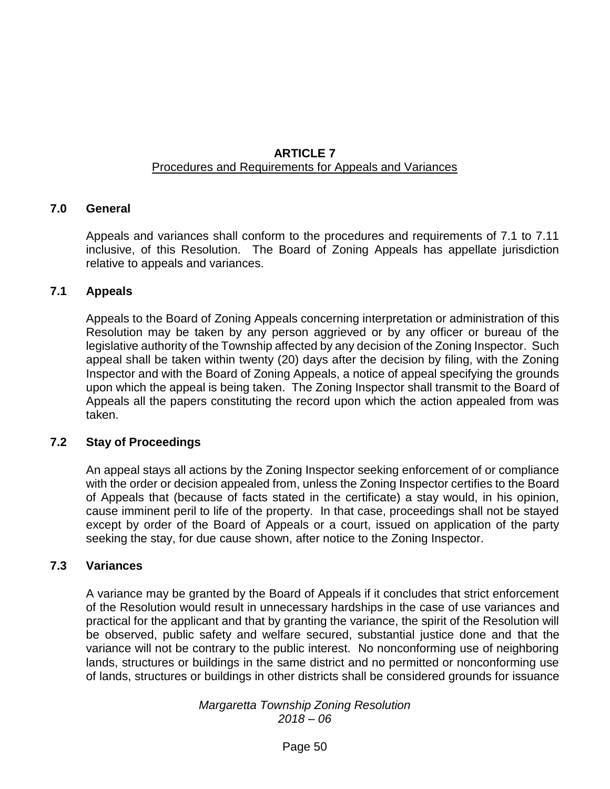## **ARTICLE 7** Procedures and Requirements for Appeals and Variances

## **7.0 General**

Appeals and variances shall conform to the procedures and requirements of 7.1 to 7.11 inclusive, of this Resolution. The Board of Zoning Appeals has appellate jurisdiction relative to appeals and variances.

#### **7.1 Appeals**

Appeals to the Board of Zoning Appeals concerning interpretation or administration of this Resolution may be taken by any person aggrieved or by any officer or bureau of the legislative authority of the Township affected by any decision of the Zoning Inspector. Such appeal shall be taken within twenty (20) days after the decision by filing, with the Zoning Inspector and with the Board of Zoning Appeals, a notice of appeal specifying the grounds upon which the appeal is being taken. The Zoning Inspector shall transmit to the Board of Appeals all the papers constituting the record upon which the action appealed from was taken.

#### **7.2 Stay of Proceedings**

An appeal stays all actions by the Zoning Inspector seeking enforcement of or compliance with the order or decision appealed from, unless the Zoning Inspector certifies to the Board of Appeals that (because of facts stated in the certificate) a stay would, in his opinion, cause imminent peril to life of the property. In that case, proceedings shall not be stayed except by order of the Board of Appeals or a court, issued on application of the party seeking the stay, for due cause shown, after notice to the Zoning Inspector.

#### **7.3 Variances**

A variance may be granted by the Board of Appeals if it concludes that strict enforcement of the Resolution would result in unnecessary hardships in the case of use variances and practical for the applicant and that by granting the variance, the spirit of the Resolution will be observed, public safety and welfare secured, substantial justice done and that the variance will not be contrary to the public interest. No nonconforming use of neighboring lands, structures or buildings in the same district and no permitted or nonconforming use of lands, structures or buildings in other districts shall be considered grounds for issuance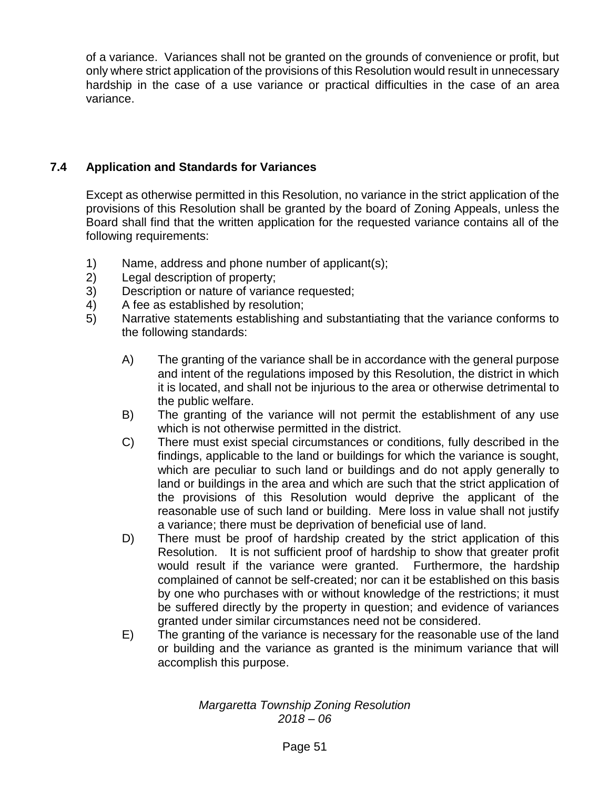of a variance. Variances shall not be granted on the grounds of convenience or profit, but only where strict application of the provisions of this Resolution would result in unnecessary hardship in the case of a use variance or practical difficulties in the case of an area variance.

# **7.4 Application and Standards for Variances**

Except as otherwise permitted in this Resolution, no variance in the strict application of the provisions of this Resolution shall be granted by the board of Zoning Appeals, unless the Board shall find that the written application for the requested variance contains all of the following requirements:

- 1) Name, address and phone number of applicant(s);
- 2) Legal description of property;
- 3) Description or nature of variance requested;
- 4) A fee as established by resolution;
- 5) Narrative statements establishing and substantiating that the variance conforms to the following standards:
	- A) The granting of the variance shall be in accordance with the general purpose and intent of the regulations imposed by this Resolution, the district in which it is located, and shall not be injurious to the area or otherwise detrimental to the public welfare.
	- B) The granting of the variance will not permit the establishment of any use which is not otherwise permitted in the district.
	- C) There must exist special circumstances or conditions, fully described in the findings, applicable to the land or buildings for which the variance is sought, which are peculiar to such land or buildings and do not apply generally to land or buildings in the area and which are such that the strict application of the provisions of this Resolution would deprive the applicant of the reasonable use of such land or building. Mere loss in value shall not justify a variance; there must be deprivation of beneficial use of land.
	- D) There must be proof of hardship created by the strict application of this Resolution. It is not sufficient proof of hardship to show that greater profit would result if the variance were granted. Furthermore, the hardship complained of cannot be self-created; nor can it be established on this basis by one who purchases with or without knowledge of the restrictions; it must be suffered directly by the property in question; and evidence of variances granted under similar circumstances need not be considered.
	- E) The granting of the variance is necessary for the reasonable use of the land or building and the variance as granted is the minimum variance that will accomplish this purpose.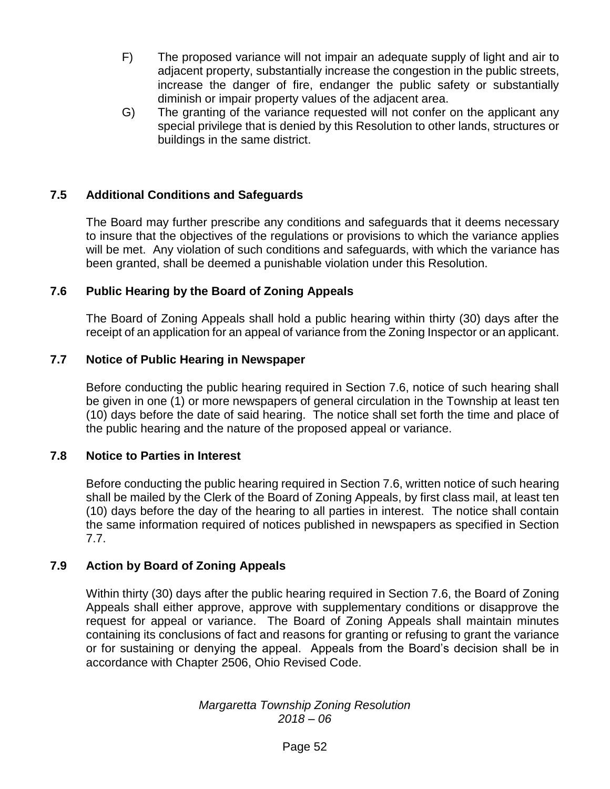- F) The proposed variance will not impair an adequate supply of light and air to adjacent property, substantially increase the congestion in the public streets, increase the danger of fire, endanger the public safety or substantially diminish or impair property values of the adjacent area.
- G) The granting of the variance requested will not confer on the applicant any special privilege that is denied by this Resolution to other lands, structures or buildings in the same district.

# **7.5 Additional Conditions and Safeguards**

The Board may further prescribe any conditions and safeguards that it deems necessary to insure that the objectives of the regulations or provisions to which the variance applies will be met. Any violation of such conditions and safeguards, with which the variance has been granted, shall be deemed a punishable violation under this Resolution.

#### **7.6 Public Hearing by the Board of Zoning Appeals**

The Board of Zoning Appeals shall hold a public hearing within thirty (30) days after the receipt of an application for an appeal of variance from the Zoning Inspector or an applicant.

#### **7.7 Notice of Public Hearing in Newspaper**

Before conducting the public hearing required in Section 7.6, notice of such hearing shall be given in one (1) or more newspapers of general circulation in the Township at least ten (10) days before the date of said hearing. The notice shall set forth the time and place of the public hearing and the nature of the proposed appeal or variance.

#### **7.8 Notice to Parties in Interest**

Before conducting the public hearing required in Section 7.6, written notice of such hearing shall be mailed by the Clerk of the Board of Zoning Appeals, by first class mail, at least ten (10) days before the day of the hearing to all parties in interest. The notice shall contain the same information required of notices published in newspapers as specified in Section 7.7.

#### **7.9 Action by Board of Zoning Appeals**

Within thirty (30) days after the public hearing required in Section 7.6, the Board of Zoning Appeals shall either approve, approve with supplementary conditions or disapprove the request for appeal or variance. The Board of Zoning Appeals shall maintain minutes containing its conclusions of fact and reasons for granting or refusing to grant the variance or for sustaining or denying the appeal. Appeals from the Board's decision shall be in accordance with Chapter 2506, Ohio Revised Code.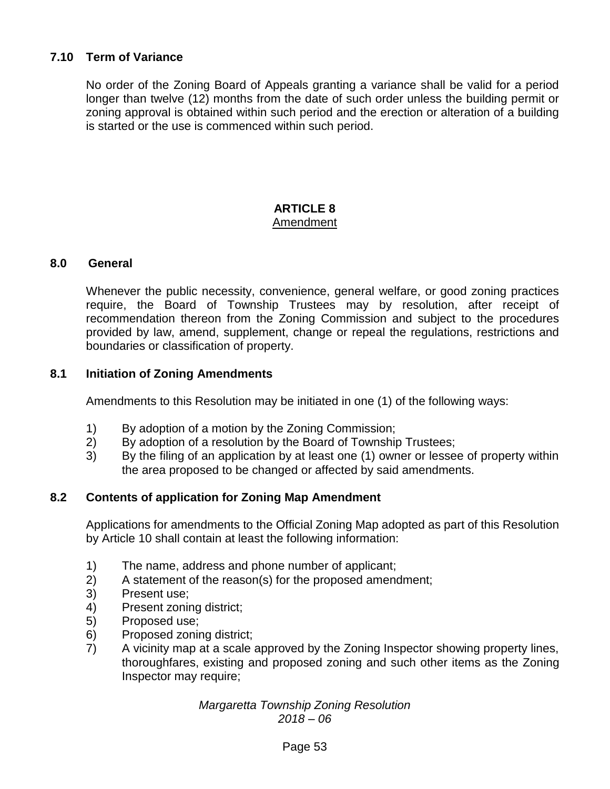# **7.10 Term of Variance**

No order of the Zoning Board of Appeals granting a variance shall be valid for a period longer than twelve (12) months from the date of such order unless the building permit or zoning approval is obtained within such period and the erection or alteration of a building is started or the use is commenced within such period.

#### **ARTICLE 8** Amendment

#### **8.0 General**

Whenever the public necessity, convenience, general welfare, or good zoning practices require, the Board of Township Trustees may by resolution, after receipt of recommendation thereon from the Zoning Commission and subject to the procedures provided by law, amend, supplement, change or repeal the regulations, restrictions and boundaries or classification of property.

## **8.1 Initiation of Zoning Amendments**

Amendments to this Resolution may be initiated in one (1) of the following ways:

- 1) By adoption of a motion by the Zoning Commission;
- 2) By adoption of a resolution by the Board of Township Trustees;
- 3) By the filing of an application by at least one (1) owner or lessee of property within the area proposed to be changed or affected by said amendments.

# **8.2 Contents of application for Zoning Map Amendment**

Applications for amendments to the Official Zoning Map adopted as part of this Resolution by Article 10 shall contain at least the following information:

- 1) The name, address and phone number of applicant;
- 2) A statement of the reason(s) for the proposed amendment;
- 3) Present use;
- 4) Present zoning district;
- 5) Proposed use;
- 6) Proposed zoning district;
- 7) A vicinity map at a scale approved by the Zoning Inspector showing property lines, thoroughfares, existing and proposed zoning and such other items as the Zoning Inspector may require;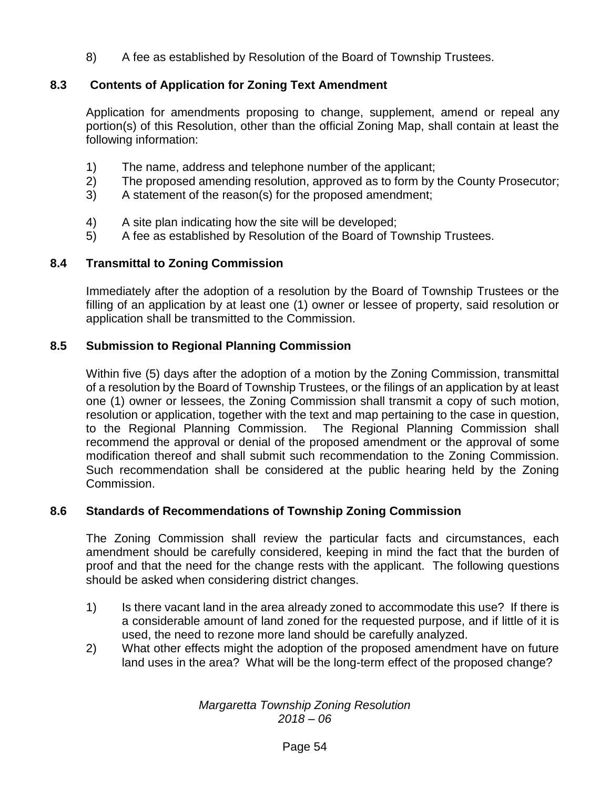8) A fee as established by Resolution of the Board of Township Trustees.

# **8.3 Contents of Application for Zoning Text Amendment**

Application for amendments proposing to change, supplement, amend or repeal any portion(s) of this Resolution, other than the official Zoning Map, shall contain at least the following information:

- 1) The name, address and telephone number of the applicant;
- 2) The proposed amending resolution, approved as to form by the County Prosecutor;
- 3) A statement of the reason(s) for the proposed amendment;
- 4) A site plan indicating how the site will be developed;
- 5) A fee as established by Resolution of the Board of Township Trustees.

# **8.4 Transmittal to Zoning Commission**

Immediately after the adoption of a resolution by the Board of Township Trustees or the filling of an application by at least one (1) owner or lessee of property, said resolution or application shall be transmitted to the Commission.

# **8.5 Submission to Regional Planning Commission**

Within five (5) days after the adoption of a motion by the Zoning Commission, transmittal of a resolution by the Board of Township Trustees, or the filings of an application by at least one (1) owner or lessees, the Zoning Commission shall transmit a copy of such motion, resolution or application, together with the text and map pertaining to the case in question, to the Regional Planning Commission. The Regional Planning Commission shall recommend the approval or denial of the proposed amendment or the approval of some modification thereof and shall submit such recommendation to the Zoning Commission. Such recommendation shall be considered at the public hearing held by the Zoning Commission.

# **8.6 Standards of Recommendations of Township Zoning Commission**

The Zoning Commission shall review the particular facts and circumstances, each amendment should be carefully considered, keeping in mind the fact that the burden of proof and that the need for the change rests with the applicant. The following questions should be asked when considering district changes.

- 1) Is there vacant land in the area already zoned to accommodate this use? If there is a considerable amount of land zoned for the requested purpose, and if little of it is used, the need to rezone more land should be carefully analyzed.
- 2) What other effects might the adoption of the proposed amendment have on future land uses in the area? What will be the long-term effect of the proposed change?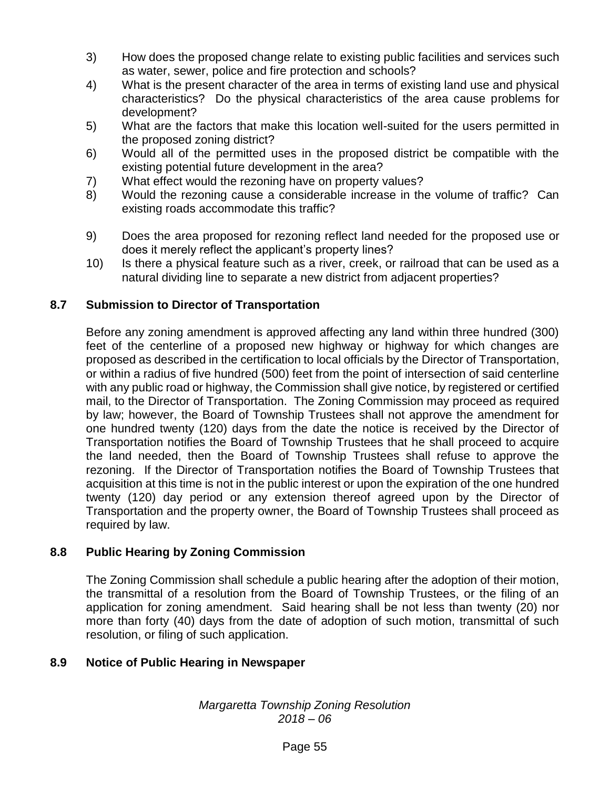- 3) How does the proposed change relate to existing public facilities and services such as water, sewer, police and fire protection and schools?
- 4) What is the present character of the area in terms of existing land use and physical characteristics? Do the physical characteristics of the area cause problems for development?
- 5) What are the factors that make this location well-suited for the users permitted in the proposed zoning district?
- 6) Would all of the permitted uses in the proposed district be compatible with the existing potential future development in the area?
- 7) What effect would the rezoning have on property values?
- 8) Would the rezoning cause a considerable increase in the volume of traffic? Can existing roads accommodate this traffic?
- 9) Does the area proposed for rezoning reflect land needed for the proposed use or does it merely reflect the applicant's property lines?
- 10) Is there a physical feature such as a river, creek, or railroad that can be used as a natural dividing line to separate a new district from adjacent properties?

# **8.7 Submission to Director of Transportation**

Before any zoning amendment is approved affecting any land within three hundred (300) feet of the centerline of a proposed new highway or highway for which changes are proposed as described in the certification to local officials by the Director of Transportation, or within a radius of five hundred (500) feet from the point of intersection of said centerline with any public road or highway, the Commission shall give notice, by registered or certified mail, to the Director of Transportation. The Zoning Commission may proceed as required by law; however, the Board of Township Trustees shall not approve the amendment for one hundred twenty (120) days from the date the notice is received by the Director of Transportation notifies the Board of Township Trustees that he shall proceed to acquire the land needed, then the Board of Township Trustees shall refuse to approve the rezoning. If the Director of Transportation notifies the Board of Township Trustees that acquisition at this time is not in the public interest or upon the expiration of the one hundred twenty (120) day period or any extension thereof agreed upon by the Director of Transportation and the property owner, the Board of Township Trustees shall proceed as required by law.

# **8.8 Public Hearing by Zoning Commission**

The Zoning Commission shall schedule a public hearing after the adoption of their motion, the transmittal of a resolution from the Board of Township Trustees, or the filing of an application for zoning amendment. Said hearing shall be not less than twenty (20) nor more than forty (40) days from the date of adoption of such motion, transmittal of such resolution, or filing of such application.

# **8.9 Notice of Public Hearing in Newspaper**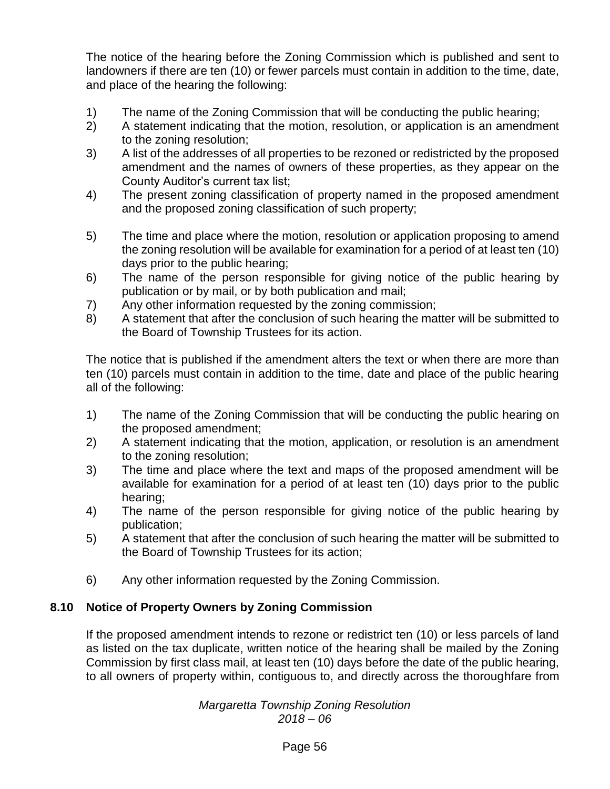The notice of the hearing before the Zoning Commission which is published and sent to landowners if there are ten (10) or fewer parcels must contain in addition to the time, date, and place of the hearing the following:

- 1) The name of the Zoning Commission that will be conducting the public hearing;
- 2) A statement indicating that the motion, resolution, or application is an amendment to the zoning resolution;
- 3) A list of the addresses of all properties to be rezoned or redistricted by the proposed amendment and the names of owners of these properties, as they appear on the County Auditor's current tax list;
- 4) The present zoning classification of property named in the proposed amendment and the proposed zoning classification of such property;
- 5) The time and place where the motion, resolution or application proposing to amend the zoning resolution will be available for examination for a period of at least ten (10) days prior to the public hearing;
- 6) The name of the person responsible for giving notice of the public hearing by publication or by mail, or by both publication and mail;
- 7) Any other information requested by the zoning commission;
- 8) A statement that after the conclusion of such hearing the matter will be submitted to the Board of Township Trustees for its action.

The notice that is published if the amendment alters the text or when there are more than ten (10) parcels must contain in addition to the time, date and place of the public hearing all of the following:

- 1) The name of the Zoning Commission that will be conducting the public hearing on the proposed amendment;
- 2) A statement indicating that the motion, application, or resolution is an amendment to the zoning resolution;
- 3) The time and place where the text and maps of the proposed amendment will be available for examination for a period of at least ten (10) days prior to the public hearing;
- 4) The name of the person responsible for giving notice of the public hearing by publication;
- 5) A statement that after the conclusion of such hearing the matter will be submitted to the Board of Township Trustees for its action;
- 6) Any other information requested by the Zoning Commission.

# **8.10 Notice of Property Owners by Zoning Commission**

If the proposed amendment intends to rezone or redistrict ten (10) or less parcels of land as listed on the tax duplicate, written notice of the hearing shall be mailed by the Zoning Commission by first class mail, at least ten (10) days before the date of the public hearing, to all owners of property within, contiguous to, and directly across the thoroughfare from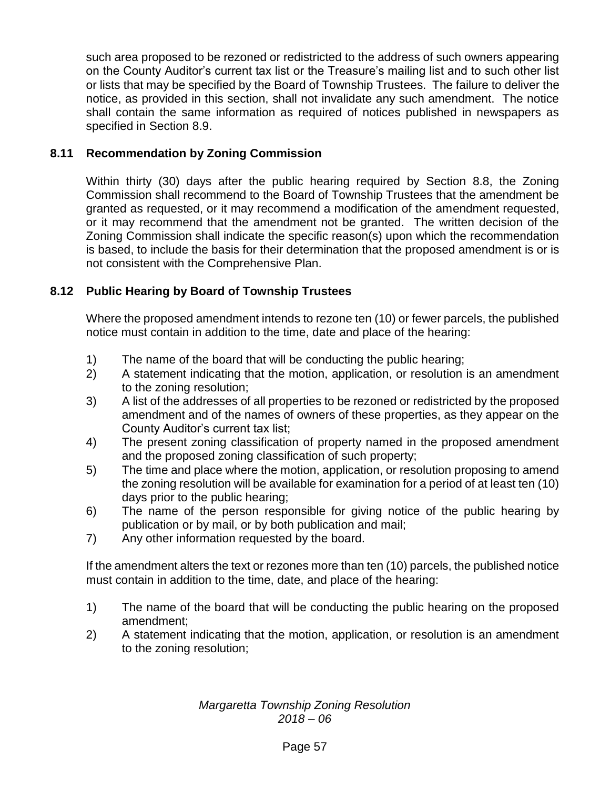such area proposed to be rezoned or redistricted to the address of such owners appearing on the County Auditor's current tax list or the Treasure's mailing list and to such other list or lists that may be specified by the Board of Township Trustees. The failure to deliver the notice, as provided in this section, shall not invalidate any such amendment. The notice shall contain the same information as required of notices published in newspapers as specified in Section 8.9.

# **8.11 Recommendation by Zoning Commission**

Within thirty (30) days after the public hearing required by Section 8.8, the Zoning Commission shall recommend to the Board of Township Trustees that the amendment be granted as requested, or it may recommend a modification of the amendment requested, or it may recommend that the amendment not be granted. The written decision of the Zoning Commission shall indicate the specific reason(s) upon which the recommendation is based, to include the basis for their determination that the proposed amendment is or is not consistent with the Comprehensive Plan.

## **8.12 Public Hearing by Board of Township Trustees**

Where the proposed amendment intends to rezone ten (10) or fewer parcels, the published notice must contain in addition to the time, date and place of the hearing:

- 1) The name of the board that will be conducting the public hearing;
- 2) A statement indicating that the motion, application, or resolution is an amendment to the zoning resolution;
- 3) A list of the addresses of all properties to be rezoned or redistricted by the proposed amendment and of the names of owners of these properties, as they appear on the County Auditor's current tax list;
- 4) The present zoning classification of property named in the proposed amendment and the proposed zoning classification of such property;
- 5) The time and place where the motion, application, or resolution proposing to amend the zoning resolution will be available for examination for a period of at least ten (10) days prior to the public hearing;
- 6) The name of the person responsible for giving notice of the public hearing by publication or by mail, or by both publication and mail;
- 7) Any other information requested by the board.

If the amendment alters the text or rezones more than ten (10) parcels, the published notice must contain in addition to the time, date, and place of the hearing:

- 1) The name of the board that will be conducting the public hearing on the proposed amendment;
- 2) A statement indicating that the motion, application, or resolution is an amendment to the zoning resolution;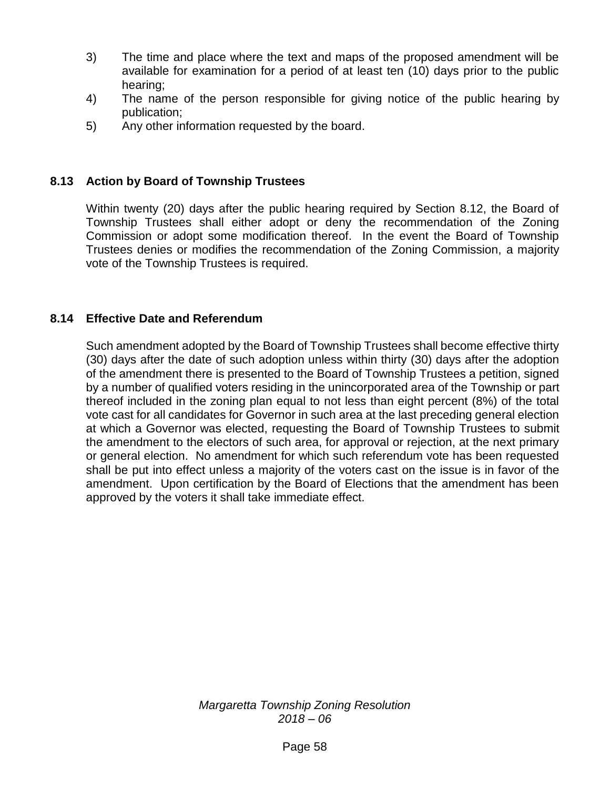- 3) The time and place where the text and maps of the proposed amendment will be available for examination for a period of at least ten (10) days prior to the public hearing;
- 4) The name of the person responsible for giving notice of the public hearing by publication;
- 5) Any other information requested by the board.

## **8.13 Action by Board of Township Trustees**

Within twenty (20) days after the public hearing required by Section 8.12, the Board of Township Trustees shall either adopt or deny the recommendation of the Zoning Commission or adopt some modification thereof. In the event the Board of Township Trustees denies or modifies the recommendation of the Zoning Commission, a majority vote of the Township Trustees is required.

#### **8.14 Effective Date and Referendum**

Such amendment adopted by the Board of Township Trustees shall become effective thirty (30) days after the date of such adoption unless within thirty (30) days after the adoption of the amendment there is presented to the Board of Township Trustees a petition, signed by a number of qualified voters residing in the unincorporated area of the Township or part thereof included in the zoning plan equal to not less than eight percent (8%) of the total vote cast for all candidates for Governor in such area at the last preceding general election at which a Governor was elected, requesting the Board of Township Trustees to submit the amendment to the electors of such area, for approval or rejection, at the next primary or general election. No amendment for which such referendum vote has been requested shall be put into effect unless a majority of the voters cast on the issue is in favor of the amendment. Upon certification by the Board of Elections that the amendment has been approved by the voters it shall take immediate effect.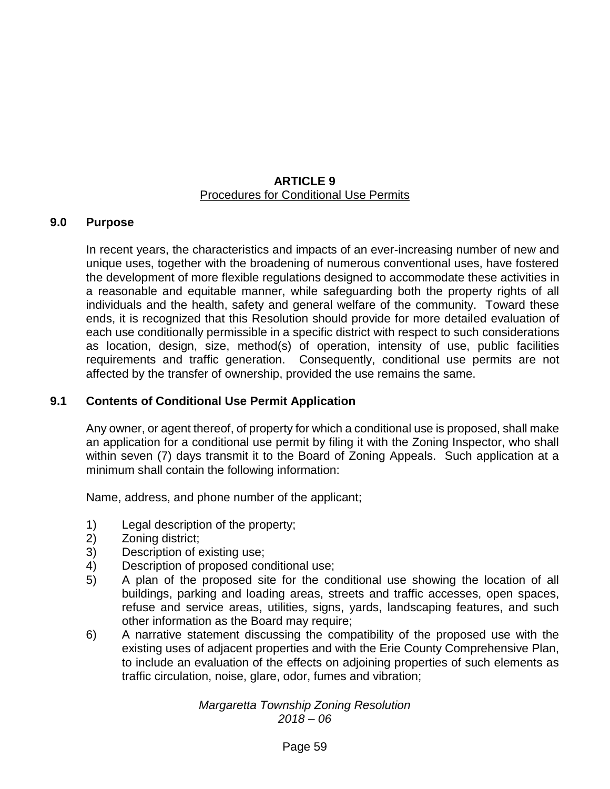#### **ARTICLE 9** Procedures for Conditional Use Permits

#### **9.0 Purpose**

In recent years, the characteristics and impacts of an ever-increasing number of new and unique uses, together with the broadening of numerous conventional uses, have fostered the development of more flexible regulations designed to accommodate these activities in a reasonable and equitable manner, while safeguarding both the property rights of all individuals and the health, safety and general welfare of the community. Toward these ends, it is recognized that this Resolution should provide for more detailed evaluation of each use conditionally permissible in a specific district with respect to such considerations as location, design, size, method(s) of operation, intensity of use, public facilities requirements and traffic generation. Consequently, conditional use permits are not affected by the transfer of ownership, provided the use remains the same.

#### **9.1 Contents of Conditional Use Permit Application**

Any owner, or agent thereof, of property for which a conditional use is proposed, shall make an application for a conditional use permit by filing it with the Zoning Inspector, who shall within seven (7) days transmit it to the Board of Zoning Appeals. Such application at a minimum shall contain the following information:

Name, address, and phone number of the applicant;

- 1) Legal description of the property;
- 2) Zoning district;
- 3) Description of existing use;
- 4) Description of proposed conditional use;
- 5) A plan of the proposed site for the conditional use showing the location of all buildings, parking and loading areas, streets and traffic accesses, open spaces, refuse and service areas, utilities, signs, yards, landscaping features, and such other information as the Board may require;
- 6) A narrative statement discussing the compatibility of the proposed use with the existing uses of adjacent properties and with the Erie County Comprehensive Plan, to include an evaluation of the effects on adjoining properties of such elements as traffic circulation, noise, glare, odor, fumes and vibration;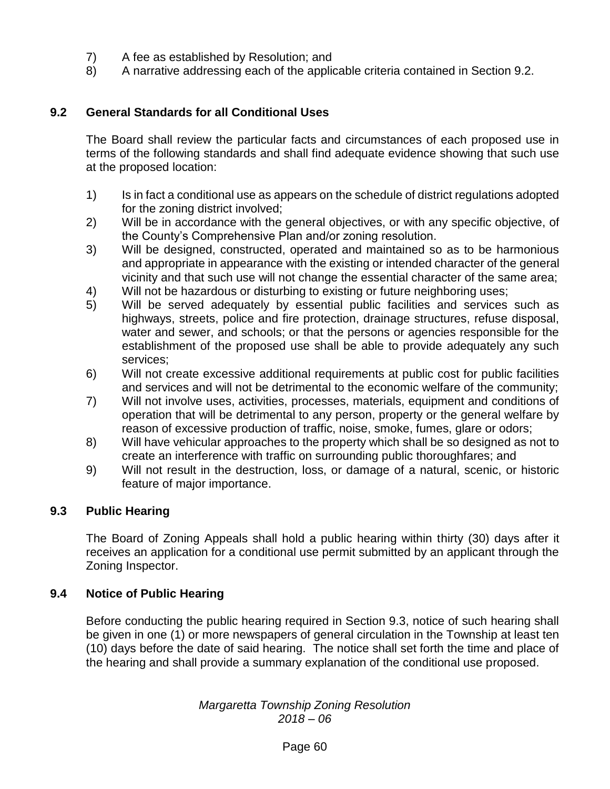- 7) A fee as established by Resolution; and
- 8) A narrative addressing each of the applicable criteria contained in Section 9.2.

# **9.2 General Standards for all Conditional Uses**

The Board shall review the particular facts and circumstances of each proposed use in terms of the following standards and shall find adequate evidence showing that such use at the proposed location:

- 1) Is in fact a conditional use as appears on the schedule of district regulations adopted for the zoning district involved;
- 2) Will be in accordance with the general objectives, or with any specific objective, of the County's Comprehensive Plan and/or zoning resolution.
- 3) Will be designed, constructed, operated and maintained so as to be harmonious and appropriate in appearance with the existing or intended character of the general vicinity and that such use will not change the essential character of the same area;
- 4) Will not be hazardous or disturbing to existing or future neighboring uses;
- 5) Will be served adequately by essential public facilities and services such as highways, streets, police and fire protection, drainage structures, refuse disposal, water and sewer, and schools; or that the persons or agencies responsible for the establishment of the proposed use shall be able to provide adequately any such services;
- 6) Will not create excessive additional requirements at public cost for public facilities and services and will not be detrimental to the economic welfare of the community;
- 7) Will not involve uses, activities, processes, materials, equipment and conditions of operation that will be detrimental to any person, property or the general welfare by reason of excessive production of traffic, noise, smoke, fumes, glare or odors;
- 8) Will have vehicular approaches to the property which shall be so designed as not to create an interference with traffic on surrounding public thoroughfares; and
- 9) Will not result in the destruction, loss, or damage of a natural, scenic, or historic feature of major importance.

# **9.3 Public Hearing**

The Board of Zoning Appeals shall hold a public hearing within thirty (30) days after it receives an application for a conditional use permit submitted by an applicant through the Zoning Inspector.

# **9.4 Notice of Public Hearing**

Before conducting the public hearing required in Section 9.3, notice of such hearing shall be given in one (1) or more newspapers of general circulation in the Township at least ten (10) days before the date of said hearing. The notice shall set forth the time and place of the hearing and shall provide a summary explanation of the conditional use proposed.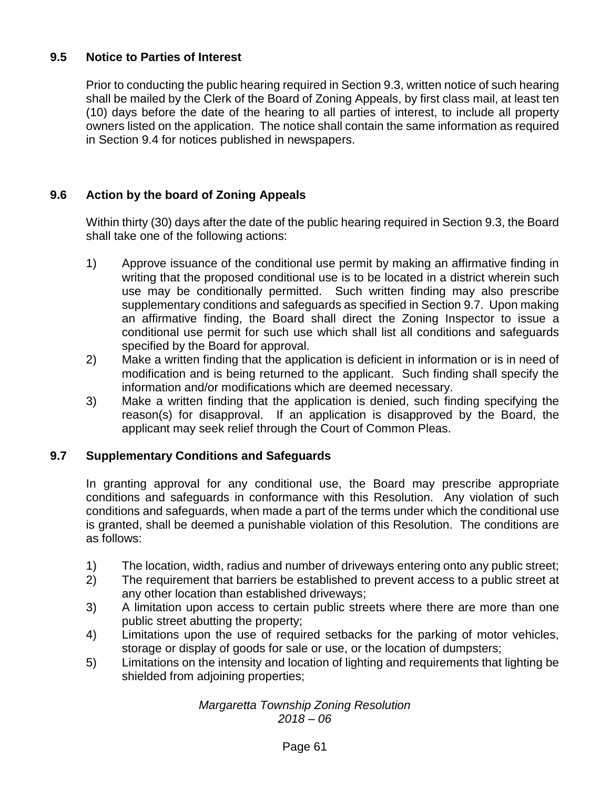# **9.5 Notice to Parties of Interest**

Prior to conducting the public hearing required in Section 9.3, written notice of such hearing shall be mailed by the Clerk of the Board of Zoning Appeals, by first class mail, at least ten (10) days before the date of the hearing to all parties of interest, to include all property owners listed on the application. The notice shall contain the same information as required in Section 9.4 for notices published in newspapers.

# **9.6 Action by the board of Zoning Appeals**

Within thirty (30) days after the date of the public hearing required in Section 9.3, the Board shall take one of the following actions:

- 1) Approve issuance of the conditional use permit by making an affirmative finding in writing that the proposed conditional use is to be located in a district wherein such use may be conditionally permitted. Such written finding may also prescribe supplementary conditions and safeguards as specified in Section 9.7. Upon making an affirmative finding, the Board shall direct the Zoning Inspector to issue a conditional use permit for such use which shall list all conditions and safeguards specified by the Board for approval.
- 2) Make a written finding that the application is deficient in information or is in need of modification and is being returned to the applicant. Such finding shall specify the information and/or modifications which are deemed necessary.
- 3) Make a written finding that the application is denied, such finding specifying the reason(s) for disapproval. If an application is disapproved by the Board, the applicant may seek relief through the Court of Common Pleas.

# **9.7 Supplementary Conditions and Safeguards**

In granting approval for any conditional use, the Board may prescribe appropriate conditions and safeguards in conformance with this Resolution. Any violation of such conditions and safeguards, when made a part of the terms under which the conditional use is granted, shall be deemed a punishable violation of this Resolution. The conditions are as follows:

- 1) The location, width, radius and number of driveways entering onto any public street;
- 2) The requirement that barriers be established to prevent access to a public street at any other location than established driveways;
- 3) A limitation upon access to certain public streets where there are more than one public street abutting the property;
- 4) Limitations upon the use of required setbacks for the parking of motor vehicles, storage or display of goods for sale or use, or the location of dumpsters;
- 5) Limitations on the intensity and location of lighting and requirements that lighting be shielded from adjoining properties;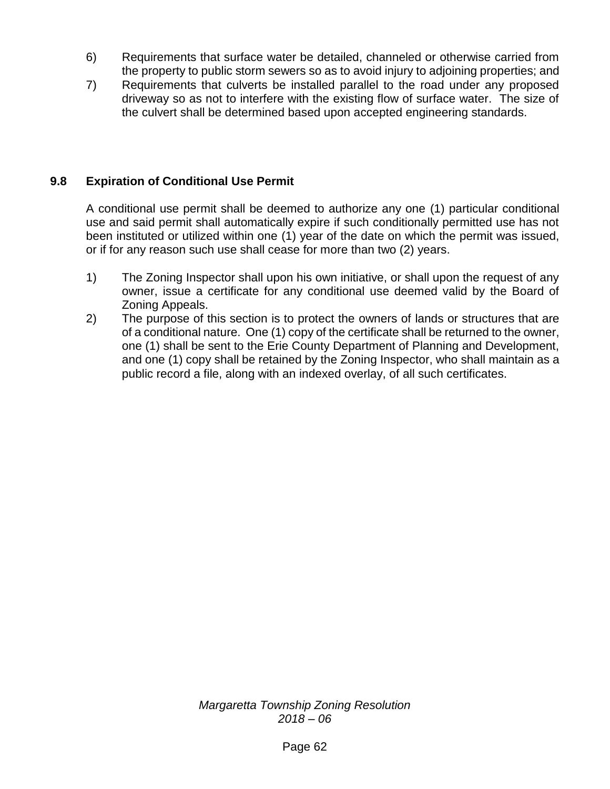- 6) Requirements that surface water be detailed, channeled or otherwise carried from the property to public storm sewers so as to avoid injury to adjoining properties; and
- 7) Requirements that culverts be installed parallel to the road under any proposed driveway so as not to interfere with the existing flow of surface water. The size of the culvert shall be determined based upon accepted engineering standards.

# **9.8 Expiration of Conditional Use Permit**

A conditional use permit shall be deemed to authorize any one (1) particular conditional use and said permit shall automatically expire if such conditionally permitted use has not been instituted or utilized within one (1) year of the date on which the permit was issued, or if for any reason such use shall cease for more than two (2) years.

- 1) The Zoning Inspector shall upon his own initiative, or shall upon the request of any owner, issue a certificate for any conditional use deemed valid by the Board of Zoning Appeals.
- 2) The purpose of this section is to protect the owners of lands or structures that are of a conditional nature. One (1) copy of the certificate shall be returned to the owner, one (1) shall be sent to the Erie County Department of Planning and Development, and one (1) copy shall be retained by the Zoning Inspector, who shall maintain as a public record a file, along with an indexed overlay, of all such certificates.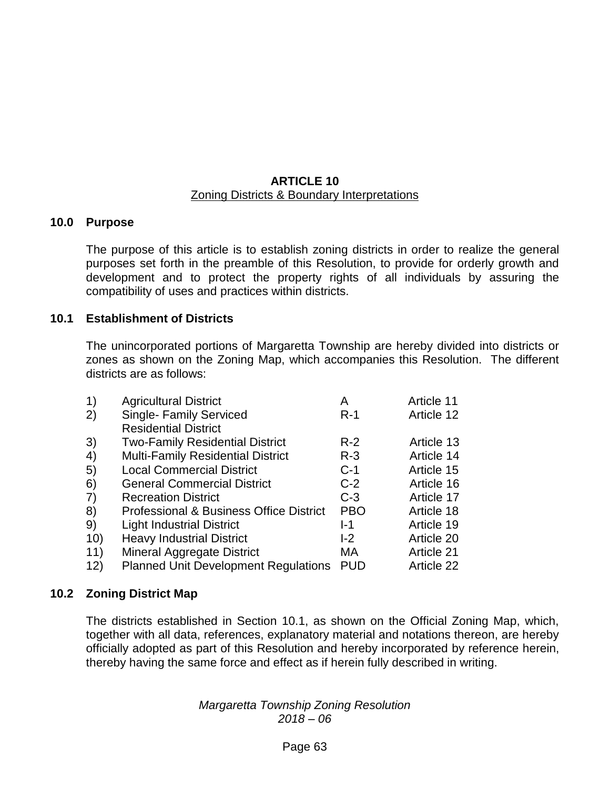#### **ARTICLE 10** Zoning Districts & Boundary Interpretations

#### **10.0 Purpose**

The purpose of this article is to establish zoning districts in order to realize the general purposes set forth in the preamble of this Resolution, to provide for orderly growth and development and to protect the property rights of all individuals by assuring the compatibility of uses and practices within districts.

#### **10.1 Establishment of Districts**

The unincorporated portions of Margaretta Township are hereby divided into districts or zones as shown on the Zoning Map, which accompanies this Resolution. The different districts are as follows:

| $\left( \begin{matrix} 1 \end{matrix} \right)$ | <b>Agricultural District</b>                       | А          | Article 11 |
|------------------------------------------------|----------------------------------------------------|------------|------------|
| (2)                                            | <b>Single- Family Serviced</b>                     | $R-1$      | Article 12 |
|                                                | <b>Residential District</b>                        |            |            |
| 3)                                             | <b>Two-Family Residential District</b>             | $R-2$      | Article 13 |
| 4)                                             | <b>Multi-Family Residential District</b>           | $R-3$      | Article 14 |
| 5)                                             | <b>Local Commercial District</b>                   | $C-1$      | Article 15 |
| 6)                                             | <b>General Commercial District</b>                 | $C-2$      | Article 16 |
| $\left( 7\right)$                              | <b>Recreation District</b>                         | $C-3$      | Article 17 |
| 8)                                             | <b>Professional &amp; Business Office District</b> | <b>PBO</b> | Article 18 |
| 9)                                             | <b>Light Industrial District</b>                   | l-1        | Article 19 |
| 10)                                            | <b>Heavy Industrial District</b>                   | $-2$       | Article 20 |
| 11)                                            | <b>Mineral Aggregate District</b>                  | МA         | Article 21 |
| 12)                                            | <b>Planned Unit Development Regulations</b>        | <b>PUD</b> | Article 22 |

#### **10.2 Zoning District Map**

The districts established in Section 10.1, as shown on the Official Zoning Map, which, together with all data, references, explanatory material and notations thereon, are hereby officially adopted as part of this Resolution and hereby incorporated by reference herein, thereby having the same force and effect as if herein fully described in writing.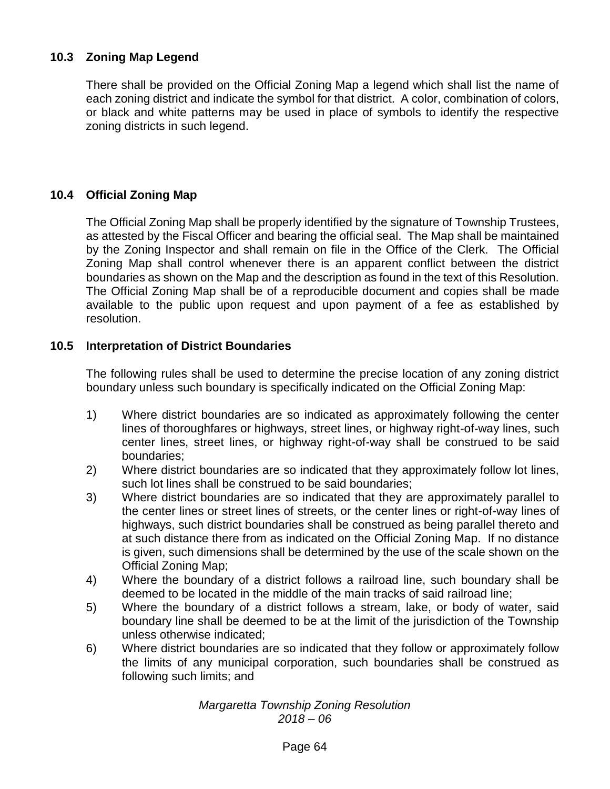# **10.3 Zoning Map Legend**

There shall be provided on the Official Zoning Map a legend which shall list the name of each zoning district and indicate the symbol for that district. A color, combination of colors, or black and white patterns may be used in place of symbols to identify the respective zoning districts in such legend.

# **10.4 Official Zoning Map**

The Official Zoning Map shall be properly identified by the signature of Township Trustees, as attested by the Fiscal Officer and bearing the official seal. The Map shall be maintained by the Zoning Inspector and shall remain on file in the Office of the Clerk. The Official Zoning Map shall control whenever there is an apparent conflict between the district boundaries as shown on the Map and the description as found in the text of this Resolution. The Official Zoning Map shall be of a reproducible document and copies shall be made available to the public upon request and upon payment of a fee as established by resolution.

## **10.5 Interpretation of District Boundaries**

The following rules shall be used to determine the precise location of any zoning district boundary unless such boundary is specifically indicated on the Official Zoning Map:

- 1) Where district boundaries are so indicated as approximately following the center lines of thoroughfares or highways, street lines, or highway right-of-way lines, such center lines, street lines, or highway right-of-way shall be construed to be said boundaries;
- 2) Where district boundaries are so indicated that they approximately follow lot lines, such lot lines shall be construed to be said boundaries:
- 3) Where district boundaries are so indicated that they are approximately parallel to the center lines or street lines of streets, or the center lines or right-of-way lines of highways, such district boundaries shall be construed as being parallel thereto and at such distance there from as indicated on the Official Zoning Map. If no distance is given, such dimensions shall be determined by the use of the scale shown on the Official Zoning Map;
- 4) Where the boundary of a district follows a railroad line, such boundary shall be deemed to be located in the middle of the main tracks of said railroad line;
- 5) Where the boundary of a district follows a stream, lake, or body of water, said boundary line shall be deemed to be at the limit of the jurisdiction of the Township unless otherwise indicated;
- 6) Where district boundaries are so indicated that they follow or approximately follow the limits of any municipal corporation, such boundaries shall be construed as following such limits; and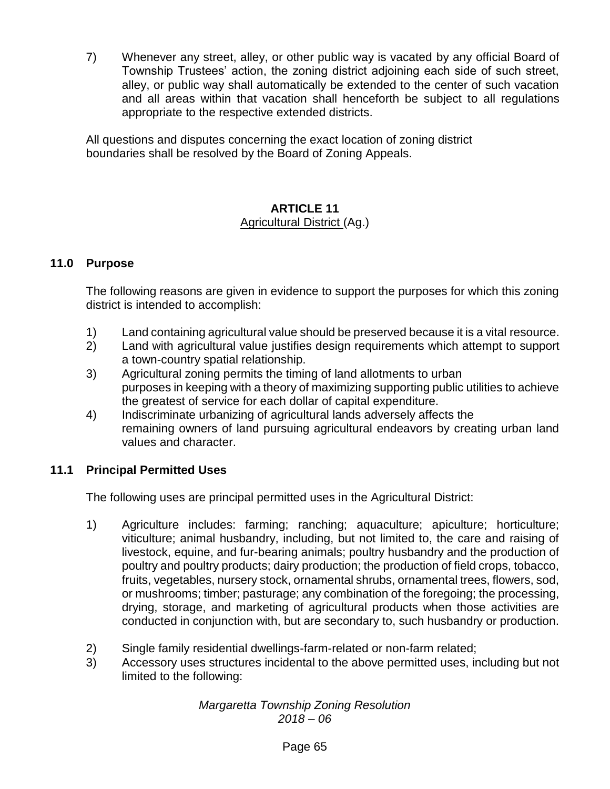7) Whenever any street, alley, or other public way is vacated by any official Board of Township Trustees' action, the zoning district adjoining each side of such street, alley, or public way shall automatically be extended to the center of such vacation and all areas within that vacation shall henceforth be subject to all regulations appropriate to the respective extended districts.

All questions and disputes concerning the exact location of zoning district boundaries shall be resolved by the Board of Zoning Appeals.

# **ARTICLE 11**

# Agricultural District (Ag.)

# **11.0 Purpose**

The following reasons are given in evidence to support the purposes for which this zoning district is intended to accomplish:

- 1) Land containing agricultural value should be preserved because it is a vital resource.
- 2) Land with agricultural value justifies design requirements which attempt to support a town-country spatial relationship.
- 3) Agricultural zoning permits the timing of land allotments to urban purposes in keeping with a theory of maximizing supporting public utilities to achieve the greatest of service for each dollar of capital expenditure.
- 4) Indiscriminate urbanizing of agricultural lands adversely affects the remaining owners of land pursuing agricultural endeavors by creating urban land values and character.

# **11.1 Principal Permitted Uses**

The following uses are principal permitted uses in the Agricultural District:

- 1) Agriculture includes: farming; ranching; aquaculture; apiculture; horticulture; viticulture; animal husbandry, including, but not limited to, the care and raising of livestock, equine, and fur-bearing animals; poultry husbandry and the production of poultry and poultry products; dairy production; the production of field crops, tobacco, fruits, vegetables, nursery stock, ornamental shrubs, ornamental trees, flowers, sod, or mushrooms; timber; pasturage; any combination of the foregoing; the processing, drying, storage, and marketing of agricultural products when those activities are conducted in conjunction with, but are secondary to, such husbandry or production.
- 2) Single family residential dwellings-farm-related or non-farm related;
- 3) Accessory uses structures incidental to the above permitted uses, including but not limited to the following: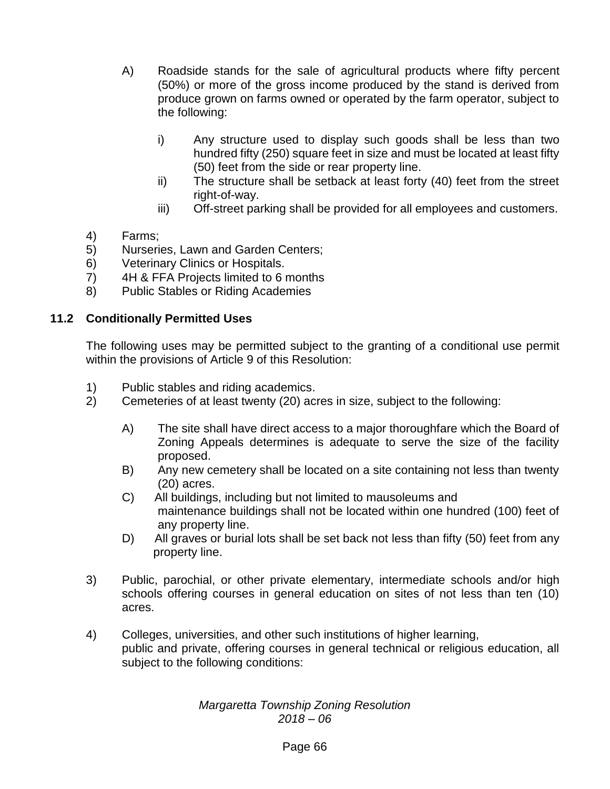- A) Roadside stands for the sale of agricultural products where fifty percent (50%) or more of the gross income produced by the stand is derived from produce grown on farms owned or operated by the farm operator, subject to the following:
	- i) Any structure used to display such goods shall be less than two hundred fifty (250) square feet in size and must be located at least fifty (50) feet from the side or rear property line.
	- ii) The structure shall be setback at least forty (40) feet from the street right-of-way.
	- iii) Off-street parking shall be provided for all employees and customers.
- 4) Farms;
- 5) Nurseries, Lawn and Garden Centers;
- 6) Veterinary Clinics or Hospitals.
- 7) 4H & FFA Projects limited to 6 months
- 8) Public Stables or Riding Academies

#### **11.2 Conditionally Permitted Uses**

The following uses may be permitted subject to the granting of a conditional use permit within the provisions of Article 9 of this Resolution:

- 1) Public stables and riding academics.
- 2) Cemeteries of at least twenty (20) acres in size, subject to the following:
	- A) The site shall have direct access to a major thoroughfare which the Board of Zoning Appeals determines is adequate to serve the size of the facility proposed.
	- B) Any new cemetery shall be located on a site containing not less than twenty (20) acres.
	- C) All buildings, including but not limited to mausoleums and maintenance buildings shall not be located within one hundred (100) feet of any property line.
	- D) All graves or burial lots shall be set back not less than fifty (50) feet from any property line.
- 3) Public, parochial, or other private elementary, intermediate schools and/or high schools offering courses in general education on sites of not less than ten (10) acres.
- 4) Colleges, universities, and other such institutions of higher learning, public and private, offering courses in general technical or religious education, all subject to the following conditions: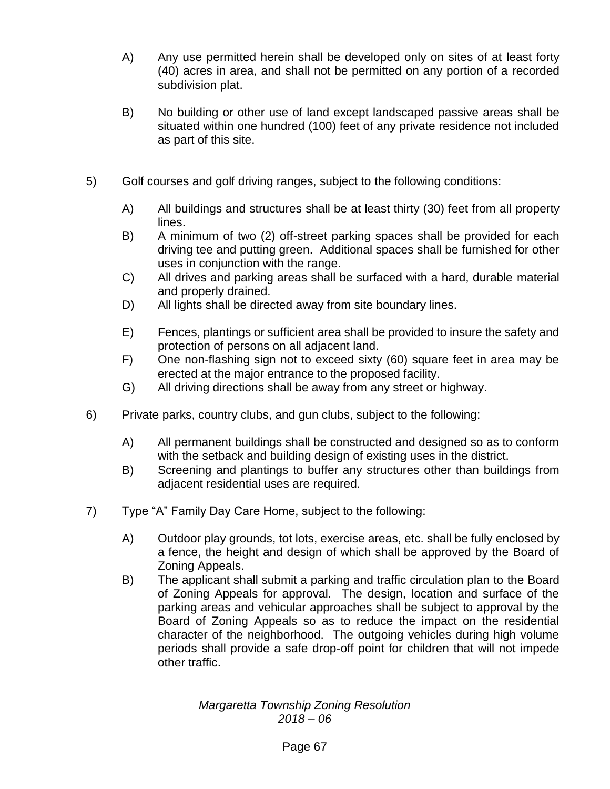- A) Any use permitted herein shall be developed only on sites of at least forty (40) acres in area, and shall not be permitted on any portion of a recorded subdivision plat.
- B) No building or other use of land except landscaped passive areas shall be situated within one hundred (100) feet of any private residence not included as part of this site.
- 5) Golf courses and golf driving ranges, subject to the following conditions:
	- A) All buildings and structures shall be at least thirty (30) feet from all property lines.
	- B) A minimum of two (2) off-street parking spaces shall be provided for each driving tee and putting green. Additional spaces shall be furnished for other uses in conjunction with the range.
	- C) All drives and parking areas shall be surfaced with a hard, durable material and properly drained.
	- D) All lights shall be directed away from site boundary lines.
	- E) Fences, plantings or sufficient area shall be provided to insure the safety and protection of persons on all adjacent land.
	- F) One non-flashing sign not to exceed sixty (60) square feet in area may be erected at the major entrance to the proposed facility.
	- G) All driving directions shall be away from any street or highway.
- 6) Private parks, country clubs, and gun clubs, subject to the following:
	- A) All permanent buildings shall be constructed and designed so as to conform with the setback and building design of existing uses in the district.
	- B) Screening and plantings to buffer any structures other than buildings from adjacent residential uses are required.
- 7) Type "A" Family Day Care Home, subject to the following:
	- A) Outdoor play grounds, tot lots, exercise areas, etc. shall be fully enclosed by a fence, the height and design of which shall be approved by the Board of Zoning Appeals.
	- B) The applicant shall submit a parking and traffic circulation plan to the Board of Zoning Appeals for approval. The design, location and surface of the parking areas and vehicular approaches shall be subject to approval by the Board of Zoning Appeals so as to reduce the impact on the residential character of the neighborhood. The outgoing vehicles during high volume periods shall provide a safe drop-off point for children that will not impede other traffic.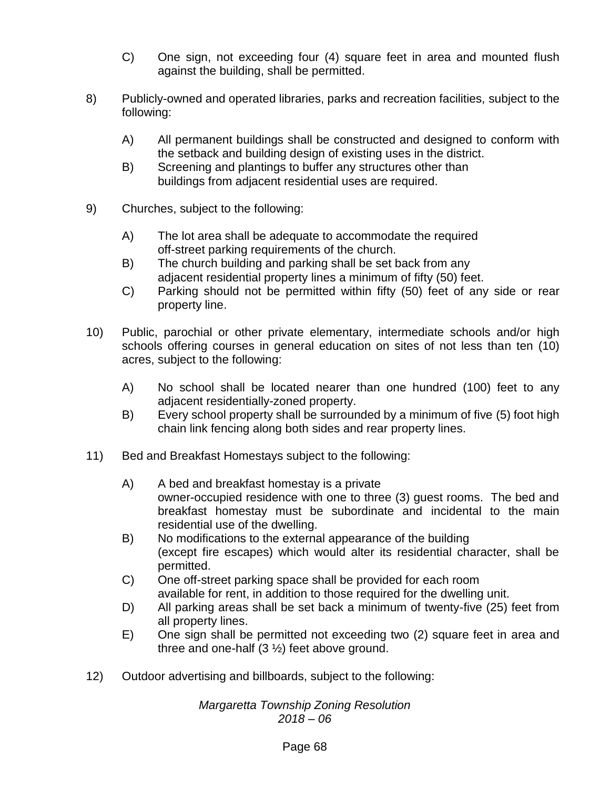- C) One sign, not exceeding four (4) square feet in area and mounted flush against the building, shall be permitted.
- 8) Publicly-owned and operated libraries, parks and recreation facilities, subject to the following:
	- A) All permanent buildings shall be constructed and designed to conform with the setback and building design of existing uses in the district.
	- B) Screening and plantings to buffer any structures other than buildings from adjacent residential uses are required.
- 9) Churches, subject to the following:
	- A) The lot area shall be adequate to accommodate the required off-street parking requirements of the church.
	- B) The church building and parking shall be set back from any adjacent residential property lines a minimum of fifty (50) feet.
	- C) Parking should not be permitted within fifty (50) feet of any side or rear property line.
- 10) Public, parochial or other private elementary, intermediate schools and/or high schools offering courses in general education on sites of not less than ten (10) acres, subject to the following:
	- A) No school shall be located nearer than one hundred (100) feet to any adjacent residentially-zoned property.
	- B) Every school property shall be surrounded by a minimum of five (5) foot high chain link fencing along both sides and rear property lines.
- 11) Bed and Breakfast Homestays subject to the following:
	- A) A bed and breakfast homestay is a private owner-occupied residence with one to three (3) guest rooms. The bed and breakfast homestay must be subordinate and incidental to the main residential use of the dwelling.
	- B) No modifications to the external appearance of the building (except fire escapes) which would alter its residential character, shall be permitted.
	- C) One off-street parking space shall be provided for each room available for rent, in addition to those required for the dwelling unit.
	- D) All parking areas shall be set back a minimum of twenty-five (25) feet from all property lines.
	- E) One sign shall be permitted not exceeding two (2) square feet in area and three and one-half (3 ½) feet above ground.
- 12) Outdoor advertising and billboards, subject to the following: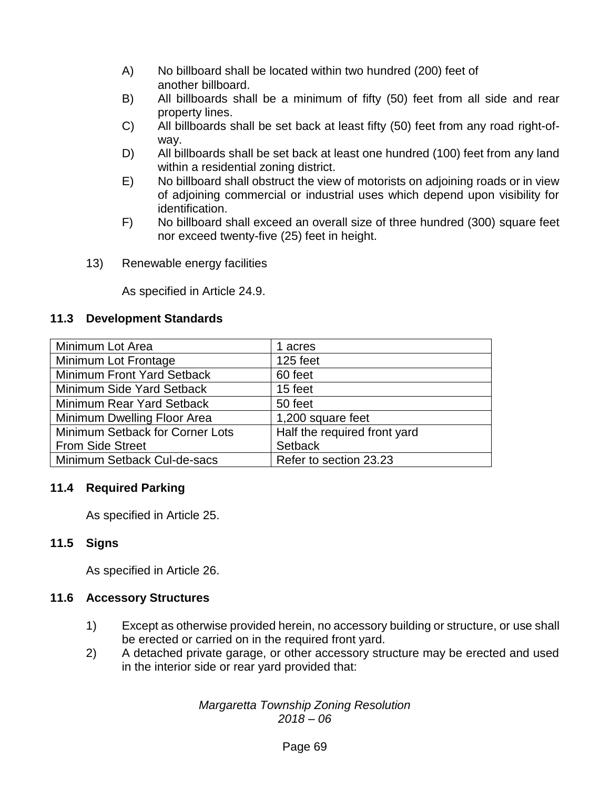- A) No billboard shall be located within two hundred (200) feet of another billboard.
- B) All billboards shall be a minimum of fifty (50) feet from all side and rear property lines.
- C) All billboards shall be set back at least fifty (50) feet from any road right-ofway.
- D) All billboards shall be set back at least one hundred (100) feet from any land within a residential zoning district.
- E) No billboard shall obstruct the view of motorists on adjoining roads or in view of adjoining commercial or industrial uses which depend upon visibility for identification.
- F) No billboard shall exceed an overall size of three hundred (300) square feet nor exceed twenty-five (25) feet in height.
- 13) Renewable energy facilities

As specified in Article 24.9.

## **11.3 Development Standards**

| Minimum Lot Area                | 1 acres                      |
|---------------------------------|------------------------------|
| Minimum Lot Frontage            | 125 feet                     |
| Minimum Front Yard Setback      | 60 feet                      |
| Minimum Side Yard Setback       | 15 feet                      |
| Minimum Rear Yard Setback       | 50 feet                      |
| Minimum Dwelling Floor Area     | 1,200 square feet            |
| Minimum Setback for Corner Lots | Half the required front yard |
| <b>From Side Street</b>         | <b>Setback</b>               |
| Minimum Setback Cul-de-sacs     | Refer to section 23.23       |

## **11.4 Required Parking**

As specified in Article 25.

## **11.5 Signs**

As specified in Article 26.

#### **11.6 Accessory Structures**

- 1) Except as otherwise provided herein, no accessory building or structure, or use shall be erected or carried on in the required front yard.
- 2) A detached private garage, or other accessory structure may be erected and used in the interior side or rear yard provided that: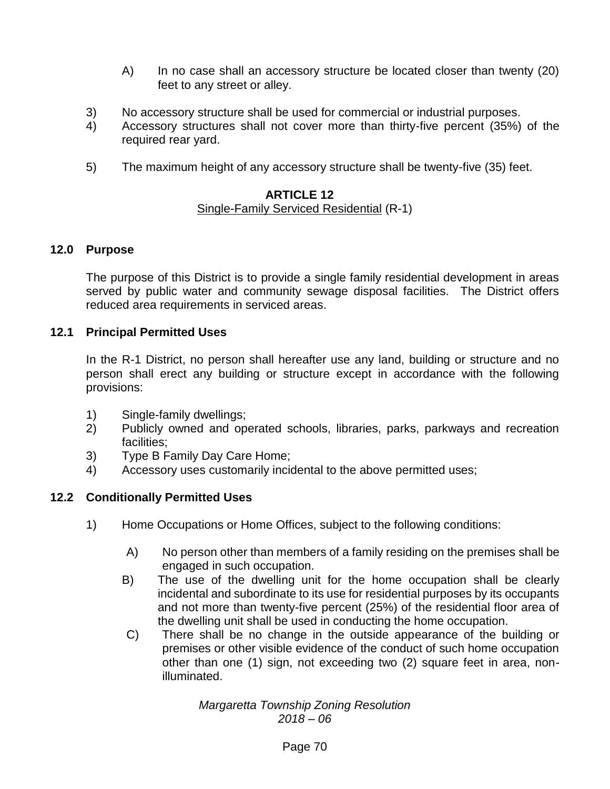- A) In no case shall an accessory structure be located closer than twenty (20) feet to any street or alley.
- 3) No accessory structure shall be used for commercial or industrial purposes.
- 4) Accessory structures shall not cover more than thirty-five percent (35%) of the required rear yard.
- 5) The maximum height of any accessory structure shall be twenty-five (35) feet.

## **ARTICLE 12**

## Single-Family Serviced Residential (R-1)

#### **12.0 Purpose**

The purpose of this District is to provide a single family residential development in areas served by public water and community sewage disposal facilities. The District offers reduced area requirements in serviced areas.

#### **12.1 Principal Permitted Uses**

In the R-1 District, no person shall hereafter use any land, building or structure and no person shall erect any building or structure except in accordance with the following provisions:

- 1) Single-family dwellings;
- 2) Publicly owned and operated schools, libraries, parks, parkways and recreation facilities;
- 3) Type B Family Day Care Home;
- 4) Accessory uses customarily incidental to the above permitted uses;

## **12.2 Conditionally Permitted Uses**

- 1) Home Occupations or Home Offices, subject to the following conditions:
	- A) No person other than members of a family residing on the premises shall be engaged in such occupation.
	- B) The use of the dwelling unit for the home occupation shall be clearly incidental and subordinate to its use for residential purposes by its occupants and not more than twenty-five percent (25%) of the residential floor area of the dwelling unit shall be used in conducting the home occupation.
	- C) There shall be no change in the outside appearance of the building or premises or other visible evidence of the conduct of such home occupation other than one (1) sign, not exceeding two (2) square feet in area, nonilluminated.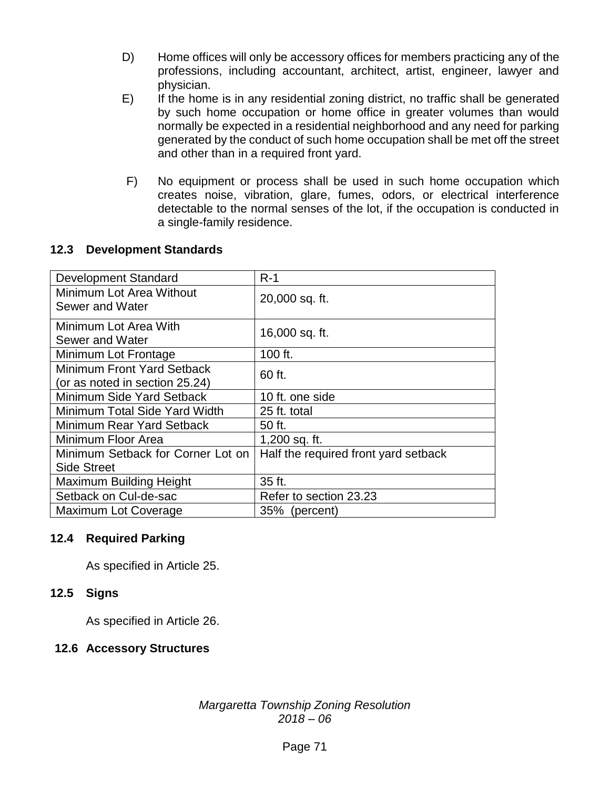- D) Home offices will only be accessory offices for members practicing any of the professions, including accountant, architect, artist, engineer, lawyer and physician.
- E) If the home is in any residential zoning district, no traffic shall be generated by such home occupation or home office in greater volumes than would normally be expected in a residential neighborhood and any need for parking generated by the conduct of such home occupation shall be met off the street and other than in a required front yard.
- F) No equipment or process shall be used in such home occupation which creates noise, vibration, glare, fumes, odors, or electrical interference detectable to the normal senses of the lot, if the occupation is conducted in a single-family residence.

## **12.3 Development Standards**

| <b>Development Standard</b>       | $R-1$                                |
|-----------------------------------|--------------------------------------|
| Minimum Lot Area Without          | 20,000 sq. ft.                       |
| Sewer and Water                   |                                      |
| Minimum Lot Area With             | 16,000 sq. ft.                       |
| Sewer and Water                   |                                      |
| Minimum Lot Frontage              | 100 ft.                              |
| Minimum Front Yard Setback        | 60 ft.                               |
| (or as noted in section 25.24)    |                                      |
| Minimum Side Yard Setback         | 10 ft. one side                      |
| Minimum Total Side Yard Width     | 25 ft. total                         |
| Minimum Rear Yard Setback         | 50 ft.                               |
| Minimum Floor Area                | 1,200 sq. ft.                        |
| Minimum Setback for Corner Lot on | Half the required front yard setback |
| <b>Side Street</b>                |                                      |
| <b>Maximum Building Height</b>    | 35 ft.                               |
| Setback on Cul-de-sac             | Refer to section 23.23               |
| Maximum Lot Coverage              | 35% (percent)                        |

## **12.4 Required Parking**

As specified in Article 25.

## **12.5 Signs**

As specified in Article 26.

## **12.6 Accessory Structures**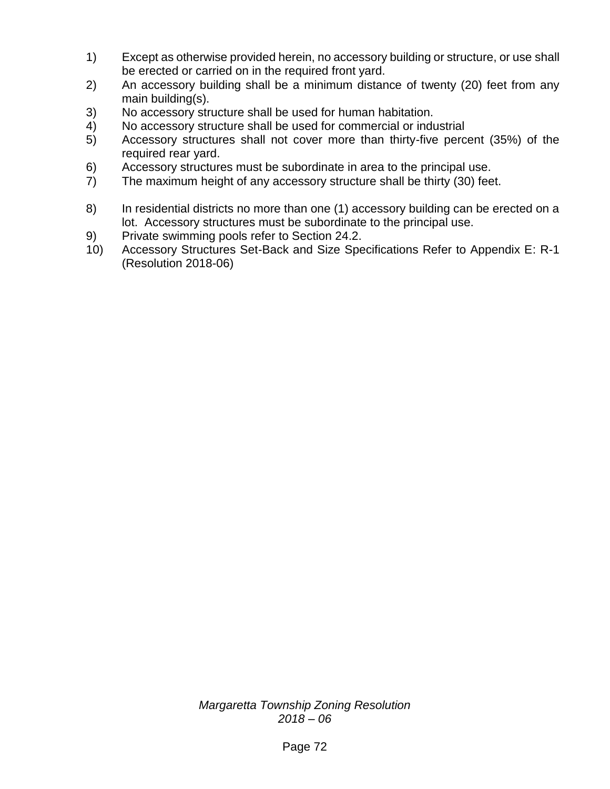- 1) Except as otherwise provided herein, no accessory building or structure, or use shall be erected or carried on in the required front yard.
- 2) An accessory building shall be a minimum distance of twenty (20) feet from any main building(s).
- 3) No accessory structure shall be used for human habitation.
- 4) No accessory structure shall be used for commercial or industrial
- 5) Accessory structures shall not cover more than thirty-five percent (35%) of the required rear yard.
- 6) Accessory structures must be subordinate in area to the principal use.
- 7) The maximum height of any accessory structure shall be thirty (30) feet.
- 8) In residential districts no more than one (1) accessory building can be erected on a lot. Accessory structures must be subordinate to the principal use.
- 9) Private swimming pools refer to Section 24.2.
- 10) Accessory Structures Set-Back and Size Specifications Refer to Appendix E: R-1 (Resolution 2018-06)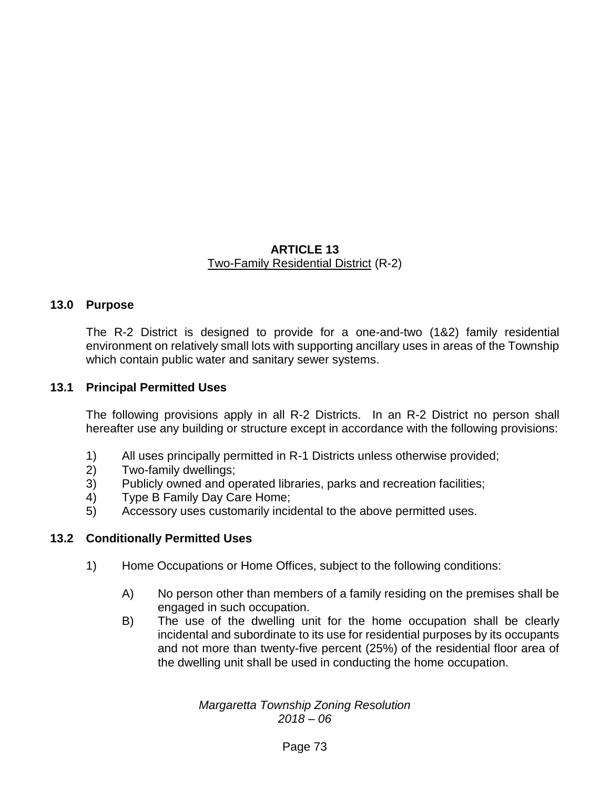#### **ARTICLE 13** Two-Family Residential District (R-2)

#### **13.0 Purpose**

The R-2 District is designed to provide for a one-and-two (1&2) family residential environment on relatively small lots with supporting ancillary uses in areas of the Township which contain public water and sanitary sewer systems.

#### **13.1 Principal Permitted Uses**

The following provisions apply in all R-2 Districts. In an R-2 District no person shall hereafter use any building or structure except in accordance with the following provisions:

- 1) All uses principally permitted in R-1 Districts unless otherwise provided;
- 2) Two-family dwellings;
- 3) Publicly owned and operated libraries, parks and recreation facilities;
- 4) Type B Family Day Care Home;
- 5) Accessory uses customarily incidental to the above permitted uses.

#### **13.2 Conditionally Permitted Uses**

- 1) Home Occupations or Home Offices, subject to the following conditions:
	- A) No person other than members of a family residing on the premises shall be engaged in such occupation.
	- B) The use of the dwelling unit for the home occupation shall be clearly incidental and subordinate to its use for residential purposes by its occupants and not more than twenty-five percent (25%) of the residential floor area of the dwelling unit shall be used in conducting the home occupation.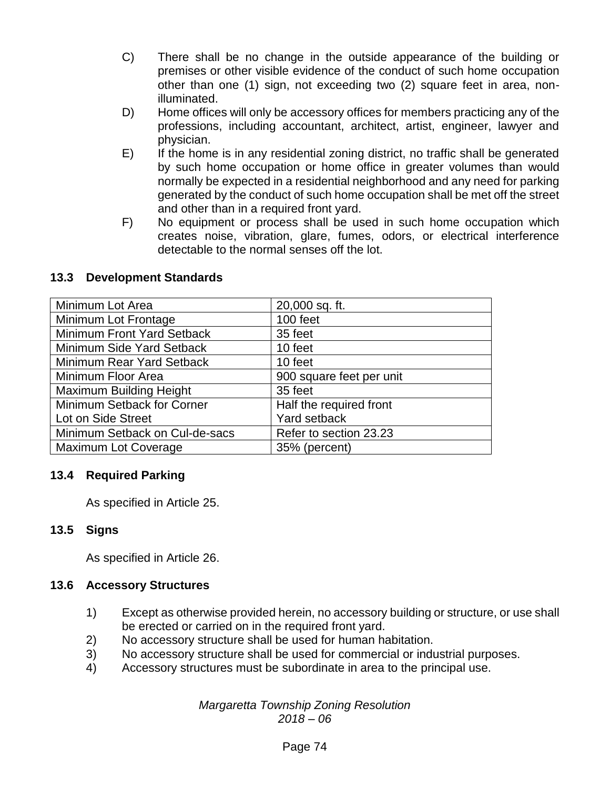- C) There shall be no change in the outside appearance of the building or premises or other visible evidence of the conduct of such home occupation other than one (1) sign, not exceeding two (2) square feet in area, nonilluminated.
- D) Home offices will only be accessory offices for members practicing any of the professions, including accountant, architect, artist, engineer, lawyer and physician.
- E) If the home is in any residential zoning district, no traffic shall be generated by such home occupation or home office in greater volumes than would normally be expected in a residential neighborhood and any need for parking generated by the conduct of such home occupation shall be met off the street and other than in a required front yard.
- F) No equipment or process shall be used in such home occupation which creates noise, vibration, glare, fumes, odors, or electrical interference detectable to the normal senses off the lot.

## **13.3 Development Standards**

| Minimum Lot Area               | 20,000 sq. ft.           |
|--------------------------------|--------------------------|
| Minimum Lot Frontage           | 100 feet                 |
| Minimum Front Yard Setback     | 35 feet                  |
| Minimum Side Yard Setback      | 10 feet                  |
| Minimum Rear Yard Setback      | 10 feet                  |
| Minimum Floor Area             | 900 square feet per unit |
| <b>Maximum Building Height</b> | 35 feet                  |
| Minimum Setback for Corner     | Half the required front  |
| Lot on Side Street             | Yard setback             |
| Minimum Setback on Cul-de-sacs | Refer to section 23.23   |
| <b>Maximum Lot Coverage</b>    | 35% (percent)            |

#### **13.4 Required Parking**

As specified in Article 25.

## **13.5 Signs**

As specified in Article 26.

#### **13.6 Accessory Structures**

- 1) Except as otherwise provided herein, no accessory building or structure, or use shall be erected or carried on in the required front yard.
- 2) No accessory structure shall be used for human habitation.
- 3) No accessory structure shall be used for commercial or industrial purposes.
- 4) Accessory structures must be subordinate in area to the principal use.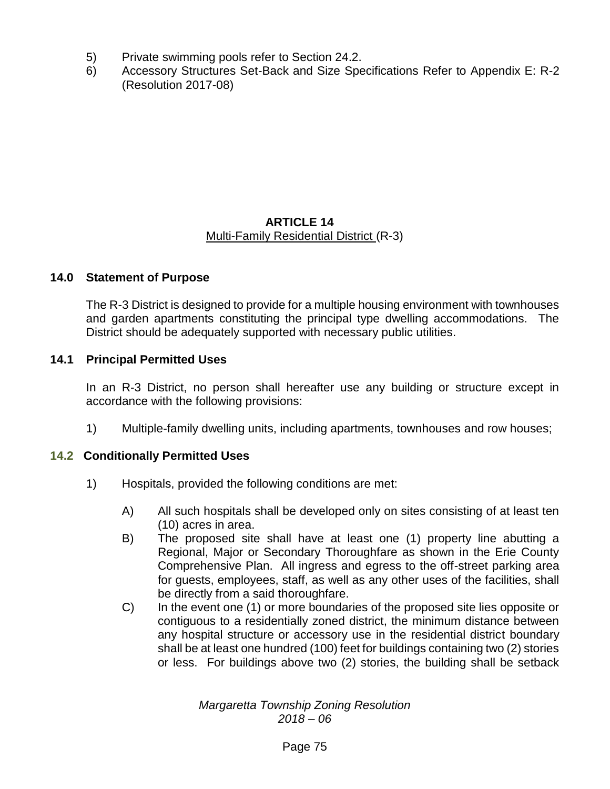- 5) Private swimming pools refer to Section 24.2.
- 6) Accessory Structures Set-Back and Size Specifications Refer to Appendix E: R-2 (Resolution 2017-08)

#### **ARTICLE 14** Multi-Family Residential District (R-3)

#### **14.0 Statement of Purpose**

The R-3 District is designed to provide for a multiple housing environment with townhouses and garden apartments constituting the principal type dwelling accommodations. The District should be adequately supported with necessary public utilities.

## **14.1 Principal Permitted Uses**

In an R-3 District, no person shall hereafter use any building or structure except in accordance with the following provisions:

1) Multiple-family dwelling units, including apartments, townhouses and row houses;

#### **14.2 Conditionally Permitted Uses**

- 1) Hospitals, provided the following conditions are met:
	- A) All such hospitals shall be developed only on sites consisting of at least ten (10) acres in area.
	- B) The proposed site shall have at least one (1) property line abutting a Regional, Major or Secondary Thoroughfare as shown in the Erie County Comprehensive Plan. All ingress and egress to the off-street parking area for guests, employees, staff, as well as any other uses of the facilities, shall be directly from a said thoroughfare.
	- C) In the event one (1) or more boundaries of the proposed site lies opposite or contiguous to a residentially zoned district, the minimum distance between any hospital structure or accessory use in the residential district boundary shall be at least one hundred (100) feet for buildings containing two (2) stories or less. For buildings above two (2) stories, the building shall be setback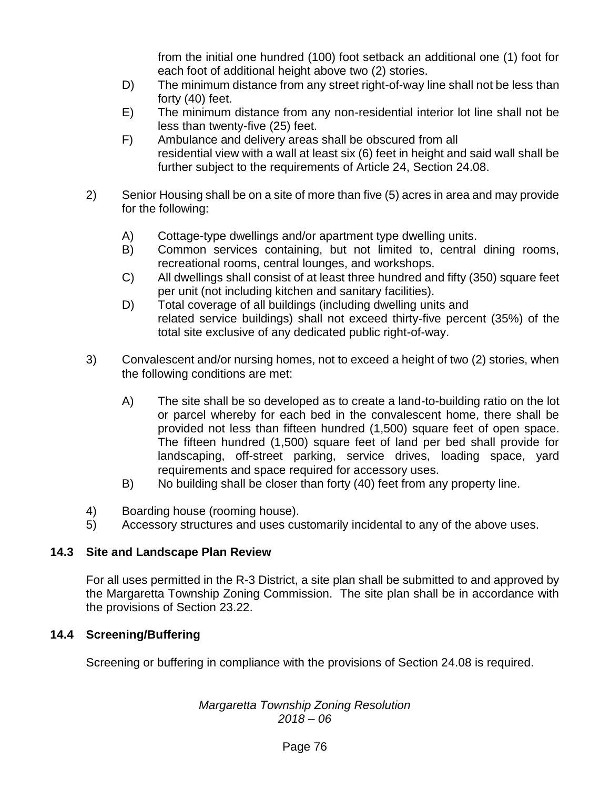from the initial one hundred (100) foot setback an additional one (1) foot for each foot of additional height above two (2) stories.

- D) The minimum distance from any street right-of-way line shall not be less than forty (40) feet.
- E) The minimum distance from any non-residential interior lot line shall not be less than twenty-five (25) feet.
- F) Ambulance and delivery areas shall be obscured from all residential view with a wall at least six (6) feet in height and said wall shall be further subject to the requirements of Article 24, Section 24.08.
- 2) Senior Housing shall be on a site of more than five (5) acres in area and may provide for the following:
	- A) Cottage-type dwellings and/or apartment type dwelling units.
	- B) Common services containing, but not limited to, central dining rooms, recreational rooms, central lounges, and workshops.
	- C) All dwellings shall consist of at least three hundred and fifty (350) square feet per unit (not including kitchen and sanitary facilities).
	- D) Total coverage of all buildings (including dwelling units and related service buildings) shall not exceed thirty-five percent (35%) of the total site exclusive of any dedicated public right-of-way.
- 3) Convalescent and/or nursing homes, not to exceed a height of two (2) stories, when the following conditions are met:
	- A) The site shall be so developed as to create a land-to-building ratio on the lot or parcel whereby for each bed in the convalescent home, there shall be provided not less than fifteen hundred (1,500) square feet of open space. The fifteen hundred (1,500) square feet of land per bed shall provide for landscaping, off-street parking, service drives, loading space, yard requirements and space required for accessory uses.
	- B) No building shall be closer than forty (40) feet from any property line.
- 4) Boarding house (rooming house).
- 5) Accessory structures and uses customarily incidental to any of the above uses.

## **14.3 Site and Landscape Plan Review**

For all uses permitted in the R-3 District, a site plan shall be submitted to and approved by the Margaretta Township Zoning Commission. The site plan shall be in accordance with the provisions of Section 23.22.

## **14.4 Screening/Buffering**

Screening or buffering in compliance with the provisions of Section 24.08 is required.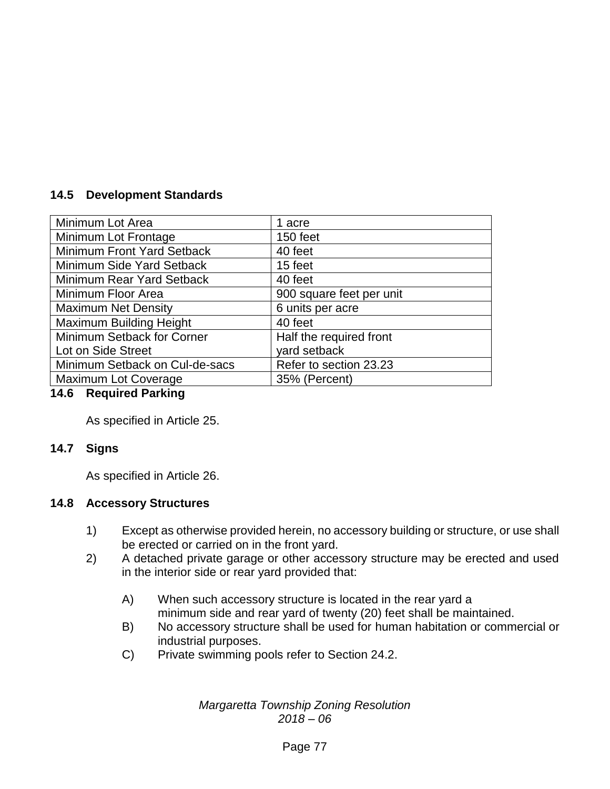## **14.5 Development Standards**

| Minimum Lot Area               | 1 acre                   |
|--------------------------------|--------------------------|
| Minimum Lot Frontage           | 150 feet                 |
| Minimum Front Yard Setback     | 40 feet                  |
| Minimum Side Yard Setback      | 15 feet                  |
| Minimum Rear Yard Setback      | 40 feet                  |
| Minimum Floor Area             | 900 square feet per unit |
| <b>Maximum Net Density</b>     | 6 units per acre         |
| Maximum Building Height        | 40 feet                  |
| Minimum Setback for Corner     | Half the required front  |
| Lot on Side Street             | yard setback             |
| Minimum Setback on Cul-de-sacs | Refer to section 23.23   |
| Maximum Lot Coverage           | 35% (Percent)            |

## **14.6 Required Parking**

As specified in Article 25.

#### **14.7 Signs**

As specified in Article 26.

#### **14.8 Accessory Structures**

- 1) Except as otherwise provided herein, no accessory building or structure, or use shall be erected or carried on in the front yard.
- 2) A detached private garage or other accessory structure may be erected and used in the interior side or rear yard provided that:
	- A) When such accessory structure is located in the rear yard a minimum side and rear yard of twenty (20) feet shall be maintained.
	- B) No accessory structure shall be used for human habitation or commercial or industrial purposes.
	- C) Private swimming pools refer to Section 24.2.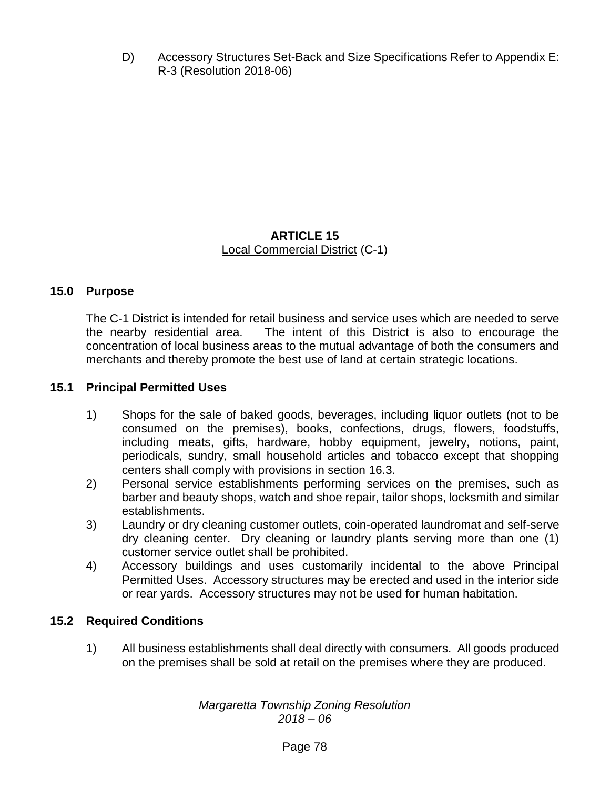D) Accessory Structures Set-Back and Size Specifications Refer to Appendix E: R-3 (Resolution 2018-06)

## **ARTICLE 15** Local Commercial District (C-1)

## **15.0 Purpose**

The C-1 District is intended for retail business and service uses which are needed to serve the nearby residential area. The intent of this District is also to encourage the concentration of local business areas to the mutual advantage of both the consumers and merchants and thereby promote the best use of land at certain strategic locations.

#### **15.1 Principal Permitted Uses**

- 1) Shops for the sale of baked goods, beverages, including liquor outlets (not to be consumed on the premises), books, confections, drugs, flowers, foodstuffs, including meats, gifts, hardware, hobby equipment, jewelry, notions, paint, periodicals, sundry, small household articles and tobacco except that shopping centers shall comply with provisions in section 16.3.
- 2) Personal service establishments performing services on the premises, such as barber and beauty shops, watch and shoe repair, tailor shops, locksmith and similar establishments.
- 3) Laundry or dry cleaning customer outlets, coin-operated laundromat and self-serve dry cleaning center. Dry cleaning or laundry plants serving more than one (1) customer service outlet shall be prohibited.
- 4) Accessory buildings and uses customarily incidental to the above Principal Permitted Uses. Accessory structures may be erected and used in the interior side or rear yards. Accessory structures may not be used for human habitation.

#### **15.2 Required Conditions**

1) All business establishments shall deal directly with consumers. All goods produced on the premises shall be sold at retail on the premises where they are produced.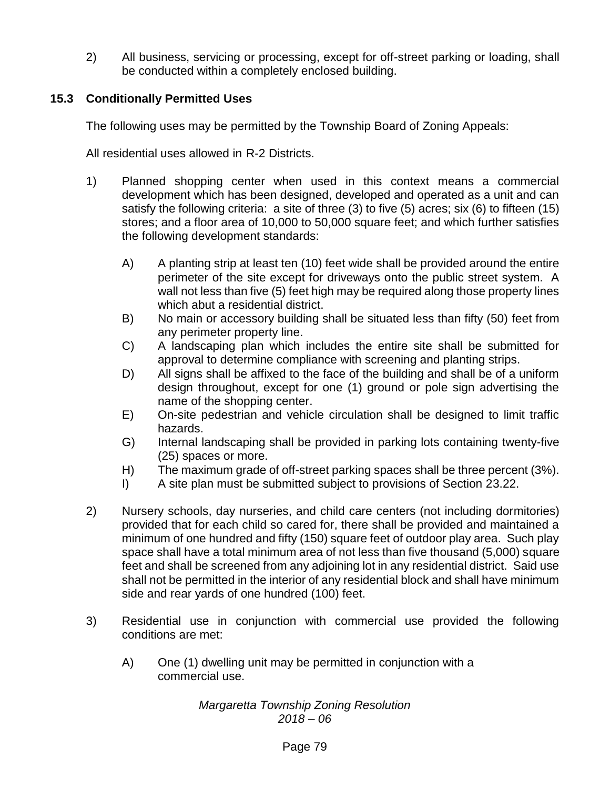2) All business, servicing or processing, except for off-street parking or loading, shall be conducted within a completely enclosed building.

## **15.3 Conditionally Permitted Uses**

The following uses may be permitted by the Township Board of Zoning Appeals:

All residential uses allowed in R-2 Districts.

- 1) Planned shopping center when used in this context means a commercial development which has been designed, developed and operated as a unit and can satisfy the following criteria: a site of three (3) to five (5) acres; six (6) to fifteen (15) stores; and a floor area of 10,000 to 50,000 square feet; and which further satisfies the following development standards:
	- A) A planting strip at least ten (10) feet wide shall be provided around the entire perimeter of the site except for driveways onto the public street system. A wall not less than five (5) feet high may be required along those property lines which abut a residential district.
	- B) No main or accessory building shall be situated less than fifty (50) feet from any perimeter property line.
	- C) A landscaping plan which includes the entire site shall be submitted for approval to determine compliance with screening and planting strips.
	- D) All signs shall be affixed to the face of the building and shall be of a uniform design throughout, except for one (1) ground or pole sign advertising the name of the shopping center.
	- E) On-site pedestrian and vehicle circulation shall be designed to limit traffic hazards.
	- G) Internal landscaping shall be provided in parking lots containing twenty-five (25) spaces or more.
	- H) The maximum grade of off-street parking spaces shall be three percent (3%).
	- I) A site plan must be submitted subject to provisions of Section 23.22.
- 2) Nursery schools, day nurseries, and child care centers (not including dormitories) provided that for each child so cared for, there shall be provided and maintained a minimum of one hundred and fifty (150) square feet of outdoor play area. Such play space shall have a total minimum area of not less than five thousand (5,000) square feet and shall be screened from any adjoining lot in any residential district. Said use shall not be permitted in the interior of any residential block and shall have minimum side and rear yards of one hundred (100) feet.
- 3) Residential use in conjunction with commercial use provided the following conditions are met:
	- A) One (1) dwelling unit may be permitted in conjunction with a commercial use.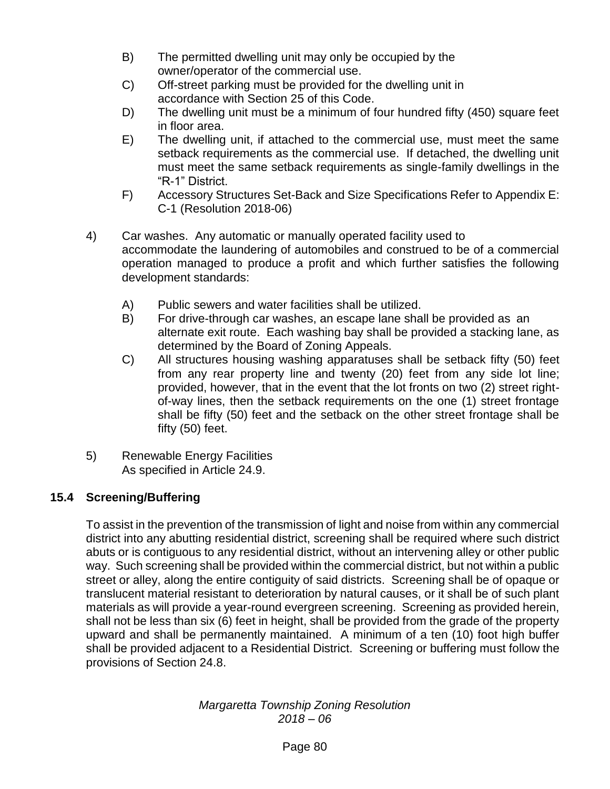- B) The permitted dwelling unit may only be occupied by the owner/operator of the commercial use.
- C) Off-street parking must be provided for the dwelling unit in accordance with Section 25 of this Code.
- D) The dwelling unit must be a minimum of four hundred fifty (450) square feet in floor area.
- E) The dwelling unit, if attached to the commercial use, must meet the same setback requirements as the commercial use. If detached, the dwelling unit must meet the same setback requirements as single-family dwellings in the "R-1" District.
- F) Accessory Structures Set-Back and Size Specifications Refer to Appendix E: C-1 (Resolution 2018-06)
- 4) Car washes. Any automatic or manually operated facility used to accommodate the laundering of automobiles and construed to be of a commercial operation managed to produce a profit and which further satisfies the following development standards:
	- A) Public sewers and water facilities shall be utilized.
	- B) For drive-through car washes, an escape lane shall be provided as an alternate exit route. Each washing bay shall be provided a stacking lane, as determined by the Board of Zoning Appeals.
	- C) All structures housing washing apparatuses shall be setback fifty (50) feet from any rear property line and twenty (20) feet from any side lot line; provided, however, that in the event that the lot fronts on two (2) street rightof-way lines, then the setback requirements on the one (1) street frontage shall be fifty (50) feet and the setback on the other street frontage shall be fifty (50) feet.
- 5) Renewable Energy Facilities As specified in Article 24.9.

## **15.4 Screening/Buffering**

To assist in the prevention of the transmission of light and noise from within any commercial district into any abutting residential district, screening shall be required where such district abuts or is contiguous to any residential district, without an intervening alley or other public way. Such screening shall be provided within the commercial district, but not within a public street or alley, along the entire contiguity of said districts. Screening shall be of opaque or translucent material resistant to deterioration by natural causes, or it shall be of such plant materials as will provide a year-round evergreen screening. Screening as provided herein, shall not be less than six (6) feet in height, shall be provided from the grade of the property upward and shall be permanently maintained. A minimum of a ten (10) foot high buffer shall be provided adjacent to a Residential District. Screening or buffering must follow the provisions of Section 24.8.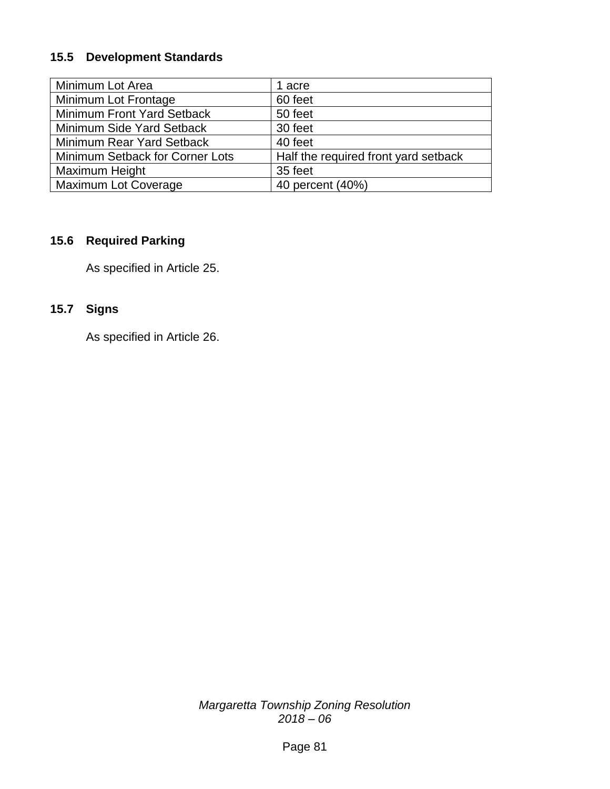## **15.5 Development Standards**

| Minimum Lot Area                | 1 acre                               |
|---------------------------------|--------------------------------------|
| Minimum Lot Frontage            | 60 feet                              |
| Minimum Front Yard Setback      | 50 feet                              |
| Minimum Side Yard Setback       | 30 feet                              |
| Minimum Rear Yard Setback       | 40 feet                              |
| Minimum Setback for Corner Lots | Half the required front yard setback |
| Maximum Height                  | 35 feet                              |
| <b>Maximum Lot Coverage</b>     | 40 percent (40%)                     |

## **15.6 Required Parking**

As specified in Article 25.

## **15.7 Signs**

As specified in Article 26.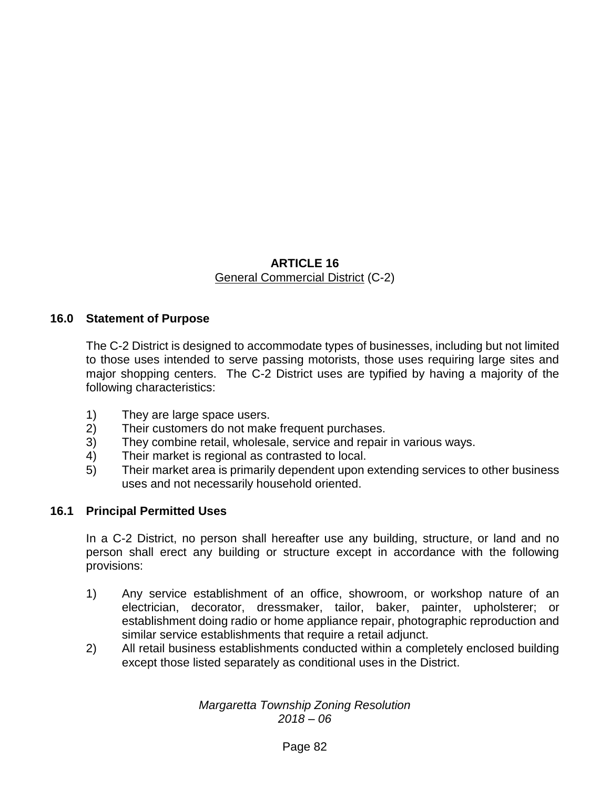## **ARTICLE 16** General Commercial District (C-2)

## **16.0 Statement of Purpose**

The C-2 District is designed to accommodate types of businesses, including but not limited to those uses intended to serve passing motorists, those uses requiring large sites and major shopping centers. The C-2 District uses are typified by having a majority of the following characteristics:

- 1) They are large space users.
- 2) Their customers do not make frequent purchases.
- 3) They combine retail, wholesale, service and repair in various ways.
- 4) Their market is regional as contrasted to local.
- 5) Their market area is primarily dependent upon extending services to other business uses and not necessarily household oriented.

## **16.1 Principal Permitted Uses**

In a C-2 District, no person shall hereafter use any building, structure, or land and no person shall erect any building or structure except in accordance with the following provisions:

- 1) Any service establishment of an office, showroom, or workshop nature of an electrician, decorator, dressmaker, tailor, baker, painter, upholsterer; or establishment doing radio or home appliance repair, photographic reproduction and similar service establishments that require a retail adjunct.
- 2) All retail business establishments conducted within a completely enclosed building except those listed separately as conditional uses in the District.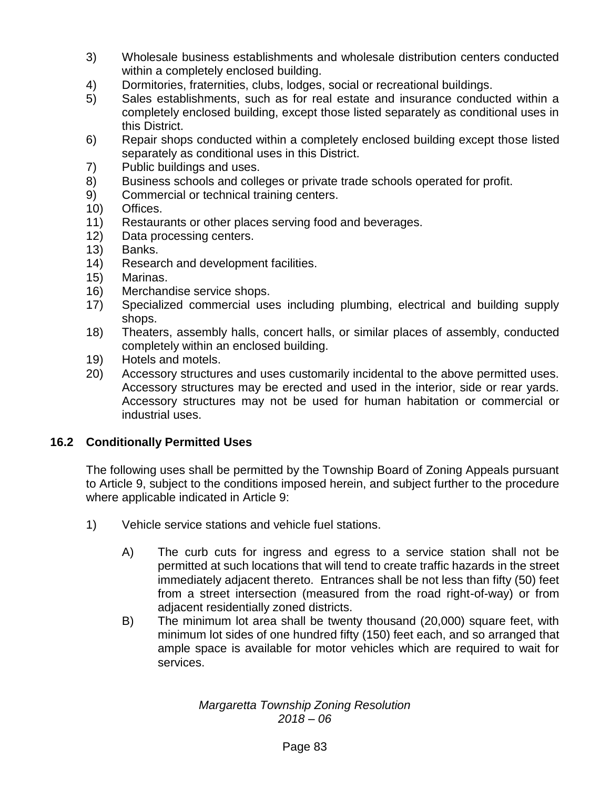- 3) Wholesale business establishments and wholesale distribution centers conducted within a completely enclosed building.
- 4) Dormitories, fraternities, clubs, lodges, social or recreational buildings.
- 5) Sales establishments, such as for real estate and insurance conducted within a completely enclosed building, except those listed separately as conditional uses in this District.
- 6) Repair shops conducted within a completely enclosed building except those listed separately as conditional uses in this District.
- 7) Public buildings and uses.
- 8) Business schools and colleges or private trade schools operated for profit.
- 9) Commercial or technical training centers.
- 10) Offices.
- 11) Restaurants or other places serving food and beverages.
- 12) Data processing centers.
- 13) Banks.
- 14) Research and development facilities.
- 15) Marinas.
- 16) Merchandise service shops.
- 17) Specialized commercial uses including plumbing, electrical and building supply shops.
- 18) Theaters, assembly halls, concert halls, or similar places of assembly, conducted completely within an enclosed building.
- 19) Hotels and motels.
- 20) Accessory structures and uses customarily incidental to the above permitted uses. Accessory structures may be erected and used in the interior, side or rear yards. Accessory structures may not be used for human habitation or commercial or industrial uses.

## **16.2 Conditionally Permitted Uses**

The following uses shall be permitted by the Township Board of Zoning Appeals pursuant to Article 9, subject to the conditions imposed herein, and subject further to the procedure where applicable indicated in Article 9:

- 1) Vehicle service stations and vehicle fuel stations.
	- A) The curb cuts for ingress and egress to a service station shall not be permitted at such locations that will tend to create traffic hazards in the street immediately adjacent thereto. Entrances shall be not less than fifty (50) feet from a street intersection (measured from the road right-of-way) or from adjacent residentially zoned districts.
	- B) The minimum lot area shall be twenty thousand (20,000) square feet, with minimum lot sides of one hundred fifty (150) feet each, and so arranged that ample space is available for motor vehicles which are required to wait for services.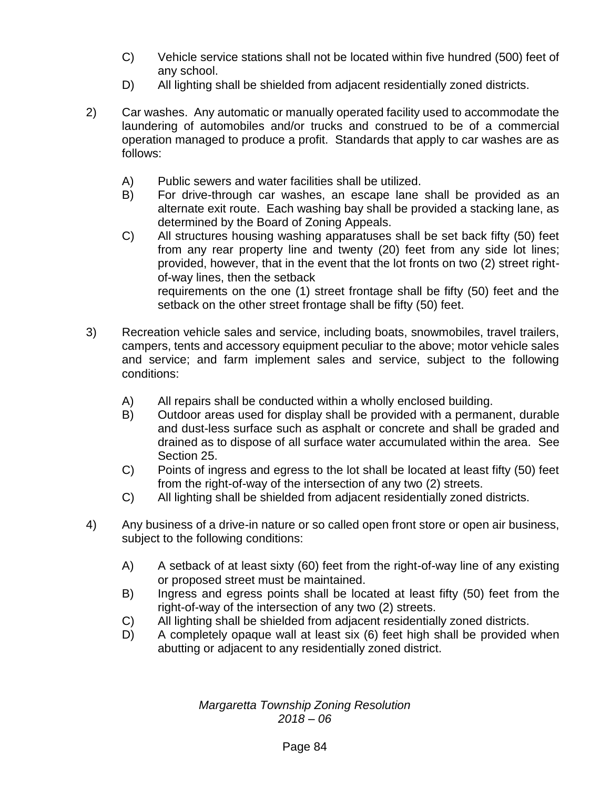- C) Vehicle service stations shall not be located within five hundred (500) feet of any school.
- D) All lighting shall be shielded from adjacent residentially zoned districts.
- 2) Car washes. Any automatic or manually operated facility used to accommodate the laundering of automobiles and/or trucks and construed to be of a commercial operation managed to produce a profit. Standards that apply to car washes are as follows:
	- A) Public sewers and water facilities shall be utilized.
	- B) For drive-through car washes, an escape lane shall be provided as an alternate exit route. Each washing bay shall be provided a stacking lane, as determined by the Board of Zoning Appeals.
	- C) All structures housing washing apparatuses shall be set back fifty (50) feet from any rear property line and twenty (20) feet from any side lot lines; provided, however, that in the event that the lot fronts on two (2) street rightof-way lines, then the setback requirements on the one (1) street frontage shall be fifty (50) feet and the setback on the other street frontage shall be fifty (50) feet.
- 3) Recreation vehicle sales and service, including boats, snowmobiles, travel trailers, campers, tents and accessory equipment peculiar to the above; motor vehicle sales and service; and farm implement sales and service, subject to the following conditions:
	- A) All repairs shall be conducted within a wholly enclosed building.
	- B) Outdoor areas used for display shall be provided with a permanent, durable and dust-less surface such as asphalt or concrete and shall be graded and drained as to dispose of all surface water accumulated within the area. See Section 25.
	- C) Points of ingress and egress to the lot shall be located at least fifty (50) feet from the right-of-way of the intersection of any two (2) streets.
	- C) All lighting shall be shielded from adjacent residentially zoned districts.
- 4) Any business of a drive-in nature or so called open front store or open air business, subject to the following conditions:
	- A) A setback of at least sixty (60) feet from the right-of-way line of any existing or proposed street must be maintained.
	- B) Ingress and egress points shall be located at least fifty (50) feet from the right-of-way of the intersection of any two (2) streets.
	- C) All lighting shall be shielded from adjacent residentially zoned districts.
	- D) A completely opaque wall at least six (6) feet high shall be provided when abutting or adjacent to any residentially zoned district.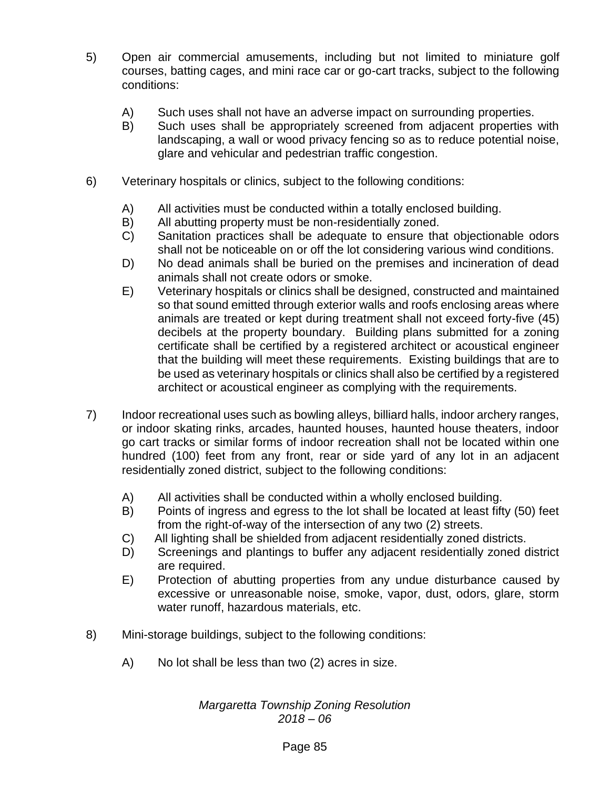- 5) Open air commercial amusements, including but not limited to miniature golf courses, batting cages, and mini race car or go-cart tracks, subject to the following conditions:
	- A) Such uses shall not have an adverse impact on surrounding properties.
	- B) Such uses shall be appropriately screened from adjacent properties with landscaping, a wall or wood privacy fencing so as to reduce potential noise, glare and vehicular and pedestrian traffic congestion.
- 6) Veterinary hospitals or clinics, subject to the following conditions:
	- A) All activities must be conducted within a totally enclosed building.
	- B) All abutting property must be non-residentially zoned.
	- C) Sanitation practices shall be adequate to ensure that objectionable odors shall not be noticeable on or off the lot considering various wind conditions.
	- D) No dead animals shall be buried on the premises and incineration of dead animals shall not create odors or smoke.
	- E) Veterinary hospitals or clinics shall be designed, constructed and maintained so that sound emitted through exterior walls and roofs enclosing areas where animals are treated or kept during treatment shall not exceed forty-five (45) decibels at the property boundary. Building plans submitted for a zoning certificate shall be certified by a registered architect or acoustical engineer that the building will meet these requirements. Existing buildings that are to be used as veterinary hospitals or clinics shall also be certified by a registered architect or acoustical engineer as complying with the requirements.
- 7) Indoor recreational uses such as bowling alleys, billiard halls, indoor archery ranges, or indoor skating rinks, arcades, haunted houses, haunted house theaters, indoor go cart tracks or similar forms of indoor recreation shall not be located within one hundred (100) feet from any front, rear or side yard of any lot in an adjacent residentially zoned district, subject to the following conditions:
	- A) All activities shall be conducted within a wholly enclosed building.
	- B) Points of ingress and egress to the lot shall be located at least fifty (50) feet from the right-of-way of the intersection of any two (2) streets.
	- C) All lighting shall be shielded from adjacent residentially zoned districts.
	- D) Screenings and plantings to buffer any adjacent residentially zoned district are required.
	- E) Protection of abutting properties from any undue disturbance caused by excessive or unreasonable noise, smoke, vapor, dust, odors, glare, storm water runoff, hazardous materials, etc.
- 8) Mini-storage buildings, subject to the following conditions:
	- A) No lot shall be less than two (2) acres in size.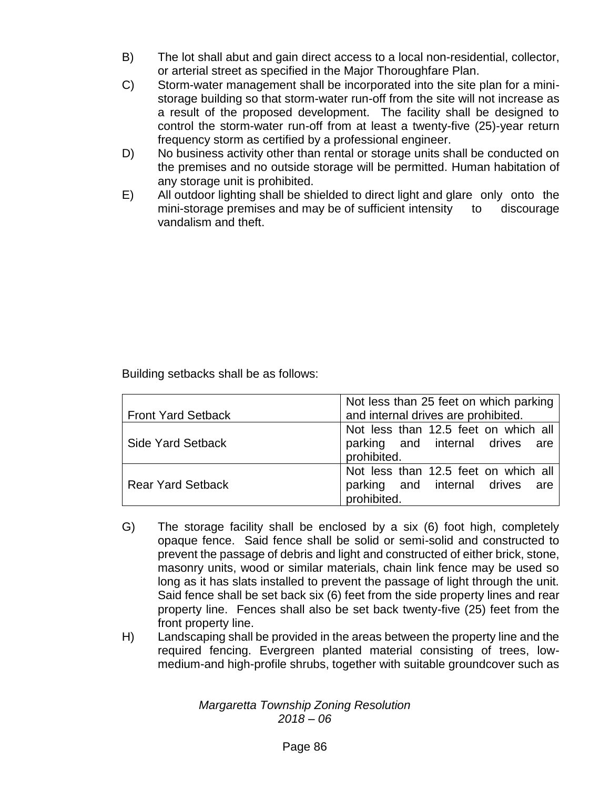- B) The lot shall abut and gain direct access to a local non-residential, collector, or arterial street as specified in the Major Thoroughfare Plan.
- C) Storm-water management shall be incorporated into the site plan for a ministorage building so that storm-water run-off from the site will not increase as a result of the proposed development. The facility shall be designed to control the storm-water run-off from at least a twenty-five (25)-year return frequency storm as certified by a professional engineer.
- D) No business activity other than rental or storage units shall be conducted on the premises and no outside storage will be permitted. Human habitation of any storage unit is prohibited.
- E) All outdoor lighting shall be shielded to direct light and glare only onto the mini-storage premises and may be of sufficient intensity to discourage vandalism and theft.

Building setbacks shall be as follows:

|                           | Not less than 25 feet on which parking |
|---------------------------|----------------------------------------|
| <b>Front Yard Setback</b> | and internal drives are prohibited.    |
|                           | Not less than 12.5 feet on which all   |
| <b>Side Yard Setback</b>  | parking and internal drives are        |
|                           | prohibited.                            |
|                           | Not less than 12.5 feet on which all   |
| <b>Rear Yard Setback</b>  | parking and internal drives are        |
|                           | prohibited.                            |

- G) The storage facility shall be enclosed by a six (6) foot high, completely opaque fence. Said fence shall be solid or semi-solid and constructed to prevent the passage of debris and light and constructed of either brick, stone, masonry units, wood or similar materials, chain link fence may be used so long as it has slats installed to prevent the passage of light through the unit. Said fence shall be set back six (6) feet from the side property lines and rear property line. Fences shall also be set back twenty-five (25) feet from the front property line.
- H) Landscaping shall be provided in the areas between the property line and the required fencing. Evergreen planted material consisting of trees, lowmedium-and high-profile shrubs, together with suitable groundcover such as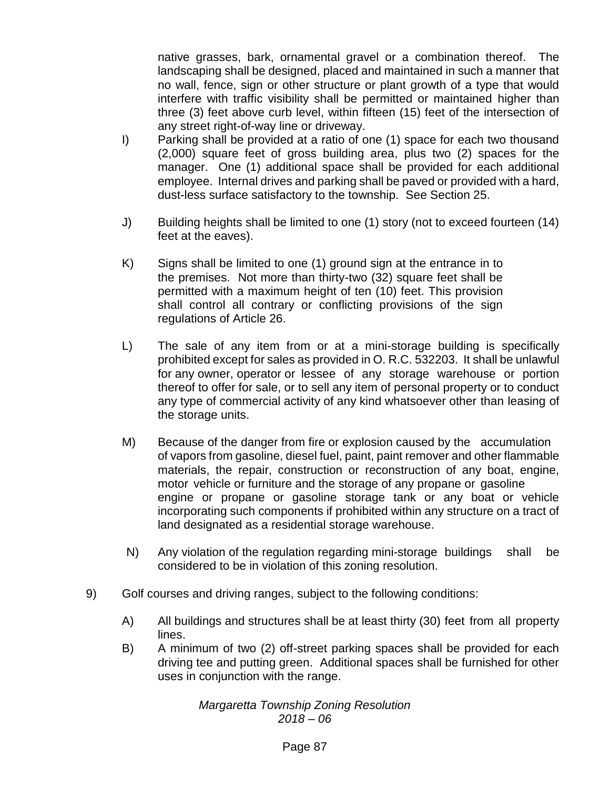native grasses, bark, ornamental gravel or a combination thereof. The landscaping shall be designed, placed and maintained in such a manner that no wall, fence, sign or other structure or plant growth of a type that would interfere with traffic visibility shall be permitted or maintained higher than three (3) feet above curb level, within fifteen (15) feet of the intersection of any street right-of-way line or driveway.

- I) Parking shall be provided at a ratio of one (1) space for each two thousand (2,000) square feet of gross building area, plus two (2) spaces for the manager. One (1) additional space shall be provided for each additional employee. Internal drives and parking shall be paved or provided with a hard, dust-less surface satisfactory to the township. See Section 25.
- J) Building heights shall be limited to one (1) story (not to exceed fourteen (14) feet at the eaves).
- K) Signs shall be limited to one (1) ground sign at the entrance in to the premises. Not more than thirty-two (32) square feet shall be permitted with a maximum height of ten (10) feet. This provision shall control all contrary or conflicting provisions of the sign regulations of Article 26.
- L) The sale of any item from or at a mini-storage building is specifically prohibited except for sales as provided in O. R.C. 532203. It shall be unlawful for any owner, operator or lessee of any storage warehouse or portion thereof to offer for sale, or to sell any item of personal property or to conduct any type of commercial activity of any kind whatsoever other than leasing of the storage units.
- M) Because of the danger from fire or explosion caused by the accumulation of vapors from gasoline, diesel fuel, paint, paint remover and other flammable materials, the repair, construction or reconstruction of any boat, engine, motor vehicle or furniture and the storage of any propane or gasoline engine or propane or gasoline storage tank or any boat or vehicle incorporating such components if prohibited within any structure on a tract of land designated as a residential storage warehouse.
- N) Any violation of the regulation regarding mini-storage buildings shall be considered to be in violation of this zoning resolution.
- 9) Golf courses and driving ranges, subject to the following conditions:
	- A) All buildings and structures shall be at least thirty (30) feet from all property lines.
	- B) A minimum of two (2) off-street parking spaces shall be provided for each driving tee and putting green. Additional spaces shall be furnished for other uses in conjunction with the range.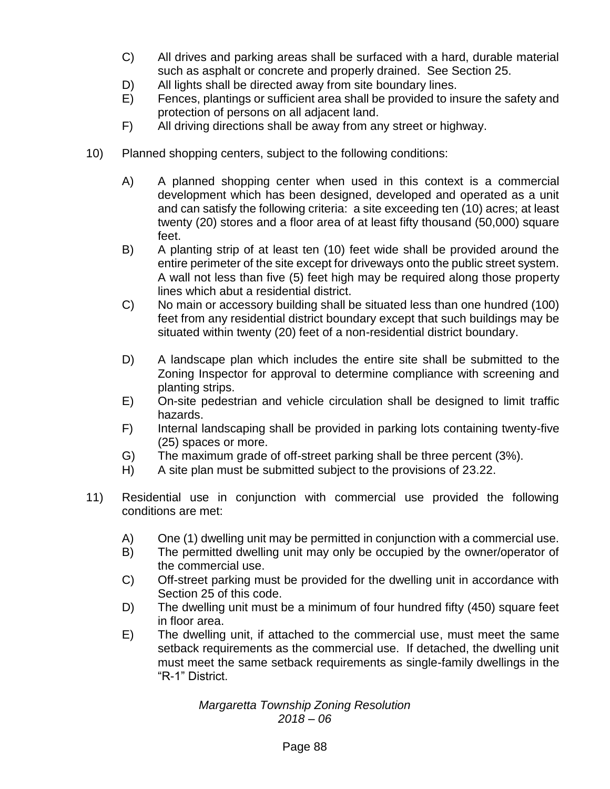- C) All drives and parking areas shall be surfaced with a hard, durable material such as asphalt or concrete and properly drained. See Section 25.
- D) All lights shall be directed away from site boundary lines.
- E) Fences, plantings or sufficient area shall be provided to insure the safety and protection of persons on all adjacent land.
- F) All driving directions shall be away from any street or highway.
- 10) Planned shopping centers, subject to the following conditions:
	- A) A planned shopping center when used in this context is a commercial development which has been designed, developed and operated as a unit and can satisfy the following criteria: a site exceeding ten (10) acres; at least twenty (20) stores and a floor area of at least fifty thousand (50,000) square feet.
	- B) A planting strip of at least ten (10) feet wide shall be provided around the entire perimeter of the site except for driveways onto the public street system. A wall not less than five (5) feet high may be required along those property lines which abut a residential district.
	- C) No main or accessory building shall be situated less than one hundred (100) feet from any residential district boundary except that such buildings may be situated within twenty (20) feet of a non-residential district boundary.
	- D) A landscape plan which includes the entire site shall be submitted to the Zoning Inspector for approval to determine compliance with screening and planting strips.
	- E) On-site pedestrian and vehicle circulation shall be designed to limit traffic hazards.
	- F) Internal landscaping shall be provided in parking lots containing twenty-five (25) spaces or more.
	- G) The maximum grade of off-street parking shall be three percent (3%).
	- H) A site plan must be submitted subject to the provisions of 23.22.
- 11) Residential use in conjunction with commercial use provided the following conditions are met:
	- A) One (1) dwelling unit may be permitted in conjunction with a commercial use.
	- B) The permitted dwelling unit may only be occupied by the owner/operator of the commercial use.
	- C) Off-street parking must be provided for the dwelling unit in accordance with Section 25 of this code.
	- D) The dwelling unit must be a minimum of four hundred fifty (450) square feet in floor area.
	- E) The dwelling unit, if attached to the commercial use, must meet the same setback requirements as the commercial use. If detached, the dwelling unit must meet the same setback requirements as single-family dwellings in the "R-1" District.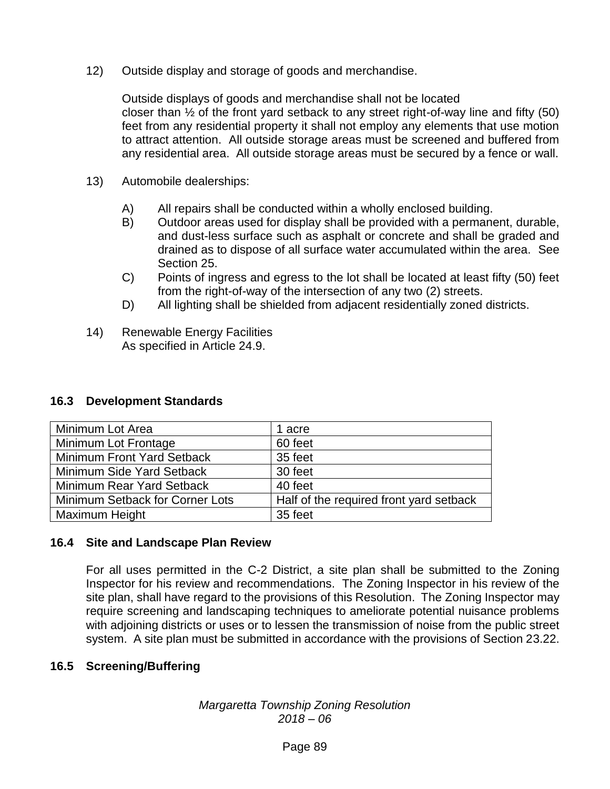12) Outside display and storage of goods and merchandise.

Outside displays of goods and merchandise shall not be located closer than  $\frac{1}{2}$  of the front yard setback to any street right-of-way line and fifty (50) feet from any residential property it shall not employ any elements that use motion to attract attention. All outside storage areas must be screened and buffered from any residential area. All outside storage areas must be secured by a fence or wall.

- 13) Automobile dealerships:
	- A) All repairs shall be conducted within a wholly enclosed building.
	- B) Outdoor areas used for display shall be provided with a permanent, durable, and dust-less surface such as asphalt or concrete and shall be graded and drained as to dispose of all surface water accumulated within the area. See Section 25.
	- C) Points of ingress and egress to the lot shall be located at least fifty (50) feet from the right-of-way of the intersection of any two (2) streets.
	- D) All lighting shall be shielded from adjacent residentially zoned districts.
- 14) Renewable Energy Facilities As specified in Article 24.9.

#### **16.3 Development Standards**

| Minimum Lot Area                | 1 acre                                  |
|---------------------------------|-----------------------------------------|
| Minimum Lot Frontage            | 60 feet                                 |
| Minimum Front Yard Setback      | 35 feet                                 |
| Minimum Side Yard Setback       | 30 feet                                 |
| Minimum Rear Yard Setback       | 40 feet                                 |
| Minimum Setback for Corner Lots | Half of the required front yard setback |
| Maximum Height                  | 35 feet                                 |

#### **16.4 Site and Landscape Plan Review**

For all uses permitted in the C-2 District, a site plan shall be submitted to the Zoning Inspector for his review and recommendations. The Zoning Inspector in his review of the site plan, shall have regard to the provisions of this Resolution. The Zoning Inspector may require screening and landscaping techniques to ameliorate potential nuisance problems with adjoining districts or uses or to lessen the transmission of noise from the public street system. A site plan must be submitted in accordance with the provisions of Section 23.22.

#### **16.5 Screening/Buffering**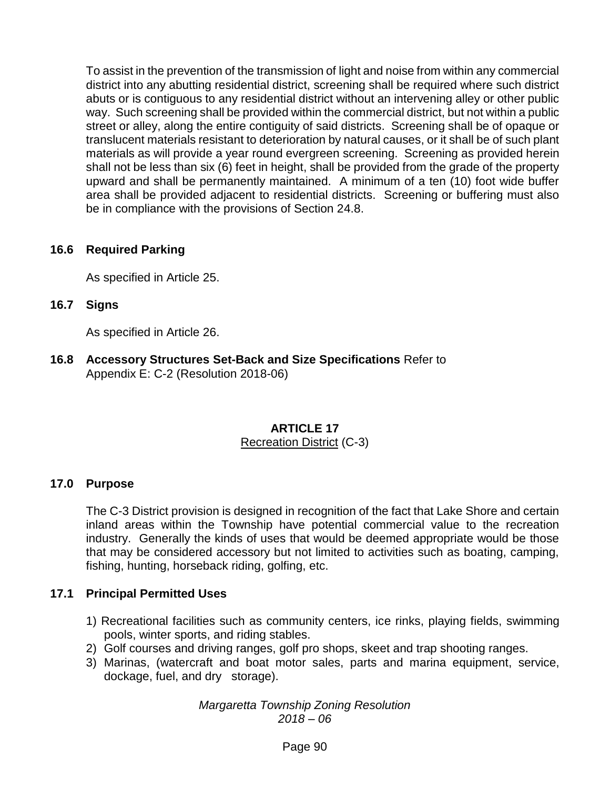To assist in the prevention of the transmission of light and noise from within any commercial district into any abutting residential district, screening shall be required where such district abuts or is contiguous to any residential district without an intervening alley or other public way. Such screening shall be provided within the commercial district, but not within a public street or alley, along the entire contiguity of said districts. Screening shall be of opaque or translucent materials resistant to deterioration by natural causes, or it shall be of such plant materials as will provide a year round evergreen screening. Screening as provided herein shall not be less than six (6) feet in height, shall be provided from the grade of the property upward and shall be permanently maintained. A minimum of a ten (10) foot wide buffer area shall be provided adjacent to residential districts. Screening or buffering must also be in compliance with the provisions of Section 24.8.

## **16.6 Required Parking**

As specified in Article 25.

**16.7 Signs**

As specified in Article 26.

**16.8 Accessory Structures Set-Back and Size Specifications** Refer to Appendix E: C-2 (Resolution 2018-06)

# **ARTICLE 17**

#### Recreation District (C-3)

#### **17.0 Purpose**

The C-3 District provision is designed in recognition of the fact that Lake Shore and certain inland areas within the Township have potential commercial value to the recreation industry. Generally the kinds of uses that would be deemed appropriate would be those that may be considered accessory but not limited to activities such as boating, camping, fishing, hunting, horseback riding, golfing, etc.

#### **17.1 Principal Permitted Uses**

- 1) Recreational facilities such as community centers, ice rinks, playing fields, swimming pools, winter sports, and riding stables.
- 2) Golf courses and driving ranges, golf pro shops, skeet and trap shooting ranges.
- 3) Marinas, (watercraft and boat motor sales, parts and marina equipment, service, dockage, fuel, and dry storage).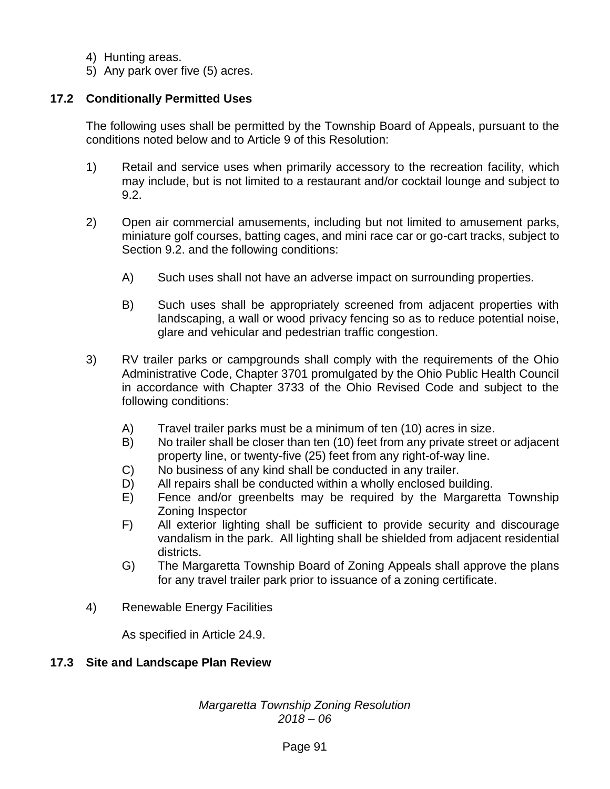- 4) Hunting areas.
- 5) Any park over five (5) acres.

## **17.2 Conditionally Permitted Uses**

The following uses shall be permitted by the Township Board of Appeals, pursuant to the conditions noted below and to Article 9 of this Resolution:

- 1) Retail and service uses when primarily accessory to the recreation facility, which may include, but is not limited to a restaurant and/or cocktail lounge and subject to 9.2.
- 2) Open air commercial amusements, including but not limited to amusement parks, miniature golf courses, batting cages, and mini race car or go-cart tracks, subject to Section 9.2. and the following conditions:
	- A) Such uses shall not have an adverse impact on surrounding properties.
	- B) Such uses shall be appropriately screened from adjacent properties with landscaping, a wall or wood privacy fencing so as to reduce potential noise, glare and vehicular and pedestrian traffic congestion.
- 3) RV trailer parks or campgrounds shall comply with the requirements of the Ohio Administrative Code, Chapter 3701 promulgated by the Ohio Public Health Council in accordance with Chapter 3733 of the Ohio Revised Code and subject to the following conditions:
	- A) Travel trailer parks must be a minimum of ten (10) acres in size.
	- B) No trailer shall be closer than ten (10) feet from any private street or adjacent property line, or twenty-five (25) feet from any right-of-way line.
	- C) No business of any kind shall be conducted in any trailer.
	- D) All repairs shall be conducted within a wholly enclosed building.
	- E) Fence and/or greenbelts may be required by the Margaretta Township Zoning Inspector
	- F) All exterior lighting shall be sufficient to provide security and discourage vandalism in the park. All lighting shall be shielded from adjacent residential districts.
	- G) The Margaretta Township Board of Zoning Appeals shall approve the plans for any travel trailer park prior to issuance of a zoning certificate.
- 4) Renewable Energy Facilities

As specified in Article 24.9.

#### **17.3 Site and Landscape Plan Review**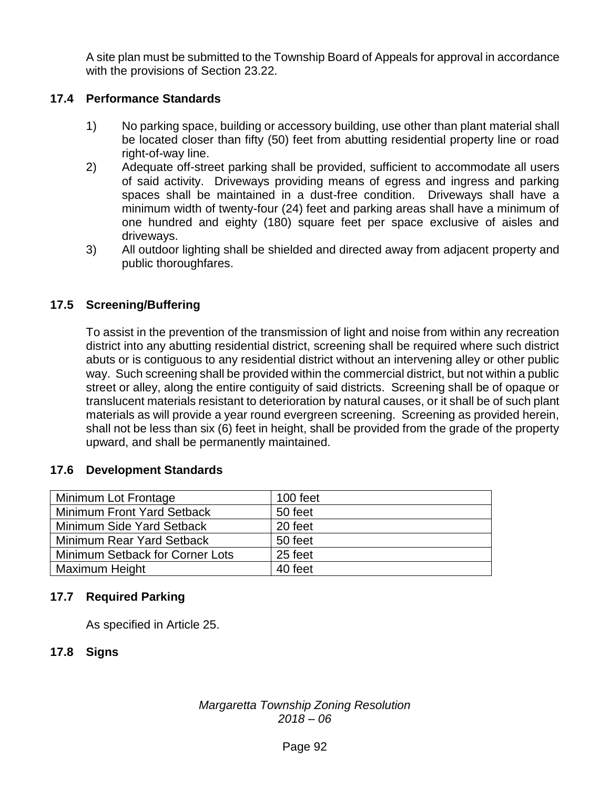A site plan must be submitted to the Township Board of Appeals for approval in accordance with the provisions of Section 23.22.

## **17.4 Performance Standards**

- 1) No parking space, building or accessory building, use other than plant material shall be located closer than fifty (50) feet from abutting residential property line or road right-of-way line.
- 2) Adequate off-street parking shall be provided, sufficient to accommodate all users of said activity. Driveways providing means of egress and ingress and parking spaces shall be maintained in a dust-free condition. Driveways shall have a minimum width of twenty-four (24) feet and parking areas shall have a minimum of one hundred and eighty (180) square feet per space exclusive of aisles and driveways.
- 3) All outdoor lighting shall be shielded and directed away from adjacent property and public thoroughfares.

## **17.5 Screening/Buffering**

To assist in the prevention of the transmission of light and noise from within any recreation district into any abutting residential district, screening shall be required where such district abuts or is contiguous to any residential district without an intervening alley or other public way. Such screening shall be provided within the commercial district, but not within a public street or alley, along the entire contiguity of said districts. Screening shall be of opaque or translucent materials resistant to deterioration by natural causes, or it shall be of such plant materials as will provide a year round evergreen screening. Screening as provided herein, shall not be less than six (6) feet in height, shall be provided from the grade of the property upward, and shall be permanently maintained.

#### **17.6 Development Standards**

| Minimum Lot Frontage            | 100 feet |
|---------------------------------|----------|
| Minimum Front Yard Setback      | 50 feet  |
| Minimum Side Yard Setback       | 20 feet  |
| Minimum Rear Yard Setback       | 50 feet  |
| Minimum Setback for Corner Lots | 25 feet  |
| Maximum Height                  | 40 feet  |

## **17.7 Required Parking**

As specified in Article 25.

## **17.8 Signs**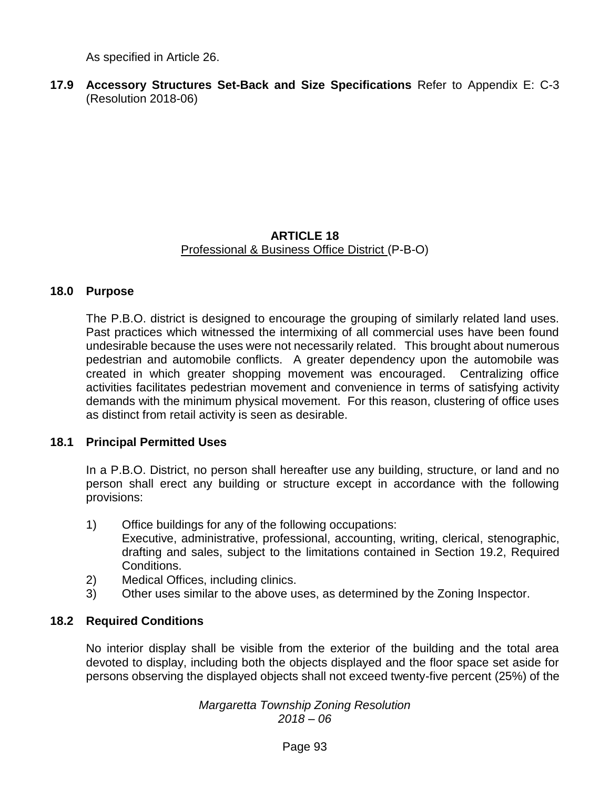As specified in Article 26.

**17.9 Accessory Structures Set-Back and Size Specifications** Refer to Appendix E: C-3 (Resolution 2018-06)

#### **ARTICLE 18** Professional & Business Office District (P-B-O)

#### **18.0 Purpose**

The P.B.O. district is designed to encourage the grouping of similarly related land uses. Past practices which witnessed the intermixing of all commercial uses have been found undesirable because the uses were not necessarily related. This brought about numerous pedestrian and automobile conflicts. A greater dependency upon the automobile was created in which greater shopping movement was encouraged. Centralizing office activities facilitates pedestrian movement and convenience in terms of satisfying activity demands with the minimum physical movement. For this reason, clustering of office uses as distinct from retail activity is seen as desirable.

#### **18.1 Principal Permitted Uses**

In a P.B.O. District, no person shall hereafter use any building, structure, or land and no person shall erect any building or structure except in accordance with the following provisions:

1) Office buildings for any of the following occupations:

Executive, administrative, professional, accounting, writing, clerical, stenographic, drafting and sales, subject to the limitations contained in Section 19.2, Required Conditions.

- 2) Medical Offices, including clinics.
- 3) Other uses similar to the above uses, as determined by the Zoning Inspector.

#### **18.2 Required Conditions**

No interior display shall be visible from the exterior of the building and the total area devoted to display, including both the objects displayed and the floor space set aside for persons observing the displayed objects shall not exceed twenty-five percent (25%) of the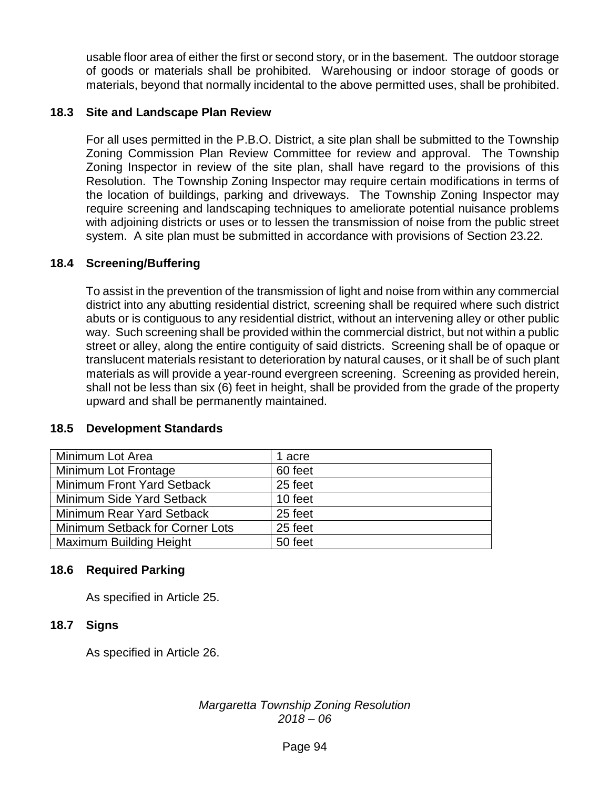usable floor area of either the first or second story, or in the basement. The outdoor storage of goods or materials shall be prohibited. Warehousing or indoor storage of goods or materials, beyond that normally incidental to the above permitted uses, shall be prohibited.

#### **18.3 Site and Landscape Plan Review**

For all uses permitted in the P.B.O. District, a site plan shall be submitted to the Township Zoning Commission Plan Review Committee for review and approval. The Township Zoning Inspector in review of the site plan, shall have regard to the provisions of this Resolution. The Township Zoning Inspector may require certain modifications in terms of the location of buildings, parking and driveways. The Township Zoning Inspector may require screening and landscaping techniques to ameliorate potential nuisance problems with adjoining districts or uses or to lessen the transmission of noise from the public street system. A site plan must be submitted in accordance with provisions of Section 23.22.

## **18.4 Screening/Buffering**

To assist in the prevention of the transmission of light and noise from within any commercial district into any abutting residential district, screening shall be required where such district abuts or is contiguous to any residential district, without an intervening alley or other public way. Such screening shall be provided within the commercial district, but not within a public street or alley, along the entire contiguity of said districts. Screening shall be of opaque or translucent materials resistant to deterioration by natural causes, or it shall be of such plant materials as will provide a year-round evergreen screening. Screening as provided herein, shall not be less than six (6) feet in height, shall be provided from the grade of the property upward and shall be permanently maintained.

| Minimum Lot Area                | 1 acre  |
|---------------------------------|---------|
| Minimum Lot Frontage            | 60 feet |
| Minimum Front Yard Setback      | 25 feet |
| Minimum Side Yard Setback       | 10 feet |
| Minimum Rear Yard Setback       | 25 feet |
| Minimum Setback for Corner Lots | 25 feet |
| <b>Maximum Building Height</b>  | 50 feet |

#### **18.5 Development Standards**

## **18.6 Required Parking**

As specified in Article 25.

## **18.7 Signs**

As specified in Article 26.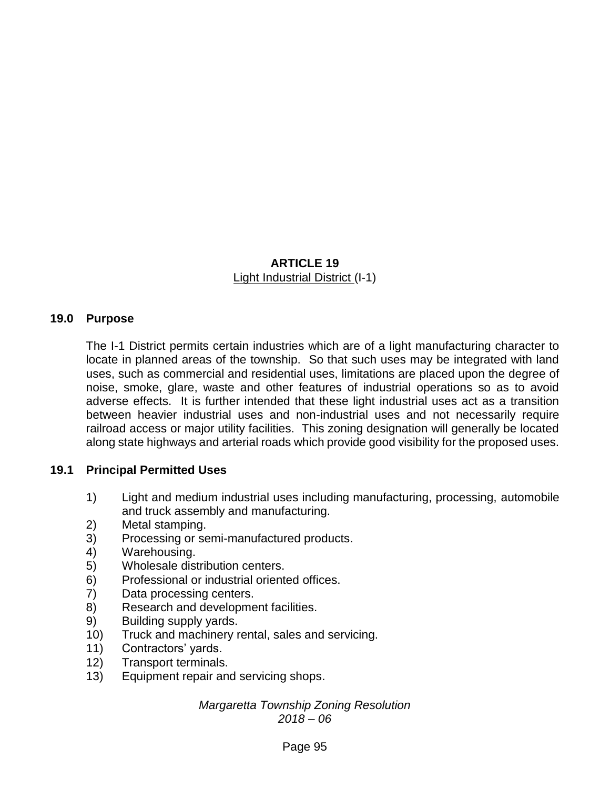## **ARTICLE 19** Light Industrial District (I-1)

## **19.0 Purpose**

The I-1 District permits certain industries which are of a light manufacturing character to locate in planned areas of the township. So that such uses may be integrated with land uses, such as commercial and residential uses, limitations are placed upon the degree of noise, smoke, glare, waste and other features of industrial operations so as to avoid adverse effects. It is further intended that these light industrial uses act as a transition between heavier industrial uses and non-industrial uses and not necessarily require railroad access or major utility facilities. This zoning designation will generally be located along state highways and arterial roads which provide good visibility for the proposed uses.

## **19.1 Principal Permitted Uses**

- 1) Light and medium industrial uses including manufacturing, processing, automobile and truck assembly and manufacturing.
- 2) Metal stamping.
- 3) Processing or semi-manufactured products.
- 4) Warehousing.
- 5) Wholesale distribution centers.
- 6) Professional or industrial oriented offices.
- 7) Data processing centers.
- 8) Research and development facilities.
- 9) Building supply yards.
- 10) Truck and machinery rental, sales and servicing.
- 11) Contractors' yards.
- 12) Transport terminals.
- 13) Equipment repair and servicing shops.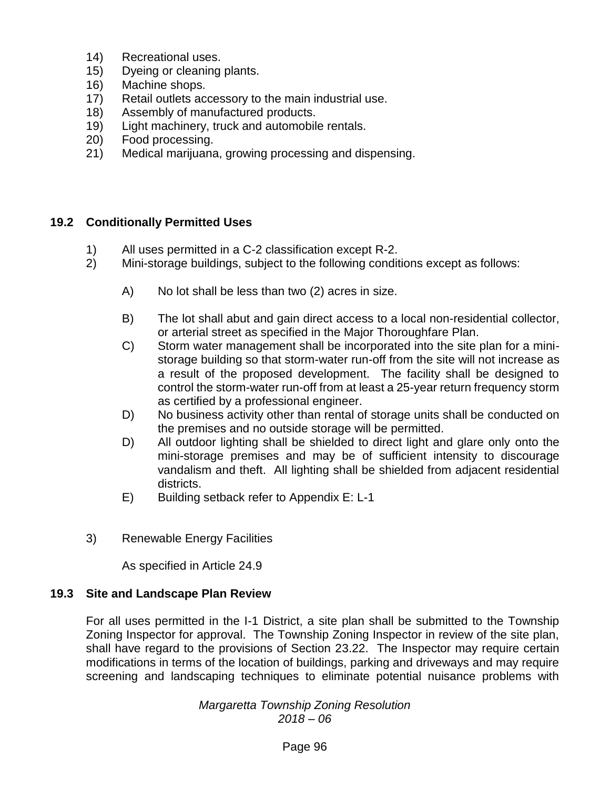- 14) Recreational uses.
- 15) Dyeing or cleaning plants.
- 16) Machine shops.
- 17) Retail outlets accessory to the main industrial use.
- 18) Assembly of manufactured products.
- 19) Light machinery, truck and automobile rentals.
- 20) Food processing.
- 21) Medical marijuana, growing processing and dispensing.

## **19.2 Conditionally Permitted Uses**

- 1) All uses permitted in a C-2 classification except R-2.
- 2) Mini-storage buildings, subject to the following conditions except as follows:
	- A) No lot shall be less than two (2) acres in size.
	- B) The lot shall abut and gain direct access to a local non-residential collector, or arterial street as specified in the Major Thoroughfare Plan.
	- C) Storm water management shall be incorporated into the site plan for a ministorage building so that storm-water run-off from the site will not increase as a result of the proposed development. The facility shall be designed to control the storm-water run-off from at least a 25-year return frequency storm as certified by a professional engineer.
	- D) No business activity other than rental of storage units shall be conducted on the premises and no outside storage will be permitted.
	- D) All outdoor lighting shall be shielded to direct light and glare only onto the mini-storage premises and may be of sufficient intensity to discourage vandalism and theft. All lighting shall be shielded from adjacent residential districts.
	- E) Building setback refer to Appendix E: L-1
- 3) Renewable Energy Facilities

As specified in Article 24.9

#### **19.3 Site and Landscape Plan Review**

For all uses permitted in the I-1 District, a site plan shall be submitted to the Township Zoning Inspector for approval. The Township Zoning Inspector in review of the site plan, shall have regard to the provisions of Section 23.22. The Inspector may require certain modifications in terms of the location of buildings, parking and driveways and may require screening and landscaping techniques to eliminate potential nuisance problems with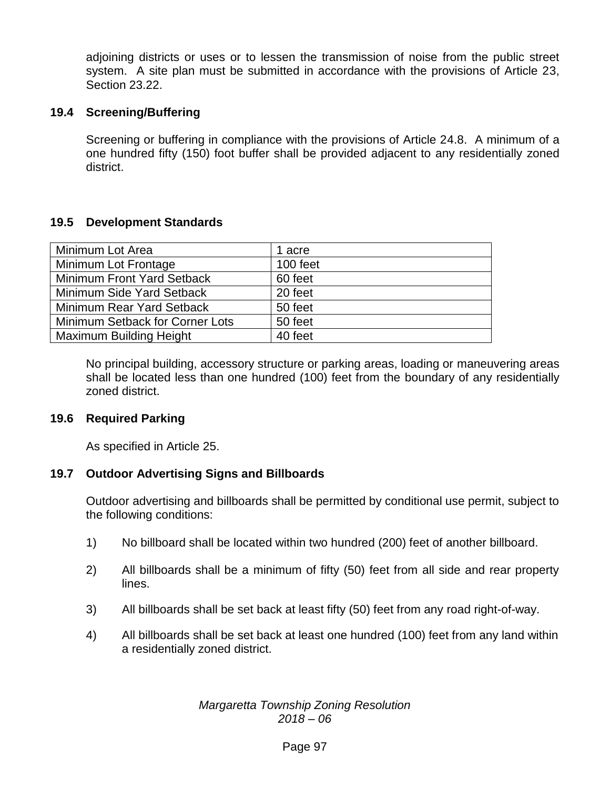adjoining districts or uses or to lessen the transmission of noise from the public street system. A site plan must be submitted in accordance with the provisions of Article 23, Section 23.22.

#### **19.4 Screening/Buffering**

Screening or buffering in compliance with the provisions of Article 24.8. A minimum of a one hundred fifty (150) foot buffer shall be provided adjacent to any residentially zoned district.

## **19.5 Development Standards**

| Minimum Lot Area                | 1 acre   |
|---------------------------------|----------|
| Minimum Lot Frontage            | 100 feet |
| Minimum Front Yard Setback      | 60 feet  |
| Minimum Side Yard Setback       | 20 feet  |
| Minimum Rear Yard Setback       | 50 feet  |
| Minimum Setback for Corner Lots | 50 feet  |
| <b>Maximum Building Height</b>  | 40 feet  |

No principal building, accessory structure or parking areas, loading or maneuvering areas shall be located less than one hundred (100) feet from the boundary of any residentially zoned district.

#### **19.6 Required Parking**

As specified in Article 25.

#### **19.7 Outdoor Advertising Signs and Billboards**

Outdoor advertising and billboards shall be permitted by conditional use permit, subject to the following conditions:

- 1) No billboard shall be located within two hundred (200) feet of another billboard.
- 2) All billboards shall be a minimum of fifty (50) feet from all side and rear property lines.
- 3) All billboards shall be set back at least fifty (50) feet from any road right-of-way.
- 4) All billboards shall be set back at least one hundred (100) feet from any land within a residentially zoned district.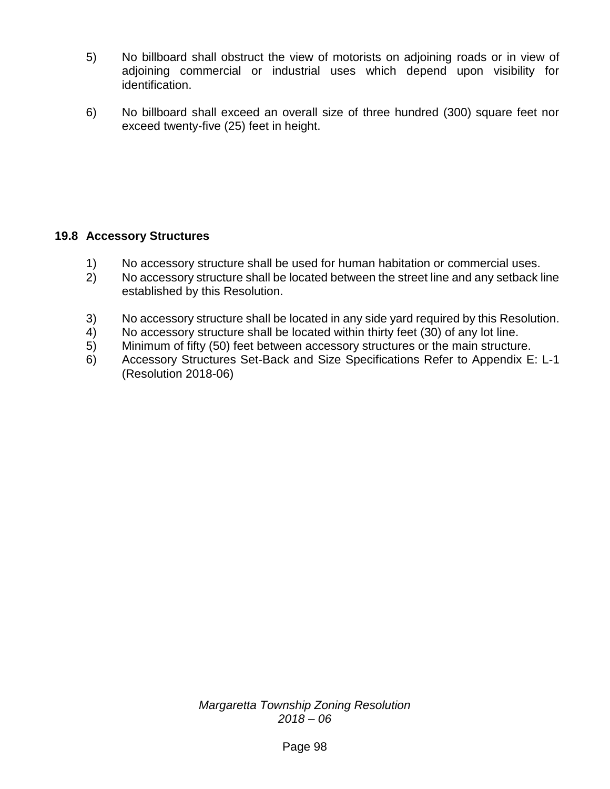- 5) No billboard shall obstruct the view of motorists on adjoining roads or in view of adjoining commercial or industrial uses which depend upon visibility for identification.
- 6) No billboard shall exceed an overall size of three hundred (300) square feet nor exceed twenty-five (25) feet in height.

## **19.8 Accessory Structures**

- 1) No accessory structure shall be used for human habitation or commercial uses.
- 2) No accessory structure shall be located between the street line and any setback line established by this Resolution.
- 3) No accessory structure shall be located in any side yard required by this Resolution.
- 4) No accessory structure shall be located within thirty feet (30) of any lot line.
- 5) Minimum of fifty (50) feet between accessory structures or the main structure.
- 6) Accessory Structures Set-Back and Size Specifications Refer to Appendix E: L-1 (Resolution 2018-06)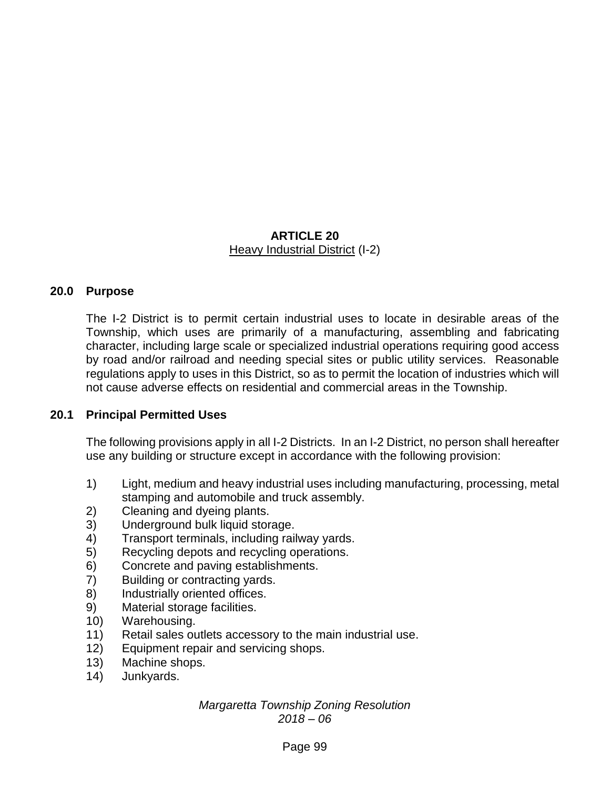## **ARTICLE 20** Heavy Industrial District (I-2)

## **20.0 Purpose**

The I-2 District is to permit certain industrial uses to locate in desirable areas of the Township, which uses are primarily of a manufacturing, assembling and fabricating character, including large scale or specialized industrial operations requiring good access by road and/or railroad and needing special sites or public utility services. Reasonable regulations apply to uses in this District, so as to permit the location of industries which will not cause adverse effects on residential and commercial areas in the Township.

#### **20.1 Principal Permitted Uses**

The following provisions apply in all I-2 Districts. In an I-2 District, no person shall hereafter use any building or structure except in accordance with the following provision:

- 1) Light, medium and heavy industrial uses including manufacturing, processing, metal stamping and automobile and truck assembly.
- 2) Cleaning and dyeing plants.
- 3) Underground bulk liquid storage.
- 4) Transport terminals, including railway yards.
- 5) Recycling depots and recycling operations.
- 6) Concrete and paving establishments.
- 7) Building or contracting yards.
- 8) Industrially oriented offices.
- 9) Material storage facilities.
- 10) Warehousing.
- 11) Retail sales outlets accessory to the main industrial use.
- 12) Equipment repair and servicing shops.
- 13) Machine shops.
- 14) Junkyards.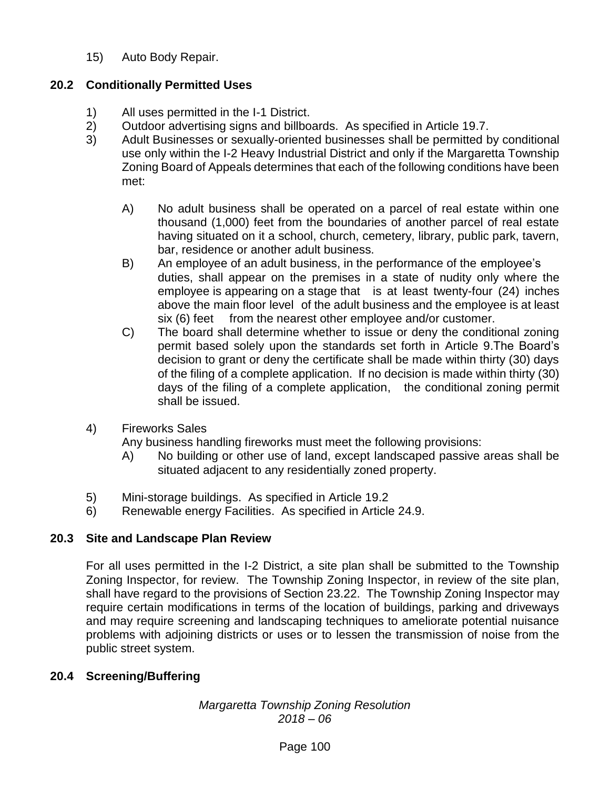15) Auto Body Repair.

## **20.2 Conditionally Permitted Uses**

- 1) All uses permitted in the I-1 District.
- 2) Outdoor advertising signs and billboards. As specified in Article 19.7.
- 3) Adult Businesses or sexually-oriented businesses shall be permitted by conditional use only within the I-2 Heavy Industrial District and only if the Margaretta Township Zoning Board of Appeals determines that each of the following conditions have been met:
	- A) No adult business shall be operated on a parcel of real estate within one thousand (1,000) feet from the boundaries of another parcel of real estate having situated on it a school, church, cemetery, library, public park, tavern, bar, residence or another adult business.
	- B) An employee of an adult business, in the performance of the employee's duties, shall appear on the premises in a state of nudity only where the employee is appearing on a stage that is at least twenty-four (24) inches above the main floor level of the adult business and the employee is at least six (6) feet from the nearest other employee and/or customer.
	- C) The board shall determine whether to issue or deny the conditional zoning permit based solely upon the standards set forth in Article 9.The Board's decision to grant or deny the certificate shall be made within thirty (30) days of the filing of a complete application. If no decision is made within thirty (30) days of the filing of a complete application, the conditional zoning permit shall be issued.
- 4) Fireworks Sales

Any business handling fireworks must meet the following provisions:

- A) No building or other use of land, except landscaped passive areas shall be situated adjacent to any residentially zoned property.
- 5) Mini-storage buildings. As specified in Article 19.2
- 6) Renewable energy Facilities. As specified in Article 24.9.

## **20.3 Site and Landscape Plan Review**

For all uses permitted in the I-2 District, a site plan shall be submitted to the Township Zoning Inspector, for review. The Township Zoning Inspector, in review of the site plan, shall have regard to the provisions of Section 23.22. The Township Zoning Inspector may require certain modifications in terms of the location of buildings, parking and driveways and may require screening and landscaping techniques to ameliorate potential nuisance problems with adjoining districts or uses or to lessen the transmission of noise from the public street system.

## **20.4 Screening/Buffering**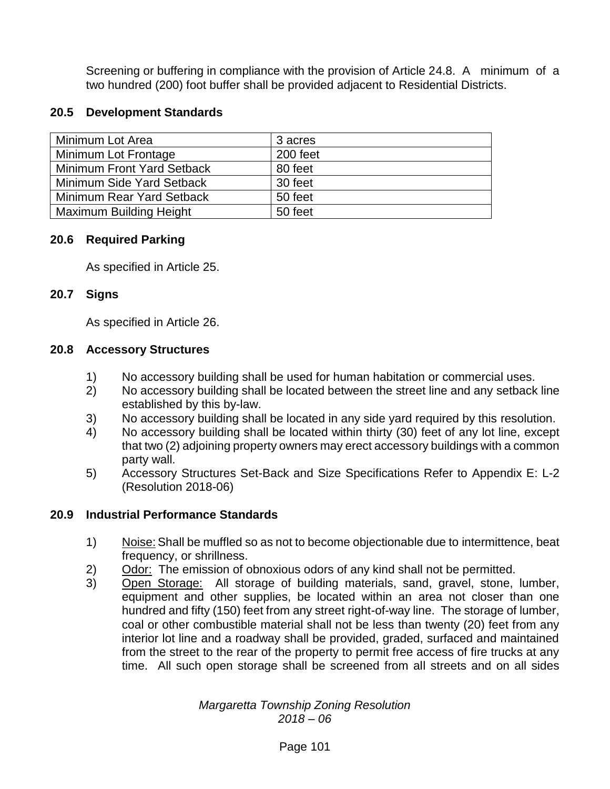Screening or buffering in compliance with the provision of Article 24.8. A minimum of a two hundred (200) foot buffer shall be provided adjacent to Residential Districts.

## **20.5 Development Standards**

| Minimum Lot Area                  | 3 acres  |
|-----------------------------------|----------|
| Minimum Lot Frontage              | 200 feet |
| <b>Minimum Front Yard Setback</b> | 80 feet  |
| Minimum Side Yard Setback         | 30 feet  |
| Minimum Rear Yard Setback         | 50 feet  |
| <b>Maximum Building Height</b>    | 50 feet  |

#### **20.6 Required Parking**

As specified in Article 25.

#### **20.7 Signs**

As specified in Article 26.

## **20.8 Accessory Structures**

- 1) No accessory building shall be used for human habitation or commercial uses.
- 2) No accessory building shall be located between the street line and any setback line established by this by-law.
- 3) No accessory building shall be located in any side yard required by this resolution.
- 4) No accessory building shall be located within thirty (30) feet of any lot line, except that two (2) adjoining property owners may erect accessory buildings with a common party wall.
- 5) Accessory Structures Set-Back and Size Specifications Refer to Appendix E: L-2 (Resolution 2018-06)

## **20.9 Industrial Performance Standards**

- 1) Noise: Shall be muffled so as not to become objectionable due to intermittence, beat frequency, or shrillness.
- 2) Odor: The emission of obnoxious odors of any kind shall not be permitted.
- 3) Open Storage: All storage of building materials, sand, gravel, stone, lumber, equipment and other supplies, be located within an area not closer than one hundred and fifty (150) feet from any street right-of-way line. The storage of lumber, coal or other combustible material shall not be less than twenty (20) feet from any interior lot line and a roadway shall be provided, graded, surfaced and maintained from the street to the rear of the property to permit free access of fire trucks at any time. All such open storage shall be screened from all streets and on all sides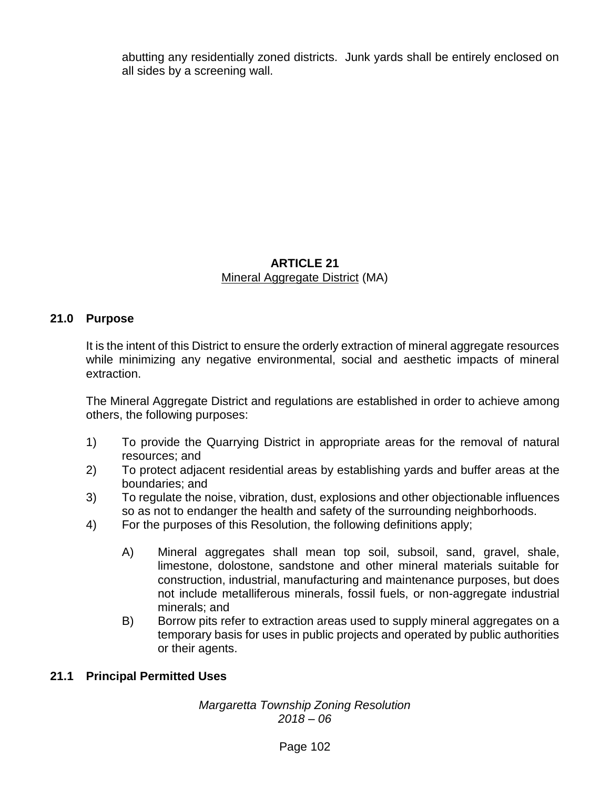abutting any residentially zoned districts. Junk yards shall be entirely enclosed on all sides by a screening wall.

## **ARTICLE 21** Mineral Aggregate District (MA)

## **21.0 Purpose**

It is the intent of this District to ensure the orderly extraction of mineral aggregate resources while minimizing any negative environmental, social and aesthetic impacts of mineral extraction.

The Mineral Aggregate District and regulations are established in order to achieve among others, the following purposes:

- 1) To provide the Quarrying District in appropriate areas for the removal of natural resources; and
- 2) To protect adjacent residential areas by establishing yards and buffer areas at the boundaries; and
- 3) To regulate the noise, vibration, dust, explosions and other objectionable influences so as not to endanger the health and safety of the surrounding neighborhoods.
- 4) For the purposes of this Resolution, the following definitions apply;
	- A) Mineral aggregates shall mean top soil, subsoil, sand, gravel, shale, limestone, dolostone, sandstone and other mineral materials suitable for construction, industrial, manufacturing and maintenance purposes, but does not include metalliferous minerals, fossil fuels, or non-aggregate industrial minerals; and
	- B) Borrow pits refer to extraction areas used to supply mineral aggregates on a temporary basis for uses in public projects and operated by public authorities or their agents.

## **21.1 Principal Permitted Uses**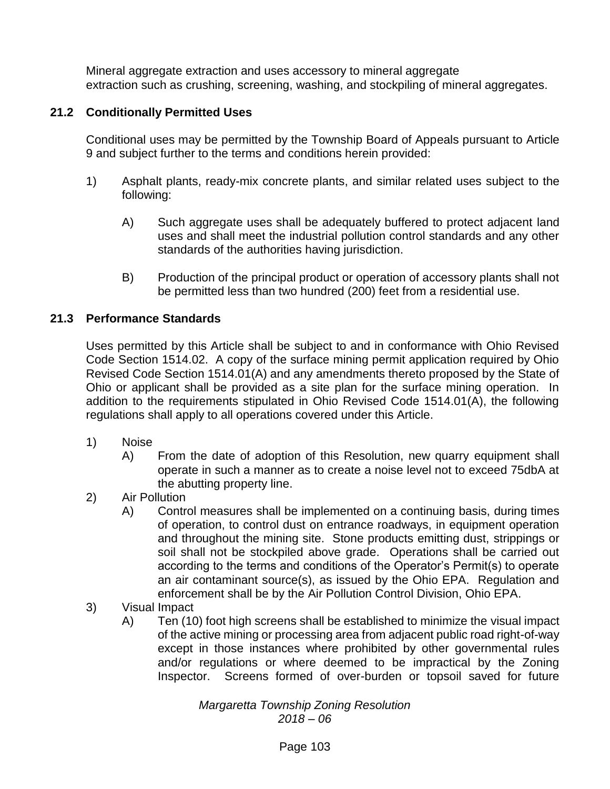Mineral aggregate extraction and uses accessory to mineral aggregate extraction such as crushing, screening, washing, and stockpiling of mineral aggregates.

## **21.2 Conditionally Permitted Uses**

Conditional uses may be permitted by the Township Board of Appeals pursuant to Article 9 and subject further to the terms and conditions herein provided:

- 1) Asphalt plants, ready-mix concrete plants, and similar related uses subject to the following:
	- A) Such aggregate uses shall be adequately buffered to protect adjacent land uses and shall meet the industrial pollution control standards and any other standards of the authorities having jurisdiction.
	- B) Production of the principal product or operation of accessory plants shall not be permitted less than two hundred (200) feet from a residential use.

## **21.3 Performance Standards**

Uses permitted by this Article shall be subject to and in conformance with Ohio Revised Code Section 1514.02. A copy of the surface mining permit application required by Ohio Revised Code Section 1514.01(A) and any amendments thereto proposed by the State of Ohio or applicant shall be provided as a site plan for the surface mining operation. In addition to the requirements stipulated in Ohio Revised Code 1514.01(A), the following regulations shall apply to all operations covered under this Article.

- 1) Noise
	- A) From the date of adoption of this Resolution, new quarry equipment shall operate in such a manner as to create a noise level not to exceed 75dbA at the abutting property line.
- 2) Air Pollution
	- A) Control measures shall be implemented on a continuing basis, during times of operation, to control dust on entrance roadways, in equipment operation and throughout the mining site. Stone products emitting dust, strippings or soil shall not be stockpiled above grade. Operations shall be carried out according to the terms and conditions of the Operator's Permit(s) to operate an air contaminant source(s), as issued by the Ohio EPA. Regulation and enforcement shall be by the Air Pollution Control Division, Ohio EPA.
- 3) Visual Impact
	- A) Ten (10) foot high screens shall be established to minimize the visual impact of the active mining or processing area from adjacent public road right-of-way except in those instances where prohibited by other governmental rules and/or regulations or where deemed to be impractical by the Zoning Inspector. Screens formed of over-burden or topsoil saved for future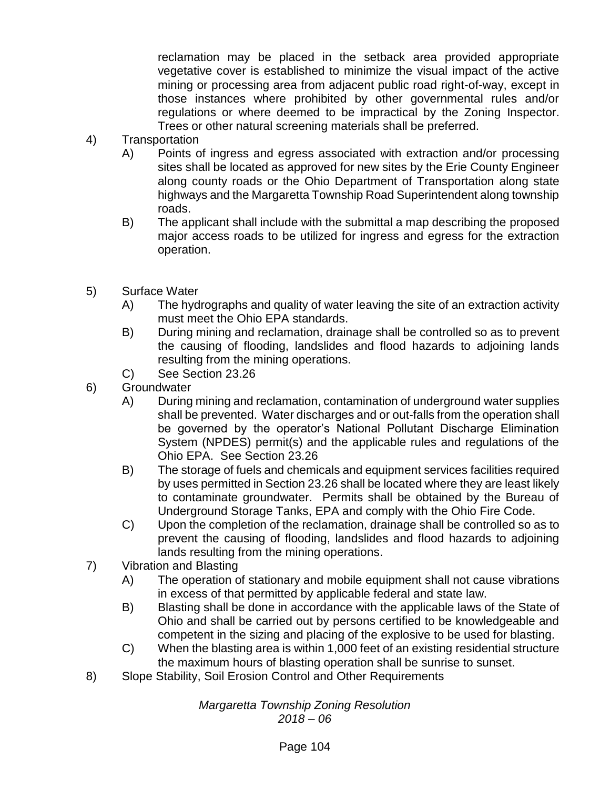reclamation may be placed in the setback area provided appropriate vegetative cover is established to minimize the visual impact of the active mining or processing area from adjacent public road right-of-way, except in those instances where prohibited by other governmental rules and/or regulations or where deemed to be impractical by the Zoning Inspector. Trees or other natural screening materials shall be preferred.

- 4) Transportation
	- A) Points of ingress and egress associated with extraction and/or processing sites shall be located as approved for new sites by the Erie County Engineer along county roads or the Ohio Department of Transportation along state highways and the Margaretta Township Road Superintendent along township roads.
	- B) The applicant shall include with the submittal a map describing the proposed major access roads to be utilized for ingress and egress for the extraction operation.
- 5) Surface Water
	- A) The hydrographs and quality of water leaving the site of an extraction activity must meet the Ohio EPA standards.
	- B) During mining and reclamation, drainage shall be controlled so as to prevent the causing of flooding, landslides and flood hazards to adjoining lands resulting from the mining operations.
	- C) See Section 23.26
- 6) Groundwater
	- A) During mining and reclamation, contamination of underground water supplies shall be prevented. Water discharges and or out-falls from the operation shall be governed by the operator's National Pollutant Discharge Elimination System (NPDES) permit(s) and the applicable rules and regulations of the Ohio EPA. See Section 23.26
	- B) The storage of fuels and chemicals and equipment services facilities required by uses permitted in Section 23.26 shall be located where they are least likely to contaminate groundwater. Permits shall be obtained by the Bureau of Underground Storage Tanks, EPA and comply with the Ohio Fire Code.
	- C) Upon the completion of the reclamation, drainage shall be controlled so as to prevent the causing of flooding, landslides and flood hazards to adjoining lands resulting from the mining operations.
- 7) Vibration and Blasting
	- A) The operation of stationary and mobile equipment shall not cause vibrations in excess of that permitted by applicable federal and state law.
	- B) Blasting shall be done in accordance with the applicable laws of the State of Ohio and shall be carried out by persons certified to be knowledgeable and competent in the sizing and placing of the explosive to be used for blasting.
	- C) When the blasting area is within 1,000 feet of an existing residential structure the maximum hours of blasting operation shall be sunrise to sunset.
- 8) Slope Stability, Soil Erosion Control and Other Requirements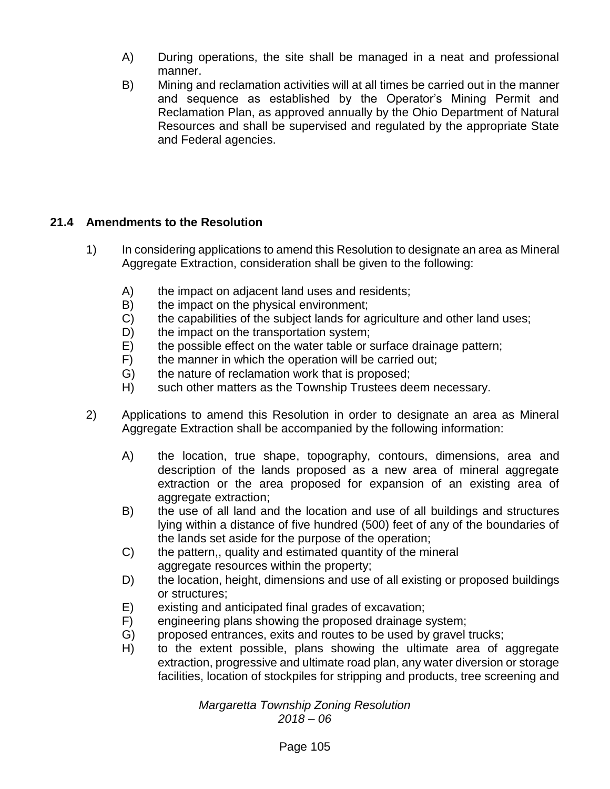- A) During operations, the site shall be managed in a neat and professional manner.
- B) Mining and reclamation activities will at all times be carried out in the manner and sequence as established by the Operator's Mining Permit and Reclamation Plan, as approved annually by the Ohio Department of Natural Resources and shall be supervised and regulated by the appropriate State and Federal agencies.

# **21.4 Amendments to the Resolution**

- 1) In considering applications to amend this Resolution to designate an area as Mineral Aggregate Extraction, consideration shall be given to the following:
	- A) the impact on adjacent land uses and residents;
	- B) the impact on the physical environment;
	- C) the capabilities of the subject lands for agriculture and other land uses;
	- D) the impact on the transportation system;
	- E) the possible effect on the water table or surface drainage pattern;
	- F) the manner in which the operation will be carried out;
	- G) the nature of reclamation work that is proposed;
	- H) such other matters as the Township Trustees deem necessary.
- 2) Applications to amend this Resolution in order to designate an area as Mineral Aggregate Extraction shall be accompanied by the following information:
	- A) the location, true shape, topography, contours, dimensions, area and description of the lands proposed as a new area of mineral aggregate extraction or the area proposed for expansion of an existing area of aggregate extraction;
	- B) the use of all land and the location and use of all buildings and structures lying within a distance of five hundred (500) feet of any of the boundaries of the lands set aside for the purpose of the operation;
	- C) the pattern,, quality and estimated quantity of the mineral aggregate resources within the property;
	- D) the location, height, dimensions and use of all existing or proposed buildings or structures;
	- E) existing and anticipated final grades of excavation;
	- F) engineering plans showing the proposed drainage system;
	- G) proposed entrances, exits and routes to be used by gravel trucks;
	- H) to the extent possible, plans showing the ultimate area of aggregate extraction, progressive and ultimate road plan, any water diversion or storage facilities, location of stockpiles for stripping and products, tree screening and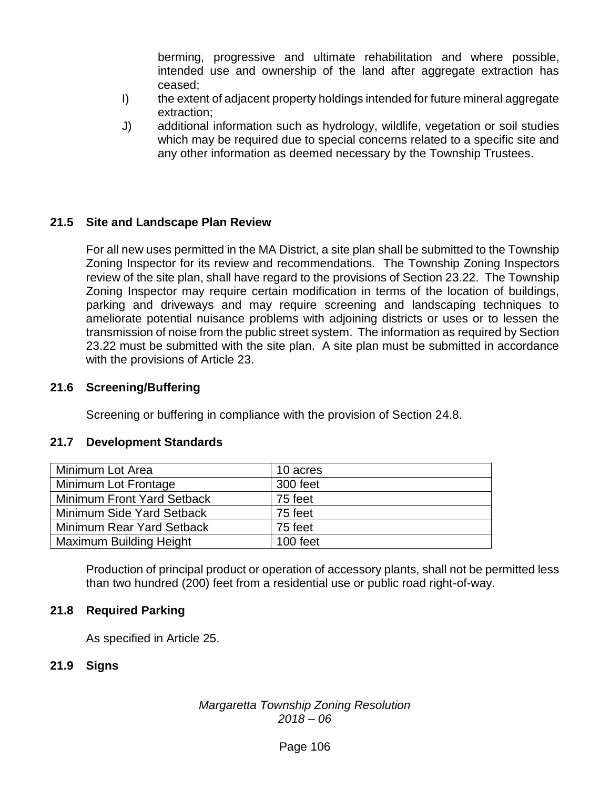berming, progressive and ultimate rehabilitation and where possible, intended use and ownership of the land after aggregate extraction has ceased;

- I) the extent of adjacent property holdings intended for future mineral aggregate extraction;
- J) additional information such as hydrology, wildlife, vegetation or soil studies which may be required due to special concerns related to a specific site and any other information as deemed necessary by the Township Trustees.

## **21.5 Site and Landscape Plan Review**

For all new uses permitted in the MA District, a site plan shall be submitted to the Township Zoning Inspector for its review and recommendations. The Township Zoning Inspectors review of the site plan, shall have regard to the provisions of Section 23.22. The Township Zoning Inspector may require certain modification in terms of the location of buildings, parking and driveways and may require screening and landscaping techniques to ameliorate potential nuisance problems with adjoining districts or uses or to lessen the transmission of noise from the public street system. The information as required by Section 23.22 must be submitted with the site plan. A site plan must be submitted in accordance with the provisions of Article 23.

### **21.6 Screening/Buffering**

Screening or buffering in compliance with the provision of Section 24.8.

### **21.7 Development Standards**

| Minimum Lot Area                  | 10 acres |
|-----------------------------------|----------|
| Minimum Lot Frontage              | 300 feet |
| <b>Minimum Front Yard Setback</b> | 75 feet  |
| Minimum Side Yard Setback         | 75 feet  |
| Minimum Rear Yard Setback         | 75 feet  |
| <b>Maximum Building Height</b>    | 100 feet |

Production of principal product or operation of accessory plants, shall not be permitted less than two hundred (200) feet from a residential use or public road right-of-way.

### **21.8 Required Parking**

As specified in Article 25.

### **21.9 Signs**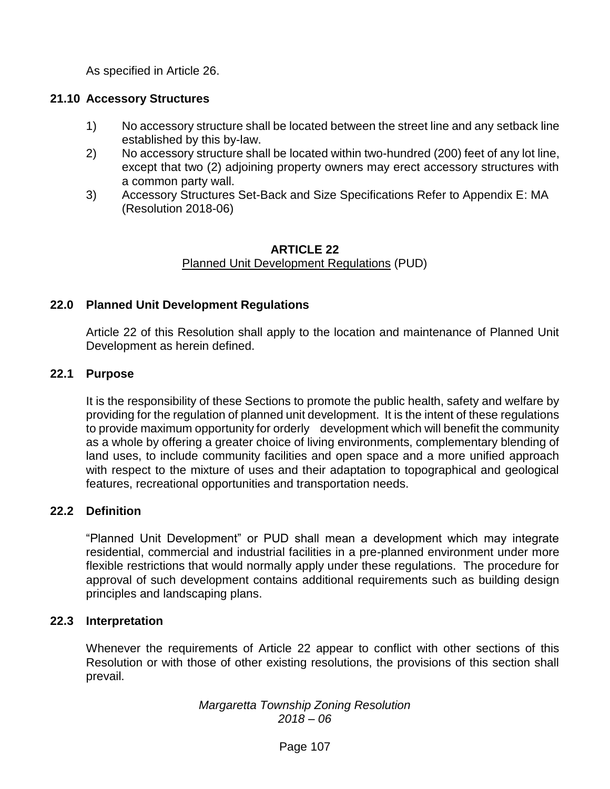As specified in Article 26.

### **21.10 Accessory Structures**

- 1) No accessory structure shall be located between the street line and any setback line established by this by-law.
- 2) No accessory structure shall be located within two-hundred (200) feet of any lot line, except that two (2) adjoining property owners may erect accessory structures with a common party wall.
- 3) Accessory Structures Set-Back and Size Specifications Refer to Appendix E: MA (Resolution 2018-06)

#### **ARTICLE 22** Planned Unit Development Regulations (PUD)

## **22.0 Planned Unit Development Regulations**

Article 22 of this Resolution shall apply to the location and maintenance of Planned Unit Development as herein defined.

### **22.1 Purpose**

It is the responsibility of these Sections to promote the public health, safety and welfare by providing for the regulation of planned unit development. It is the intent of these regulations to provide maximum opportunity for orderly development which will benefit the community as a whole by offering a greater choice of living environments, complementary blending of land uses, to include community facilities and open space and a more unified approach with respect to the mixture of uses and their adaptation to topographical and geological features, recreational opportunities and transportation needs.

# **22.2 Definition**

"Planned Unit Development" or PUD shall mean a development which may integrate residential, commercial and industrial facilities in a pre-planned environment under more flexible restrictions that would normally apply under these regulations. The procedure for approval of such development contains additional requirements such as building design principles and landscaping plans.

### **22.3 Interpretation**

Whenever the requirements of Article 22 appear to conflict with other sections of this Resolution or with those of other existing resolutions, the provisions of this section shall prevail.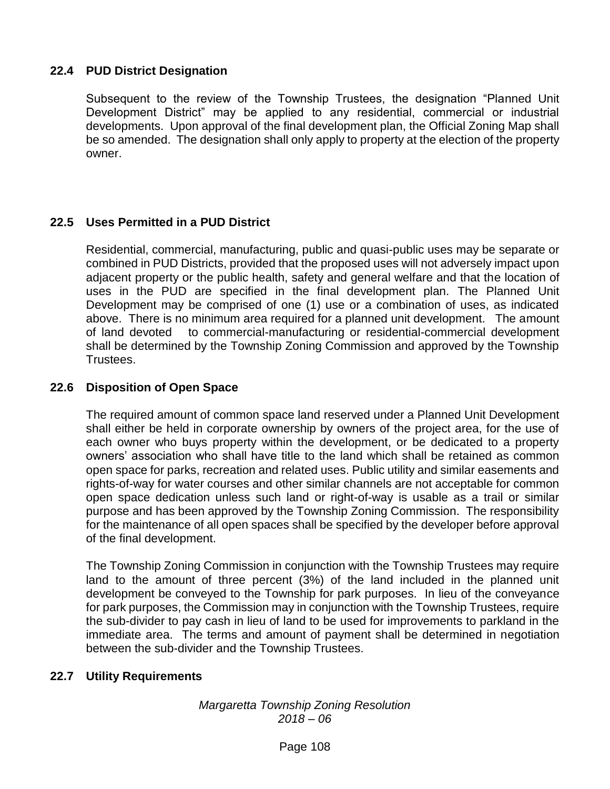# **22.4 PUD District Designation**

Subsequent to the review of the Township Trustees, the designation "Planned Unit Development District" may be applied to any residential, commercial or industrial developments. Upon approval of the final development plan, the Official Zoning Map shall be so amended. The designation shall only apply to property at the election of the property owner.

## **22.5 Uses Permitted in a PUD District**

Residential, commercial, manufacturing, public and quasi-public uses may be separate or combined in PUD Districts, provided that the proposed uses will not adversely impact upon adjacent property or the public health, safety and general welfare and that the location of uses in the PUD are specified in the final development plan. The Planned Unit Development may be comprised of one (1) use or a combination of uses, as indicated above. There is no minimum area required for a planned unit development. The amount of land devoted to commercial-manufacturing or residential-commercial development shall be determined by the Township Zoning Commission and approved by the Township Trustees.

### **22.6 Disposition of Open Space**

The required amount of common space land reserved under a Planned Unit Development shall either be held in corporate ownership by owners of the project area, for the use of each owner who buys property within the development, or be dedicated to a property owners' association who shall have title to the land which shall be retained as common open space for parks, recreation and related uses. Public utility and similar easements and rights-of-way for water courses and other similar channels are not acceptable for common open space dedication unless such land or right-of-way is usable as a trail or similar purpose and has been approved by the Township Zoning Commission. The responsibility for the maintenance of all open spaces shall be specified by the developer before approval of the final development.

The Township Zoning Commission in conjunction with the Township Trustees may require land to the amount of three percent (3%) of the land included in the planned unit development be conveyed to the Township for park purposes. In lieu of the conveyance for park purposes, the Commission may in conjunction with the Township Trustees, require the sub-divider to pay cash in lieu of land to be used for improvements to parkland in the immediate area. The terms and amount of payment shall be determined in negotiation between the sub-divider and the Township Trustees.

### **22.7 Utility Requirements**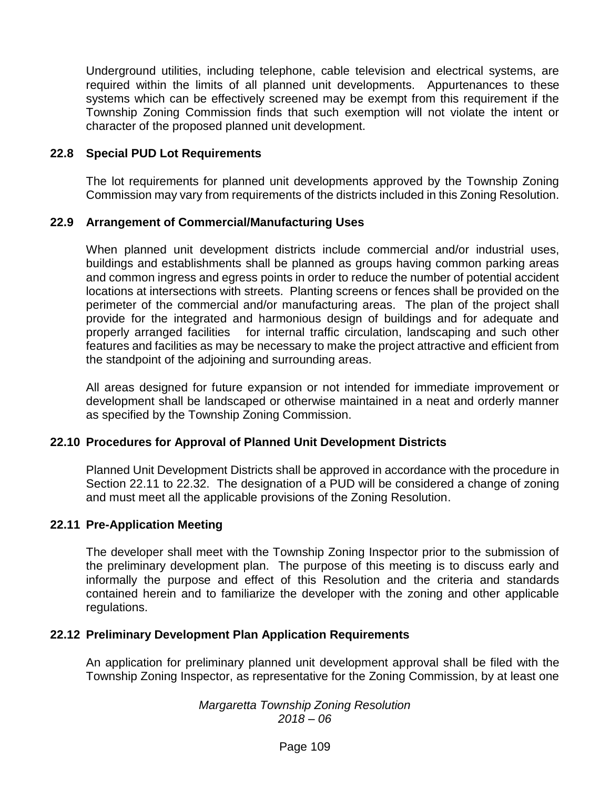Underground utilities, including telephone, cable television and electrical systems, are required within the limits of all planned unit developments. Appurtenances to these systems which can be effectively screened may be exempt from this requirement if the Township Zoning Commission finds that such exemption will not violate the intent or character of the proposed planned unit development.

#### **22.8 Special PUD Lot Requirements**

The lot requirements for planned unit developments approved by the Township Zoning Commission may vary from requirements of the districts included in this Zoning Resolution.

#### **22.9 Arrangement of Commercial/Manufacturing Uses**

When planned unit development districts include commercial and/or industrial uses, buildings and establishments shall be planned as groups having common parking areas and common ingress and egress points in order to reduce the number of potential accident locations at intersections with streets. Planting screens or fences shall be provided on the perimeter of the commercial and/or manufacturing areas. The plan of the project shall provide for the integrated and harmonious design of buildings and for adequate and properly arranged facilities for internal traffic circulation, landscaping and such other features and facilities as may be necessary to make the project attractive and efficient from the standpoint of the adjoining and surrounding areas.

All areas designed for future expansion or not intended for immediate improvement or development shall be landscaped or otherwise maintained in a neat and orderly manner as specified by the Township Zoning Commission.

### **22.10 Procedures for Approval of Planned Unit Development Districts**

Planned Unit Development Districts shall be approved in accordance with the procedure in Section 22.11 to 22.32. The designation of a PUD will be considered a change of zoning and must meet all the applicable provisions of the Zoning Resolution.

### **22.11 Pre-Application Meeting**

The developer shall meet with the Township Zoning Inspector prior to the submission of the preliminary development plan. The purpose of this meeting is to discuss early and informally the purpose and effect of this Resolution and the criteria and standards contained herein and to familiarize the developer with the zoning and other applicable regulations.

#### **22.12 Preliminary Development Plan Application Requirements**

An application for preliminary planned unit development approval shall be filed with the Township Zoning Inspector, as representative for the Zoning Commission, by at least one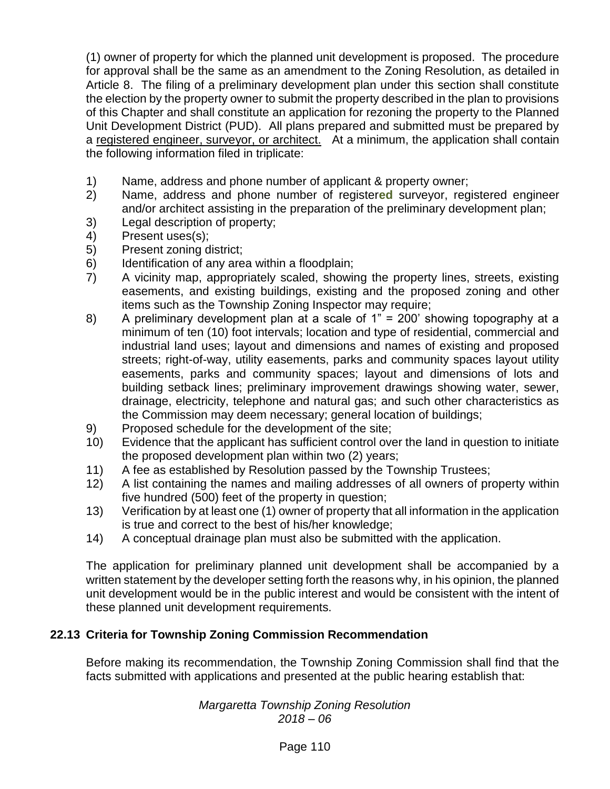(1) owner of property for which the planned unit development is proposed. The procedure for approval shall be the same as an amendment to the Zoning Resolution, as detailed in Article 8. The filing of a preliminary development plan under this section shall constitute the election by the property owner to submit the property described in the plan to provisions of this Chapter and shall constitute an application for rezoning the property to the Planned Unit Development District (PUD). All plans prepared and submitted must be prepared by a registered engineer, surveyor, or architect. At a minimum, the application shall contain the following information filed in triplicate:

- 1) Name, address and phone number of applicant & property owner;
- 2) Name, address and phone number of register**ed** surveyor, registered engineer and/or architect assisting in the preparation of the preliminary development plan;
- 3) Legal description of property;
- 4) Present uses(s);
- 5) Present zoning district;
- 6) Identification of any area within a floodplain;
- 7) A vicinity map, appropriately scaled, showing the property lines, streets, existing easements, and existing buildings, existing and the proposed zoning and other items such as the Township Zoning Inspector may require;
- 8) A preliminary development plan at a scale of 1" = 200' showing topography at a minimum of ten (10) foot intervals; location and type of residential, commercial and industrial land uses; layout and dimensions and names of existing and proposed streets; right-of-way, utility easements, parks and community spaces layout utility easements, parks and community spaces; layout and dimensions of lots and building setback lines; preliminary improvement drawings showing water, sewer, drainage, electricity, telephone and natural gas; and such other characteristics as the Commission may deem necessary; general location of buildings;
- 9) Proposed schedule for the development of the site;
- 10) Evidence that the applicant has sufficient control over the land in question to initiate the proposed development plan within two (2) years;
- 11) A fee as established by Resolution passed by the Township Trustees;
- 12) A list containing the names and mailing addresses of all owners of property within five hundred (500) feet of the property in question;
- 13) Verification by at least one (1) owner of property that all information in the application is true and correct to the best of his/her knowledge;
- 14) A conceptual drainage plan must also be submitted with the application.

The application for preliminary planned unit development shall be accompanied by a written statement by the developer setting forth the reasons why, in his opinion, the planned unit development would be in the public interest and would be consistent with the intent of these planned unit development requirements.

# **22.13 Criteria for Township Zoning Commission Recommendation**

Before making its recommendation, the Township Zoning Commission shall find that the facts submitted with applications and presented at the public hearing establish that: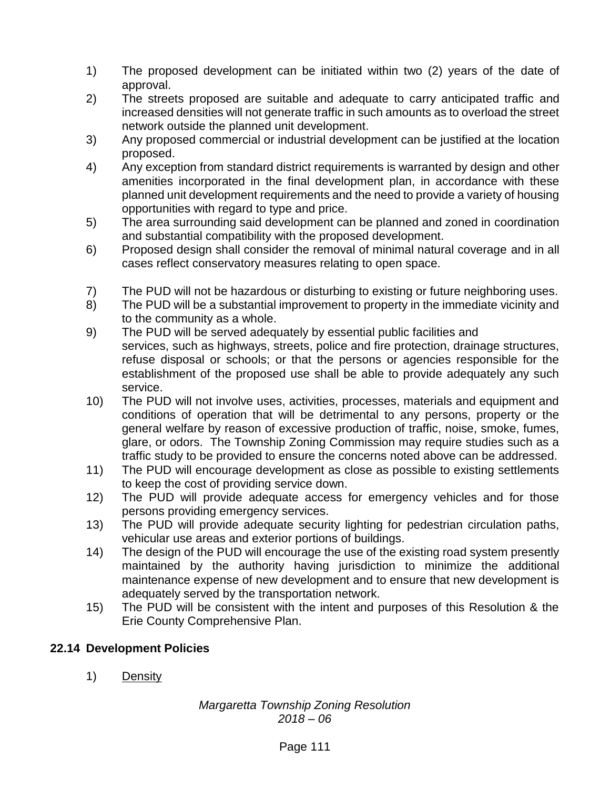- 1) The proposed development can be initiated within two (2) years of the date of approval.
- 2) The streets proposed are suitable and adequate to carry anticipated traffic and increased densities will not generate traffic in such amounts as to overload the street network outside the planned unit development.
- 3) Any proposed commercial or industrial development can be justified at the location proposed.
- 4) Any exception from standard district requirements is warranted by design and other amenities incorporated in the final development plan, in accordance with these planned unit development requirements and the need to provide a variety of housing opportunities with regard to type and price.
- 5) The area surrounding said development can be planned and zoned in coordination and substantial compatibility with the proposed development.
- 6) Proposed design shall consider the removal of minimal natural coverage and in all cases reflect conservatory measures relating to open space.
- 7) The PUD will not be hazardous or disturbing to existing or future neighboring uses.
- 8) The PUD will be a substantial improvement to property in the immediate vicinity and to the community as a whole.
- 9) The PUD will be served adequately by essential public facilities and services, such as highways, streets, police and fire protection, drainage structures, refuse disposal or schools; or that the persons or agencies responsible for the establishment of the proposed use shall be able to provide adequately any such service.
- 10) The PUD will not involve uses, activities, processes, materials and equipment and conditions of operation that will be detrimental to any persons, property or the general welfare by reason of excessive production of traffic, noise, smoke, fumes, glare, or odors. The Township Zoning Commission may require studies such as a traffic study to be provided to ensure the concerns noted above can be addressed.
- 11) The PUD will encourage development as close as possible to existing settlements to keep the cost of providing service down.
- 12) The PUD will provide adequate access for emergency vehicles and for those persons providing emergency services.
- 13) The PUD will provide adequate security lighting for pedestrian circulation paths, vehicular use areas and exterior portions of buildings.
- 14) The design of the PUD will encourage the use of the existing road system presently maintained by the authority having jurisdiction to minimize the additional maintenance expense of new development and to ensure that new development is adequately served by the transportation network.
- 15) The PUD will be consistent with the intent and purposes of this Resolution & the Erie County Comprehensive Plan.

# **22.14 Development Policies**

1) Density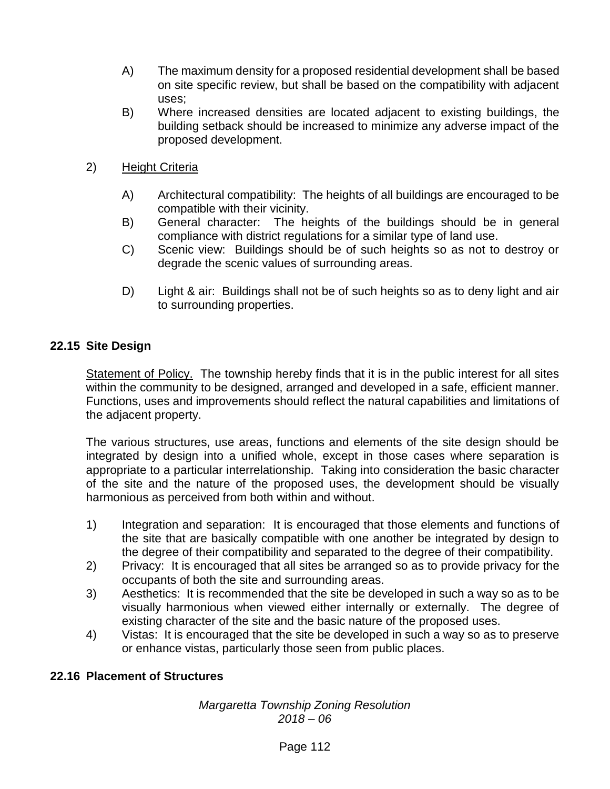- A) The maximum density for a proposed residential development shall be based on site specific review, but shall be based on the compatibility with adjacent uses;
- B) Where increased densities are located adjacent to existing buildings, the building setback should be increased to minimize any adverse impact of the proposed development.
- 2) Height Criteria
	- A) Architectural compatibility: The heights of all buildings are encouraged to be compatible with their vicinity.
	- B) General character: The heights of the buildings should be in general compliance with district regulations for a similar type of land use.
	- C) Scenic view: Buildings should be of such heights so as not to destroy or degrade the scenic values of surrounding areas.
	- D) Light & air: Buildings shall not be of such heights so as to deny light and air to surrounding properties.

# **22.15 Site Design**

Statement of Policy. The township hereby finds that it is in the public interest for all sites within the community to be designed, arranged and developed in a safe, efficient manner. Functions, uses and improvements should reflect the natural capabilities and limitations of the adjacent property.

The various structures, use areas, functions and elements of the site design should be integrated by design into a unified whole, except in those cases where separation is appropriate to a particular interrelationship. Taking into consideration the basic character of the site and the nature of the proposed uses, the development should be visually harmonious as perceived from both within and without.

- 1) Integration and separation: It is encouraged that those elements and functions of the site that are basically compatible with one another be integrated by design to the degree of their compatibility and separated to the degree of their compatibility.
- 2) Privacy: It is encouraged that all sites be arranged so as to provide privacy for the occupants of both the site and surrounding areas.
- 3) Aesthetics: It is recommended that the site be developed in such a way so as to be visually harmonious when viewed either internally or externally. The degree of existing character of the site and the basic nature of the proposed uses.
- 4) Vistas: It is encouraged that the site be developed in such a way so as to preserve or enhance vistas, particularly those seen from public places.

# **22.16 Placement of Structures**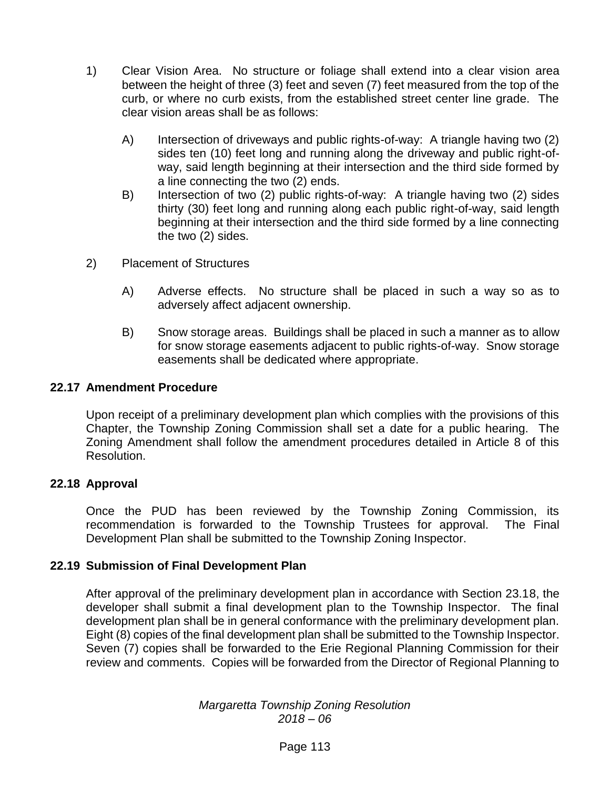- 1) Clear Vision Area. No structure or foliage shall extend into a clear vision area between the height of three (3) feet and seven (7) feet measured from the top of the curb, or where no curb exists, from the established street center line grade. The clear vision areas shall be as follows:
	- A) Intersection of driveways and public rights-of-way: A triangle having two (2) sides ten (10) feet long and running along the driveway and public right-ofway, said length beginning at their intersection and the third side formed by a line connecting the two (2) ends.
	- B) Intersection of two (2) public rights-of-way: A triangle having two (2) sides thirty (30) feet long and running along each public right-of-way, said length beginning at their intersection and the third side formed by a line connecting the two (2) sides.
- 2) Placement of Structures
	- A) Adverse effects. No structure shall be placed in such a way so as to adversely affect adjacent ownership.
	- B) Snow storage areas. Buildings shall be placed in such a manner as to allow for snow storage easements adjacent to public rights-of-way. Snow storage easements shall be dedicated where appropriate.

### **22.17 Amendment Procedure**

Upon receipt of a preliminary development plan which complies with the provisions of this Chapter, the Township Zoning Commission shall set a date for a public hearing. The Zoning Amendment shall follow the amendment procedures detailed in Article 8 of this Resolution.

### **22.18 Approval**

Once the PUD has been reviewed by the Township Zoning Commission, its recommendation is forwarded to the Township Trustees for approval. The Final Development Plan shall be submitted to the Township Zoning Inspector.

### **22.19 Submission of Final Development Plan**

After approval of the preliminary development plan in accordance with Section 23.18, the developer shall submit a final development plan to the Township Inspector. The final development plan shall be in general conformance with the preliminary development plan. Eight (8) copies of the final development plan shall be submitted to the Township Inspector. Seven (7) copies shall be forwarded to the Erie Regional Planning Commission for their review and comments. Copies will be forwarded from the Director of Regional Planning to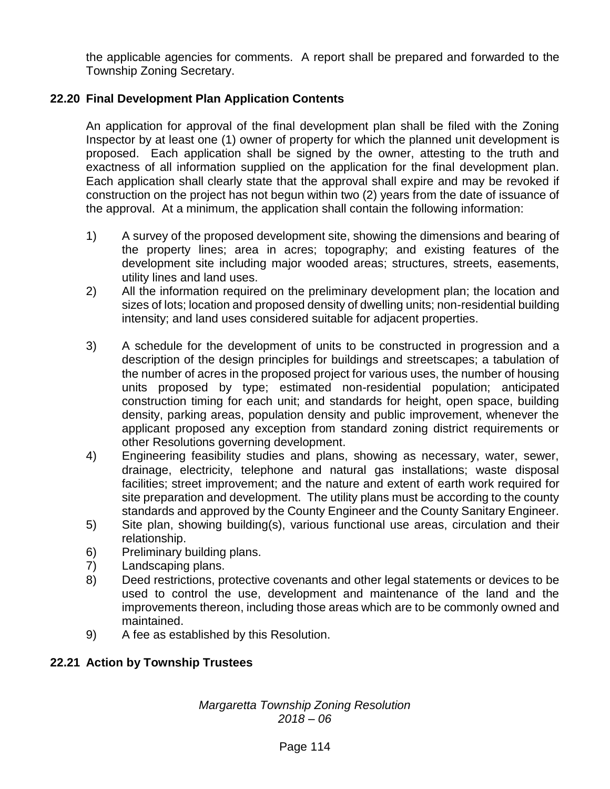the applicable agencies for comments. A report shall be prepared and forwarded to the Township Zoning Secretary.

# **22.20 Final Development Plan Application Contents**

An application for approval of the final development plan shall be filed with the Zoning Inspector by at least one (1) owner of property for which the planned unit development is proposed. Each application shall be signed by the owner, attesting to the truth and exactness of all information supplied on the application for the final development plan. Each application shall clearly state that the approval shall expire and may be revoked if construction on the project has not begun within two (2) years from the date of issuance of the approval. At a minimum, the application shall contain the following information:

- 1) A survey of the proposed development site, showing the dimensions and bearing of the property lines; area in acres; topography; and existing features of the development site including major wooded areas; structures, streets, easements, utility lines and land uses.
- 2) All the information required on the preliminary development plan; the location and sizes of lots; location and proposed density of dwelling units; non-residential building intensity; and land uses considered suitable for adjacent properties.
- 3) A schedule for the development of units to be constructed in progression and a description of the design principles for buildings and streetscapes; a tabulation of the number of acres in the proposed project for various uses, the number of housing units proposed by type; estimated non-residential population; anticipated construction timing for each unit; and standards for height, open space, building density, parking areas, population density and public improvement, whenever the applicant proposed any exception from standard zoning district requirements or other Resolutions governing development.
- 4) Engineering feasibility studies and plans, showing as necessary, water, sewer, drainage, electricity, telephone and natural gas installations; waste disposal facilities; street improvement; and the nature and extent of earth work required for site preparation and development. The utility plans must be according to the county standards and approved by the County Engineer and the County Sanitary Engineer.
- 5) Site plan, showing building(s), various functional use areas, circulation and their relationship.
- 6) Preliminary building plans.
- 7) Landscaping plans.
- 8) Deed restrictions, protective covenants and other legal statements or devices to be used to control the use, development and maintenance of the land and the improvements thereon, including those areas which are to be commonly owned and maintained.
- 9) A fee as established by this Resolution.

# **22.21 Action by Township Trustees**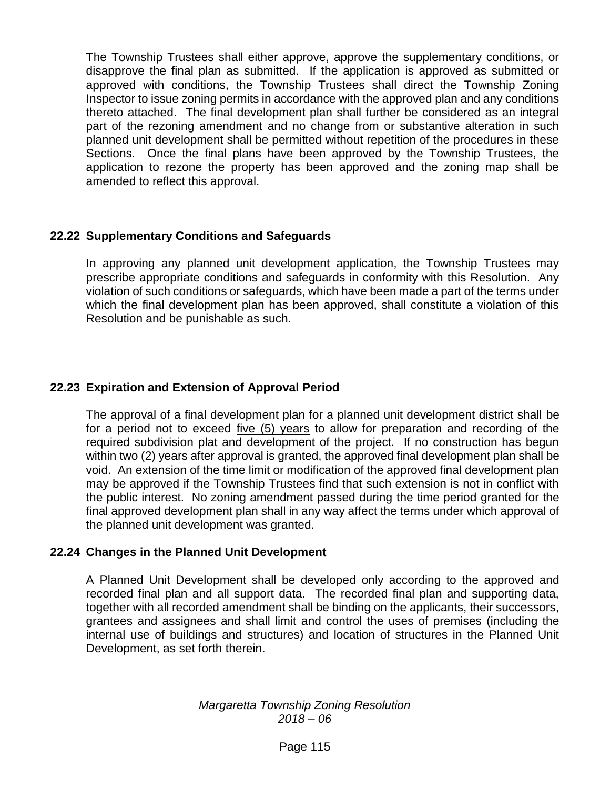The Township Trustees shall either approve, approve the supplementary conditions, or disapprove the final plan as submitted. If the application is approved as submitted or approved with conditions, the Township Trustees shall direct the Township Zoning Inspector to issue zoning permits in accordance with the approved plan and any conditions thereto attached. The final development plan shall further be considered as an integral part of the rezoning amendment and no change from or substantive alteration in such planned unit development shall be permitted without repetition of the procedures in these Sections. Once the final plans have been approved by the Township Trustees, the application to rezone the property has been approved and the zoning map shall be amended to reflect this approval.

### **22.22 Supplementary Conditions and Safeguards**

In approving any planned unit development application, the Township Trustees may prescribe appropriate conditions and safeguards in conformity with this Resolution. Any violation of such conditions or safeguards, which have been made a part of the terms under which the final development plan has been approved, shall constitute a violation of this Resolution and be punishable as such.

### **22.23 Expiration and Extension of Approval Period**

The approval of a final development plan for a planned unit development district shall be for a period not to exceed five (5) years to allow for preparation and recording of the required subdivision plat and development of the project. If no construction has begun within two (2) years after approval is granted, the approved final development plan shall be void. An extension of the time limit or modification of the approved final development plan may be approved if the Township Trustees find that such extension is not in conflict with the public interest. No zoning amendment passed during the time period granted for the final approved development plan shall in any way affect the terms under which approval of the planned unit development was granted.

### **22.24 Changes in the Planned Unit Development**

A Planned Unit Development shall be developed only according to the approved and recorded final plan and all support data. The recorded final plan and supporting data, together with all recorded amendment shall be binding on the applicants, their successors, grantees and assignees and shall limit and control the uses of premises (including the internal use of buildings and structures) and location of structures in the Planned Unit Development, as set forth therein.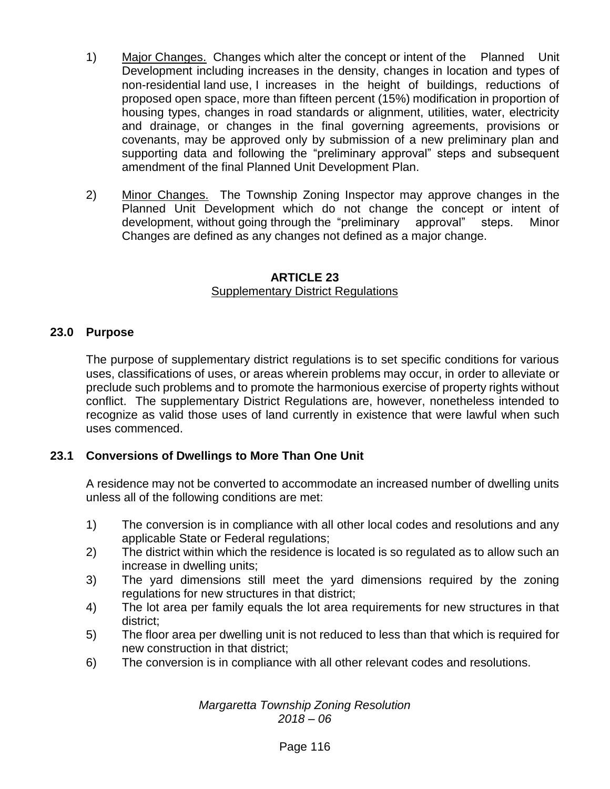- 1) Major Changes. Changes which alter the concept or intent of the Planned Unit Development including increases in the density, changes in location and types of non-residential land use, I increases in the height of buildings, reductions of proposed open space, more than fifteen percent (15%) modification in proportion of housing types, changes in road standards or alignment, utilities, water, electricity and drainage, or changes in the final governing agreements, provisions or covenants, may be approved only by submission of a new preliminary plan and supporting data and following the "preliminary approval" steps and subsequent amendment of the final Planned Unit Development Plan.
- 2) Minor Changes. The Township Zoning Inspector may approve changes in the Planned Unit Development which do not change the concept or intent of development, without going through the "preliminary approval" steps. Minor Changes are defined as any changes not defined as a major change.

#### **ARTICLE 23** Supplementary District Regulations

## **23.0 Purpose**

The purpose of supplementary district regulations is to set specific conditions for various uses, classifications of uses, or areas wherein problems may occur, in order to alleviate or preclude such problems and to promote the harmonious exercise of property rights without conflict. The supplementary District Regulations are, however, nonetheless intended to recognize as valid those uses of land currently in existence that were lawful when such uses commenced.

# **23.1 Conversions of Dwellings to More Than One Unit**

A residence may not be converted to accommodate an increased number of dwelling units unless all of the following conditions are met:

- 1) The conversion is in compliance with all other local codes and resolutions and any applicable State or Federal regulations;
- 2) The district within which the residence is located is so regulated as to allow such an increase in dwelling units;
- 3) The yard dimensions still meet the yard dimensions required by the zoning regulations for new structures in that district;
- 4) The lot area per family equals the lot area requirements for new structures in that district;
- 5) The floor area per dwelling unit is not reduced to less than that which is required for new construction in that district;
- 6) The conversion is in compliance with all other relevant codes and resolutions.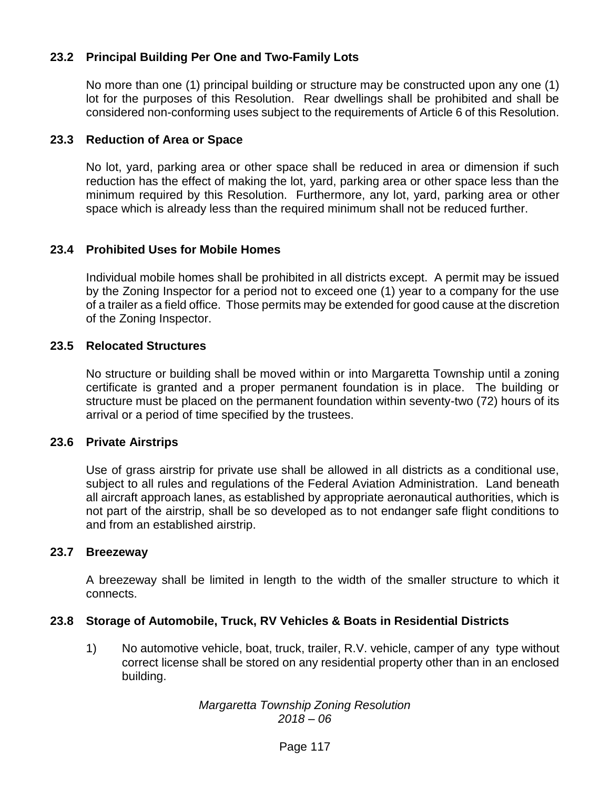# **23.2 Principal Building Per One and Two-Family Lots**

No more than one (1) principal building or structure may be constructed upon any one (1) lot for the purposes of this Resolution. Rear dwellings shall be prohibited and shall be considered non-conforming uses subject to the requirements of Article 6 of this Resolution.

### **23.3 Reduction of Area or Space**

No lot, yard, parking area or other space shall be reduced in area or dimension if such reduction has the effect of making the lot, yard, parking area or other space less than the minimum required by this Resolution. Furthermore, any lot, yard, parking area or other space which is already less than the required minimum shall not be reduced further.

### **23.4 Prohibited Uses for Mobile Homes**

Individual mobile homes shall be prohibited in all districts except. A permit may be issued by the Zoning Inspector for a period not to exceed one (1) year to a company for the use of a trailer as a field office. Those permits may be extended for good cause at the discretion of the Zoning Inspector.

#### **23.5 Relocated Structures**

No structure or building shall be moved within or into Margaretta Township until a zoning certificate is granted and a proper permanent foundation is in place. The building or structure must be placed on the permanent foundation within seventy-two (72) hours of its arrival or a period of time specified by the trustees.

#### **23.6 Private Airstrips**

Use of grass airstrip for private use shall be allowed in all districts as a conditional use, subject to all rules and regulations of the Federal Aviation Administration. Land beneath all aircraft approach lanes, as established by appropriate aeronautical authorities, which is not part of the airstrip, shall be so developed as to not endanger safe flight conditions to and from an established airstrip.

#### **23.7 Breezeway**

A breezeway shall be limited in length to the width of the smaller structure to which it connects.

### **23.8 Storage of Automobile, Truck, RV Vehicles & Boats in Residential Districts**

1) No automotive vehicle, boat, truck, trailer, R.V. vehicle, camper of any type without correct license shall be stored on any residential property other than in an enclosed building.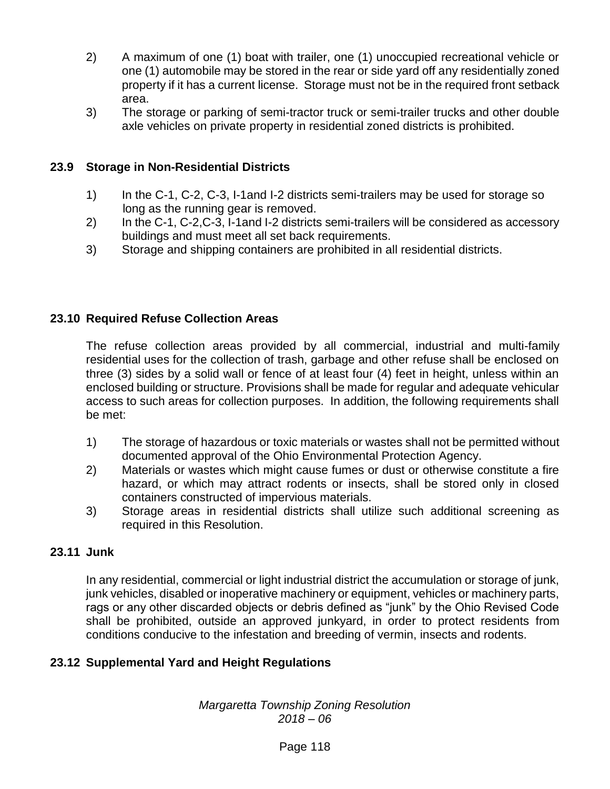- 2) A maximum of one (1) boat with trailer, one (1) unoccupied recreational vehicle or one (1) automobile may be stored in the rear or side yard off any residentially zoned property if it has a current license. Storage must not be in the required front setback area.
- 3) The storage or parking of semi-tractor truck or semi-trailer trucks and other double axle vehicles on private property in residential zoned districts is prohibited.

# **23.9 Storage in Non-Residential Districts**

- 1) In the C-1, C-2, C-3, I-1and I-2 districts semi-trailers may be used for storage so long as the running gear is removed.
- 2) In the C-1, C-2,C-3, I-1and I-2 districts semi-trailers will be considered as accessory buildings and must meet all set back requirements.
- 3) Storage and shipping containers are prohibited in all residential districts.

## **23.10 Required Refuse Collection Areas**

The refuse collection areas provided by all commercial, industrial and multi-family residential uses for the collection of trash, garbage and other refuse shall be enclosed on three (3) sides by a solid wall or fence of at least four (4) feet in height, unless within an enclosed building or structure. Provisions shall be made for regular and adequate vehicular access to such areas for collection purposes. In addition, the following requirements shall be met:

- 1) The storage of hazardous or toxic materials or wastes shall not be permitted without documented approval of the Ohio Environmental Protection Agency.
- 2) Materials or wastes which might cause fumes or dust or otherwise constitute a fire hazard, or which may attract rodents or insects, shall be stored only in closed containers constructed of impervious materials.
- 3) Storage areas in residential districts shall utilize such additional screening as required in this Resolution.

### **23.11 Junk**

In any residential, commercial or light industrial district the accumulation or storage of junk, junk vehicles, disabled or inoperative machinery or equipment, vehicles or machinery parts, rags or any other discarded objects or debris defined as "junk" by the Ohio Revised Code shall be prohibited, outside an approved junkyard, in order to protect residents from conditions conducive to the infestation and breeding of vermin, insects and rodents.

# **23.12 Supplemental Yard and Height Regulations**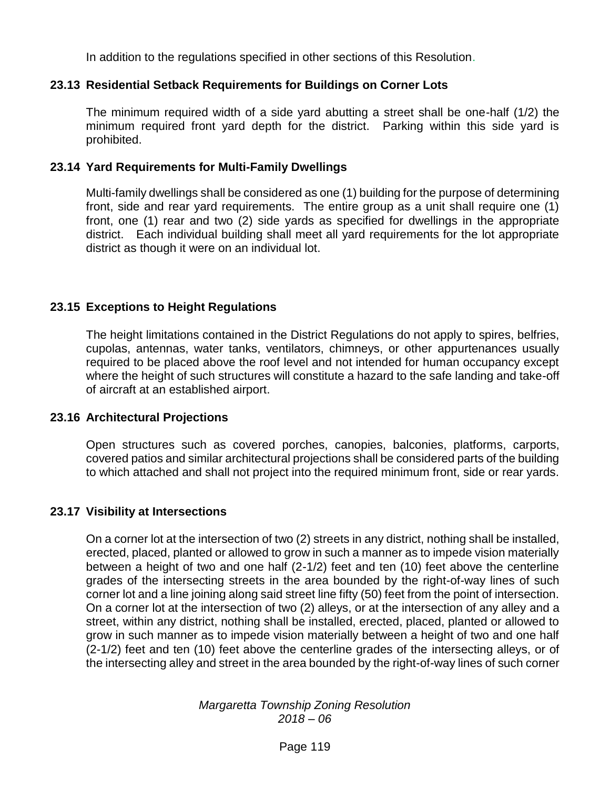In addition to the regulations specified in other sections of this Resolution.

## **23.13 Residential Setback Requirements for Buildings on Corner Lots**

The minimum required width of a side yard abutting a street shall be one-half (1/2) the minimum required front yard depth for the district. Parking within this side yard is prohibited.

### **23.14 Yard Requirements for Multi-Family Dwellings**

Multi-family dwellings shall be considered as one (1) building for the purpose of determining front, side and rear yard requirements. The entire group as a unit shall require one (1) front, one (1) rear and two (2) side yards as specified for dwellings in the appropriate district. Each individual building shall meet all yard requirements for the lot appropriate district as though it were on an individual lot.

## **23.15 Exceptions to Height Regulations**

The height limitations contained in the District Regulations do not apply to spires, belfries, cupolas, antennas, water tanks, ventilators, chimneys, or other appurtenances usually required to be placed above the roof level and not intended for human occupancy except where the height of such structures will constitute a hazard to the safe landing and take-off of aircraft at an established airport.

### **23.16 Architectural Projections**

Open structures such as covered porches, canopies, balconies, platforms, carports, covered patios and similar architectural projections shall be considered parts of the building to which attached and shall not project into the required minimum front, side or rear yards.

# **23.17 Visibility at Intersections**

On a corner lot at the intersection of two (2) streets in any district, nothing shall be installed, erected, placed, planted or allowed to grow in such a manner as to impede vision materially between a height of two and one half (2-1/2) feet and ten (10) feet above the centerline grades of the intersecting streets in the area bounded by the right-of-way lines of such corner lot and a line joining along said street line fifty (50) feet from the point of intersection. On a corner lot at the intersection of two (2) alleys, or at the intersection of any alley and a street, within any district, nothing shall be installed, erected, placed, planted or allowed to grow in such manner as to impede vision materially between a height of two and one half (2-1/2) feet and ten (10) feet above the centerline grades of the intersecting alleys, or of the intersecting alley and street in the area bounded by the right-of-way lines of such corner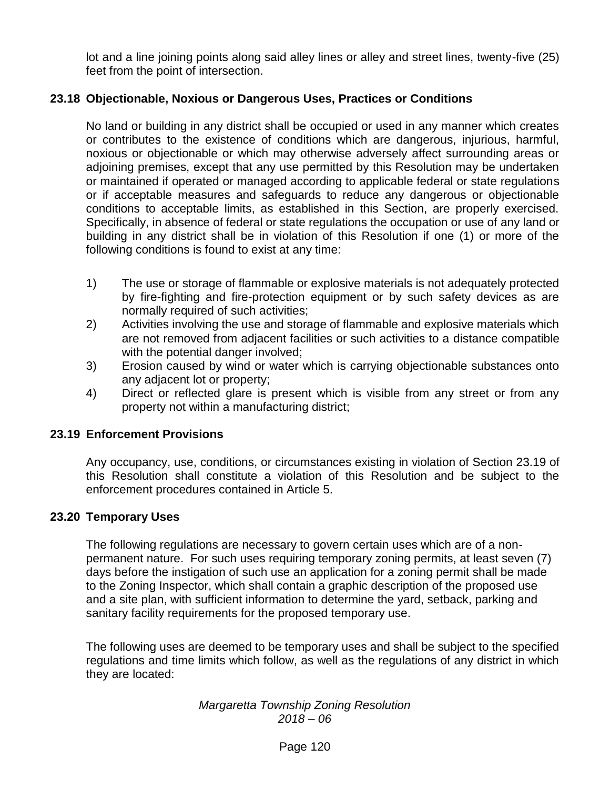lot and a line joining points along said alley lines or alley and street lines, twenty-five (25) feet from the point of intersection.

## **23.18 Objectionable, Noxious or Dangerous Uses, Practices or Conditions**

No land or building in any district shall be occupied or used in any manner which creates or contributes to the existence of conditions which are dangerous, injurious, harmful, noxious or objectionable or which may otherwise adversely affect surrounding areas or adjoining premises, except that any use permitted by this Resolution may be undertaken or maintained if operated or managed according to applicable federal or state regulations or if acceptable measures and safeguards to reduce any dangerous or objectionable conditions to acceptable limits, as established in this Section, are properly exercised. Specifically, in absence of federal or state regulations the occupation or use of any land or building in any district shall be in violation of this Resolution if one (1) or more of the following conditions is found to exist at any time:

- 1) The use or storage of flammable or explosive materials is not adequately protected by fire-fighting and fire-protection equipment or by such safety devices as are normally required of such activities;
- 2) Activities involving the use and storage of flammable and explosive materials which are not removed from adjacent facilities or such activities to a distance compatible with the potential danger involved;
- 3) Erosion caused by wind or water which is carrying objectionable substances onto any adjacent lot or property;
- 4) Direct or reflected glare is present which is visible from any street or from any property not within a manufacturing district;

### **23.19 Enforcement Provisions**

Any occupancy, use, conditions, or circumstances existing in violation of Section 23.19 of this Resolution shall constitute a violation of this Resolution and be subject to the enforcement procedures contained in Article 5.

### **23.20 Temporary Uses**

The following regulations are necessary to govern certain uses which are of a nonpermanent nature. For such uses requiring temporary zoning permits, at least seven (7) days before the instigation of such use an application for a zoning permit shall be made to the Zoning Inspector, which shall contain a graphic description of the proposed use and a site plan, with sufficient information to determine the yard, setback, parking and sanitary facility requirements for the proposed temporary use.

The following uses are deemed to be temporary uses and shall be subject to the specified regulations and time limits which follow, as well as the regulations of any district in which they are located: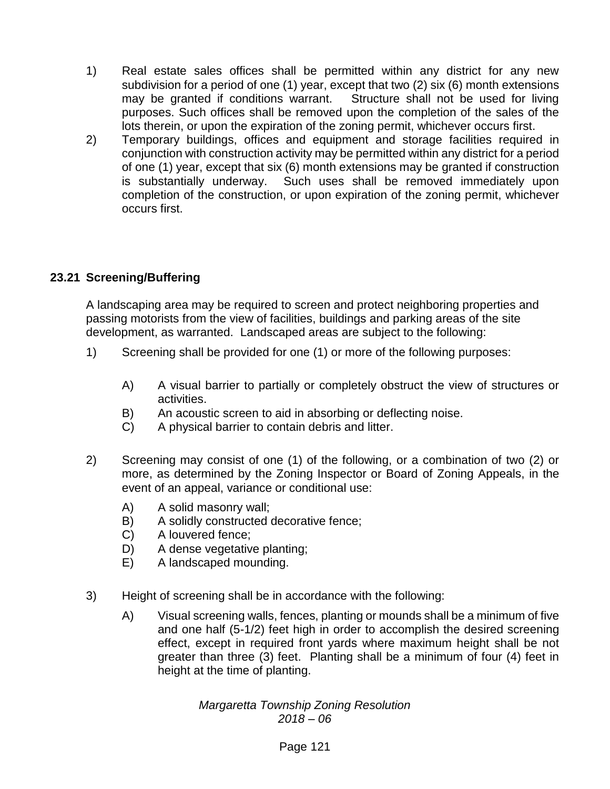- 1) Real estate sales offices shall be permitted within any district for any new subdivision for a period of one (1) year, except that two (2) six (6) month extensions may be granted if conditions warrant. Structure shall not be used for living purposes. Such offices shall be removed upon the completion of the sales of the lots therein, or upon the expiration of the zoning permit, whichever occurs first.
- 2) Temporary buildings, offices and equipment and storage facilities required in conjunction with construction activity may be permitted within any district for a period of one (1) year, except that six (6) month extensions may be granted if construction is substantially underway. Such uses shall be removed immediately upon completion of the construction, or upon expiration of the zoning permit, whichever occurs first.

# **23.21 Screening/Buffering**

A landscaping area may be required to screen and protect neighboring properties and passing motorists from the view of facilities, buildings and parking areas of the site development, as warranted. Landscaped areas are subject to the following:

- 1) Screening shall be provided for one (1) or more of the following purposes:
	- A) A visual barrier to partially or completely obstruct the view of structures or activities.
	- B) An acoustic screen to aid in absorbing or deflecting noise.
	- C) A physical barrier to contain debris and litter.
- 2) Screening may consist of one (1) of the following, or a combination of two (2) or more, as determined by the Zoning Inspector or Board of Zoning Appeals, in the event of an appeal, variance or conditional use:
	- A) A solid masonry wall;
	- B) A solidly constructed decorative fence;
	- C) A louvered fence;
	- D) A dense vegetative planting:
	- E) A landscaped mounding.
- 3) Height of screening shall be in accordance with the following:
	- A) Visual screening walls, fences, planting or mounds shall be a minimum of five and one half (5-1/2) feet high in order to accomplish the desired screening effect, except in required front yards where maximum height shall be not greater than three (3) feet. Planting shall be a minimum of four (4) feet in height at the time of planting.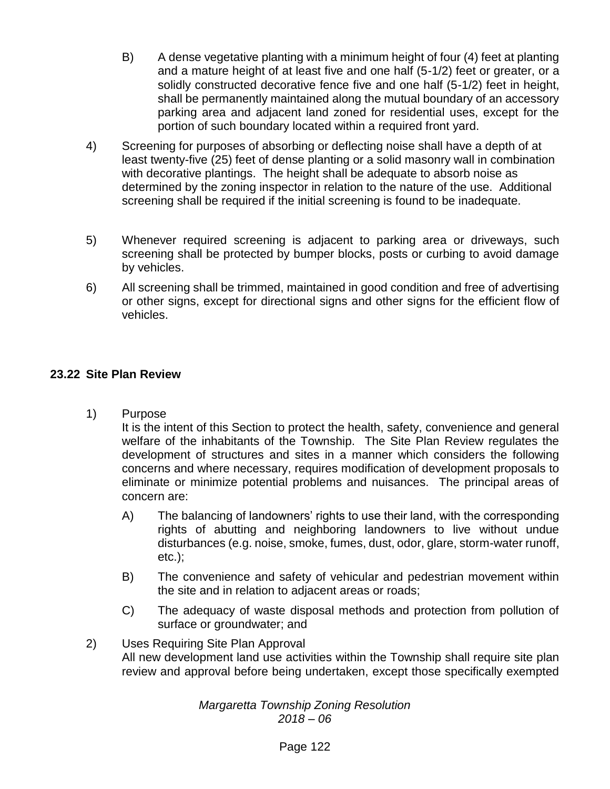- B) A dense vegetative planting with a minimum height of four (4) feet at planting and a mature height of at least five and one half (5-1/2) feet or greater, or a solidly constructed decorative fence five and one half (5-1/2) feet in height, shall be permanently maintained along the mutual boundary of an accessory parking area and adjacent land zoned for residential uses, except for the portion of such boundary located within a required front yard.
- 4) Screening for purposes of absorbing or deflecting noise shall have a depth of at least twenty-five (25) feet of dense planting or a solid masonry wall in combination with decorative plantings. The height shall be adequate to absorb noise as determined by the zoning inspector in relation to the nature of the use. Additional screening shall be required if the initial screening is found to be inadequate.
- 5) Whenever required screening is adjacent to parking area or driveways, such screening shall be protected by bumper blocks, posts or curbing to avoid damage by vehicles.
- 6) All screening shall be trimmed, maintained in good condition and free of advertising or other signs, except for directional signs and other signs for the efficient flow of vehicles.

# **23.22 Site Plan Review**

1) Purpose

It is the intent of this Section to protect the health, safety, convenience and general welfare of the inhabitants of the Township. The Site Plan Review regulates the development of structures and sites in a manner which considers the following concerns and where necessary, requires modification of development proposals to eliminate or minimize potential problems and nuisances. The principal areas of concern are:

- A) The balancing of landowners' rights to use their land, with the corresponding rights of abutting and neighboring landowners to live without undue disturbances (e.g. noise, smoke, fumes, dust, odor, glare, storm-water runoff, etc.);
- B) The convenience and safety of vehicular and pedestrian movement within the site and in relation to adjacent areas or roads;
- C) The adequacy of waste disposal methods and protection from pollution of surface or groundwater; and

## 2) Uses Requiring Site Plan Approval All new development land use activities within the Township shall require site plan review and approval before being undertaken, except those specifically exempted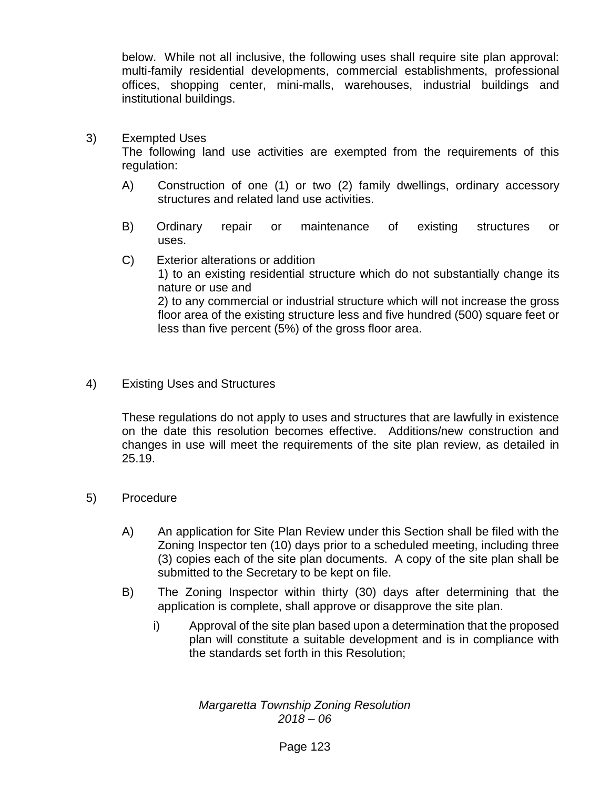below. While not all inclusive, the following uses shall require site plan approval: multi-family residential developments, commercial establishments, professional offices, shopping center, mini-malls, warehouses, industrial buildings and institutional buildings.

3) Exempted Uses

The following land use activities are exempted from the requirements of this regulation:

- A) Construction of one (1) or two (2) family dwellings, ordinary accessory structures and related land use activities.
- B) Ordinary repair or maintenance of existing structures or uses.
- C) Exterior alterations or addition 1) to an existing residential structure which do not substantially change its nature or use and 2) to any commercial or industrial structure which will not increase the gross floor area of the existing structure less and five hundred (500) square feet or less than five percent (5%) of the gross floor area.
- 4) Existing Uses and Structures

These regulations do not apply to uses and structures that are lawfully in existence on the date this resolution becomes effective. Additions/new construction and changes in use will meet the requirements of the site plan review, as detailed in 25.19.

- 5) Procedure
	- A) An application for Site Plan Review under this Section shall be filed with the Zoning Inspector ten (10) days prior to a scheduled meeting, including three (3) copies each of the site plan documents. A copy of the site plan shall be submitted to the Secretary to be kept on file.
	- B) The Zoning Inspector within thirty (30) days after determining that the application is complete, shall approve or disapprove the site plan.
		- i) Approval of the site plan based upon a determination that the proposed plan will constitute a suitable development and is in compliance with the standards set forth in this Resolution;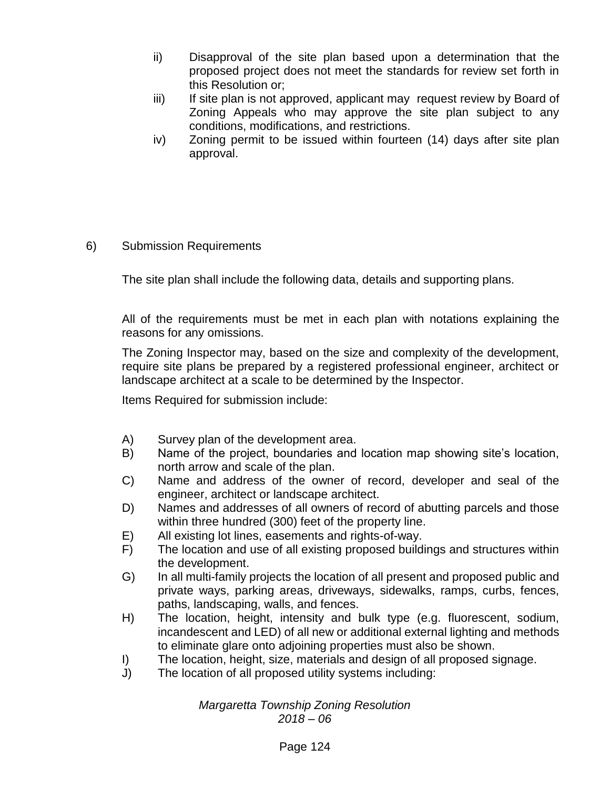- ii) Disapproval of the site plan based upon a determination that the proposed project does not meet the standards for review set forth in this Resolution or;
- iii) If site plan is not approved, applicant may request review by Board of Zoning Appeals who may approve the site plan subject to any conditions, modifications, and restrictions.
- iv) Zoning permit to be issued within fourteen (14) days after site plan approval.

### 6) Submission Requirements

The site plan shall include the following data, details and supporting plans.

All of the requirements must be met in each plan with notations explaining the reasons for any omissions.

The Zoning Inspector may, based on the size and complexity of the development, require site plans be prepared by a registered professional engineer, architect or landscape architect at a scale to be determined by the Inspector.

Items Required for submission include:

- A) Survey plan of the development area.
- B) Name of the project, boundaries and location map showing site's location, north arrow and scale of the plan.
- C) Name and address of the owner of record, developer and seal of the engineer, architect or landscape architect.
- D) Names and addresses of all owners of record of abutting parcels and those within three hundred (300) feet of the property line.
- E) All existing lot lines, easements and rights-of-way.
- F) The location and use of all existing proposed buildings and structures within the development.
- G) In all multi-family projects the location of all present and proposed public and private ways, parking areas, driveways, sidewalks, ramps, curbs, fences, paths, landscaping, walls, and fences.
- H) The location, height, intensity and bulk type (e.g. fluorescent, sodium, incandescent and LED) of all new or additional external lighting and methods to eliminate glare onto adjoining properties must also be shown.
- I) The location, height, size, materials and design of all proposed signage.
- J) The location of all proposed utility systems including: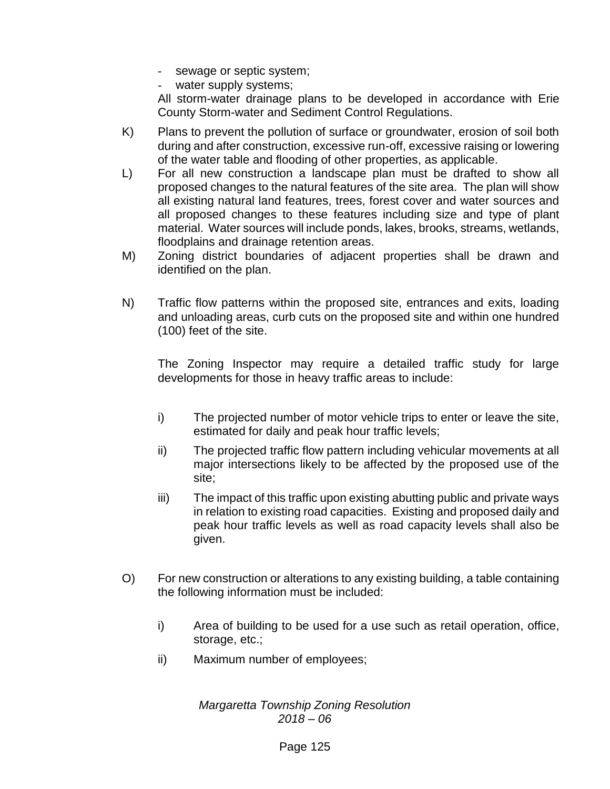- sewage or septic system;
- water supply systems;

All storm-water drainage plans to be developed in accordance with Erie County Storm-water and Sediment Control Regulations.

- K) Plans to prevent the pollution of surface or groundwater, erosion of soil both during and after construction, excessive run-off, excessive raising or lowering of the water table and flooding of other properties, as applicable.
- L) For all new construction a landscape plan must be drafted to show all proposed changes to the natural features of the site area. The plan will show all existing natural land features, trees, forest cover and water sources and all proposed changes to these features including size and type of plant material. Water sources will include ponds, lakes, brooks, streams, wetlands, floodplains and drainage retention areas.
- M) Zoning district boundaries of adjacent properties shall be drawn and identified on the plan.
- N) Traffic flow patterns within the proposed site, entrances and exits, loading and unloading areas, curb cuts on the proposed site and within one hundred (100) feet of the site.

The Zoning Inspector may require a detailed traffic study for large developments for those in heavy traffic areas to include:

- i) The projected number of motor vehicle trips to enter or leave the site, estimated for daily and peak hour traffic levels;
- ii) The projected traffic flow pattern including vehicular movements at all major intersections likely to be affected by the proposed use of the site;
- iii) The impact of this traffic upon existing abutting public and private ways in relation to existing road capacities. Existing and proposed daily and peak hour traffic levels as well as road capacity levels shall also be given.
- O) For new construction or alterations to any existing building, a table containing the following information must be included:
	- i) Area of building to be used for a use such as retail operation, office, storage, etc.;
	- ii) Maximum number of employees;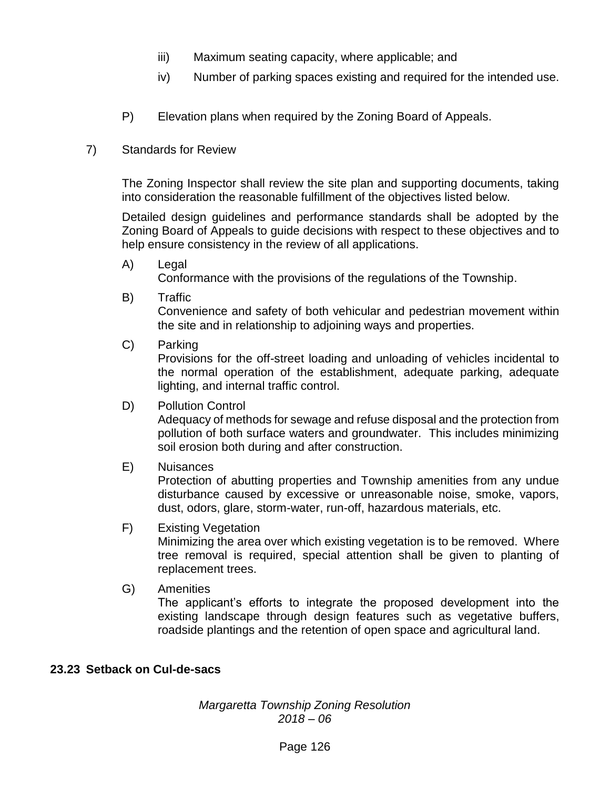- iii) Maximum seating capacity, where applicable; and
- iv) Number of parking spaces existing and required for the intended use.
- P) Elevation plans when required by the Zoning Board of Appeals.
- 7) Standards for Review

The Zoning Inspector shall review the site plan and supporting documents, taking into consideration the reasonable fulfillment of the objectives listed below.

Detailed design guidelines and performance standards shall be adopted by the Zoning Board of Appeals to guide decisions with respect to these objectives and to help ensure consistency in the review of all applications.

A) Legal

Conformance with the provisions of the regulations of the Township.

B) Traffic

Convenience and safety of both vehicular and pedestrian movement within the site and in relationship to adjoining ways and properties.

C) Parking

Provisions for the off-street loading and unloading of vehicles incidental to the normal operation of the establishment, adequate parking, adequate lighting, and internal traffic control.

D) Pollution Control

Adequacy of methods for sewage and refuse disposal and the protection from pollution of both surface waters and groundwater. This includes minimizing soil erosion both during and after construction.

E) Nuisances

Protection of abutting properties and Township amenities from any undue disturbance caused by excessive or unreasonable noise, smoke, vapors, dust, odors, glare, storm-water, run-off, hazardous materials, etc.

### F) Existing Vegetation

Minimizing the area over which existing vegetation is to be removed. Where tree removal is required, special attention shall be given to planting of replacement trees.

G) Amenities

The applicant's efforts to integrate the proposed development into the existing landscape through design features such as vegetative buffers, roadside plantings and the retention of open space and agricultural land.

### **23.23 Setback on Cul-de-sacs**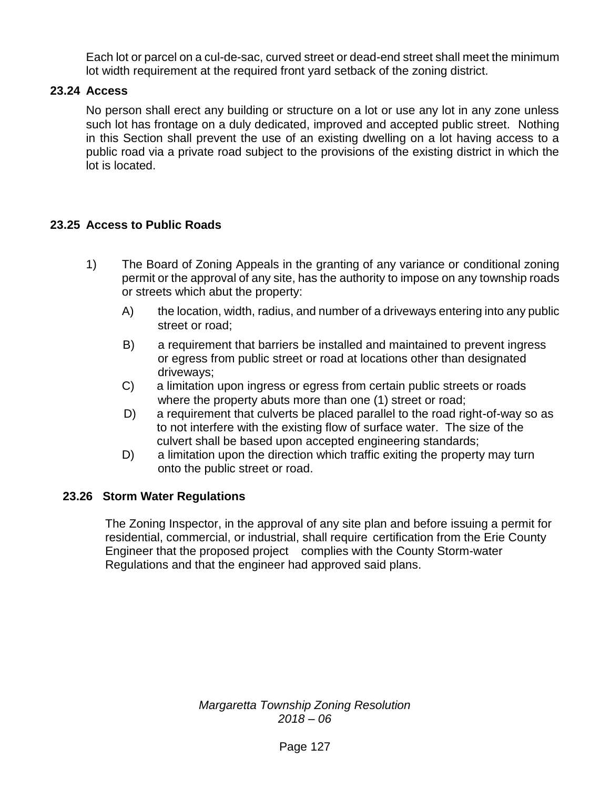Each lot or parcel on a cul-de-sac, curved street or dead-end street shall meet the minimum lot width requirement at the required front yard setback of the zoning district.

# **23.24 Access**

No person shall erect any building or structure on a lot or use any lot in any zone unless such lot has frontage on a duly dedicated, improved and accepted public street. Nothing in this Section shall prevent the use of an existing dwelling on a lot having access to a public road via a private road subject to the provisions of the existing district in which the lot is located.

## **23.25 Access to Public Roads**

- 1) The Board of Zoning Appeals in the granting of any variance or conditional zoning permit or the approval of any site, has the authority to impose on any township roads or streets which abut the property:
	- A) the location, width, radius, and number of a driveways entering into any public street or road;
	- B) a requirement that barriers be installed and maintained to prevent ingress or egress from public street or road at locations other than designated driveways;
	- C) a limitation upon ingress or egress from certain public streets or roads where the property abuts more than one (1) street or road;
	- D) a requirement that culverts be placed parallel to the road right-of-way so as to not interfere with the existing flow of surface water. The size of the culvert shall be based upon accepted engineering standards;
	- D) a limitation upon the direction which traffic exiting the property may turn onto the public street or road.

### **23.26 Storm Water Regulations**

The Zoning Inspector, in the approval of any site plan and before issuing a permit for residential, commercial, or industrial, shall require certification from the Erie County Engineer that the proposed project complies with the County Storm-water Regulations and that the engineer had approved said plans.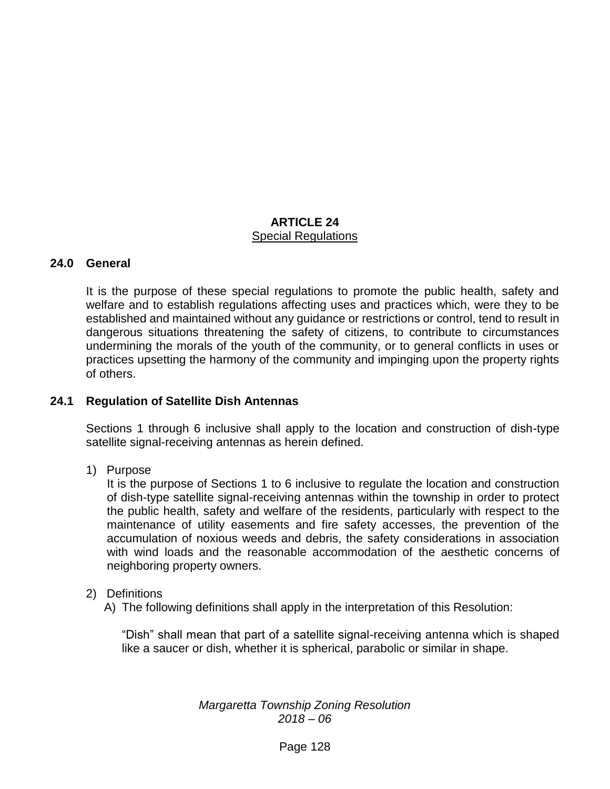## **ARTICLE 24** Special Regulations

### **24.0 General**

It is the purpose of these special regulations to promote the public health, safety and welfare and to establish regulations affecting uses and practices which, were they to be established and maintained without any guidance or restrictions or control, tend to result in dangerous situations threatening the safety of citizens, to contribute to circumstances undermining the morals of the youth of the community, or to general conflicts in uses or practices upsetting the harmony of the community and impinging upon the property rights of others.

#### **24.1 Regulation of Satellite Dish Antennas**

Sections 1 through 6 inclusive shall apply to the location and construction of dish-type satellite signal-receiving antennas as herein defined.

1) Purpose

It is the purpose of Sections 1 to 6 inclusive to regulate the location and construction of dish-type satellite signal-receiving antennas within the township in order to protect the public health, safety and welfare of the residents, particularly with respect to the maintenance of utility easements and fire safety accesses, the prevention of the accumulation of noxious weeds and debris, the safety considerations in association with wind loads and the reasonable accommodation of the aesthetic concerns of neighboring property owners.

#### 2) Definitions

A) The following definitions shall apply in the interpretation of this Resolution:

"Dish" shall mean that part of a satellite signal-receiving antenna which is shaped like a saucer or dish, whether it is spherical, parabolic or similar in shape.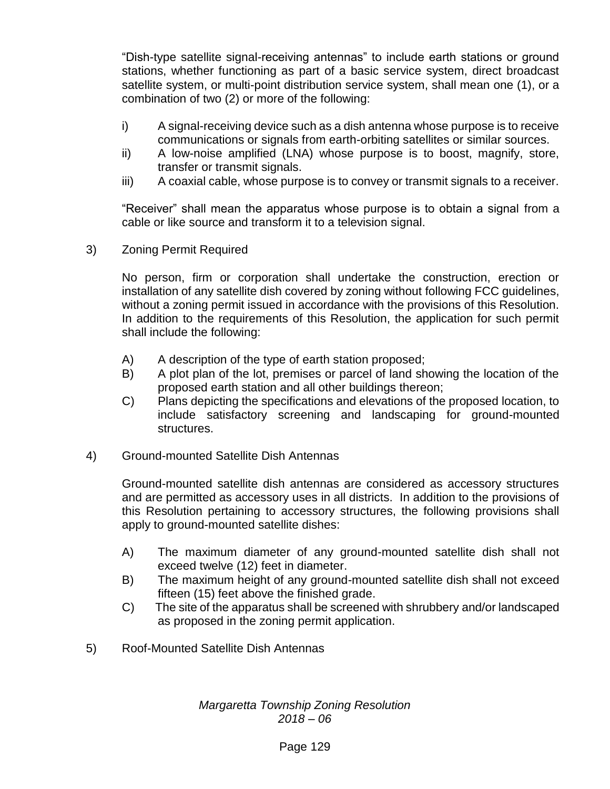"Dish-type satellite signal-receiving antennas" to include earth stations or ground stations, whether functioning as part of a basic service system, direct broadcast satellite system, or multi-point distribution service system, shall mean one (1), or a combination of two (2) or more of the following:

- i) A signal-receiving device such as a dish antenna whose purpose is to receive communications or signals from earth-orbiting satellites or similar sources.
- ii) A low-noise amplified (LNA) whose purpose is to boost, magnify, store, transfer or transmit signals.
- iii) A coaxial cable, whose purpose is to convey or transmit signals to a receiver.

"Receiver" shall mean the apparatus whose purpose is to obtain a signal from a cable or like source and transform it to a television signal.

3) Zoning Permit Required

No person, firm or corporation shall undertake the construction, erection or installation of any satellite dish covered by zoning without following FCC guidelines, without a zoning permit issued in accordance with the provisions of this Resolution. In addition to the requirements of this Resolution, the application for such permit shall include the following:

- A) A description of the type of earth station proposed;
- B) A plot plan of the lot, premises or parcel of land showing the location of the proposed earth station and all other buildings thereon;
- C) Plans depicting the specifications and elevations of the proposed location, to include satisfactory screening and landscaping for ground-mounted structures.
- 4) Ground-mounted Satellite Dish Antennas

Ground-mounted satellite dish antennas are considered as accessory structures and are permitted as accessory uses in all districts. In addition to the provisions of this Resolution pertaining to accessory structures, the following provisions shall apply to ground-mounted satellite dishes:

- A) The maximum diameter of any ground-mounted satellite dish shall not exceed twelve (12) feet in diameter.
- B) The maximum height of any ground-mounted satellite dish shall not exceed fifteen (15) feet above the finished grade.
- C) The site of the apparatus shall be screened with shrubbery and/or landscaped as proposed in the zoning permit application.
- 5) Roof-Mounted Satellite Dish Antennas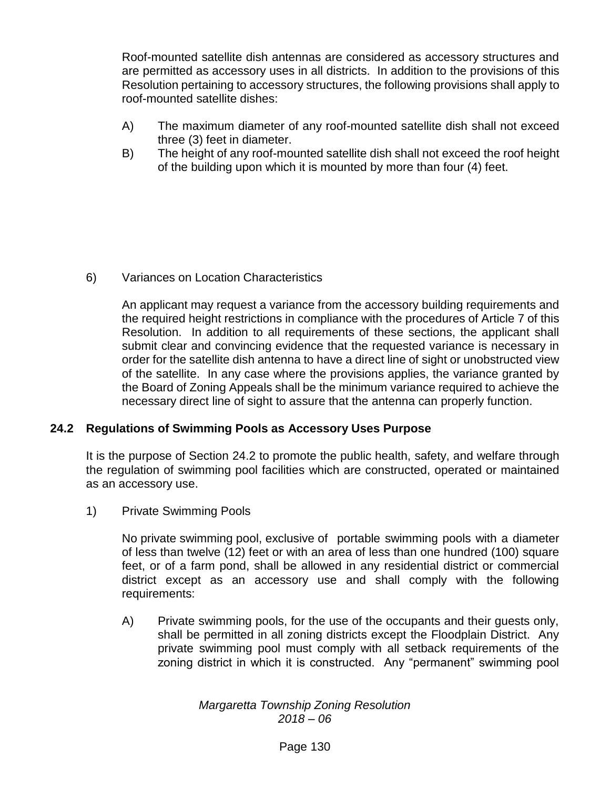Roof-mounted satellite dish antennas are considered as accessory structures and are permitted as accessory uses in all districts. In addition to the provisions of this Resolution pertaining to accessory structures, the following provisions shall apply to roof-mounted satellite dishes:

- A) The maximum diameter of any roof-mounted satellite dish shall not exceed three (3) feet in diameter.
- B) The height of any roof-mounted satellite dish shall not exceed the roof height of the building upon which it is mounted by more than four (4) feet.

6) Variances on Location Characteristics

An applicant may request a variance from the accessory building requirements and the required height restrictions in compliance with the procedures of Article 7 of this Resolution. In addition to all requirements of these sections, the applicant shall submit clear and convincing evidence that the requested variance is necessary in order for the satellite dish antenna to have a direct line of sight or unobstructed view of the satellite. In any case where the provisions applies, the variance granted by the Board of Zoning Appeals shall be the minimum variance required to achieve the necessary direct line of sight to assure that the antenna can properly function.

# **24.2 Regulations of Swimming Pools as Accessory Uses Purpose**

It is the purpose of Section 24.2 to promote the public health, safety, and welfare through the regulation of swimming pool facilities which are constructed, operated or maintained as an accessory use.

1) Private Swimming Pools

No private swimming pool, exclusive of portable swimming pools with a diameter of less than twelve (12) feet or with an area of less than one hundred (100) square feet, or of a farm pond, shall be allowed in any residential district or commercial district except as an accessory use and shall comply with the following requirements:

A) Private swimming pools, for the use of the occupants and their guests only, shall be permitted in all zoning districts except the Floodplain District. Any private swimming pool must comply with all setback requirements of the zoning district in which it is constructed. Any "permanent" swimming pool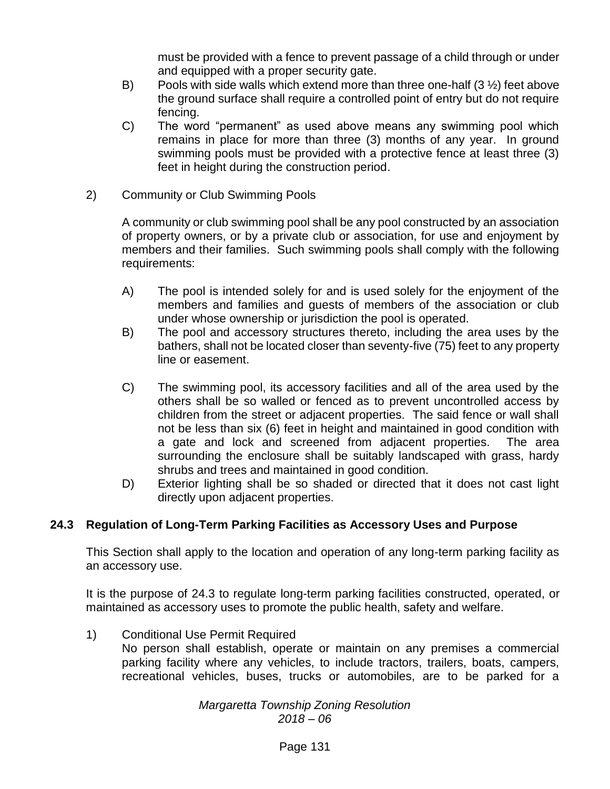must be provided with a fence to prevent passage of a child through or under and equipped with a proper security gate.

- B) Pools with side walls which extend more than three one-half  $(3 \frac{1}{2})$  feet above the ground surface shall require a controlled point of entry but do not require fencing.
- C) The word "permanent" as used above means any swimming pool which remains in place for more than three (3) months of any year. In ground swimming pools must be provided with a protective fence at least three (3) feet in height during the construction period.
- 2) Community or Club Swimming Pools

A community or club swimming pool shall be any pool constructed by an association of property owners, or by a private club or association, for use and enjoyment by members and their families. Such swimming pools shall comply with the following requirements:

- A) The pool is intended solely for and is used solely for the enjoyment of the members and families and guests of members of the association or club under whose ownership or jurisdiction the pool is operated.
- B) The pool and accessory structures thereto, including the area uses by the bathers, shall not be located closer than seventy-five (75) feet to any property line or easement.
- C) The swimming pool, its accessory facilities and all of the area used by the others shall be so walled or fenced as to prevent uncontrolled access by children from the street or adjacent properties. The said fence or wall shall not be less than six (6) feet in height and maintained in good condition with a gate and lock and screened from adjacent properties. The area surrounding the enclosure shall be suitably landscaped with grass, hardy shrubs and trees and maintained in good condition.
- D) Exterior lighting shall be so shaded or directed that it does not cast light directly upon adjacent properties.

# **24.3 Regulation of Long-Term Parking Facilities as Accessory Uses and Purpose**

This Section shall apply to the location and operation of any long-term parking facility as an accessory use.

It is the purpose of 24.3 to regulate long-term parking facilities constructed, operated, or maintained as accessory uses to promote the public health, safety and welfare.

- 1) Conditional Use Permit Required
	- No person shall establish, operate or maintain on any premises a commercial parking facility where any vehicles, to include tractors, trailers, boats, campers, recreational vehicles, buses, trucks or automobiles, are to be parked for a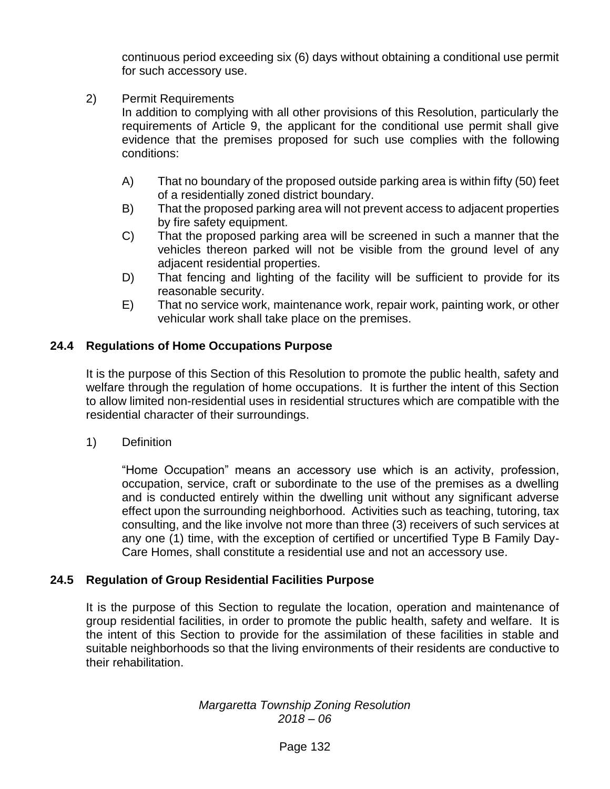continuous period exceeding six (6) days without obtaining a conditional use permit for such accessory use.

2) Permit Requirements

In addition to complying with all other provisions of this Resolution, particularly the requirements of Article 9, the applicant for the conditional use permit shall give evidence that the premises proposed for such use complies with the following conditions:

- A) That no boundary of the proposed outside parking area is within fifty (50) feet of a residentially zoned district boundary.
- B) That the proposed parking area will not prevent access to adjacent properties by fire safety equipment.
- C) That the proposed parking area will be screened in such a manner that the vehicles thereon parked will not be visible from the ground level of any adjacent residential properties.
- D) That fencing and lighting of the facility will be sufficient to provide for its reasonable security.
- E) That no service work, maintenance work, repair work, painting work, or other vehicular work shall take place on the premises.

# **24.4 Regulations of Home Occupations Purpose**

It is the purpose of this Section of this Resolution to promote the public health, safety and welfare through the regulation of home occupations. It is further the intent of this Section to allow limited non-residential uses in residential structures which are compatible with the residential character of their surroundings.

1) Definition

"Home Occupation" means an accessory use which is an activity, profession, occupation, service, craft or subordinate to the use of the premises as a dwelling and is conducted entirely within the dwelling unit without any significant adverse effect upon the surrounding neighborhood. Activities such as teaching, tutoring, tax consulting, and the like involve not more than three (3) receivers of such services at any one (1) time, with the exception of certified or uncertified Type B Family Day-Care Homes, shall constitute a residential use and not an accessory use.

# **24.5 Regulation of Group Residential Facilities Purpose**

It is the purpose of this Section to regulate the location, operation and maintenance of group residential facilities, in order to promote the public health, safety and welfare. It is the intent of this Section to provide for the assimilation of these facilities in stable and suitable neighborhoods so that the living environments of their residents are conductive to their rehabilitation.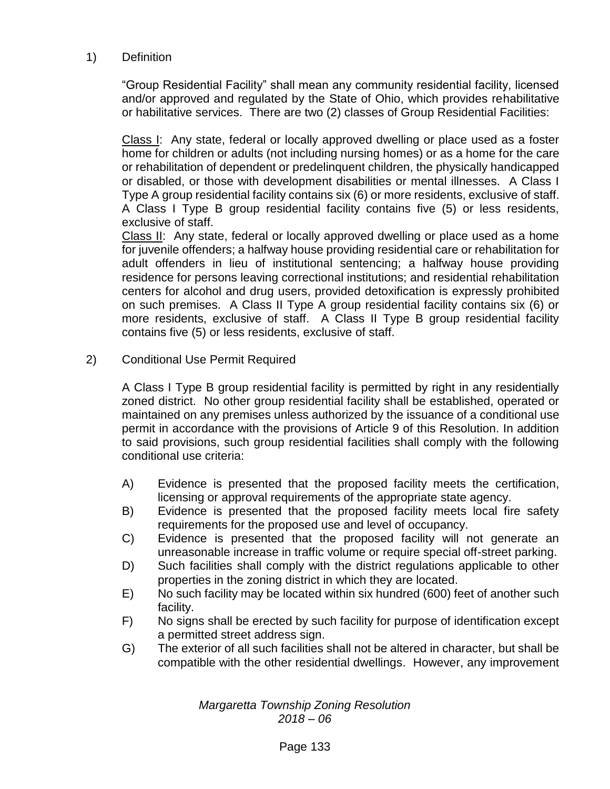### 1) Definition

"Group Residential Facility" shall mean any community residential facility, licensed and/or approved and regulated by the State of Ohio, which provides rehabilitative or habilitative services. There are two (2) classes of Group Residential Facilities:

Class I: Any state, federal or locally approved dwelling or place used as a foster home for children or adults (not including nursing homes) or as a home for the care or rehabilitation of dependent or predelinquent children, the physically handicapped or disabled, or those with development disabilities or mental illnesses. A Class I Type A group residential facility contains six (6) or more residents, exclusive of staff. A Class I Type B group residential facility contains five (5) or less residents, exclusive of staff.

Class II: Any state, federal or locally approved dwelling or place used as a home for juvenile offenders; a halfway house providing residential care or rehabilitation for adult offenders in lieu of institutional sentencing; a halfway house providing residence for persons leaving correctional institutions; and residential rehabilitation centers for alcohol and drug users, provided detoxification is expressly prohibited on such premises. A Class II Type A group residential facility contains six (6) or more residents, exclusive of staff. A Class II Type B group residential facility contains five (5) or less residents, exclusive of staff.

### 2) Conditional Use Permit Required

A Class I Type B group residential facility is permitted by right in any residentially zoned district. No other group residential facility shall be established, operated or maintained on any premises unless authorized by the issuance of a conditional use permit in accordance with the provisions of Article 9 of this Resolution. In addition to said provisions, such group residential facilities shall comply with the following conditional use criteria:

- A) Evidence is presented that the proposed facility meets the certification, licensing or approval requirements of the appropriate state agency.
- B) Evidence is presented that the proposed facility meets local fire safety requirements for the proposed use and level of occupancy.
- C) Evidence is presented that the proposed facility will not generate an unreasonable increase in traffic volume or require special off-street parking.
- D) Such facilities shall comply with the district regulations applicable to other properties in the zoning district in which they are located.
- E) No such facility may be located within six hundred (600) feet of another such facility.
- F) No signs shall be erected by such facility for purpose of identification except a permitted street address sign.
- G) The exterior of all such facilities shall not be altered in character, but shall be compatible with the other residential dwellings. However, any improvement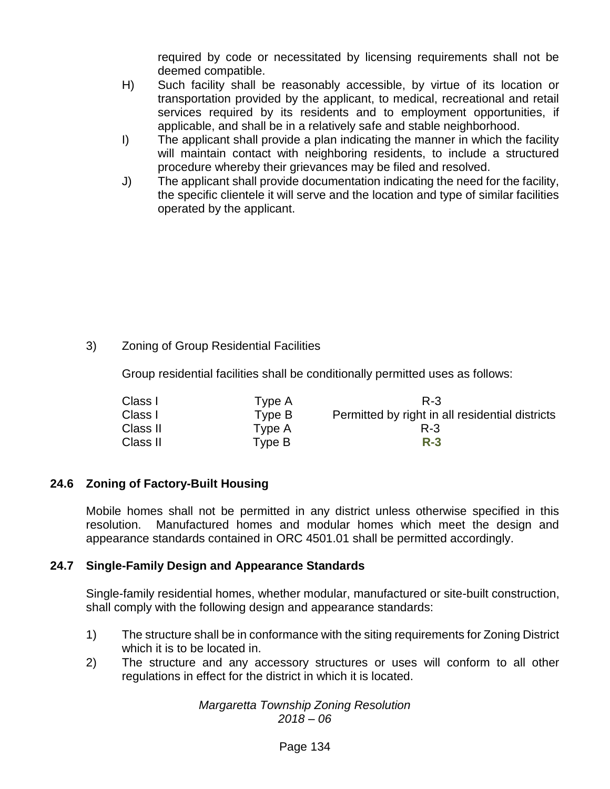required by code or necessitated by licensing requirements shall not be deemed compatible.

- H) Such facility shall be reasonably accessible, by virtue of its location or transportation provided by the applicant, to medical, recreational and retail services required by its residents and to employment opportunities, if applicable, and shall be in a relatively safe and stable neighborhood.
- I) The applicant shall provide a plan indicating the manner in which the facility will maintain contact with neighboring residents, to include a structured procedure whereby their grievances may be filed and resolved.
- J) The applicant shall provide documentation indicating the need for the facility, the specific clientele it will serve and the location and type of similar facilities operated by the applicant.

# 3) Zoning of Group Residential Facilities

Group residential facilities shall be conditionally permitted uses as follows:

| Class I  | Type A | R-3                                             |
|----------|--------|-------------------------------------------------|
| Class I  | Type B | Permitted by right in all residential districts |
| Class II | Type A | $R - 3$                                         |
| Class II | Type B | $R-3$                                           |

### **24.6 Zoning of Factory-Built Housing**

Mobile homes shall not be permitted in any district unless otherwise specified in this resolution. Manufactured homes and modular homes which meet the design and appearance standards contained in ORC 4501.01 shall be permitted accordingly.

### **24.7 Single-Family Design and Appearance Standards**

Single-family residential homes, whether modular, manufactured or site-built construction, shall comply with the following design and appearance standards:

- 1) The structure shall be in conformance with the siting requirements for Zoning District which it is to be located in.
- 2) The structure and any accessory structures or uses will conform to all other regulations in effect for the district in which it is located.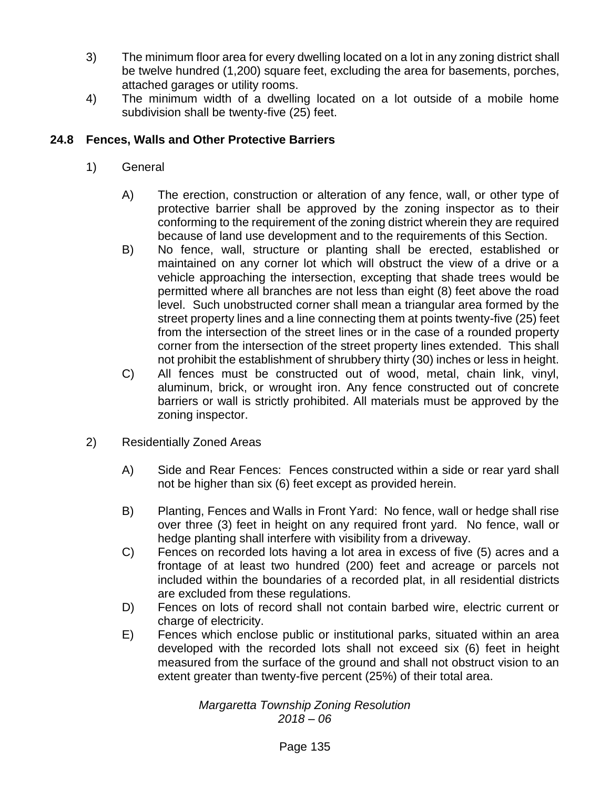- 3) The minimum floor area for every dwelling located on a lot in any zoning district shall be twelve hundred (1,200) square feet, excluding the area for basements, porches, attached garages or utility rooms.
- 4) The minimum width of a dwelling located on a lot outside of a mobile home subdivision shall be twenty-five (25) feet.

# **24.8 Fences, Walls and Other Protective Barriers**

- 1) General
	- A) The erection, construction or alteration of any fence, wall, or other type of protective barrier shall be approved by the zoning inspector as to their conforming to the requirement of the zoning district wherein they are required because of land use development and to the requirements of this Section.
	- B) No fence, wall, structure or planting shall be erected, established or maintained on any corner lot which will obstruct the view of a drive or a vehicle approaching the intersection, excepting that shade trees would be permitted where all branches are not less than eight (8) feet above the road level. Such unobstructed corner shall mean a triangular area formed by the street property lines and a line connecting them at points twenty-five (25) feet from the intersection of the street lines or in the case of a rounded property corner from the intersection of the street property lines extended. This shall not prohibit the establishment of shrubbery thirty (30) inches or less in height.
	- C) All fences must be constructed out of wood, metal, chain link, vinyl, aluminum, brick, or wrought iron. Any fence constructed out of concrete barriers or wall is strictly prohibited. All materials must be approved by the zoning inspector.
- 2) Residentially Zoned Areas
	- A) Side and Rear Fences: Fences constructed within a side or rear yard shall not be higher than six (6) feet except as provided herein.
	- B) Planting, Fences and Walls in Front Yard: No fence, wall or hedge shall rise over three (3) feet in height on any required front yard. No fence, wall or hedge planting shall interfere with visibility from a driveway.
	- C) Fences on recorded lots having a lot area in excess of five (5) acres and a frontage of at least two hundred (200) feet and acreage or parcels not included within the boundaries of a recorded plat, in all residential districts are excluded from these regulations.
	- D) Fences on lots of record shall not contain barbed wire, electric current or charge of electricity.
	- E) Fences which enclose public or institutional parks, situated within an area developed with the recorded lots shall not exceed six (6) feet in height measured from the surface of the ground and shall not obstruct vision to an extent greater than twenty-five percent (25%) of their total area.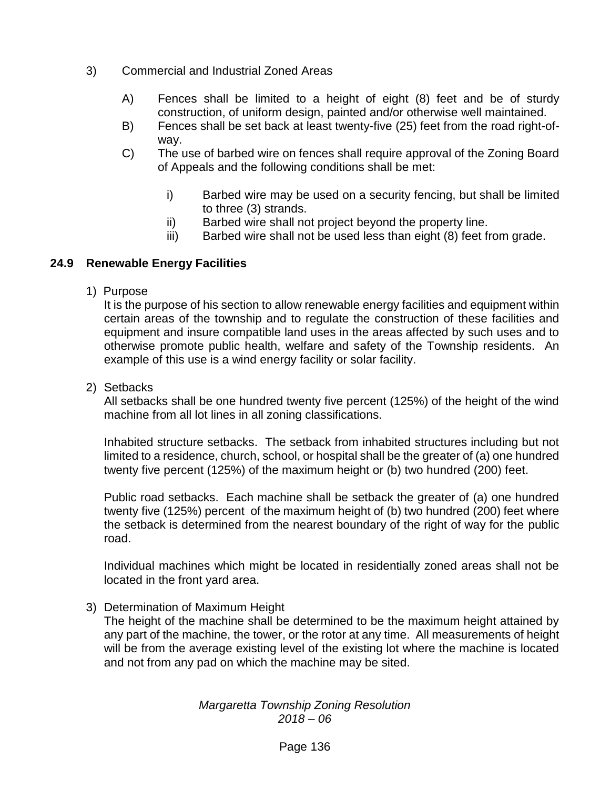- 3) Commercial and Industrial Zoned Areas
	- A) Fences shall be limited to a height of eight (8) feet and be of sturdy construction, of uniform design, painted and/or otherwise well maintained.
	- B) Fences shall be set back at least twenty-five (25) feet from the road right-ofway.
	- C) The use of barbed wire on fences shall require approval of the Zoning Board of Appeals and the following conditions shall be met:
		- i) Barbed wire may be used on a security fencing, but shall be limited to three (3) strands.
		- ii) Barbed wire shall not project beyond the property line.
		- iii) Barbed wire shall not be used less than eight (8) feet from grade.

# **24.9 Renewable Energy Facilities**

1) Purpose

It is the purpose of his section to allow renewable energy facilities and equipment within certain areas of the township and to regulate the construction of these facilities and equipment and insure compatible land uses in the areas affected by such uses and to otherwise promote public health, welfare and safety of the Township residents. An example of this use is a wind energy facility or solar facility.

2) Setbacks

All setbacks shall be one hundred twenty five percent (125%) of the height of the wind machine from all lot lines in all zoning classifications.

Inhabited structure setbacks. The setback from inhabited structures including but not limited to a residence, church, school, or hospital shall be the greater of (a) one hundred twenty five percent (125%) of the maximum height or (b) two hundred (200) feet.

Public road setbacks. Each machine shall be setback the greater of (a) one hundred twenty five (125%) percent of the maximum height of (b) two hundred (200) feet where the setback is determined from the nearest boundary of the right of way for the public road.

Individual machines which might be located in residentially zoned areas shall not be located in the front yard area.

# 3) Determination of Maximum Height

The height of the machine shall be determined to be the maximum height attained by any part of the machine, the tower, or the rotor at any time. All measurements of height will be from the average existing level of the existing lot where the machine is located and not from any pad on which the machine may be sited.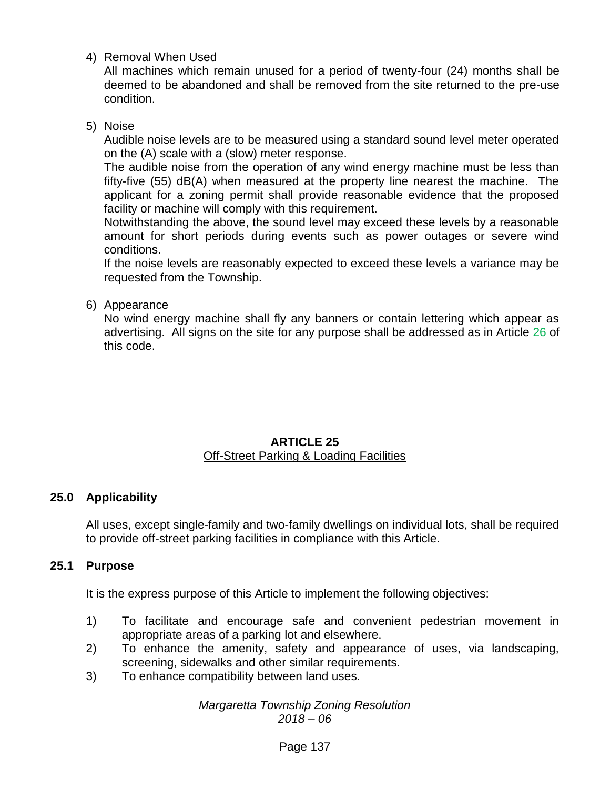4) Removal When Used

All machines which remain unused for a period of twenty-four (24) months shall be deemed to be abandoned and shall be removed from the site returned to the pre-use condition.

5) Noise

Audible noise levels are to be measured using a standard sound level meter operated on the (A) scale with a (slow) meter response.

The audible noise from the operation of any wind energy machine must be less than fifty-five (55) dB(A) when measured at the property line nearest the machine. The applicant for a zoning permit shall provide reasonable evidence that the proposed facility or machine will comply with this requirement.

Notwithstanding the above, the sound level may exceed these levels by a reasonable amount for short periods during events such as power outages or severe wind conditions.

If the noise levels are reasonably expected to exceed these levels a variance may be requested from the Township.

### 6) Appearance

No wind energy machine shall fly any banners or contain lettering which appear as advertising. All signs on the site for any purpose shall be addressed as in Article 26 of this code.

#### **ARTICLE 25** Off-Street Parking & Loading Facilities

# **25.0 Applicability**

All uses, except single-family and two-family dwellings on individual lots, shall be required to provide off-street parking facilities in compliance with this Article.

### **25.1 Purpose**

It is the express purpose of this Article to implement the following objectives:

- 1) To facilitate and encourage safe and convenient pedestrian movement in appropriate areas of a parking lot and elsewhere.
- 2) To enhance the amenity, safety and appearance of uses, via landscaping, screening, sidewalks and other similar requirements.
- 3) To enhance compatibility between land uses.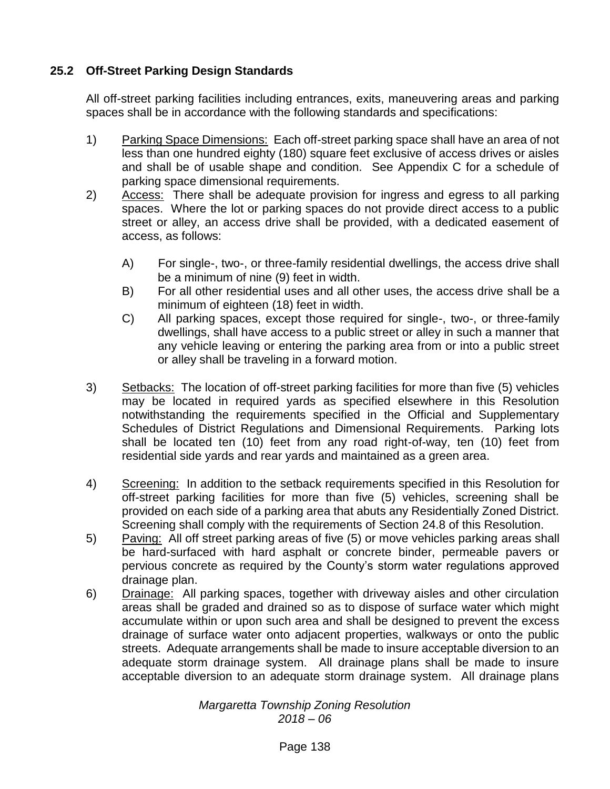# **25.2 Off-Street Parking Design Standards**

All off-street parking facilities including entrances, exits, maneuvering areas and parking spaces shall be in accordance with the following standards and specifications:

- 1) Parking Space Dimensions: Each off-street parking space shall have an area of not less than one hundred eighty (180) square feet exclusive of access drives or aisles and shall be of usable shape and condition. See Appendix C for a schedule of parking space dimensional requirements.
- 2) Access: There shall be adequate provision for ingress and egress to all parking spaces. Where the lot or parking spaces do not provide direct access to a public street or alley, an access drive shall be provided, with a dedicated easement of access, as follows:
	- A) For single-, two-, or three-family residential dwellings, the access drive shall be a minimum of nine (9) feet in width.
	- B) For all other residential uses and all other uses, the access drive shall be a minimum of eighteen (18) feet in width.
	- C) All parking spaces, except those required for single-, two-, or three-family dwellings, shall have access to a public street or alley in such a manner that any vehicle leaving or entering the parking area from or into a public street or alley shall be traveling in a forward motion.
- 3) Setbacks: The location of off-street parking facilities for more than five (5) vehicles may be located in required yards as specified elsewhere in this Resolution notwithstanding the requirements specified in the Official and Supplementary Schedules of District Regulations and Dimensional Requirements. Parking lots shall be located ten (10) feet from any road right-of-way, ten (10) feet from residential side yards and rear yards and maintained as a green area.
- 4) Screening: In addition to the setback requirements specified in this Resolution for off-street parking facilities for more than five (5) vehicles, screening shall be provided on each side of a parking area that abuts any Residentially Zoned District. Screening shall comply with the requirements of Section 24.8 of this Resolution.
- 5) Paving: All off street parking areas of five (5) or move vehicles parking areas shall be hard-surfaced with hard asphalt or concrete binder, permeable pavers or pervious concrete as required by the County's storm water regulations approved drainage plan.
- 6) Drainage: All parking spaces, together with driveway aisles and other circulation areas shall be graded and drained so as to dispose of surface water which might accumulate within or upon such area and shall be designed to prevent the excess drainage of surface water onto adjacent properties, walkways or onto the public streets. Adequate arrangements shall be made to insure acceptable diversion to an adequate storm drainage system. All drainage plans shall be made to insure acceptable diversion to an adequate storm drainage system. All drainage plans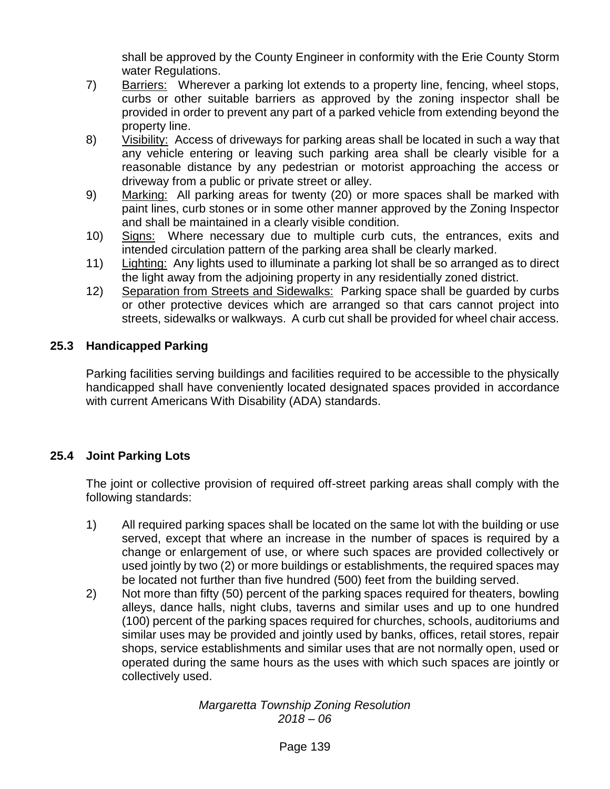shall be approved by the County Engineer in conformity with the Erie County Storm water Regulations.

- 7) Barriers: Wherever a parking lot extends to a property line, fencing, wheel stops, curbs or other suitable barriers as approved by the zoning inspector shall be provided in order to prevent any part of a parked vehicle from extending beyond the property line.
- 8) Visibility: Access of driveways for parking areas shall be located in such a way that any vehicle entering or leaving such parking area shall be clearly visible for a reasonable distance by any pedestrian or motorist approaching the access or driveway from a public or private street or alley.
- 9) Marking: All parking areas for twenty (20) or more spaces shall be marked with paint lines, curb stones or in some other manner approved by the Zoning Inspector and shall be maintained in a clearly visible condition.
- 10) Signs: Where necessary due to multiple curb cuts, the entrances, exits and intended circulation pattern of the parking area shall be clearly marked.
- 11) Lighting: Any lights used to illuminate a parking lot shall be so arranged as to direct the light away from the adjoining property in any residentially zoned district.
- 12) Separation from Streets and Sidewalks: Parking space shall be guarded by curbs or other protective devices which are arranged so that cars cannot project into streets, sidewalks or walkways. A curb cut shall be provided for wheel chair access.

# **25.3 Handicapped Parking**

Parking facilities serving buildings and facilities required to be accessible to the physically handicapped shall have conveniently located designated spaces provided in accordance with current Americans With Disability (ADA) standards.

# **25.4 Joint Parking Lots**

The joint or collective provision of required off-street parking areas shall comply with the following standards:

- 1) All required parking spaces shall be located on the same lot with the building or use served, except that where an increase in the number of spaces is required by a change or enlargement of use, or where such spaces are provided collectively or used jointly by two (2) or more buildings or establishments, the required spaces may be located not further than five hundred (500) feet from the building served.
- 2) Not more than fifty (50) percent of the parking spaces required for theaters, bowling alleys, dance halls, night clubs, taverns and similar uses and up to one hundred (100) percent of the parking spaces required for churches, schools, auditoriums and similar uses may be provided and jointly used by banks, offices, retail stores, repair shops, service establishments and similar uses that are not normally open, used or operated during the same hours as the uses with which such spaces are jointly or collectively used.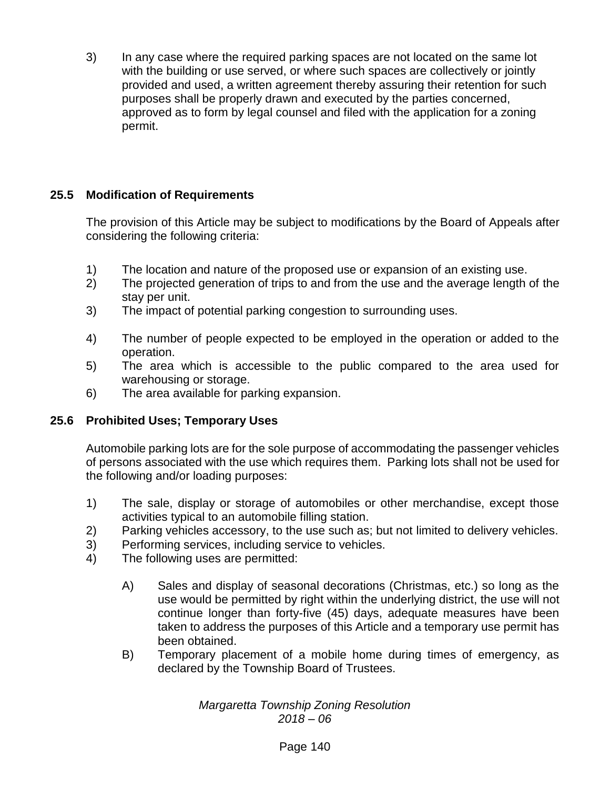3) In any case where the required parking spaces are not located on the same lot with the building or use served, or where such spaces are collectively or jointly provided and used, a written agreement thereby assuring their retention for such purposes shall be properly drawn and executed by the parties concerned, approved as to form by legal counsel and filed with the application for a zoning permit.

# **25.5 Modification of Requirements**

The provision of this Article may be subject to modifications by the Board of Appeals after considering the following criteria:

- 1) The location and nature of the proposed use or expansion of an existing use.
- 2) The projected generation of trips to and from the use and the average length of the stay per unit.
- 3) The impact of potential parking congestion to surrounding uses.
- 4) The number of people expected to be employed in the operation or added to the operation.
- 5) The area which is accessible to the public compared to the area used for warehousing or storage.
- 6) The area available for parking expansion.

# **25.6 Prohibited Uses; Temporary Uses**

Automobile parking lots are for the sole purpose of accommodating the passenger vehicles of persons associated with the use which requires them. Parking lots shall not be used for the following and/or loading purposes:

- 1) The sale, display or storage of automobiles or other merchandise, except those activities typical to an automobile filling station.
- 2) Parking vehicles accessory, to the use such as; but not limited to delivery vehicles.
- 3) Performing services, including service to vehicles.
- 4) The following uses are permitted:
	- A) Sales and display of seasonal decorations (Christmas, etc.) so long as the use would be permitted by right within the underlying district, the use will not continue longer than forty-five (45) days, adequate measures have been taken to address the purposes of this Article and a temporary use permit has been obtained.
	- B) Temporary placement of a mobile home during times of emergency, as declared by the Township Board of Trustees.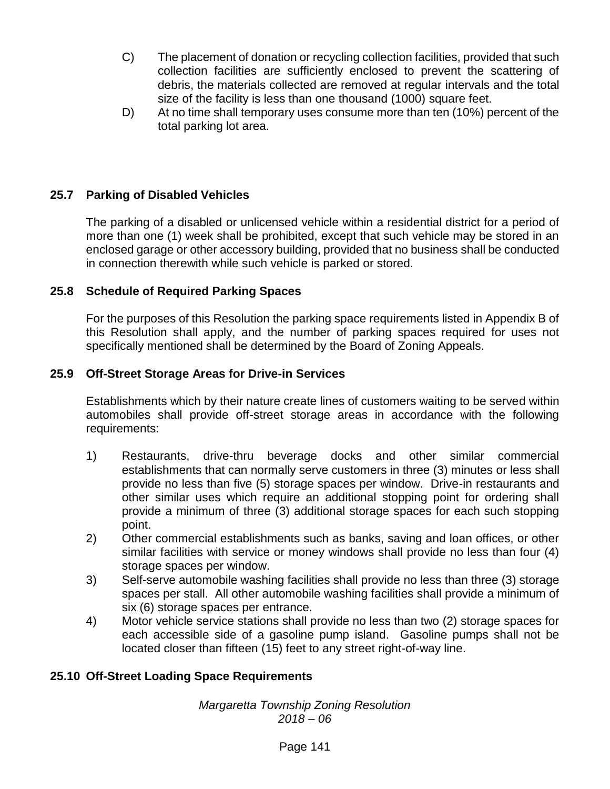- C) The placement of donation or recycling collection facilities, provided that such collection facilities are sufficiently enclosed to prevent the scattering of debris, the materials collected are removed at regular intervals and the total size of the facility is less than one thousand (1000) square feet.
- D) At no time shall temporary uses consume more than ten (10%) percent of the total parking lot area.

# **25.7 Parking of Disabled Vehicles**

The parking of a disabled or unlicensed vehicle within a residential district for a period of more than one (1) week shall be prohibited, except that such vehicle may be stored in an enclosed garage or other accessory building, provided that no business shall be conducted in connection therewith while such vehicle is parked or stored.

# **25.8 Schedule of Required Parking Spaces**

For the purposes of this Resolution the parking space requirements listed in Appendix B of this Resolution shall apply, and the number of parking spaces required for uses not specifically mentioned shall be determined by the Board of Zoning Appeals.

# **25.9 Off-Street Storage Areas for Drive-in Services**

Establishments which by their nature create lines of customers waiting to be served within automobiles shall provide off-street storage areas in accordance with the following requirements:

- 1) Restaurants, drive-thru beverage docks and other similar commercial establishments that can normally serve customers in three (3) minutes or less shall provide no less than five (5) storage spaces per window. Drive-in restaurants and other similar uses which require an additional stopping point for ordering shall provide a minimum of three (3) additional storage spaces for each such stopping point.
- 2) Other commercial establishments such as banks, saving and loan offices, or other similar facilities with service or money windows shall provide no less than four (4) storage spaces per window.
- 3) Self-serve automobile washing facilities shall provide no less than three (3) storage spaces per stall. All other automobile washing facilities shall provide a minimum of six (6) storage spaces per entrance.
- 4) Motor vehicle service stations shall provide no less than two (2) storage spaces for each accessible side of a gasoline pump island. Gasoline pumps shall not be located closer than fifteen (15) feet to any street right-of-way line.

# **25.10 Off-Street Loading Space Requirements**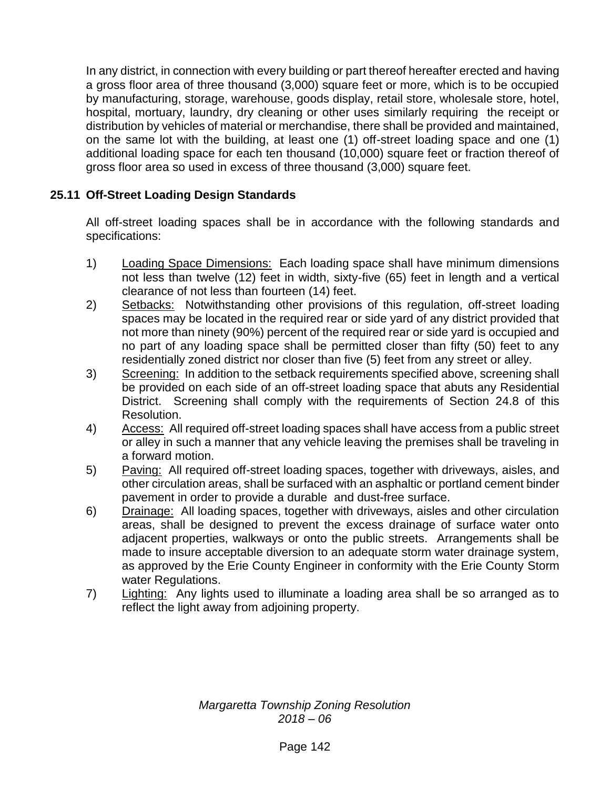In any district, in connection with every building or part thereof hereafter erected and having a gross floor area of three thousand (3,000) square feet or more, which is to be occupied by manufacturing, storage, warehouse, goods display, retail store, wholesale store, hotel, hospital, mortuary, laundry, dry cleaning or other uses similarly requiring the receipt or distribution by vehicles of material or merchandise, there shall be provided and maintained, on the same lot with the building, at least one (1) off-street loading space and one (1) additional loading space for each ten thousand (10,000) square feet or fraction thereof of gross floor area so used in excess of three thousand (3,000) square feet.

# **25.11 Off-Street Loading Design Standards**

All off-street loading spaces shall be in accordance with the following standards and specifications:

- 1) Loading Space Dimensions: Each loading space shall have minimum dimensions not less than twelve (12) feet in width, sixty-five (65) feet in length and a vertical clearance of not less than fourteen (14) feet.
- 2) Setbacks: Notwithstanding other provisions of this regulation, off-street loading spaces may be located in the required rear or side yard of any district provided that not more than ninety (90%) percent of the required rear or side yard is occupied and no part of any loading space shall be permitted closer than fifty (50) feet to any residentially zoned district nor closer than five (5) feet from any street or alley.
- 3) Screening: In addition to the setback requirements specified above, screening shall be provided on each side of an off-street loading space that abuts any Residential District. Screening shall comply with the requirements of Section 24.8 of this Resolution.
- 4) Access: All required off-street loading spaces shall have access from a public street or alley in such a manner that any vehicle leaving the premises shall be traveling in a forward motion.
- 5) Paving: All required off-street loading spaces, together with driveways, aisles, and other circulation areas, shall be surfaced with an asphaltic or portland cement binder pavement in order to provide a durable and dust-free surface.
- 6) Drainage: All loading spaces, together with driveways, aisles and other circulation areas, shall be designed to prevent the excess drainage of surface water onto adjacent properties, walkways or onto the public streets. Arrangements shall be made to insure acceptable diversion to an adequate storm water drainage system, as approved by the Erie County Engineer in conformity with the Erie County Storm water Regulations.
- 7) Lighting: Any lights used to illuminate a loading area shall be so arranged as to reflect the light away from adjoining property.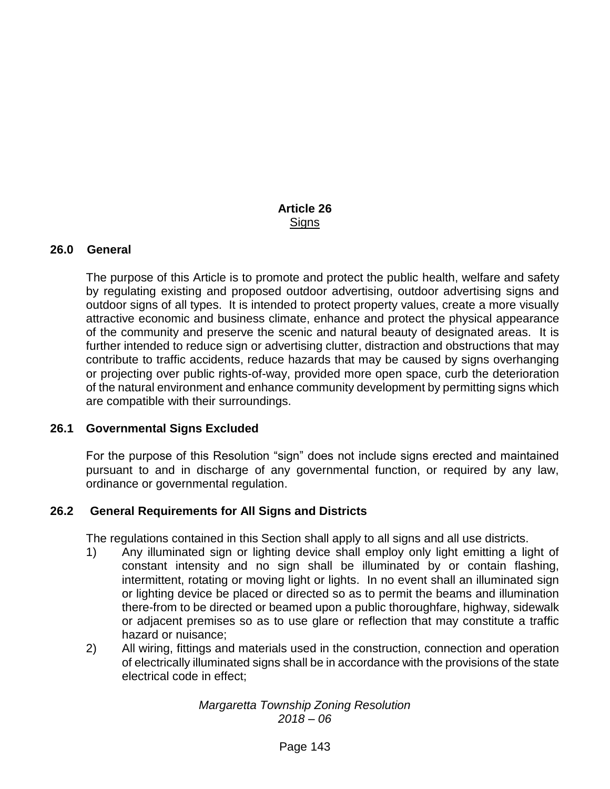### **Article 26 Signs**

#### **26.0 General**

The purpose of this Article is to promote and protect the public health, welfare and safety by regulating existing and proposed outdoor advertising, outdoor advertising signs and outdoor signs of all types. It is intended to protect property values, create a more visually attractive economic and business climate, enhance and protect the physical appearance of the community and preserve the scenic and natural beauty of designated areas. It is further intended to reduce sign or advertising clutter, distraction and obstructions that may contribute to traffic accidents, reduce hazards that may be caused by signs overhanging or projecting over public rights-of-way, provided more open space, curb the deterioration of the natural environment and enhance community development by permitting signs which are compatible with their surroundings.

#### **26.1 Governmental Signs Excluded**

For the purpose of this Resolution "sign" does not include signs erected and maintained pursuant to and in discharge of any governmental function, or required by any law, ordinance or governmental regulation.

#### **26.2 General Requirements for All Signs and Districts**

The regulations contained in this Section shall apply to all signs and all use districts.

- 1) Any illuminated sign or lighting device shall employ only light emitting a light of constant intensity and no sign shall be illuminated by or contain flashing, intermittent, rotating or moving light or lights. In no event shall an illuminated sign or lighting device be placed or directed so as to permit the beams and illumination there-from to be directed or beamed upon a public thoroughfare, highway, sidewalk or adjacent premises so as to use glare or reflection that may constitute a traffic hazard or nuisance;
- 2) All wiring, fittings and materials used in the construction, connection and operation of electrically illuminated signs shall be in accordance with the provisions of the state electrical code in effect;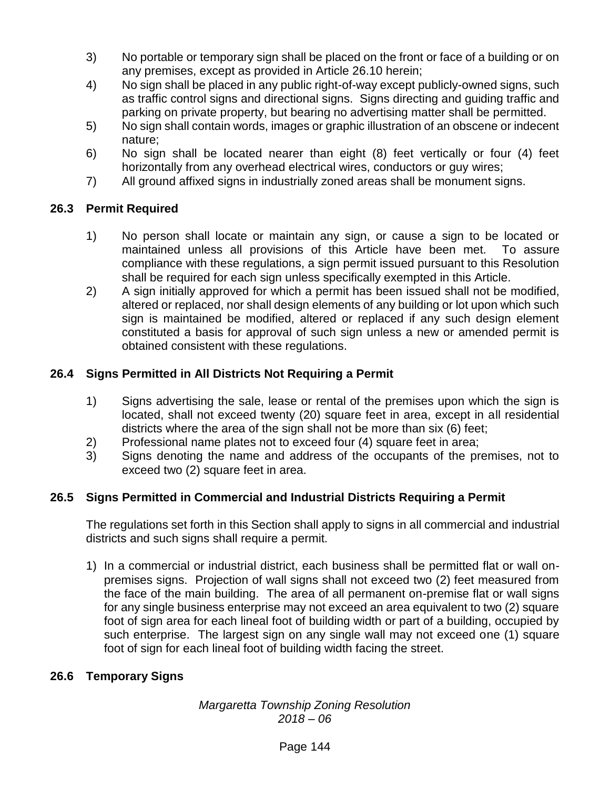- 3) No portable or temporary sign shall be placed on the front or face of a building or on any premises, except as provided in Article 26.10 herein;
- 4) No sign shall be placed in any public right-of-way except publicly-owned signs, such as traffic control signs and directional signs. Signs directing and guiding traffic and parking on private property, but bearing no advertising matter shall be permitted.
- 5) No sign shall contain words, images or graphic illustration of an obscene or indecent nature;
- 6) No sign shall be located nearer than eight (8) feet vertically or four (4) feet horizontally from any overhead electrical wires, conductors or guy wires;
- 7) All ground affixed signs in industrially zoned areas shall be monument signs.

# **26.3 Permit Required**

- 1) No person shall locate or maintain any sign, or cause a sign to be located or maintained unless all provisions of this Article have been met. To assure compliance with these regulations, a sign permit issued pursuant to this Resolution shall be required for each sign unless specifically exempted in this Article.
- 2) A sign initially approved for which a permit has been issued shall not be modified, altered or replaced, nor shall design elements of any building or lot upon which such sign is maintained be modified, altered or replaced if any such design element constituted a basis for approval of such sign unless a new or amended permit is obtained consistent with these regulations.

# **26.4 Signs Permitted in All Districts Not Requiring a Permit**

- 1) Signs advertising the sale, lease or rental of the premises upon which the sign is located, shall not exceed twenty (20) square feet in area, except in all residential districts where the area of the sign shall not be more than six (6) feet;
- 2) Professional name plates not to exceed four (4) square feet in area;
- 3) Signs denoting the name and address of the occupants of the premises, not to exceed two (2) square feet in area.

# **26.5 Signs Permitted in Commercial and Industrial Districts Requiring a Permit**

The regulations set forth in this Section shall apply to signs in all commercial and industrial districts and such signs shall require a permit.

1) In a commercial or industrial district, each business shall be permitted flat or wall onpremises signs. Projection of wall signs shall not exceed two (2) feet measured from the face of the main building. The area of all permanent on-premise flat or wall signs for any single business enterprise may not exceed an area equivalent to two (2) square foot of sign area for each lineal foot of building width or part of a building, occupied by such enterprise. The largest sign on any single wall may not exceed one (1) square foot of sign for each lineal foot of building width facing the street.

# **26.6 Temporary Signs**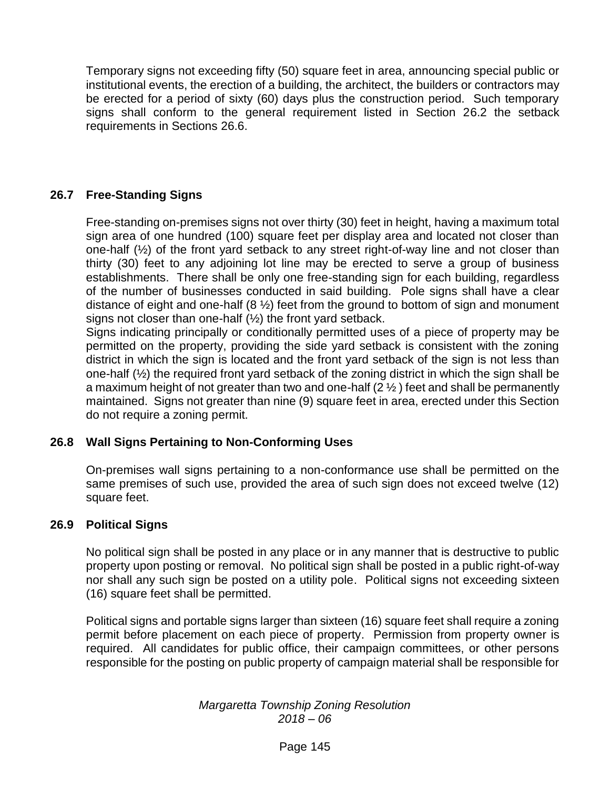Temporary signs not exceeding fifty (50) square feet in area, announcing special public or institutional events, the erection of a building, the architect, the builders or contractors may be erected for a period of sixty (60) days plus the construction period. Such temporary signs shall conform to the general requirement listed in Section 26.2 the setback requirements in Sections 26.6.

## **26.7 Free-Standing Signs**

Free-standing on-premises signs not over thirty (30) feet in height, having a maximum total sign area of one hundred (100) square feet per display area and located not closer than one-half (½) of the front yard setback to any street right-of-way line and not closer than thirty (30) feet to any adjoining lot line may be erected to serve a group of business establishments. There shall be only one free-standing sign for each building, regardless of the number of businesses conducted in said building. Pole signs shall have a clear distance of eight and one-half (8 ½) feet from the ground to bottom of sign and monument signs not closer than one-half (½) the front yard setback.

Signs indicating principally or conditionally permitted uses of a piece of property may be permitted on the property, providing the side yard setback is consistent with the zoning district in which the sign is located and the front yard setback of the sign is not less than one-half (½) the required front yard setback of the zoning district in which the sign shall be a maximum height of not greater than two and one-half  $(2  $\frac{1}{2}$  ) feet and shall be permanently$ maintained. Signs not greater than nine (9) square feet in area, erected under this Section do not require a zoning permit.

#### **26.8 Wall Signs Pertaining to Non-Conforming Uses**

On-premises wall signs pertaining to a non-conformance use shall be permitted on the same premises of such use, provided the area of such sign does not exceed twelve (12) square feet.

#### **26.9 Political Signs**

No political sign shall be posted in any place or in any manner that is destructive to public property upon posting or removal. No political sign shall be posted in a public right-of-way nor shall any such sign be posted on a utility pole. Political signs not exceeding sixteen (16) square feet shall be permitted.

Political signs and portable signs larger than sixteen (16) square feet shall require a zoning permit before placement on each piece of property. Permission from property owner is required. All candidates for public office, their campaign committees, or other persons responsible for the posting on public property of campaign material shall be responsible for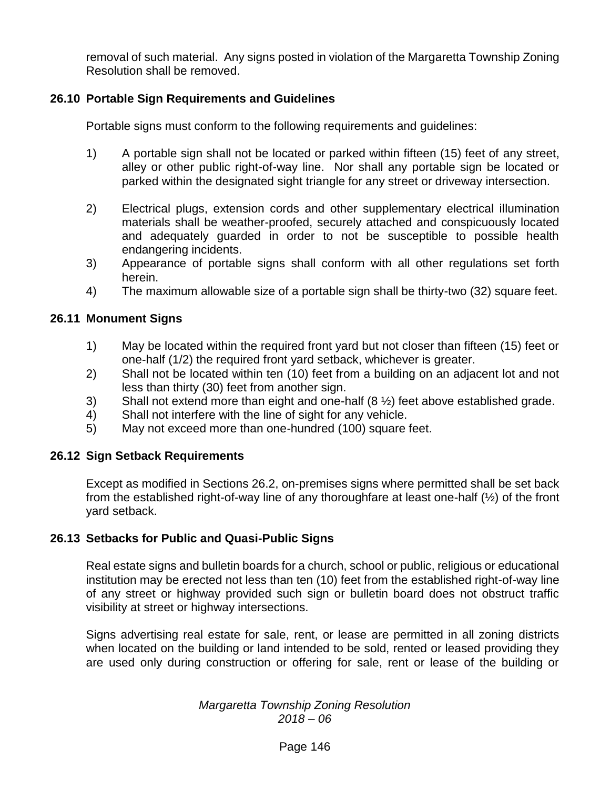removal of such material. Any signs posted in violation of the Margaretta Township Zoning Resolution shall be removed.

## **26.10 Portable Sign Requirements and Guidelines**

Portable signs must conform to the following requirements and guidelines:

- 1) A portable sign shall not be located or parked within fifteen (15) feet of any street, alley or other public right-of-way line. Nor shall any portable sign be located or parked within the designated sight triangle for any street or driveway intersection.
- 2) Electrical plugs, extension cords and other supplementary electrical illumination materials shall be weather-proofed, securely attached and conspicuously located and adequately guarded in order to not be susceptible to possible health endangering incidents.
- 3) Appearance of portable signs shall conform with all other regulations set forth herein.
- 4) The maximum allowable size of a portable sign shall be thirty-two (32) square feet.

## **26.11 Monument Signs**

- 1) May be located within the required front yard but not closer than fifteen (15) feet or one-half (1/2) the required front yard setback, whichever is greater.
- 2) Shall not be located within ten (10) feet from a building on an adjacent lot and not less than thirty (30) feet from another sign.
- 3) Shall not extend more than eight and one-half (8 ½) feet above established grade.
- 4) Shall not interfere with the line of sight for any vehicle.
- 5) May not exceed more than one-hundred (100) square feet.

#### **26.12 Sign Setback Requirements**

Except as modified in Sections 26.2, on-premises signs where permitted shall be set back from the established right-of-way line of any thoroughfare at least one-half (½) of the front yard setback.

#### **26.13 Setbacks for Public and Quasi-Public Signs**

Real estate signs and bulletin boards for a church, school or public, religious or educational institution may be erected not less than ten (10) feet from the established right-of-way line of any street or highway provided such sign or bulletin board does not obstruct traffic visibility at street or highway intersections.

Signs advertising real estate for sale, rent, or lease are permitted in all zoning districts when located on the building or land intended to be sold, rented or leased providing they are used only during construction or offering for sale, rent or lease of the building or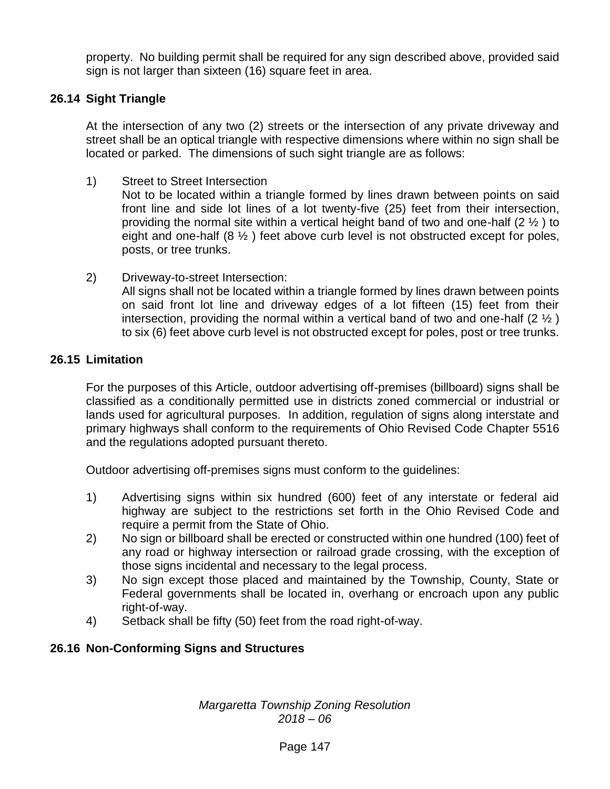property. No building permit shall be required for any sign described above, provided said sign is not larger than sixteen (16) square feet in area.

# **26.14 Sight Triangle**

At the intersection of any two (2) streets or the intersection of any private driveway and street shall be an optical triangle with respective dimensions where within no sign shall be located or parked. The dimensions of such sight triangle are as follows:

1) Street to Street Intersection

Not to be located within a triangle formed by lines drawn between points on said front line and side lot lines of a lot twenty-five (25) feet from their intersection, providing the normal site within a vertical height band of two and one-half  $(2 \frac{1}{2})$  to eight and one-half  $(8 \frac{1}{2})$  feet above curb level is not obstructed except for poles, posts, or tree trunks.

2) Driveway-to-street Intersection: All signs shall not be located within a triangle formed by lines drawn between points on said front lot line and driveway edges of a lot fifteen (15) feet from their intersection, providing the normal within a vertical band of two and one-half  $(2 \frac{1}{2})$ to six (6) feet above curb level is not obstructed except for poles, post or tree trunks.

## **26.15 Limitation**

For the purposes of this Article, outdoor advertising off-premises (billboard) signs shall be classified as a conditionally permitted use in districts zoned commercial or industrial or lands used for agricultural purposes. In addition, regulation of signs along interstate and primary highways shall conform to the requirements of Ohio Revised Code Chapter 5516 and the regulations adopted pursuant thereto.

Outdoor advertising off-premises signs must conform to the guidelines:

- 1) Advertising signs within six hundred (600) feet of any interstate or federal aid highway are subject to the restrictions set forth in the Ohio Revised Code and require a permit from the State of Ohio.
- 2) No sign or billboard shall be erected or constructed within one hundred (100) feet of any road or highway intersection or railroad grade crossing, with the exception of those signs incidental and necessary to the legal process.
- 3) No sign except those placed and maintained by the Township, County, State or Federal governments shall be located in, overhang or encroach upon any public right-of-way.
- 4) Setback shall be fifty (50) feet from the road right-of-way.

# **26.16 Non-Conforming Signs and Structures**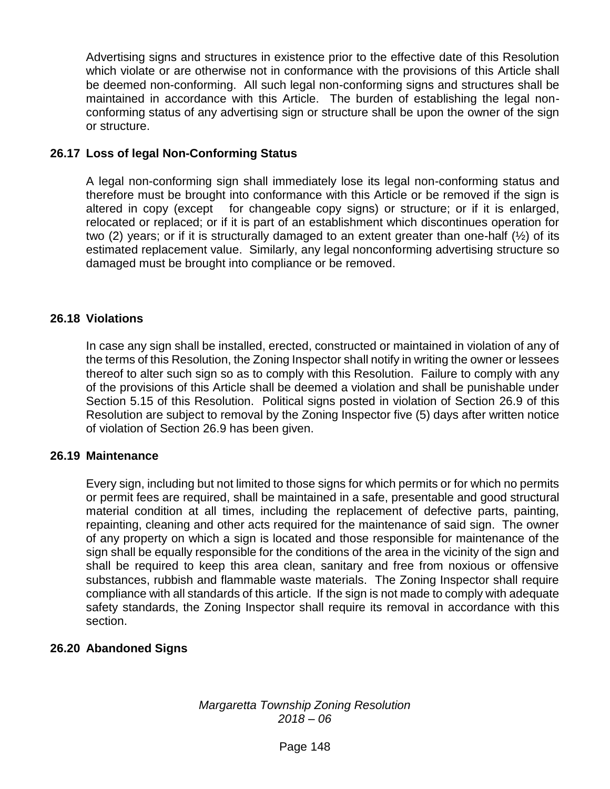Advertising signs and structures in existence prior to the effective date of this Resolution which violate or are otherwise not in conformance with the provisions of this Article shall be deemed non-conforming. All such legal non-conforming signs and structures shall be maintained in accordance with this Article. The burden of establishing the legal nonconforming status of any advertising sign or structure shall be upon the owner of the sign or structure.

## **26.17 Loss of legal Non-Conforming Status**

A legal non-conforming sign shall immediately lose its legal non-conforming status and therefore must be brought into conformance with this Article or be removed if the sign is altered in copy (except for changeable copy signs) or structure; or if it is enlarged, relocated or replaced; or if it is part of an establishment which discontinues operation for two (2) years; or if it is structurally damaged to an extent greater than one-half (½) of its estimated replacement value. Similarly, any legal nonconforming advertising structure so damaged must be brought into compliance or be removed.

#### **26.18 Violations**

In case any sign shall be installed, erected, constructed or maintained in violation of any of the terms of this Resolution, the Zoning Inspector shall notify in writing the owner or lessees thereof to alter such sign so as to comply with this Resolution. Failure to comply with any of the provisions of this Article shall be deemed a violation and shall be punishable under Section 5.15 of this Resolution. Political signs posted in violation of Section 26.9 of this Resolution are subject to removal by the Zoning Inspector five (5) days after written notice of violation of Section 26.9 has been given.

#### **26.19 Maintenance**

Every sign, including but not limited to those signs for which permits or for which no permits or permit fees are required, shall be maintained in a safe, presentable and good structural material condition at all times, including the replacement of defective parts, painting, repainting, cleaning and other acts required for the maintenance of said sign. The owner of any property on which a sign is located and those responsible for maintenance of the sign shall be equally responsible for the conditions of the area in the vicinity of the sign and shall be required to keep this area clean, sanitary and free from noxious or offensive substances, rubbish and flammable waste materials. The Zoning Inspector shall require compliance with all standards of this article. If the sign is not made to comply with adequate safety standards, the Zoning Inspector shall require its removal in accordance with this section.

#### **26.20 Abandoned Signs**